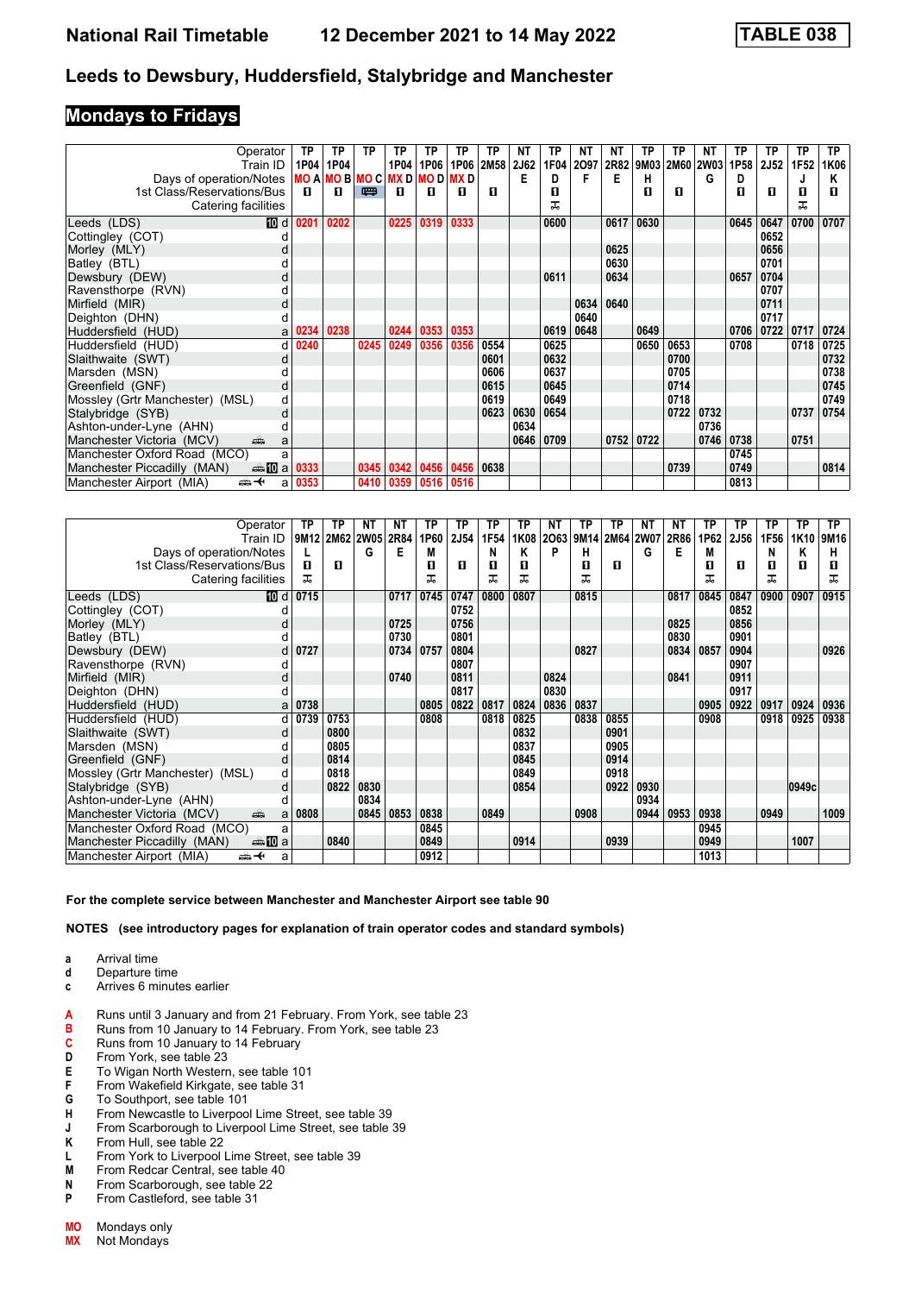### **Mondays to Fridays**

| Operator                                         | ТP                                   | ΤP        | ΤP   | ТP        | ΤP   | ТP        | ТP          | NΤ   | ТP   | ΝT   | NΤ   | ТP   | ТP             | <b>NT</b> | ТP   | ТP          | ТP   | <b>TP</b> |
|--------------------------------------------------|--------------------------------------|-----------|------|-----------|------|-----------|-------------|------|------|------|------|------|----------------|-----------|------|-------------|------|-----------|
| Train ID                                         |                                      | 1P04 1P04 |      | 1P04      |      | 1P06 1P06 | <b>2M58</b> | 2J62 | 1F04 | 2097 | 2R82 |      | 9M03 2M60 2W03 |           | 1P58 | <b>2J52</b> | 1F52 | 1K06      |
| Days of operation/Notes                          | <b>MO A MO B MO C MX D MO D MX D</b> |           |      |           |      |           |             | Е    | D    | F    | Е    | н    |                | G         | D    |             |      | Κ         |
| 1st Class/Reservations/Bus                       | п                                    | п         | 四    | п         | л    | п         | л           |      | п    |      |      | п    | п              |           | п    | п           | п    | п         |
| Catering facilities                              |                                      |           |      |           |      |           |             |      | ᅚ    |      |      |      |                |           |      |             | ᅚ    |           |
| 10 d<br>Leeds (LDS)                              | 0201                                 | 0202      |      | 0225      | 0319 | 0333      |             |      | 0600 |      | 0617 | 0630 |                |           | 0645 | 0647        | 0700 | 0707      |
| Cottingley (COT)                                 |                                      |           |      |           |      |           |             |      |      |      |      |      |                |           |      | 0652        |      |           |
| Morley (MLY)                                     |                                      |           |      |           |      |           |             |      |      |      | 0625 |      |                |           |      | 0656        |      |           |
| Batley (BTL)                                     |                                      |           |      |           |      |           |             |      |      |      | 0630 |      |                |           |      | 0701        |      |           |
| Dewsbury (DEW)                                   |                                      |           |      |           |      |           |             |      | 0611 |      | 0634 |      |                |           | 0657 | 0704        |      |           |
| Ravensthorpe (RVN)                               |                                      |           |      |           |      |           |             |      |      |      |      |      |                |           |      | 0707        |      |           |
| Mirfield (MIR)<br>d                              |                                      |           |      |           |      |           |             |      |      | 0634 | 0640 |      |                |           |      | 0711        |      |           |
| Deighton (DHN)                                   |                                      |           |      |           |      |           |             |      |      | 0640 |      |      |                |           |      | 0717        |      |           |
| Huddersfield (HUD)<br>a                          | )234                                 | 0238      |      | 0244      | 0353 | 0353      |             |      | 0619 | 0648 |      | 0649 |                |           | 0706 | 0722        | 0717 | 0724      |
| Huddersfield (HUD)<br>d                          | 0240                                 |           | 0245 | 0249      | 0356 | 0356      | 0554        |      | 0625 |      |      | 0650 | 0653           |           | 0708 |             | 0718 | 0725      |
| Slaithwaite (SWT)<br>d                           |                                      |           |      |           |      |           | 0601        |      | 0632 |      |      |      | 0700           |           |      |             |      | 0732      |
| Marsden (MSN)                                    |                                      |           |      |           |      |           | 0606        |      | 0637 |      |      |      | 0705           |           |      |             |      | 0738      |
| Greenfield (GNF)<br>d                            |                                      |           |      |           |      |           | 0615        |      | 0645 |      |      |      | 0714           |           |      |             |      | 0745      |
| Mossley (Grtr Manchester) (MSL)<br>d             |                                      |           |      |           |      |           | 0619        |      | 0649 |      |      |      | 0718           |           |      |             |      | 0749      |
| Stalybridge (SYB)<br>d                           |                                      |           |      |           |      |           | 0623        | 0630 | 0654 |      |      |      | 0722           | 0732      |      |             | 0737 | 0754      |
| Ashton-under-Lyne (AHN)                          |                                      |           |      |           |      |           |             | 0634 |      |      |      |      |                | 0736      |      |             |      |           |
| Manchester Victoria (MCV)<br>پیش<br>a            |                                      |           |      |           |      |           |             | 0646 | 0709 |      | 0752 | 0722 |                | 0746      | 0738 |             | 0751 |           |
| Manchester Oxford Road (MCO)<br>a                |                                      |           |      |           |      |           |             |      |      |      |      |      |                |           | 0745 |             |      |           |
| Manchester Piccadilly (MAN)<br><b>and a 0333</b> |                                      |           | 0345 | 0342 0456 |      | 0456 0638 |             |      |      |      |      |      | 0739           |           | 0749 |             |      | 0814      |
| Manchester Airport (MIA)<br>⇜✦<br>a              | 0353                                 |           | 0410 | 0359      | 0516 | 0516      |             |      |      |      |      |      |                |           | 0813 |             |      |           |

| Operator                                        | TP   | TP             | NΤ   | NΤ   | TP   | TP   | TP   | ТP   | NΤ   | ΤP   | ΤР   | NΤ        | NΤ   | TP   | ΤP          | TP   | ТP    | ТP        |
|-------------------------------------------------|------|----------------|------|------|------|------|------|------|------|------|------|-----------|------|------|-------------|------|-------|-----------|
| Train ID                                        |      | 9M12 2M62 2W05 |      | 2R84 | 1P60 | 2J54 | 1F54 | 1K08 | 2063 | 9M14 |      | 2M64 2W07 | 2R86 | 1P62 | <b>2J56</b> | 1F56 |       | 1K10 9M16 |
| Days of operation/Notes                         |      |                | G    | E    | М    |      | N    | Κ    | P    | н    |      | G         | Е    | М    |             | N    | Κ     | н         |
| 1st Class/Reservations/Bus                      | п    | п              |      |      | п    | п    | п    | п    |      | п    | п    |           |      | п    | п           | П    | п     | п         |
| Catering facilities                             | 굾    |                |      |      | ᅚ    |      | ᠼ    | ᅚ    |      |      |      |           |      | ᅚ    |             | ᅚ    |       | ᅚ         |
| Leeds (LDS)<br>[10] d                           | 0715 |                |      | 0717 | 0745 | 0747 | 0800 | 0807 |      | 0815 |      |           | 0817 | 0845 | 0847        | 0900 | 0907  | 0915      |
| Cottingley (COT)                                |      |                |      |      |      | 0752 |      |      |      |      |      |           |      |      | 0852        |      |       |           |
| Morley (MLY)<br>d                               |      |                |      | 0725 |      | 0756 |      |      |      |      |      |           | 0825 |      | 0856        |      |       |           |
| Batley (BTL)                                    |      |                |      | 0730 |      | 0801 |      |      |      |      |      |           | 0830 |      | 0901        |      |       |           |
| Dewsbury (DEW)<br>d                             | 0727 |                |      | 0734 | 0757 | 0804 |      |      |      | 0827 |      |           | 0834 | 0857 | 0904        |      |       | 0926      |
| Ravensthorpe (RVN)                              |      |                |      |      |      | 0807 |      |      |      |      |      |           |      |      | 0907        |      |       |           |
| Mirfield (MIR)<br>d                             |      |                |      | 0740 |      | 0811 |      |      | 0824 |      |      |           | 0841 |      | 0911        |      |       |           |
| Deighton (DHN)<br>d                             |      |                |      |      |      | 0817 |      |      | 0830 |      |      |           |      |      | 0917        |      |       |           |
| Huddersfield (HUD)<br>a                         | 0738 |                |      |      | 0805 | 0822 | 0817 | 0824 | 0836 | 0837 |      |           |      | 0905 | 0922        | 0917 | 0924  | 0936      |
| Huddersfield (HUD)<br>d                         | 0739 | 0753           |      |      | 0808 |      | 0818 | 0825 |      | 0838 | 0855 |           |      | 0908 |             | 0918 | 0925  | 0938      |
| Slaithwaite (SWT)<br>d                          |      | 0800           |      |      |      |      |      | 0832 |      |      | 0901 |           |      |      |             |      |       |           |
| Marsden (MSN)<br>d                              |      | 0805           |      |      |      |      |      | 0837 |      |      | 0905 |           |      |      |             |      |       |           |
| Greenfield (GNF)<br>d                           |      | 0814           |      |      |      |      |      | 0845 |      |      | 0914 |           |      |      |             |      |       |           |
| Mossley (Grtr Manchester) (MSL)<br>d            |      | 0818           |      |      |      |      |      | 0849 |      |      | 0918 |           |      |      |             |      |       |           |
| Stalybridge (SYB)<br>d                          |      | 0822           | 0830 |      |      |      |      | 0854 |      |      | 0922 | 0930      |      |      |             |      | 0949c |           |
| Ashton-under-Lyne (AHN)                         |      |                | 0834 |      |      |      |      |      |      |      |      | 0934      |      |      |             |      |       |           |
| Manchester Victoria (MCV)<br>پیش<br>a           | 0808 |                | 0845 | 0853 | 0838 |      | 0849 |      |      | 0908 |      | 0944      | 0953 | 0938 |             | 0949 |       | 1009      |
| Manchester Oxford Road (MCO)<br>a               |      |                |      |      | 0845 |      |      |      |      |      |      |           |      | 0945 |             |      |       |           |
| <b>▲ID</b> a<br>Manchester Piccadilly (MAN)     |      | 0840           |      |      | 0849 |      |      | 0914 |      |      | 0939 |           |      | 0949 |             |      | 1007  |           |
| Manchester Airport (MIA)<br><del>∰ ≮</del><br>a |      |                |      |      | 0912 |      |      |      |      |      |      |           |      | 1013 |             |      |       |           |

**For the complete service between Manchester and Manchester Airport see table 90**

- **a** Arrival time
- **d** Departure time<br>**c** Arrives 6 minut
- **c** Arrives 6 minutes earlier
- **A** Runs until 3 January and from 21 February. From York, see table 23
- **B** Runs from 10 January to 14 February. From York, see table 23 **C** Runs from 10 January to 14 February
- **C** Runs from 10 January to 14 February<br>**D** From York, see table 23
- From York, see table 23
- **E** To Wigan North Western, see table 101<br>**F** From Wakefield Kirkgate, see table 31
- **F** From Wakefield Kirkgate, see table 31<br>**G** To Southport, see table 101
- **G** To Southport, see table 101
- **H** From Newcastle to Liverpool Lime Street, see table 39
- **J** From Scarborough to Liverpool Lime Street, see table 39
- **K** From Hull, see table 22<br>**L** From York to Liverpool
- **/** From York to Liverpool Lime Street, see table 39
- **M** From Redcar Central, see table 40<br>**N** From Scarborough, see table 22
- **N** From Scarborough, see table 22<br>**P** From Castleford, see table 31
- **P** From Castleford, see table 31
- **MO** Mondays only<br>**MX** Not Mondays
- **Not Mondays**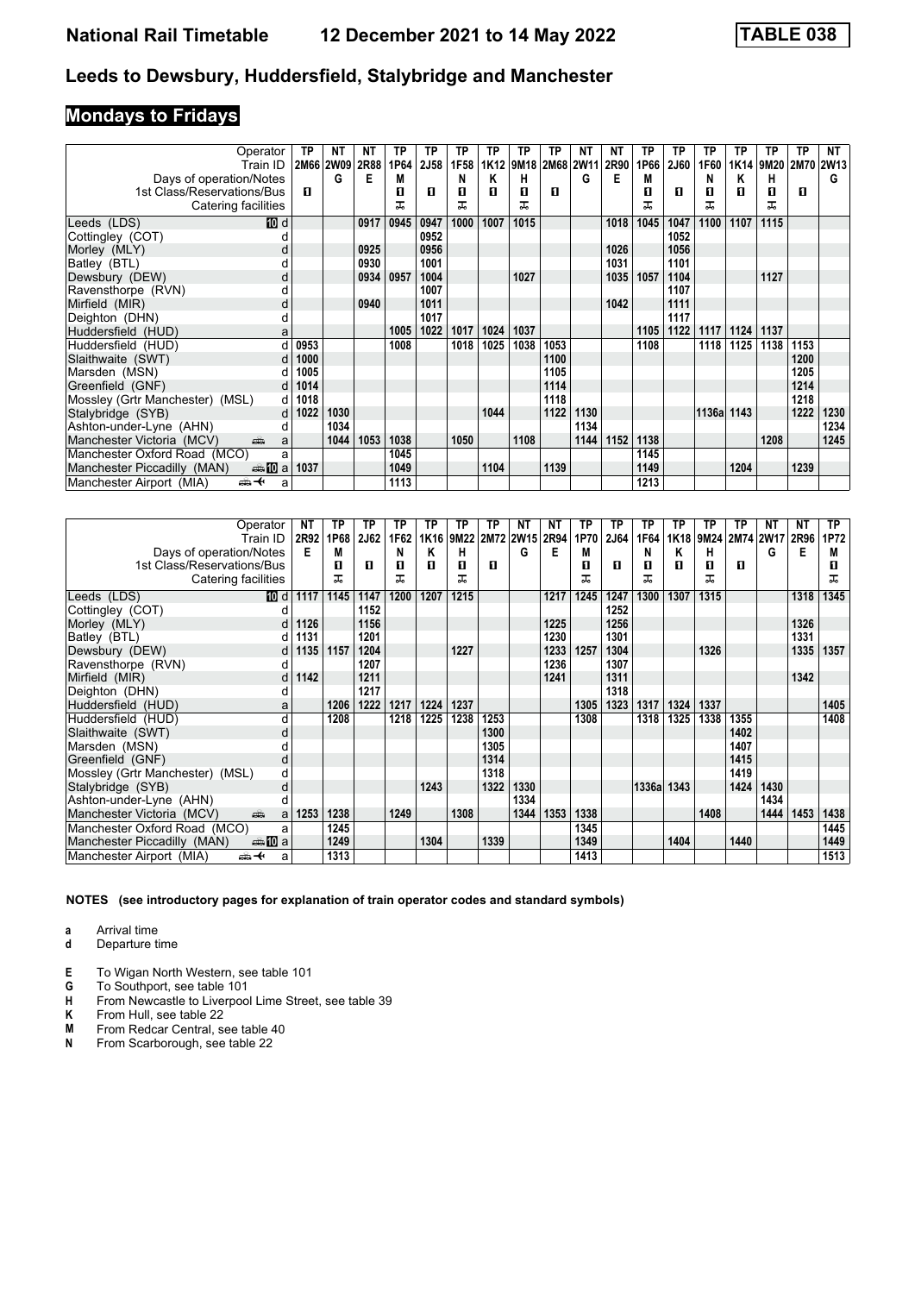# **Mondays to Fridays**

| Operator                                  | ТP   | <b>NT</b> | NΤ   | ТР   | ТP          | ТP   | ТP               | ТP   | ТP   | ΝT        | ΝT   | ТP   | ТP          | TP         | <b>TP</b> | ТP        | ТP          | NT   |
|-------------------------------------------|------|-----------|------|------|-------------|------|------------------|------|------|-----------|------|------|-------------|------------|-----------|-----------|-------------|------|
| Train ID                                  |      | 2M66 2W09 | 2R88 | 1P64 | <b>2J58</b> | 1F58 | 1K <sub>12</sub> | 9M18 |      | 2M68 2W11 | 2R90 | 1P66 | <b>2J60</b> | 1F60       |           | 1K14 9M20 | <b>2M70</b> | 2W13 |
| Days of operation/Notes                   |      | G         | Е    | М    |             | N    | Κ                | н    |      | G         | Е    | M    |             | N          | Κ         | н         |             | G    |
| 1st Class/Reservations/Bus                | п    |           |      | П    | л           | п    | п                | п    | п    |           |      | п    | п           | п          | п         | п         | п           |      |
| Catering facilities                       |      |           |      | ᅚ    |             | ᠼ    |                  | ᅚ    |      |           |      | ᅚ    |             | ᅚ          |           | ㅈ         |             |      |
| <b>ID</b> d<br>Leeds (LDS)                |      |           | 0917 | 0945 | 0947        | 1000 | 1007             | 1015 |      |           | 1018 | 1045 | 1047        | 1100       | 1107      | 1115      |             |      |
| Cottingley (COT)                          |      |           |      |      | 0952        |      |                  |      |      |           |      |      | 1052        |            |           |           |             |      |
| Morley (MLY)<br>d                         |      |           | 0925 |      | 0956        |      |                  |      |      |           | 1026 |      | 1056        |            |           |           |             |      |
| Batley (BTL)                              |      |           | 0930 |      | 1001        |      |                  |      |      |           | 1031 |      | 1101        |            |           |           |             |      |
| Dewsbury (DEW)<br>d                       |      |           | 0934 | 0957 | 1004        |      |                  | 1027 |      |           | 1035 | 1057 | 1104        |            |           | 1127      |             |      |
| Ravensthorpe (RVN)<br>d                   |      |           |      |      | 1007        |      |                  |      |      |           |      |      | 1107        |            |           |           |             |      |
| Mirfield (MIR)<br>d                       |      |           | 0940 |      | 1011        |      |                  |      |      |           | 1042 |      | 1111        |            |           |           |             |      |
| Deighton (DHN)<br>d                       |      |           |      |      | 1017        |      |                  |      |      |           |      |      | 1117        |            |           |           |             |      |
| Huddersfield (HUD)<br>a                   |      |           |      | 1005 | 1022        | 1017 | 1024             | 1037 |      |           |      | 1105 | 1122        | 1117       | 1124      | 1137      |             |      |
| Huddersfield (HUD)                        | 0953 |           |      | 1008 |             | 1018 | 1025             | 1038 | 1053 |           |      | 1108 |             | 1118       | 1125      | 1138      | 1153        |      |
| Slaithwaite (SWT)<br>d                    | 1000 |           |      |      |             |      |                  |      | 1100 |           |      |      |             |            |           |           | 1200        |      |
| Marsden (MSN)                             | 1005 |           |      |      |             |      |                  |      | 1105 |           |      |      |             |            |           |           | 1205        |      |
| Greenfield (GNF)<br>d                     | 1014 |           |      |      |             |      |                  |      | 1114 |           |      |      |             |            |           |           | 1214        |      |
| Mossley (Grtr Manchester) (MSL)<br>d      | 1018 |           |      |      |             |      |                  |      | 1118 |           |      |      |             |            |           |           | 1218        |      |
| Stalybridge (SYB)<br>d                    | 1022 | 1030      |      |      |             |      | 1044             |      | 1122 | 1130      |      |      |             | 1136a 1143 |           |           | 1222        | 1230 |
| Ashton-under-Lyne (AHN)<br>d              |      | 1034      |      |      |             |      |                  |      |      | 1134      |      |      |             |            |           |           |             | 1234 |
| Manchester Victoria (MCV)<br>پیش<br>a     |      | 1044      | 1053 | 1038 |             | 1050 |                  | 1108 |      | 1144      | 1152 | 1138 |             |            |           | 1208      |             | 1245 |
| Manchester Oxford Road (MCO)<br>a         |      |           |      | 1045 |             |      |                  |      |      |           |      | 1145 |             |            |           |           |             |      |
| Manchester Piccadilly (MAN)<br>dan Marial | 1037 |           |      | 1049 |             |      | 1104             |      | 1139 |           |      | 1149 |             |            | 1204      |           | 1239        |      |
| Manchester Airport (MIA)<br>⇼✦<br>a       |      |           |      | 1113 |             |      |                  |      |      |           |      | 1213 |             |            |           |           |             |      |

| Operator                                         | ΝT   | ТP   | ΤP          | ТP   | ΤP   | ТP        | ТP   | ΝT        | ΝT   | ТP   | ТP          | ТP         | ТP   | TP   | ΤP        | ΝT   | NΤ   | ТP   |
|--------------------------------------------------|------|------|-------------|------|------|-----------|------|-----------|------|------|-------------|------------|------|------|-----------|------|------|------|
| Train ID                                         | 2R92 | 1P68 | <b>2J62</b> | 1F62 |      | 1K16 9M22 |      | 2M72 2W15 | 2R94 | 1P70 | <b>2J64</b> | 1F64       | 1K18 | 9M24 | 2M74 2W17 |      | 2R96 | 1P72 |
| Days of operation/Notes                          | Е    | М    |             | N    | κ    | н         |      | G         | Е    | M    |             | N          | Κ    | н    |           | G    | Е    | М    |
| 1st Class/Reservations/Bus                       |      | п    | п           | 0    | п    | п         | п    |           |      | п    | п           | п          | п    | п    | п         |      |      | п    |
| Catering facilities                              |      | ᅚ    |             | ᅚ    |      | ᅚ         |      |           |      | ᅚ    |             | ㅈ          |      | ᇁ    |           |      |      | ᅚ    |
| Leeds (LDS)<br>[10] d                            | 1117 | 1145 | 1147        | 1200 | 1207 | 1215      |      |           | 1217 | 1245 | 1247        | 1300       | 1307 | 1315 |           |      | 1318 | 1345 |
| Cottingley (COT)                                 |      |      | 1152        |      |      |           |      |           |      |      | 1252        |            |      |      |           |      |      |      |
| Morley (MLY)<br>d                                | 1126 |      | 1156        |      |      |           |      |           | 1225 |      | 1256        |            |      |      |           |      | 1326 |      |
| Batley (BTL)                                     | 1131 |      | 1201        |      |      |           |      |           | 1230 |      | 1301        |            |      |      |           |      | 1331 |      |
| Dewsbury (DEW)<br>d                              | 1135 | 1157 | 1204        |      |      | 1227      |      |           | 1233 | 1257 | 1304        |            |      | 1326 |           |      | 1335 | 1357 |
| Ravensthorpe (RVN)<br>d                          |      |      | 1207        |      |      |           |      |           | 1236 |      | 1307        |            |      |      |           |      |      |      |
| Mirfield (MIR)<br>d                              | 1142 |      | 1211        |      |      |           |      |           | 1241 |      | 1311        |            |      |      |           |      | 1342 |      |
| Deighton (DHN)<br>d                              |      |      | 1217        |      |      |           |      |           |      |      | 1318        |            |      |      |           |      |      |      |
| Huddersfield (HUD)<br>а                          |      | 1206 | 1222        | 1217 | 1224 | 1237      |      |           |      | 1305 | 1323        | 1317       | 1324 | 1337 |           |      |      | 1405 |
| Huddersfield (HUD)<br>d                          |      | 1208 |             | 1218 | 1225 | 1238      | 1253 |           |      | 1308 |             | 1318       | 1325 | 1338 | 1355      |      |      | 1408 |
| Slaithwaite (SWT)<br>d                           |      |      |             |      |      |           | 1300 |           |      |      |             |            |      |      | 1402      |      |      |      |
| Marsden (MSN)                                    |      |      |             |      |      |           | 1305 |           |      |      |             |            |      |      | 1407      |      |      |      |
| Greenfield (GNF)<br>d                            |      |      |             |      |      |           | 1314 |           |      |      |             |            |      |      | 1415      |      |      |      |
| Mossley (Grtr Manchester) (MSL)<br>d             |      |      |             |      |      |           | 1318 |           |      |      |             |            |      |      | 1419      |      |      |      |
| d<br>Stalybridge (SYB)                           |      |      |             |      | 1243 |           | 1322 | 1330      |      |      |             | 1336a 1343 |      |      | 1424      | 1430 |      |      |
| Ashton-under-Lyne (AHN)                          |      |      |             |      |      |           |      | 1334      |      |      |             |            |      |      |           | 1434 |      |      |
| Manchester Victoria (MCV)<br>پیش<br>a            | 1253 | 1238 |             | 1249 |      | 1308      |      | 1344      | 1353 | 1338 |             |            |      | 1408 |           | 1444 | 1453 | 1438 |
| Manchester Oxford Road (MCO)<br>a                |      | 1245 |             |      |      |           |      |           |      | 1345 |             |            |      |      |           |      |      | 1445 |
| <del>⊯</del> 10 a<br>Manchester Piccadilly (MAN) |      | 1249 |             |      | 1304 |           | 1339 |           |      | 1349 |             |            | 1404 |      | 1440      |      |      | 1449 |
| Manchester Airport (MIA)<br>⇜✦<br>a              |      | 1313 |             |      |      |           |      |           |      | 1413 |             |            |      |      |           |      |      | 1513 |

**NOTES (see introductory pages for explanation of train operator codes and standard symbols)**

**a** Arrival time<br>**d** Departure t

**d** Departure time

**E** To Wigan North Western, see table 101

**G** To Southport, see table 101<br>**H** From Newcastle to Liverpoo

- **H** From Newcastle to Liverpool Lime Street, see table 39
- **K** From Hull, see table 22<br>**M** From Redcar Central, se
- **M** From Redcar Central, see table 40<br>**N** From Scarborough, see table 22
- From Scarborough, see table 22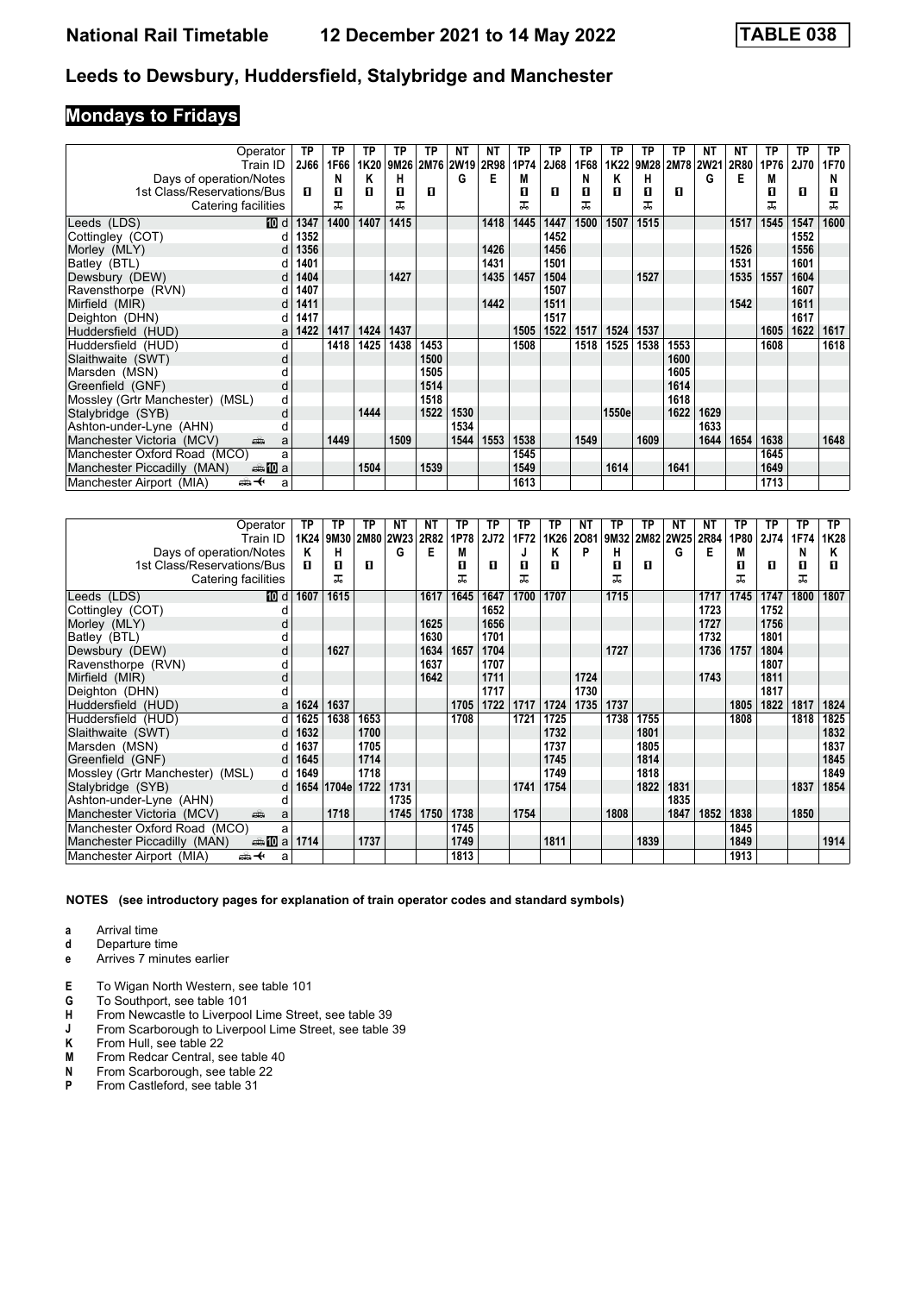# **Mondays to Fridays**

| Operator                                        | ТP   | ТP   | TP   | TP                  | TP   | NΤ   | NΤ   | TP   | ТP          | TP   | ТP    | TP   | ТP                  | <b>NT</b> | ΝT   | ТP   | <b>TP</b> | TP.  |
|-------------------------------------------------|------|------|------|---------------------|------|------|------|------|-------------|------|-------|------|---------------------|-----------|------|------|-----------|------|
| Train ID                                        | 2J66 | 1F66 |      | 1K20 9M26 2M76 2W19 |      |      | 2R98 | 1P74 | <b>2J68</b> | 1F68 |       |      | 1K22 9M28 2M78 2W21 |           | 2R80 | 1P76 | 2J70      | 1F70 |
| Days of operation/Notes                         |      | N    | Κ    | н                   |      | G    | Е    | M    |             | N    | Κ     | н    |                     | G         | Е    | M    |           | N    |
| 1st Class/Reservations/Bus                      | п    | п    | п    | 0                   | п    |      |      | П    | п           | п    | п     | п    | п                   |           |      | п    | п         | ш    |
| Catering facilities                             |      | ᅚ    |      | ᅚ                   |      |      |      | ᅚ    |             | ᇁ    |       |      |                     |           |      | ᅚ    |           | ᠼ    |
| Leeds (LDS)<br>10 d                             | 1347 | 1400 | 1407 | 1415                |      |      | 1418 | 1445 | 1447        | 1500 | 1507  | 1515 |                     |           | 1517 | 1545 | 1547      | 1600 |
| Cottingley (COT)<br>d                           | 1352 |      |      |                     |      |      |      |      | 1452        |      |       |      |                     |           |      |      | 1552      |      |
| Morley (MLY)<br>dl                              | 1356 |      |      |                     |      |      | 1426 |      | 1456        |      |       |      |                     |           | 1526 |      | 1556      |      |
| Batley (BTL)<br>d                               | 1401 |      |      |                     |      |      | 1431 |      | 1501        |      |       |      |                     |           | 1531 |      | 1601      |      |
| Dewsbury (DEW)<br>d                             | 1404 |      |      | 1427                |      |      | 1435 | 1457 | 1504        |      |       | 1527 |                     |           | 1535 | 1557 | 1604      |      |
| Ravensthorpe (RVN)<br>d                         | 1407 |      |      |                     |      |      |      |      | 1507        |      |       |      |                     |           |      |      | 1607      |      |
| Mirfield (MIR)<br>dl                            | 1411 |      |      |                     |      |      | 1442 |      | 1511        |      |       |      |                     |           | 1542 |      | 1611      |      |
| Deighton (DHN)<br>d١                            | 1417 |      |      |                     |      |      |      |      | 1517        |      |       |      |                     |           |      |      | 1617      |      |
| Huddersfield (HUD)<br>al                        | 1422 | 1417 | 1424 | 1437                |      |      |      | 1505 | 1522        | 1517 | 1524  | 1537 |                     |           |      | 1605 | 1622      | 1617 |
| Huddersfield (HUD)<br>d                         |      | 1418 | 1425 | 1438                | 1453 |      |      | 1508 |             | 1518 | 1525  | 1538 | 1553                |           |      | 1608 |           | 1618 |
| Slaithwaite (SWT)<br>d                          |      |      |      |                     | 1500 |      |      |      |             |      |       |      | 1600                |           |      |      |           |      |
| Marsden (MSN)                                   |      |      |      |                     | 1505 |      |      |      |             |      |       |      | 1605                |           |      |      |           |      |
| Greenfield (GNF)<br>d                           |      |      |      |                     | 1514 |      |      |      |             |      |       |      | 1614                |           |      |      |           |      |
| Mossley (Grtr Manchester) (MSL)<br>d            |      |      |      |                     | 1518 |      |      |      |             |      |       |      | 1618                |           |      |      |           |      |
| Stalybridge (SYB)<br>d                          |      |      | 1444 |                     | 1522 | 1530 |      |      |             |      | 1550e |      | 1622                | 1629      |      |      |           |      |
| Ashton-under-Lyne (AHN)<br>d                    |      |      |      |                     |      | 1534 |      |      |             |      |       |      |                     | 1633      |      |      |           |      |
| Manchester Victoria (MCV)<br>añ.<br>a           |      | 1449 |      | 1509                |      | 1544 | 1553 | 1538 |             | 1549 |       | 1609 |                     | 1644      | 1654 | 1638 |           | 1648 |
| Manchester Oxford Road (MCO)<br>a               |      |      |      |                     |      |      |      | 1545 |             |      |       |      |                     |           |      | 1645 |           |      |
| Manchester Piccadilly (MAN)                     |      |      | 1504 |                     | 1539 |      |      | 1549 |             |      | 1614  |      | 1641                |           |      | 1649 |           |      |
| <del>∰ ≮</del><br>Manchester Airport (MIA)<br>a |      |      |      |                     |      |      |      | 1613 |             |      |       |      |                     |           |      | 1713 |           |      |

| Operator                               | ТP   | TP    | ΤP        | ΝT   | NT   | ТP   | ТP          | ТP   | ТP   | ΝT   | ΤP   | ТP             | NΤ   | NΤ   | ТP   | ТP   | ТP   | ТP   |
|----------------------------------------|------|-------|-----------|------|------|------|-------------|------|------|------|------|----------------|------|------|------|------|------|------|
| Train ID                               | 1K24 | 9M30  | 2M80 2W23 |      | 2R82 | 1P78 | <b>2J72</b> | 1F72 | 1K26 | 2081 |      | 9M32 2M82 2W25 |      | 2R84 | 1P80 | 2J74 | 1F74 | 1K28 |
| Days of operation/Notes                | κ    | н     |           | G    | E    | М    |             |      | Κ    | P    | н    |                | G    | Е    | М    |      | N    | Κ    |
| 1st Class/Reservations/Bus             | п    | 0     | п         |      |      | п    | п           | п    | п    |      | п    | п              |      |      | п    | п    | п    | п    |
| Catering facilities                    |      | ᅚ     |           |      |      | ᅚ    |             | ᅚ    |      |      | ᠼ    |                |      |      | ᠼ    |      | ㅈ    |      |
| Leeds (LDS)<br>[10] d                  | 1607 | 1615  |           |      | 1617 | 1645 | 1647        | 1700 | 1707 |      | 1715 |                |      | 1717 | 1745 | 1747 | 1800 | 1807 |
| Cottingley (COT)                       |      |       |           |      |      |      | 1652        |      |      |      |      |                |      | 1723 |      | 1752 |      |      |
| Morley (MLY)<br>d                      |      |       |           |      | 1625 |      | 1656        |      |      |      |      |                |      | 1727 |      | 1756 |      |      |
| Batley (BTL)                           |      |       |           |      | 1630 |      | 1701        |      |      |      |      |                |      | 1732 |      | 1801 |      |      |
| Dewsbury (DEW)<br>d                    |      | 1627  |           |      | 1634 | 1657 | 1704        |      |      |      | 1727 |                |      | 1736 | 1757 | 1804 |      |      |
| Ravensthorpe (RVN)                     |      |       |           |      | 1637 |      | 1707        |      |      |      |      |                |      |      |      | 1807 |      |      |
| Mirfield (MIR)<br>d                    |      |       |           |      | 1642 |      | 1711        |      |      | 1724 |      |                |      | 1743 |      | 1811 |      |      |
| Deighton (DHN)                         |      |       |           |      |      |      | 1717        |      |      | 1730 |      |                |      |      |      | 1817 |      |      |
| Huddersfield (HUD)<br>a                | 1624 | 1637  |           |      |      | 1705 | 1722        | 1717 | 1724 | 1735 | 1737 |                |      |      | 1805 | 1822 | 1817 | 1824 |
| Huddersfield (HUD)<br>d                | 1625 | 1638  | 1653      |      |      | 1708 |             | 1721 | 1725 |      | 1738 | 1755           |      |      | 1808 |      | 1818 | 1825 |
| Slaithwaite (SWT)<br>d                 | 1632 |       | 1700      |      |      |      |             |      | 1732 |      |      | 1801           |      |      |      |      |      | 1832 |
| Marsden (MSN)                          | 1637 |       | 1705      |      |      |      |             |      | 1737 |      |      | 1805           |      |      |      |      |      | 1837 |
| Greenfield (GNF)<br>d                  | 1645 |       | 1714      |      |      |      |             |      | 1745 |      |      | 1814           |      |      |      |      |      | 1845 |
| Mossley (Grtr Manchester) (MSL)<br>d l | 1649 |       | 1718      |      |      |      |             |      | 1749 |      |      | 1818           |      |      |      |      |      | 1849 |
| Stalybridge (SYB)<br>d                 | 1654 | 1704e | 1722      | 1731 |      |      |             | 1741 | 1754 |      |      | 1822           | 1831 |      |      |      | 1837 | 1854 |
| Ashton-under-Lyne (AHN)<br>d           |      |       |           | 1735 |      |      |             |      |      |      |      |                | 1835 |      |      |      |      |      |
| Manchester Victoria (MCV)<br>پیش<br>a  |      | 1718  |           | 1745 | 1750 | 1738 |             | 1754 |      |      | 1808 |                | 1847 | 1852 | 1838 |      | 1850 |      |
| Manchester Oxford Road (MCO)<br>a      |      |       |           |      |      | 1745 |             |      |      |      |      |                |      |      | 1845 |      |      |      |
| Manchester Piccadilly (MAN)            | 1714 |       | 1737      |      |      | 1749 |             |      | 1811 |      |      | 1839           |      |      | 1849 |      |      | 1914 |
| Manchester Airport (MIA)<br>⇜✦<br>a    |      |       |           |      |      | 1813 |             |      |      |      |      |                |      |      | 1913 |      |      |      |

- **a** Arrival time<br>**d** Departure t
- **d** Departure time
- **e** Arrives 7 minutes earlier
- **E** To Wigan North Western, see table 101
- To Southport, see table 101
- **H** From Newcastle to Liverpool Lime Street, see table 39
- **J** From Scarborough to Liverpool Lime Street, see table 39 **K** From Hull, see table 22
- **K** From Hull, see table 22<br>**M** From Redcar Central, see
- **M** From Redcar Central, see table 40<br>**N** From Scarborough, see table 22
- **N** From Scarborough, see table 22<br>**P** From Castleford, see table 31
- **P** From Castleford, see table 31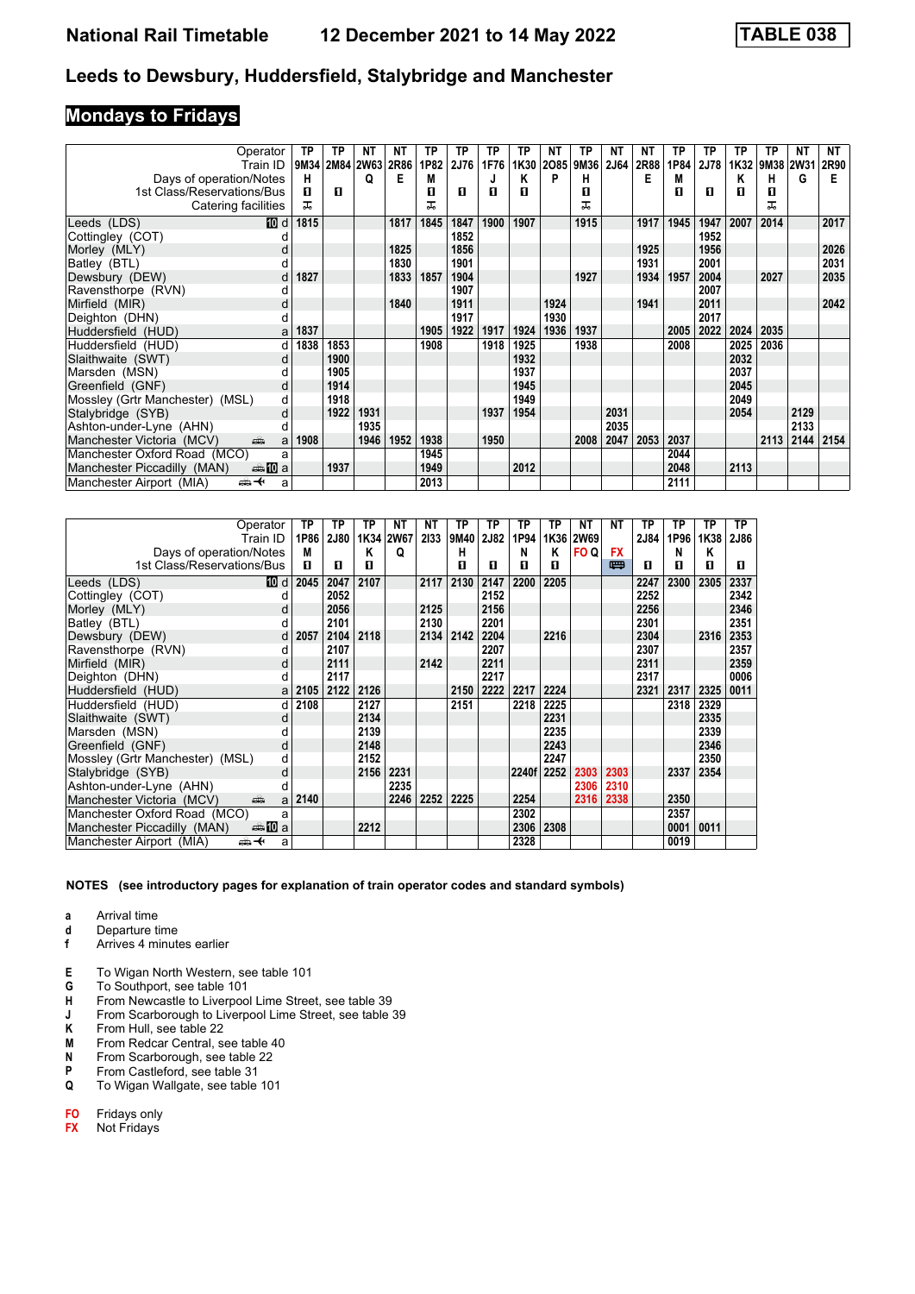# **Mondays to Fridays**

| Operator                                        | ТP   | ТP   | NΤ        | ΝT   | ТP   | ТP   | ТP   | ТP   | NΤ   | ТP   | NΤ          | NΤ   | ТP   | ТP   | ТP   | ΤP        | NΤ   | NΤ   |
|-------------------------------------------------|------|------|-----------|------|------|------|------|------|------|------|-------------|------|------|------|------|-----------|------|------|
| Train ID                                        | 9M34 |      | 2M84 2W63 | 2R86 | 1P82 | 2J76 | 1F76 | 1K30 | 2085 | 9M36 | <b>2J64</b> | 2R88 | 1P84 | 2J78 | 1K32 | 9M38 2W31 |      | 2R90 |
| Days of operation/Notes                         | н    |      | Q         | Е    | М    |      |      | Κ    | P    | н    |             | Е    | М    |      | Κ    | н         | G    | Е    |
| 1st Class/Reservations/Bus                      | п    | п    |           |      | п    | п    | п    | п    |      | п    |             |      | п    | п    | п    | п         |      |      |
| Catering facilities                             | ᅚ    |      |           |      | ᅚ    |      |      |      |      | ᅚ    |             |      |      |      |      | ᅚ         |      |      |
| Leeds (LDS)<br>10 d                             | 1815 |      |           | 1817 | 1845 | 1847 | 1900 | 1907 |      | 1915 |             | 1917 | 1945 | 1947 | 2007 | 2014      |      | 2017 |
| Cottingley (COT)                                |      |      |           |      |      | 1852 |      |      |      |      |             |      |      | 1952 |      |           |      |      |
| Morley (MLY)<br>d                               |      |      |           | 1825 |      | 1856 |      |      |      |      |             | 1925 |      | 1956 |      |           |      | 2026 |
| Batley (BTL)<br>d                               |      |      |           | 1830 |      | 1901 |      |      |      |      |             | 1931 |      | 2001 |      |           |      | 2031 |
| Dewsbury (DEW)<br>d                             | 1827 |      |           | 1833 | 1857 | 1904 |      |      |      | 1927 |             | 1934 | 1957 | 2004 |      | 2027      |      | 2035 |
| Ravensthorpe (RVN)<br>d                         |      |      |           |      |      | 1907 |      |      |      |      |             |      |      | 2007 |      |           |      |      |
| Mirfield (MIR)<br>d                             |      |      |           | 1840 |      | 1911 |      |      | 1924 |      |             | 1941 |      | 2011 |      |           |      | 2042 |
| Deighton (DHN)<br>d                             |      |      |           |      |      | 1917 |      |      | 1930 |      |             |      |      | 2017 |      |           |      |      |
| Huddersfield (HUD)<br>a                         | 1837 |      |           |      | 1905 | 1922 | 1917 | 1924 | 1936 | 1937 |             |      | 2005 | 2022 | 2024 | 2035      |      |      |
| Huddersfield (HUD)<br>d                         | 1838 | 1853 |           |      | 1908 |      | 1918 | 1925 |      | 1938 |             |      | 2008 |      | 2025 | 2036      |      |      |
| Slaithwaite (SWT)<br>d                          |      | 1900 |           |      |      |      |      | 1932 |      |      |             |      |      |      | 2032 |           |      |      |
| Marsden (MSN)                                   |      | 1905 |           |      |      |      |      | 1937 |      |      |             |      |      |      | 2037 |           |      |      |
| Greenfield (GNF)<br>d                           |      | 1914 |           |      |      |      |      | 1945 |      |      |             |      |      |      | 2045 |           |      |      |
| Mossley (Grtr Manchester) (MSL)<br>d            |      | 1918 |           |      |      |      |      | 1949 |      |      |             |      |      |      | 2049 |           |      |      |
| Stalybridge (SYB)<br>d                          |      | 1922 | 1931      |      |      |      | 1937 | 1954 |      |      | 2031        |      |      |      | 2054 |           | 2129 |      |
| Ashton-under-Lyne (AHN)<br>d                    |      |      | 1935      |      |      |      |      |      |      |      | 2035        |      |      |      |      |           | 2133 |      |
| Manchester Victoria (MCV)<br>añ,<br>a           | 1908 |      | 1946      | 1952 | 1938 |      | 1950 |      |      | 2008 | 2047        | 2053 | 2037 |      |      | 2113      | 2144 | 2154 |
| Manchester Oxford Road (MCO)<br>a               |      |      |           |      | 1945 |      |      |      |      |      |             |      | 2044 |      |      |           |      |      |
| Manchester Piccadilly (MAN)<br>den <b>in</b> a  |      | 1937 |           |      | 1949 |      |      | 2012 |      |      |             |      | 2048 |      | 2113 |           |      |      |
| Manchester Airport (MIA)<br><del>∰ ≮</del><br>a |      |      |           |      | 2013 |      |      |      |      |      |             |      | 2111 |      |      |           |      |      |

| Operator                                            | ТP   | ТP          | ΤP        | NΤ   | NΤ   | TP   | ΤP   | ΤP    | ТP   | NΤ          | NΤ        | ΤP   | ТP   | TP   | <b>TP</b> |
|-----------------------------------------------------|------|-------------|-----------|------|------|------|------|-------|------|-------------|-----------|------|------|------|-----------|
| Train ID                                            | 1P86 | <b>2J80</b> | 1K34 2W67 |      | 2133 | 9M40 | 2J82 | 1P94  | 1K36 | <b>2W69</b> |           | 2J84 | 1P96 | 1K38 | 2J86      |
| Days of operation/Notes                             | M    |             | Κ         | Q    |      | н    |      | N     | Κ    | FO Q        | <b>FX</b> |      | N    | κ    |           |
| 1st Class/Reservations/Bus                          | п    | п           | п         |      |      | п    | П    | п     | п    |             | 四         | п    | п    | п    | п         |
| <b>ID</b> d<br>Leeds (LDS)                          | 2045 | 2047        | 2107      |      | 2117 | 2130 | 2147 | 2200  | 2205 |             |           | 2247 | 2300 | 2305 | 2337      |
| Cottingley (COT)                                    |      | 2052        |           |      |      |      | 2152 |       |      |             |           | 2252 |      |      | 2342      |
| Morley (MLY)                                        |      | 2056        |           |      | 2125 |      | 2156 |       |      |             |           | 2256 |      |      | 2346      |
| Batley (BTL)                                        |      | 2101        |           |      | 2130 |      | 2201 |       |      |             |           | 2301 |      |      | 2351      |
| Dewsbury (DEW)<br>d                                 | 2057 | 2104        | 2118      |      | 2134 | 2142 | 2204 |       | 2216 |             |           | 2304 |      | 2316 | 2353      |
| Ravensthorpe (RVN)<br>d                             |      | 2107        |           |      |      |      | 2207 |       |      |             |           | 2307 |      |      | 2357      |
| Mirfield (MIR)<br>d                                 |      | 2111        |           |      | 2142 |      | 2211 |       |      |             |           | 2311 |      |      | 2359      |
| Deighton (DHN)                                      |      | 2117        |           |      |      |      | 2217 |       |      |             |           | 2317 |      |      | 0006      |
| Huddersfield (HUD)<br>a                             | 2105 | 2122        | 2126      |      |      | 2150 | 2222 | 2217  | 2224 |             |           | 2321 | 2317 | 2325 | 0011      |
| Huddersfield (HUD)<br>d                             | 2108 |             | 2127      |      |      | 2151 |      | 2218  | 2225 |             |           |      | 2318 | 2329 |           |
| Slaithwaite (SWT)<br>d                              |      |             | 2134      |      |      |      |      |       | 2231 |             |           |      |      | 2335 |           |
| Marsden (MSN)                                       |      |             | 2139      |      |      |      |      |       | 2235 |             |           |      |      | 2339 |           |
| Greenfield (GNF)<br>d                               |      |             | 2148      |      |      |      |      |       | 2243 |             |           |      |      | 2346 |           |
| Mossley (Grtr Manchester) (MSL)<br>d                |      |             | 2152      |      |      |      |      |       | 2247 |             |           |      |      | 2350 |           |
| Stalybridge (SYB)<br>d                              |      |             | 2156      | 2231 |      |      |      | 2240f | 2252 | 2303        | 2303      |      | 2337 | 2354 |           |
| Ashton-under-Lyne (AHN)<br>d                        |      |             |           | 2235 |      |      |      |       |      | 2306        | 2310      |      |      |      |           |
| Manchester Victoria (MCV)<br>añ,<br>a               | 2140 |             |           | 2246 | 2252 | 2225 |      | 2254  |      | 2316        | 2338      |      | 2350 |      |           |
| Manchester Oxford Road (MCO)                        | a    |             |           |      |      |      |      | 2302  |      |             |           |      | 2357 |      |           |
| Manchester Piccadilly (MAN)<br>danim <mark>a</mark> |      |             | 2212      |      |      |      |      | 2306  | 2308 |             |           |      | 0001 | 0011 |           |
| ⇜✦<br>Manchester Airport (MIA)                      | a    |             |           |      |      |      |      | 2328  |      |             |           |      | 0019 |      |           |

#### **NOTES (see introductory pages for explanation of train operator codes and standard symbols)**

- **d** Departure time<br>**f** Arrives 4 minut
- **f** Arrives 4 minutes earlier

- **E** To Wigan North Western, see table 101
- **G** To Southport, see table 101<br>**H** From Newcastle to Liverpoo **H** From Newcastle to Liverpool Lime Street, see table 39<br>**J** From Scarborough to Liverpool Lime Street, see table
- **J** From Scarborough to Liverpool Lime Street, see table 39
- **K** From Hull, see table 22<br>**M** From Redcar Central, s
- **M** From Redcar Central, see table 40<br>**N** From Scarborough, see table 22
- **N** From Scarborough, see table 22<br>**P** From Castleford, see table 31
- **P** From Castleford, see table 31<br>**Q** To Wigan Wallgate, see table
- **4** To Wigan Wallgate, see table 101
- **` ` Fridays only**
- **FX** Not Fridays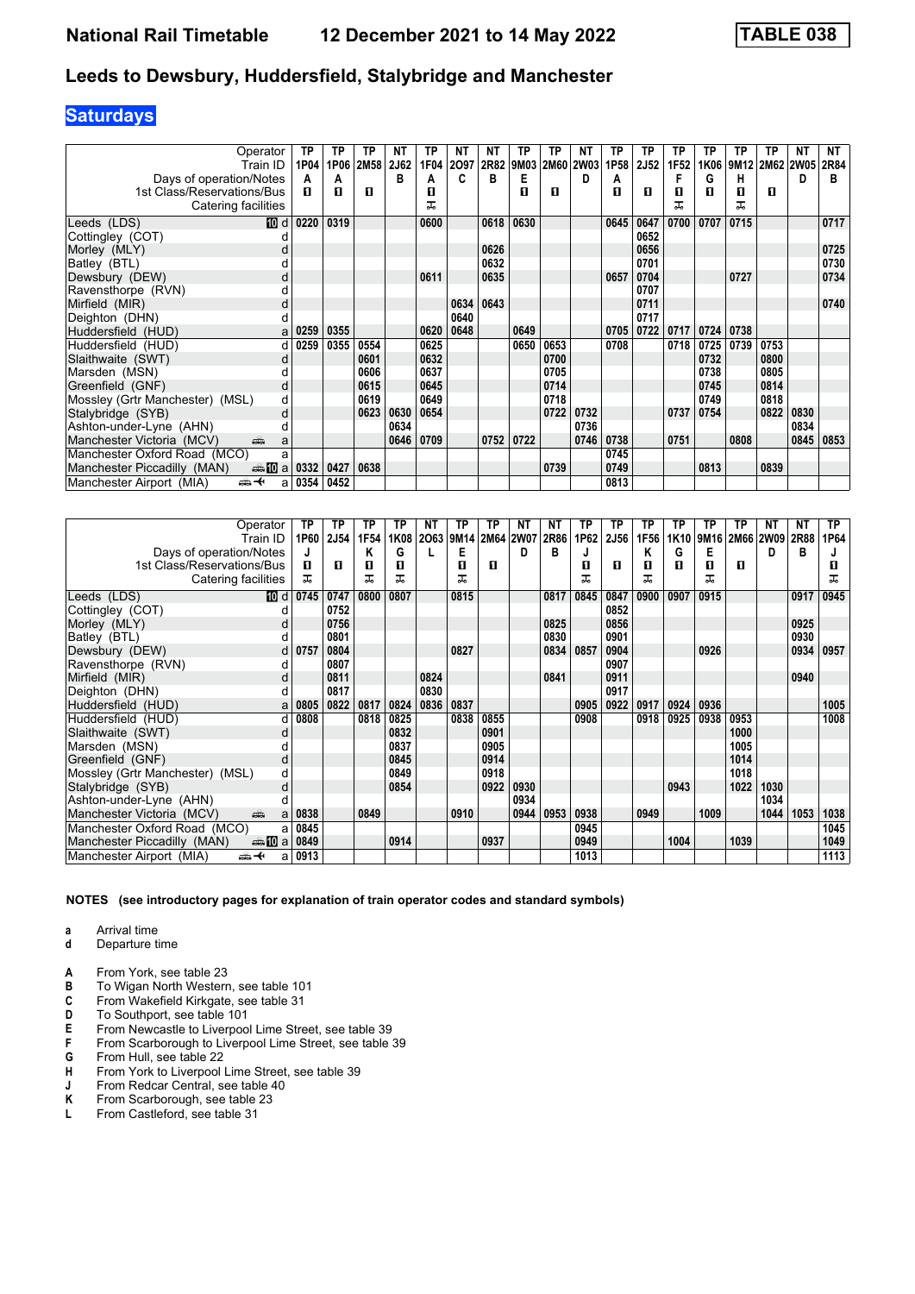# **Saturdays**

| Operator                                        | ТP   | ТP   | ΤP   | <b>NT</b> | ТP   | ΝT   | ΝT   | ТP   | TP   | ΝT          | ТP   | ТP          | ТP   | TP   | ТP   | ТP             | NΤ   | <b>NT</b> |
|-------------------------------------------------|------|------|------|-----------|------|------|------|------|------|-------------|------|-------------|------|------|------|----------------|------|-----------|
| Train ID                                        | 1P04 | 1P06 | 2M58 | 2J62      | 1F04 | 2097 | 2R82 | 9M03 | 2M60 | <b>2W03</b> | 1P58 | <b>2J52</b> | 1F52 | 1K06 |      | 9M12 2M62 2W05 |      | 2R84      |
| Days of operation/Notes                         | A    | A    |      | в         | А    |      | в    | Е    |      | D           | А    |             | F    | G    | н    |                | D    | в         |
| 1st Class/Reservations/Bus                      | п    | п    | п    |           | п    |      |      | п    | л    |             | п    | п           | п    | п    | п    | п              |      |           |
| Catering facilities                             |      |      |      |           | ᠼ    |      |      |      |      |             |      |             | ᅚ    |      | ᅚ    |                |      |           |
| <b>TO</b> d<br>Leeds (LDS)                      | 0220 | 0319 |      |           | 0600 |      | 0618 | 0630 |      |             | 0645 | 0647        | 0700 | 0707 | 0715 |                |      | 0717      |
| Cottingley (COT)                                |      |      |      |           |      |      |      |      |      |             |      | 0652        |      |      |      |                |      |           |
| Morley (MLY)                                    |      |      |      |           |      |      | 0626 |      |      |             |      | 0656        |      |      |      |                |      | 0725      |
| Batley (BTL)                                    |      |      |      |           |      |      | 0632 |      |      |             |      | 0701        |      |      |      |                |      | 0730      |
| Dewsbury (DEW)<br>d                             |      |      |      |           | 0611 |      | 0635 |      |      |             | 0657 | 0704        |      |      | 0727 |                |      | 0734      |
| Ravensthorpe (RVN)                              |      |      |      |           |      |      |      |      |      |             |      | 0707        |      |      |      |                |      |           |
| Mirfield (MIR)<br>d                             |      |      |      |           |      | 0634 | 0643 |      |      |             |      | 0711        |      |      |      |                |      | 0740      |
| Deighton (DHN)                                  |      |      |      |           |      | 0640 |      |      |      |             |      | 0717        |      |      |      |                |      |           |
| Huddersfield (HUD)<br>a                         | 0259 | 0355 |      |           | 0620 | 0648 |      | 0649 |      |             | 0705 | 0722        | 0717 | 0724 | 0738 |                |      |           |
| Huddersfield (HUD)<br>d                         | 0259 | 0355 | 0554 |           | 0625 |      |      | 0650 | 0653 |             | 0708 |             | 0718 | 0725 | 0739 | 0753           |      |           |
| Slaithwaite (SWT)<br>d                          |      |      | 0601 |           | 0632 |      |      |      | 0700 |             |      |             |      | 0732 |      | 0800           |      |           |
| Marsden (MSN)                                   |      |      | 0606 |           | 0637 |      |      |      | 0705 |             |      |             |      | 0738 |      | 0805           |      |           |
| Greenfield (GNF)<br>d                           |      |      | 0615 |           | 0645 |      |      |      | 0714 |             |      |             |      | 0745 |      | 0814           |      |           |
| Mossley (Grtr Manchester) (MSL)<br>d            |      |      | 0619 |           | 0649 |      |      |      | 0718 |             |      |             |      | 0749 |      | 0818           |      |           |
| Stalybridge (SYB)<br>d                          |      |      | 0623 | 0630      | 0654 |      |      |      | 0722 | 0732        |      |             | 0737 | 0754 |      | 0822           | 0830 |           |
| Ashton-under-Lyne (AHN)                         |      |      |      | 0634      |      |      |      |      |      | 0736        |      |             |      |      |      |                | 0834 |           |
| Manchester Victoria (MCV)<br>ain<br>a           |      |      |      | 0646      | 0709 |      | 0752 | 0722 |      | 0746        | 0738 |             | 0751 |      | 0808 |                | 0845 | 0853      |
| Manchester Oxford Road (MCO)<br>a               |      |      |      |           |      |      |      |      |      |             | 0745 |             |      |      |      |                |      |           |
| Manchester Piccadilly (MAN)<br>⊯⇒ 10 a          | 0332 | 0427 | 0638 |           |      |      |      |      | 0739 |             | 0749 |             |      | 0813 |      | 0839           |      |           |
| Manchester Airport (MIA)<br><del>∰ ∢</del><br>a | 0354 | 0452 |      |           |      |      |      |      |      |             | 0813 |             |      |      |      |                |      |           |

| Operator                              | ТP   | ТP   | ΤP   | ТP   | NT   | ТP   | TP        | ΝT   | NΤ   | ТP   | ΤP          | ТP   | ТP               | ТP   | ТP          | NΤ   | NΤ   | ТP   |
|---------------------------------------|------|------|------|------|------|------|-----------|------|------|------|-------------|------|------------------|------|-------------|------|------|------|
| Train ID                              | 1P60 | 2J54 | 1F54 | 1K08 | 2063 | 9M14 | 2M64 2W07 |      | 2R86 | 1P62 | <b>2J56</b> | 1F56 | 1K <sub>10</sub> | 9M16 | <b>2M66</b> | 2W09 | 2R88 | 1P64 |
| Days of operation/Notes               | J    |      | ĸ    | G    |      | E    |           | D    | в    | J    |             | Κ    | G                | Е    |             | D    | в    |      |
| 1st Class/Reservations/Bus            | п    | п    | 0    | 0    |      | п    | п         |      |      | п    | п           | п    | п                | п    | п           |      |      | 0    |
| Catering facilities                   | ㅈ    |      | ᅚ    | ᅚ    |      | ᅚ    |           |      |      | ᅚ    |             | ᅚ    |                  | ᅚ    |             |      |      | ᅚ    |
| Leeds (LDS)<br>10 d                   | 0745 | 0747 | 0800 | 0807 |      | 0815 |           |      | 0817 | 0845 | 0847        | 0900 | 0907             | 0915 |             |      | 0917 | 0945 |
| Cottingley (COT)                      |      | 0752 |      |      |      |      |           |      |      |      | 0852        |      |                  |      |             |      |      |      |
| Morley (MLY)<br>d                     |      | 0756 |      |      |      |      |           |      | 0825 |      | 0856        |      |                  |      |             |      | 0925 |      |
| Batley (BTL)                          |      | 0801 |      |      |      |      |           |      | 0830 |      | 0901        |      |                  |      |             |      | 0930 |      |
| Dewsbury (DEW)<br>d                   | 0757 | 0804 |      |      |      | 0827 |           |      | 0834 | 0857 | 0904        |      |                  | 0926 |             |      | 0934 | 0957 |
| Ravensthorpe (RVN)<br>d               |      | 0807 |      |      |      |      |           |      |      |      | 0907        |      |                  |      |             |      |      |      |
| Mirfield (MIR)<br>d                   |      | 0811 |      |      | 0824 |      |           |      | 0841 |      | 0911        |      |                  |      |             |      | 0940 |      |
| Deighton (DHN)<br>d                   |      | 0817 |      |      | 0830 |      |           |      |      |      | 0917        |      |                  |      |             |      |      |      |
| Huddersfield (HUD)<br>a               | 0805 | 0822 | 0817 | 0824 | 0836 | 0837 |           |      |      | 0905 | 0922        | 0917 | 0924             | 0936 |             |      |      | 1005 |
| Huddersfield (HUD)<br>d               | 0808 |      | 0818 | 0825 |      | 0838 | 0855      |      |      | 0908 |             | 0918 | 0925             | 0938 | 0953        |      |      | 1008 |
| Slaithwaite (SWT)<br>d                |      |      |      | 0832 |      |      | 0901      |      |      |      |             |      |                  |      | 1000        |      |      |      |
| Marsden (MSN)                         |      |      |      | 0837 |      |      | 0905      |      |      |      |             |      |                  |      | 1005        |      |      |      |
| Greenfield (GNF)<br>d                 |      |      |      | 0845 |      |      | 0914      |      |      |      |             |      |                  |      | 1014        |      |      |      |
| Mossley (Grtr Manchester) (MSL)<br>d  |      |      |      | 0849 |      |      | 0918      |      |      |      |             |      |                  |      | 1018        |      |      |      |
| d<br>Stalybridge (SYB)                |      |      |      | 0854 |      |      | 0922      | 0930 |      |      |             |      | 0943             |      | 1022        | 1030 |      |      |
| Ashton-under-Lyne (AHN)<br>d          |      |      |      |      |      |      |           | 0934 |      |      |             |      |                  |      |             | 1034 |      |      |
| Manchester Victoria (MCV)<br>پېښ<br>a | 0838 |      | 0849 |      |      | 0910 |           | 0944 | 0953 | 0938 |             | 0949 |                  | 1009 |             | 1044 | 1053 | 1038 |
| Manchester Oxford Road (MCO)<br>a     | 0845 |      |      |      |      |      |           |      |      | 0945 |             |      |                  |      |             |      |      | 1045 |
| Manchester Piccadilly (MAN)           | 0849 |      |      | 0914 |      |      | 0937      |      |      | 0949 |             |      | 1004             |      | 1039        |      |      | 1049 |
| Manchester Airport (MIA)<br>⇜✦<br>a   | 0913 |      |      |      |      |      |           |      |      | 1013 |             |      |                  |      |             |      |      | 1113 |

- **a** Arrival time<br>**d** Departure t
- **d** Departure time
- **A** From York, see table 23<br>**B** To Wigan North Western
- **B** To Wigan North Western, see table 101<br>**C** From Wakefield Kirkgate, see table 31
- **C** From Wakefield Kirkgate, see table 31<br>**D** To Southport, see table 101
- **D** To Southport, see table 101
- **E** From Newcastle to Liverpool Lime Street, see table 39<br>**F** From Scarborough to Liverpool Lime Street, see table
- **F** From Scarborough to Liverpool Lime Street, see table 39
- **G** From Hull, see table 22
- **H** From York to Liverpool Lime Street, see table 39
- **J** From Redcar Central, see table 40<br>**K** From Scarborough, see table 23
- **K** From Scarborough, see table 23<br>**L** From Castleford, see table 31
- **/** From Castleford, see table 31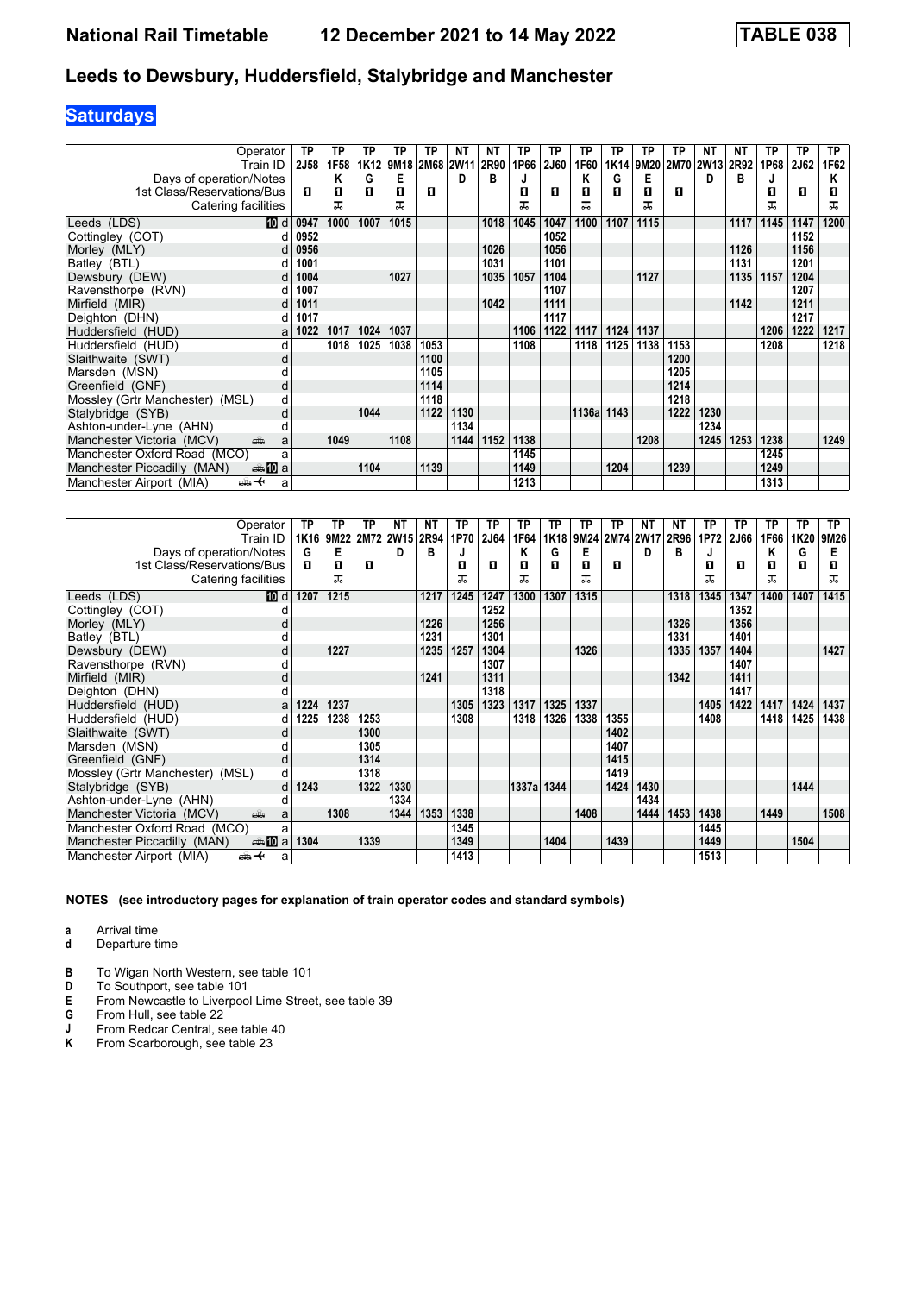# **Saturdays**

| Operator                                       | ΤP          | ТP   | ΤP   | ТP   | ТP        | ΝT   | ΝT   | ТP   | TP   | ТP         | TP   | ТP   | ТP             | ΝT   | ΝT   | ТP   | ТP   | <b>TP</b> |
|------------------------------------------------|-------------|------|------|------|-----------|------|------|------|------|------------|------|------|----------------|------|------|------|------|-----------|
| Train ID                                       | <b>2J58</b> | 1F58 | 1K12 | 9M18 | 2M68 2W11 |      | 2R90 | 1P66 | 2J60 | 1F60       | 1K14 |      | 9M20 2M70 2W13 |      | 2R92 | 1P68 | 2J62 | 1F62      |
| Days of operation/Notes                        |             | Κ    | G    | Е    |           | D    | в    |      |      | Κ          | G    | Е    |                | D    | в    | J    |      | Κ         |
| 1st Class/Reservations/Bus                     | п           | 0    | п    | п    | п         |      |      | п    | л    | п          | п    | П    | п              |      |      | П    | п    |           |
| Catering facilities                            |             | ᅚ    |      | ᅚ    |           |      |      | ᅚ    |      | ᅚ          |      | ᅚ    |                |      |      | ᅚ    |      | ᅚ         |
| <b>TO</b> d<br>Leeds (LDS)                     | 0947        | 1000 | 1007 | 1015 |           |      | 1018 | 1045 | 1047 | 1100       | 1107 | 1115 |                |      | 1117 | 1145 | 1147 | 1200      |
| Cottingley (COT)                               | 0952        |      |      |      |           |      |      |      | 1052 |            |      |      |                |      |      |      | 1152 |           |
| Morley (MLY)<br>d                              | 0956        |      |      |      |           |      | 1026 |      | 1056 |            |      |      |                |      | 1126 |      | 1156 |           |
| Batley (BTL)                                   | 1001        |      |      |      |           |      | 1031 |      | 1101 |            |      |      |                |      | 1131 |      | 1201 |           |
| Dewsbury (DEW)                                 | 1004        |      |      | 1027 |           |      | 1035 | 1057 | 1104 |            |      | 1127 |                |      | 1135 | 1157 | 1204 |           |
| Ravensthorpe (RVN)                             | 1007        |      |      |      |           |      |      |      | 1107 |            |      |      |                |      |      |      | 1207 |           |
| Mirfield (MIR)<br>d                            | 1011        |      |      |      |           |      | 1042 |      | 1111 |            |      |      |                |      | 1142 |      | 1211 |           |
| Deighton (DHN)<br>d                            | 1017        |      |      |      |           |      |      |      | 1117 |            |      |      |                |      |      |      | 1217 |           |
| Huddersfield (HUD)<br>a                        | 1022        | 1017 | 1024 | 1037 |           |      |      | 1106 | 1122 | 1117       | 1124 | 1137 |                |      |      | 1206 | 1222 | 1217      |
| Huddersfield (HUD)                             |             | 1018 | 1025 | 1038 | 1053      |      |      | 1108 |      | 1118       | 1125 | 1138 | 1153           |      |      | 1208 |      | 1218      |
| Slaithwaite (SWT)<br>d                         |             |      |      |      | 1100      |      |      |      |      |            |      |      | 1200           |      |      |      |      |           |
| Marsden (MSN)                                  |             |      |      |      | 1105      |      |      |      |      |            |      |      | 1205           |      |      |      |      |           |
| Greenfield (GNF)<br>d                          |             |      |      |      | 1114      |      |      |      |      |            |      |      | 1214           |      |      |      |      |           |
| Mossley (Grtr Manchester) (MSL)<br>d           |             |      |      |      | 1118      |      |      |      |      |            |      |      | 1218           |      |      |      |      |           |
| Stalybridge (SYB)<br>d                         |             |      | 1044 |      | 1122      | 1130 |      |      |      | 1136a 1143 |      |      | 1222           | 1230 |      |      |      |           |
| Ashton-under-Lyne (AHN)                        |             |      |      |      |           | 1134 |      |      |      |            |      |      |                | 1234 |      |      |      |           |
| Manchester Victoria (MCV)<br>پیش<br>a          |             | 1049 |      | 1108 |           | 1144 | 1152 | 1138 |      |            |      | 1208 |                | 1245 | 1253 | 1238 |      | 1249      |
| Manchester Oxford Road (MCO)<br>a              |             |      |      |      |           |      |      | 1145 |      |            |      |      |                |      |      | 1245 |      |           |
| Manchester Piccadilly (MAN)<br>den <b>in</b> a |             |      | 1104 |      | 1139      |      |      | 1149 |      |            | 1204 |      | 1239           |      |      | 1249 |      |           |
| Manchester Airport (MIA)<br>⇜✦<br>a            |             |      |      |      |           |      |      | 1213 |      |            |      |      |                |      |      | 1313 |      |           |

| Operator                               | ТP   | ΤP        | ТP   | <b>NT</b>      | NΤ   | <b>TP</b> | ТP   | ТP         | <b>TP</b> | ТP   | ΤP             | <b>NT</b> | ΝT   | ТP   | <b>TP</b> | ΤP   | TP   | ТP   |
|----------------------------------------|------|-----------|------|----------------|------|-----------|------|------------|-----------|------|----------------|-----------|------|------|-----------|------|------|------|
| Train ID                               |      | 1K16 9M22 |      | 2M72 2W15 2R94 |      | 1P70      | 2J64 | 1F64       | 1K18      |      | 9M24 2M74 2W17 |           | 2R96 | 1P72 | 2J66      | 1F66 | 1K20 | 9M26 |
| Days of operation/Notes                | G    | Е         |      | D              | в    |           |      | Κ          | G         | Е    |                | D         | в    |      |           | Κ    | G    | Е    |
| 1st Class/Reservations/Bus             | п    | 0         | п    |                |      | п         | п    | П          | п         | п    | п              |           |      | п    | п         | 0    | п    | п    |
| Catering facilities                    |      | ᅚ         |      |                |      | ᅚ         |      | ᠼ          |           | ᠼ    |                |           |      | ᅚ    |           | ᅚ    |      | ᠼ    |
| [10] d<br>Leeds (LDS)                  | 1207 | 1215      |      |                | 1217 | 1245      | 1247 | 1300       | 1307      | 1315 |                |           | 1318 | 1345 | 1347      | 1400 | 1407 | 1415 |
| Cottingley (COT)                       |      |           |      |                |      |           | 1252 |            |           |      |                |           |      |      | 1352      |      |      |      |
| Morley (MLY)                           |      |           |      |                | 1226 |           | 1256 |            |           |      |                |           | 1326 |      | 1356      |      |      |      |
| Batley (BTL)                           |      |           |      |                | 1231 |           | 1301 |            |           |      |                |           | 1331 |      | 1401      |      |      |      |
| Dewsbury (DEW)<br>d                    |      | 1227      |      |                | 1235 | 1257      | 1304 |            |           | 1326 |                |           | 1335 | 1357 | 1404      |      |      | 1427 |
| Ravensthorpe (RVN)                     |      |           |      |                |      |           | 1307 |            |           |      |                |           |      |      | 1407      |      |      |      |
| Mirfield (MIR)<br>d                    |      |           |      |                | 1241 |           | 1311 |            |           |      |                |           | 1342 |      | 1411      |      |      |      |
| Deighton (DHN)                         |      |           |      |                |      |           | 1318 |            |           |      |                |           |      |      | 1417      |      |      |      |
| Huddersfield (HUD)<br>a                | 1224 | 1237      |      |                |      | 1305      | 1323 | 1317       | 1325      | 1337 |                |           |      | 1405 | 1422      | 1417 | 1424 | 1437 |
| Huddersfield (HUD)<br>d                | 1225 | 1238      | 1253 |                |      | 1308      |      | 1318       | 1326      | 1338 | 1355           |           |      | 1408 |           | 1418 | 1425 | 1438 |
| Slaithwaite (SWT)<br>d                 |      |           | 1300 |                |      |           |      |            |           |      | 1402           |           |      |      |           |      |      |      |
| Marsden (MSN)                          |      |           | 1305 |                |      |           |      |            |           |      | 1407           |           |      |      |           |      |      |      |
| Greenfield (GNF)<br>d                  |      |           | 1314 |                |      |           |      |            |           |      | 1415           |           |      |      |           |      |      |      |
| Mossley (Grtr Manchester) (MSL)<br>d   |      |           | 1318 |                |      |           |      |            |           |      | 1419           |           |      |      |           |      |      |      |
| Stalybridge (SYB)<br>d                 | 1243 |           | 1322 | 1330           |      |           |      | 1337a 1344 |           |      | 1424           | 1430      |      |      |           |      | 1444 |      |
| Ashton-under-Lyne (AHN)<br>d           |      |           |      | 1334           |      |           |      |            |           |      |                | 1434      |      |      |           |      |      |      |
| Manchester Victoria (MCV)<br>پیش<br>a  |      | 1308      |      | 1344           | 1353 | 1338      |      |            |           | 1408 |                | 1444      | 1453 | 1438 |           | 1449 |      | 1508 |
| Manchester Oxford Road (MCO)<br>a      |      |           |      |                |      | 1345      |      |            |           |      |                |           |      | 1445 |           |      |      |      |
| dan M⊡a<br>Manchester Piccadilly (MAN) | 1304 |           | 1339 |                |      | 1349      |      |            | 1404      |      | 1439           |           |      | 1449 |           |      | 1504 |      |
| Manchester Airport (MIA)<br>⇜✦<br>a    |      |           |      |                |      | 1413      |      |            |           |      |                |           |      | 1513 |           |      |      |      |

**NOTES (see introductory pages for explanation of train operator codes and standard symbols)**

**a** Arrival time<br>**d** Departure t

**d** Departure time

**B** To Wigan North Western, see table 101<br>**D** To Southport, see table 101

**D** To Southport, see table 101<br>**E** From Newcastle to Liverpoo

- **E** From Newcastle to Liverpool Lime Street, see table 39
- **G** From Hull, see table 22
- **J** From Redcar Central, see table 40<br>**K** From Scarborough, see table 23
- **.** From Scarborough, see table 23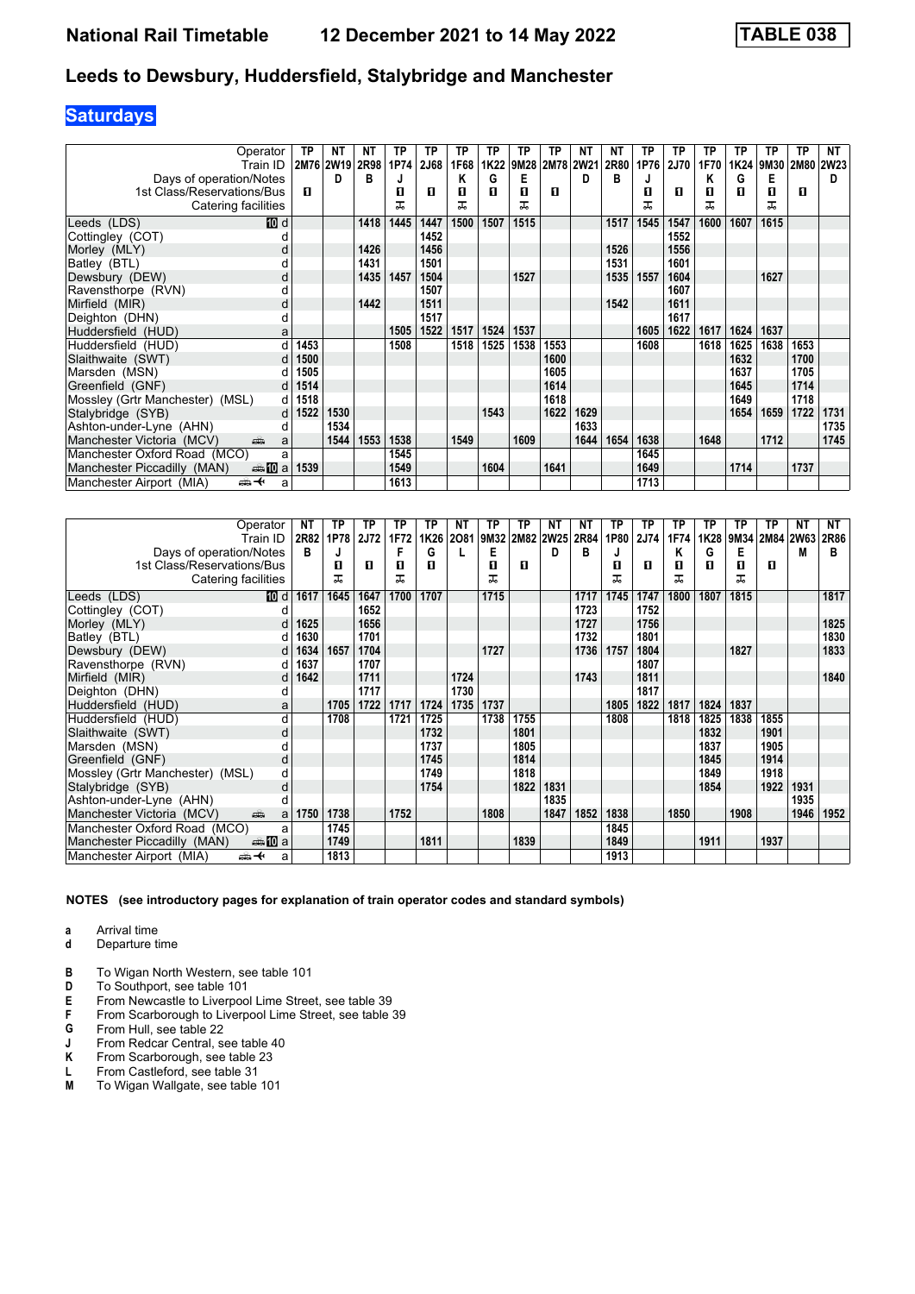# **Saturdays**

| Operator                                             | ΤP   | NΤ        | NΤ   | ТP   | TP   | ТP   | ТP   | ТP   | ТP        | <b>NT</b>   | ΝT   | ТP   | TP          | ТP   | ТP   | ТP   | ТP        | NT   |
|------------------------------------------------------|------|-----------|------|------|------|------|------|------|-----------|-------------|------|------|-------------|------|------|------|-----------|------|
| Train ID                                             |      | 2M76 2W19 | 2R98 | 1P74 | 2J68 | 1F68 | 1K22 |      | 9M28 2M78 | <b>2W21</b> | 2R80 | 1P76 | <b>2J70</b> | 1F70 | 1K24 | 9M30 | 2M80 2W23 |      |
| Days of operation/Notes                              |      | D         | в    |      |      | Κ    | G    | Е    |           | D           | В    | J    |             | Κ    | G    | Е    |           | D    |
| 1st Class/Reservations/Bus                           | п    |           |      | п    | п    | п    | п    | П    | п         |             |      | п    | п           | п    | п    | п    | п         |      |
| Catering facilities                                  |      |           |      | ᅚ    |      | ᠼ    |      | ᅚ    |           |             |      | ᠼ    |             | ᠼ    |      | ᅚ    |           |      |
| <b>TO</b> d<br>Leeds (LDS)                           |      |           | 1418 | 1445 | 1447 | 1500 | 1507 | 1515 |           |             | 1517 | 1545 | 1547        | 1600 | 1607 | 1615 |           |      |
| Cottingley (COT)                                     |      |           |      |      | 1452 |      |      |      |           |             |      |      | 1552        |      |      |      |           |      |
| Morley (MLY)                                         |      |           | 1426 |      | 1456 |      |      |      |           |             | 1526 |      | 1556        |      |      |      |           |      |
| Batley (BTL)                                         |      |           | 1431 |      | 1501 |      |      |      |           |             | 1531 |      | 1601        |      |      |      |           |      |
| Dewsbury (DEW)<br>d                                  |      |           | 1435 | 1457 | 1504 |      |      | 1527 |           |             | 1535 | 1557 | 1604        |      |      | 1627 |           |      |
| Ravensthorpe (RVN)                                   |      |           |      |      | 1507 |      |      |      |           |             |      |      | 1607        |      |      |      |           |      |
| Mirfield (MIR)<br>d                                  |      |           | 1442 |      | 1511 |      |      |      |           |             | 1542 |      | 1611        |      |      |      |           |      |
| Deighton (DHN)<br>d                                  |      |           |      |      | 1517 |      |      |      |           |             |      |      | 1617        |      |      |      |           |      |
| Huddersfield (HUD)<br>a                              |      |           |      | 1505 | 1522 | 1517 | 1524 | 1537 |           |             |      | 1605 | 1622        | 1617 | 1624 | 1637 |           |      |
| Huddersfield (HUD)                                   | 1453 |           |      | 1508 |      | 1518 | 1525 | 1538 | 1553      |             |      | 1608 |             | 1618 | 1625 | 1638 | 1653      |      |
| Slaithwaite (SWT)                                    | 1500 |           |      |      |      |      |      |      | 1600      |             |      |      |             |      | 1632 |      | 1700      |      |
| Marsden (MSN)                                        | 1505 |           |      |      |      |      |      |      | 1605      |             |      |      |             |      | 1637 |      | 1705      |      |
| Greenfield (GNF)                                     | 1514 |           |      |      |      |      |      |      | 1614      |             |      |      |             |      | 1645 |      | 1714      |      |
| Mossley (Grtr Manchester) (MSL)<br>d                 | 1518 |           |      |      |      |      |      |      | 1618      |             |      |      |             |      | 1649 |      | 1718      |      |
| Stalybridge (SYB)                                    | 1522 | 1530      |      |      |      |      | 1543 |      | 1622      | 1629        |      |      |             |      | 1654 | 1659 | 1722      | 1731 |
| Ashton-under-Lyne (AHN)<br>d                         |      | 1534      |      |      |      |      |      |      |           | 1633        |      |      |             |      |      |      |           | 1735 |
| Manchester Victoria (MCV)<br>æ<br>a                  |      | 1544      | 1553 | 1538 |      | 1549 |      | 1609 |           | 1644        | 1654 | 1638 |             | 1648 |      | 1712 |           | 1745 |
| Manchester Oxford Road (MCO)<br>a                    |      |           |      | 1545 |      |      |      |      |           |             |      | 1645 |             |      |      |      |           |      |
| Manchester Piccadilly (MAN)<br>den <b>100</b> a 1539 |      |           |      | 1549 |      |      | 1604 |      | 1641      |             |      | 1649 |             |      | 1714 |      | 1737      |      |
| Manchester Airport (MIA)<br>安<br>a                   |      |           |      | 1613 |      |      |      |      |           |             |      | 1713 |             |      |      |      |           |      |

| Operator                                                                                                                                                                                                                                                         | NΤ   | TP   | ΤP          | TP   | ТP   | ΝT   | ТP   | TP   | NΤ          | ΝT   | ТP   | ТP   | ТP   | ТP   | ТP   | ΤP        | NΤ   | NΤ   |
|------------------------------------------------------------------------------------------------------------------------------------------------------------------------------------------------------------------------------------------------------------------|------|------|-------------|------|------|------|------|------|-------------|------|------|------|------|------|------|-----------|------|------|
| Train ID                                                                                                                                                                                                                                                         | 2R82 | 1P78 | <b>2J72</b> | 1F72 | 1K26 | 2081 | 9M32 | 2M82 | <b>2W25</b> | 2R84 | 1P80 | 2J74 | 1F74 | 1K28 | 9M34 | 2M84 2W63 |      | 2R86 |
| Days of operation/Notes                                                                                                                                                                                                                                          | в    | J    |             |      | G    |      | E    |      | D           | в    | J    |      | Κ    | G    | Е    |           | М    | в    |
| 1st Class/Reservations/Bus                                                                                                                                                                                                                                       |      | п    | п           | п    | п    |      | п    | п    |             |      | п    | п    | п    | п    | O    | п         |      |      |
| Catering facilities                                                                                                                                                                                                                                              |      | ᅚ    |             | ᅚ    |      |      | ᠼ    |      |             |      | ᅚ    |      | ᇁ    |      | ᅚ    |           |      |      |
| Leeds (LDS)<br>10 d                                                                                                                                                                                                                                              | 1617 | 1645 | 1647        | 1700 | 1707 |      | 1715 |      |             | 1717 | 1745 | 1747 | 1800 | 1807 | 1815 |           |      | 1817 |
| Cottingley (COT)                                                                                                                                                                                                                                                 |      |      | 1652        |      |      |      |      |      |             | 1723 |      | 1752 |      |      |      |           |      |      |
| Morley (MLY)<br>d                                                                                                                                                                                                                                                | 1625 |      | 1656        |      |      |      |      |      |             | 1727 |      | 1756 |      |      |      |           |      | 1825 |
| Batley (BTL)                                                                                                                                                                                                                                                     | 1630 |      | 1701        |      |      |      |      |      |             | 1732 |      | 1801 |      |      |      |           |      | 1830 |
| Dewsbury (DEW)<br>d                                                                                                                                                                                                                                              | 1634 | 1657 | 1704        |      |      |      | 1727 |      |             | 1736 | 1757 | 1804 |      |      | 1827 |           |      | 1833 |
| Ravensthorpe (RVN)<br>d                                                                                                                                                                                                                                          | 1637 |      | 1707        |      |      |      |      |      |             |      |      | 1807 |      |      |      |           |      |      |
| Mirfield (MIR)<br>d                                                                                                                                                                                                                                              | 1642 |      | 1711        |      |      | 1724 |      |      |             | 1743 |      | 1811 |      |      |      |           |      | 1840 |
| Deighton (DHN)<br>d                                                                                                                                                                                                                                              |      |      | 1717        |      |      | 1730 |      |      |             |      |      | 1817 |      |      |      |           |      |      |
| Huddersfield (HUD)<br>a                                                                                                                                                                                                                                          |      | 1705 | 1722        | 1717 | 1724 | 1735 | 1737 |      |             |      | 1805 | 1822 | 1817 | 1824 | 1837 |           |      |      |
| Huddersfield (HUD)<br>d                                                                                                                                                                                                                                          |      | 1708 |             | 1721 | 1725 |      | 1738 | 1755 |             |      | 1808 |      | 1818 | 1825 | 1838 | 1855      |      |      |
| Slaithwaite (SWT)<br>d                                                                                                                                                                                                                                           |      |      |             |      | 1732 |      |      | 1801 |             |      |      |      |      | 1832 |      | 1901      |      |      |
| Marsden (MSN)                                                                                                                                                                                                                                                    |      |      |             |      | 1737 |      |      | 1805 |             |      |      |      |      | 1837 |      | 1905      |      |      |
| Greenfield (GNF)<br>d                                                                                                                                                                                                                                            |      |      |             |      | 1745 |      |      | 1814 |             |      |      |      |      | 1845 |      | 1914      |      |      |
| Mossley (Grtr Manchester) (MSL)<br>d                                                                                                                                                                                                                             |      |      |             |      | 1749 |      |      | 1818 |             |      |      |      |      | 1849 |      | 1918      |      |      |
| Stalybridge (SYB)<br>d                                                                                                                                                                                                                                           |      |      |             |      | 1754 |      |      | 1822 | 1831        |      |      |      |      | 1854 |      | 1922      | 1931 |      |
| Ashton-under-Lyne (AHN)<br>а                                                                                                                                                                                                                                     |      |      |             |      |      |      |      |      | 1835        |      |      |      |      |      |      |           | 1935 |      |
| Manchester Victoria (MCV)<br>ring of the contract of the contract of the contract of the contract of the contract of the contract of the contract of the contract of the contract of the contract of the contract of the contract of the contract of the co<br>a | 1750 | 1738 |             | 1752 |      |      | 1808 |      | 1847        | 1852 | 1838 |      | 1850 |      | 1908 |           | 1946 | 1952 |
| Manchester Oxford Road (MCO)<br>a                                                                                                                                                                                                                                |      | 1745 |             |      |      |      |      |      |             |      | 1845 |      |      |      |      |           |      |      |
| <b>▲ID</b> a<br>Manchester Piccadilly (MAN)                                                                                                                                                                                                                      |      | 1749 |             |      | 1811 |      |      | 1839 |             |      | 1849 |      |      | 1911 |      | 1937      |      |      |
| Manchester Airport (MIA)<br>⇜✦<br>a                                                                                                                                                                                                                              |      | 1813 |             |      |      |      |      |      |             |      | 1913 |      |      |      |      |           |      |      |

- **a** Arrival time<br>**d** Departure t
- **d** Departure time
- 
- **B** To Wigan North Western, see table 101<br>**D** To Southport, see table 101
- **D** To Southport, see table 101<br>**E** From Newcastle to Liverpoo
- **E** From Newcastle to Liverpool Lime Street, see table 39 **F** From Scarborough to Liverpool Lime Street, see table 39
- **G** From Hull, see table 22<br>**J** From Redcar Central, see
- **J** From Redcar Central, see table 40<br>**K** From Scarborough, see table 23
- **.** From Scarborough, see table 23
- **L** From Castleford, see table 31<br>**M** To Wigan Wallgate, see table
- **M** To Wigan Wallgate, see table 101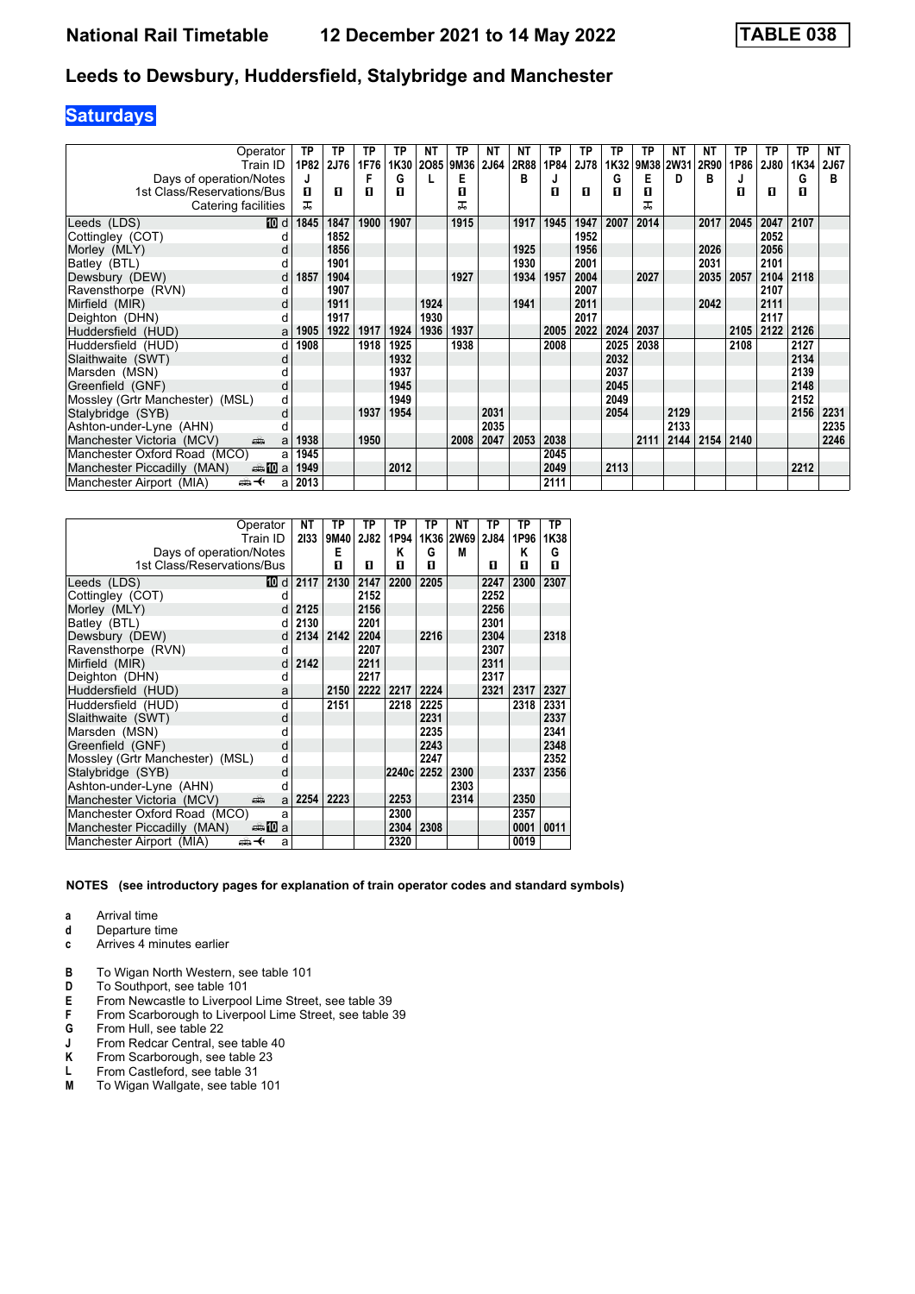# **Saturdays**

| Operator                               | ТP   | TP          | TP   | ТP   | NΤ   | TP        | NΤ          | <b>NT</b> | ТP   | ТP   | TP   | ТP   | <b>NT</b> | NΤ   | ТP   | ТP   | ТP   | NΤ   |
|----------------------------------------|------|-------------|------|------|------|-----------|-------------|-----------|------|------|------|------|-----------|------|------|------|------|------|
| Train ID                               | 1P82 | <b>2J76</b> | 1F76 | 1K30 |      | 2O85 9M36 | <b>2J64</b> | 2R88      | 1P84 | 2J78 | 1K32 |      | 9M38 2W31 | 2R90 | 1P86 | 2J80 | 1K34 | 2J67 |
| Days of operation/Notes                | J    |             |      | G    |      | E         |             | в         |      |      | G    | Е    | D         | в    |      |      | G    | в    |
| 1st Class/Reservations/Bus             | п    | п           | п    | п    |      | п         |             |           | п    | п    | п    | П    |           |      | п    | п    | п    |      |
| Catering facilities                    | ᅚ    |             |      |      |      | ᅚ         |             |           |      |      |      | ᅚ    |           |      |      |      |      |      |
| Leeds (LDS)<br>10 d                    | 1845 | 1847        | 1900 | 1907 |      | 1915      |             | 1917      | 1945 | 1947 | 2007 | 2014 |           | 2017 | 2045 | 2047 | 2107 |      |
| Cottingley (COT)                       |      | 1852        |      |      |      |           |             |           |      | 1952 |      |      |           |      |      | 2052 |      |      |
| Morley (MLY)<br>d                      |      | 1856        |      |      |      |           |             | 1925      |      | 1956 |      |      |           | 2026 |      | 2056 |      |      |
| Batley (BTL)                           |      | 1901        |      |      |      |           |             | 1930      |      | 2001 |      |      |           | 2031 |      | 2101 |      |      |
| Dewsbury (DEW)<br>d                    | 1857 | 1904        |      |      |      | 1927      |             | 1934      | 1957 | 2004 |      | 2027 |           | 2035 | 2057 | 2104 | 2118 |      |
| Ravensthorpe (RVN)<br>d                |      | 1907        |      |      |      |           |             |           |      | 2007 |      |      |           |      |      | 2107 |      |      |
| Mirfield (MIR)<br>d                    |      | 1911        |      |      | 1924 |           |             | 1941      |      | 2011 |      |      |           | 2042 |      | 2111 |      |      |
| Deighton (DHN)<br>d                    |      | 1917        |      |      | 1930 |           |             |           |      | 2017 |      |      |           |      |      | 2117 |      |      |
| Huddersfield (HUD)<br>a                | 1905 | 1922        | 1917 | 1924 | 1936 | 1937      |             |           | 2005 | 2022 | 2024 | 2037 |           |      | 2105 | 2122 | 2126 |      |
| Huddersfield (HUD)<br>d                | 1908 |             | 1918 | 1925 |      | 1938      |             |           | 2008 |      | 2025 | 2038 |           |      | 2108 |      | 2127 |      |
| Slaithwaite (SWT)<br>d                 |      |             |      | 1932 |      |           |             |           |      |      | 2032 |      |           |      |      |      | 2134 |      |
| Marsden (MSN)                          |      |             |      | 1937 |      |           |             |           |      |      | 2037 |      |           |      |      |      | 2139 |      |
| Greenfield (GNF)<br>d                  |      |             |      | 1945 |      |           |             |           |      |      | 2045 |      |           |      |      |      | 2148 |      |
| Mossley (Grtr Manchester) (MSL)<br>d   |      |             |      | 1949 |      |           |             |           |      |      | 2049 |      |           |      |      |      | 2152 |      |
| Stalybridge (SYB)<br>d                 |      |             | 1937 | 1954 |      |           | 2031        |           |      |      | 2054 |      | 2129      |      |      |      | 2156 | 2231 |
| Ashton-under-Lyne (AHN)                |      |             |      |      |      |           | 2035        |           |      |      |      |      | 2133      |      |      |      |      | 2235 |
| Manchester Victoria (MCV)<br>پیش<br>a  | 1938 |             | 1950 |      |      | 2008      | 2047        | 2053      | 2038 |      |      | 2111 | 2144      | 2154 | 2140 |      |      | 2246 |
| Manchester Oxford Road (MCO)<br>a      | 1945 |             |      |      |      |           |             |           | 2045 |      |      |      |           |      |      |      |      |      |
| Manchester Piccadilly (MAN)<br>⊯⊯ 10 a | 1949 |             |      | 2012 |      |           |             |           | 2049 |      | 2113 |      |           |      |      |      | 2212 |      |
| Manchester Airport (MIA)<br>⇜✦<br>a    | 2013 |             |      |      |      |           |             |           | 2111 |      |      |      |           |      |      |      |      |      |

|                                  | Operator         | <b>NT</b> | TP   | <b>TP</b> | ТP    | TP   | NΤ        | ΤP   | ТP   | TP   |
|----------------------------------|------------------|-----------|------|-----------|-------|------|-----------|------|------|------|
|                                  | Train ID         | 2133      | 9M40 | 2J82      | 1P94  |      | 1K36 2W69 | 2J84 | 1P96 | 1K38 |
| Days of operation/Notes          |                  |           | Е    |           | Κ     | G    | М         |      | Κ    | G    |
| 1st Class/Reservations/Bus       |                  |           | п    | п         | п     | п    |           | п    | п    | п    |
| Leeds (LDS)                      | 10 d             | 2117      | 2130 | 2147      | 2200  | 2205 |           | 2247 | 2300 | 2307 |
| Cottingley (COT)                 | d                |           |      | 2152      |       |      |           | 2252 |      |      |
| Morley (MLY)                     | d                | 2125      |      | 2156      |       |      |           | 2256 |      |      |
| Batley (BTL)                     | d                | 2130      |      | 2201      |       |      |           | 2301 |      |      |
| Dewsbury (DEW)                   | d                | 2134      | 2142 | 2204      |       | 2216 |           | 2304 |      | 2318 |
| Ravensthorpe (RVN)               | d                |           |      | 2207      |       |      |           | 2307 |      |      |
| Mirfield (MIR)                   | d                | 2142      |      | 2211      |       |      |           | 2311 |      |      |
| Deighton (DHN)                   | d                |           |      | 2217      |       |      |           | 2317 |      |      |
| Huddersfield (HUD)               | a                |           | 2150 | 2222      | 2217  | 2224 |           | 2321 | 2317 | 2327 |
| Huddersfield (HUD)               | d                |           | 2151 |           | 2218  | 2225 |           |      | 2318 | 2331 |
| Slaithwaite (SWT)                | d                |           |      |           |       | 2231 |           |      |      | 2337 |
| Marsden (MSN)                    | d                |           |      |           |       | 2235 |           |      |      | 2341 |
| Greenfield (GNF)                 | d                |           |      |           |       | 2243 |           |      |      | 2348 |
| Mossley (Grtr Manchester) (MSL)  | d                |           |      |           |       | 2247 |           |      |      | 2352 |
| Stalybridge (SYB)                | d                |           |      |           | 2240c | 2252 | 2300      |      | 2337 | 2356 |
| Ashton-under-Lyne (AHN)          | d                |           |      |           |       |      | 2303      |      |      |      |
| Manchester Victoria (MCV)<br>پېښ | a                | 2254      | 2223 |           | 2253  |      | 2314      |      | 2350 |      |
| Manchester Oxford Road (MCO)     | a                |           |      |           | 2300  |      |           |      | 2357 |      |
| Manchester Piccadilly (MAN)      | <del>⊯</del> ∎Da |           |      |           | 2304  | 2308 |           |      | 0001 | 0011 |
| Manchester Airport (MIA)<br>⇜↞   | a                |           |      |           | 2320  |      |           |      | 0019 |      |

- **a** Arrival time<br>**d** Departure ti
- **d** Departure time<br>**c** Arrives 4 minut
- **c** Arrives 4 minutes earlier
- 
- **B** To Wigan North Western, see table 101<br>**D** To Southport, see table 101
- **D** To Southport, see table 101<br>**E** From Newcastle to Liverpoo **E** From Newcastle to Liverpool Lime Street, see table 39<br>**F** From Scarborough to Liverpool Lime Street, see table
- **F** From Scarborough to Liverpool Lime Street, see table 39
- **G** From Hull, see table 22<br>**J** From Redcar Central, see
- **J** From Redcar Central, see table 40<br>**K** From Scarborough, see table 23
- **.** From Scarborough, see table 23
- **L** From Castleford, see table 31<br>**M** To Wigan Wallgate, see table
- **M** To Wigan Wallgate, see table 101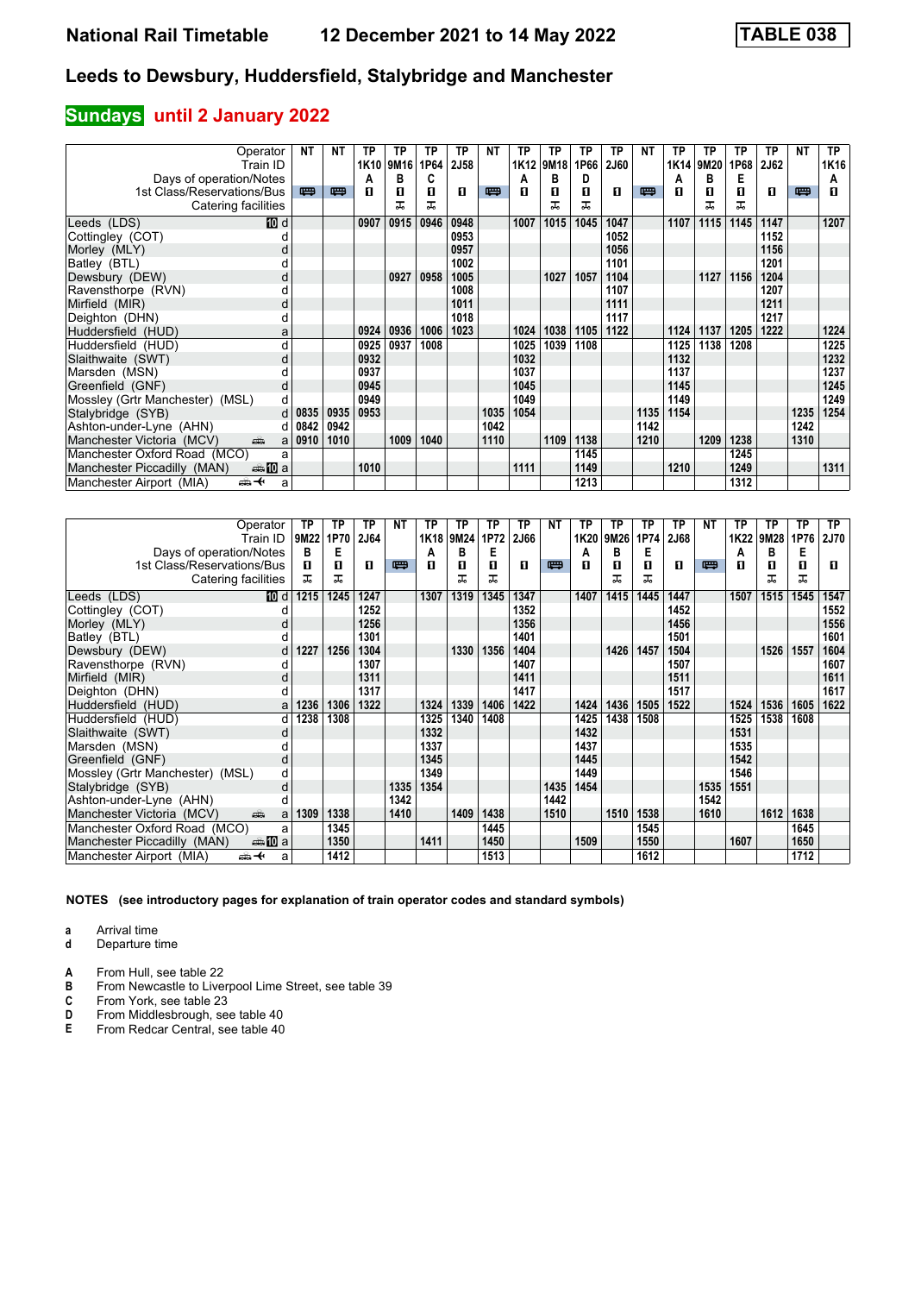## **Sundays** until 2 January 2022

| Operator                              | NΤ       | NΤ   | TP   | ТP               | ΤP   | ТP          | NΤ   | TP   | ТP   | ТP   | TP          | NΤ   | ТP   | ТP   | TP   | ТP   | <b>NT</b> | <b>TP</b> |
|---------------------------------------|----------|------|------|------------------|------|-------------|------|------|------|------|-------------|------|------|------|------|------|-----------|-----------|
| Train ID                              |          |      | 1K10 | 9M <sub>16</sub> | 1P64 | <b>2J58</b> |      | 1K12 | 9M18 | 1P66 | <b>2J60</b> |      | 1K14 | 9M20 | 1P68 | 2J62 |           | 1K16      |
| Days of operation/Notes               |          |      | А    | в                | C    |             |      | А    | в    | D    |             |      | A    | в    | Е    |      |           | А         |
| 1st Class/Reservations/Bus            | 罒        | 四    | п    | O                | п    | п           | 四    | п    | п    | п    | п           | 罒    | п    | п    | п    | п    | 四         | п         |
| Catering facilities                   |          |      |      | ᠼ                | ᠼ    |             |      |      |      | ᅚ    |             |      |      | ᇁ    | ᠼ    |      |           |           |
| 10 d<br>Leeds (LDS)                   |          |      | 0907 | 0915             | 0946 | 0948        |      | 1007 | 1015 | 1045 | 1047        |      | 1107 | 1115 | 1145 | 1147 |           | 1207      |
| Cottingley (COT)                      |          |      |      |                  |      | 0953        |      |      |      |      | 1052        |      |      |      |      | 1152 |           |           |
| Morley (MLY)<br>d                     |          |      |      |                  |      | 0957        |      |      |      |      | 1056        |      |      |      |      | 1156 |           |           |
| Batley (BTL)                          |          |      |      |                  |      | 1002        |      |      |      |      | 1101        |      |      |      |      | 1201 |           |           |
| Dewsbury (DEW)<br>d                   |          |      |      | 0927             | 0958 | 1005        |      |      | 1027 | 1057 | 1104        |      |      | 1127 | 1156 | 1204 |           |           |
| Ravensthorpe (RVN)<br>d               |          |      |      |                  |      | 1008        |      |      |      |      | 1107        |      |      |      |      | 1207 |           |           |
| Mirfield (MIR)<br>d                   |          |      |      |                  |      | 1011        |      |      |      |      | 1111        |      |      |      |      | 1211 |           |           |
| Deighton (DHN)<br>d                   |          |      |      |                  |      | 1018        |      |      |      |      | 1117        |      |      |      |      | 1217 |           |           |
| Huddersfield (HUD)<br>a               |          |      | 0924 | 0936             | 1006 | 1023        |      | 1024 | 1038 | 1105 | 1122        |      | 1124 | 1137 | 1205 | 1222 |           | 1224      |
| Huddersfield (HUD)<br>d               |          |      | 0925 | 0937             | 1008 |             |      | 1025 | 1039 | 1108 |             |      | 1125 | 1138 | 1208 |      |           | 1225      |
| Slaithwaite (SWT)<br>d                |          |      | 0932 |                  |      |             |      | 1032 |      |      |             |      | 1132 |      |      |      |           | 1232      |
| Marsden (MSN)                         |          |      | 0937 |                  |      |             |      | 1037 |      |      |             |      | 1137 |      |      |      |           | 1237      |
| Greenfield (GNF)<br>d                 |          |      | 0945 |                  |      |             |      | 1045 |      |      |             |      | 1145 |      |      |      |           | 1245      |
| Mossley (Grtr Manchester) (MSL)<br>d. |          |      | 0949 |                  |      |             |      | 1049 |      |      |             |      | 1149 |      |      |      |           | 1249      |
| Stalybridge (SYB)<br>d                | 0835     | 0935 | 0953 |                  |      |             | 1035 | 1054 |      |      |             | 1135 | 1154 |      |      |      | 1235      | 1254      |
| Ashton-under-Lyne (AHN)               | $d$ 0842 | 0942 |      |                  |      |             | 1042 |      |      |      |             | 1142 |      |      |      |      | 1242      |           |
| Manchester Victoria (MCV)<br>پیش<br>a | 0910     | 1010 |      | 1009             | 1040 |             | 1110 |      | 1109 | 1138 |             | 1210 |      | 1209 | 1238 |      | 1310      |           |
| Manchester Oxford Road (MCO)<br>a     |          |      |      |                  |      |             |      |      |      | 1145 |             |      |      |      | 1245 |      |           |           |
| Manchester Piccadilly (MAN)<br>∰ 10 a |          |      | 1010 |                  |      |             |      | 1111 |      | 1149 |             |      | 1210 |      | 1249 |      |           | 1311      |
| Manchester Airport (MIA)<br>⇜✦<br>a   |          |      |      |                  |      |             |      |      |      | 1213 |             |      |      |      | 1312 |      |           |           |

| Operator                                         | TP   | TP   | ΤP          | ΝT   | ТP   | TP        | ТP   | <b>TP</b> | NΤ   | ТP   | ΤP   | ТP   | ТP   | <b>NT</b> | ТP   | ТP   | <b>TP</b> | <b>TP</b>   |
|--------------------------------------------------|------|------|-------------|------|------|-----------|------|-----------|------|------|------|------|------|-----------|------|------|-----------|-------------|
| Train ID                                         | 9M22 | 1P70 | <b>2J64</b> |      |      | 1K18 9M24 | 1P72 | 2J66      |      | 1K20 | 9M26 | 1P74 | 2J68 |           | 1K22 | 9M28 | 1P76      | <b>2J70</b> |
| Days of operation/Notes                          | в    | Е    |             |      | А    | в         | Е    |           |      | A    | B    | Е    |      |           | A    | в    | Е         |             |
| 1st Class/Reservations/Bus                       | п    | 0    | п           | 四    | п    | п         | п    | п         | 四    | п    | п    | п    | п    | 四         | п    | п    | п         | п           |
| Catering facilities                              | ㅈ    | ᅚ    |             |      |      | ᅚ         | ᅚ    |           |      |      | ᅚ    | ᇁ    |      |           |      | ᅚ    | ᅚ         |             |
| Leeds (LDS)<br>[10] d                            | 1215 | 1245 | 1247        |      | 1307 | 1319      | 1345 | 1347      |      | 1407 | 1415 | 1445 | 1447 |           | 1507 | 1515 | 1545      | 1547        |
| Cottingley (COT)                                 |      |      | 1252        |      |      |           |      | 1352      |      |      |      |      | 1452 |           |      |      |           | 1552        |
| Morley (MLY)                                     |      |      | 1256        |      |      |           |      | 1356      |      |      |      |      | 1456 |           |      |      |           | 1556        |
| Batley (BTL)                                     |      |      | 1301        |      |      |           |      | 1401      |      |      |      |      | 1501 |           |      |      |           | 1601        |
| Dewsbury (DEW)<br>d                              | 1227 | 1256 | 1304        |      |      | 1330      | 1356 | 1404      |      |      | 1426 | 1457 | 1504 |           |      | 1526 | 1557      | 1604        |
| Ravensthorpe (RVN)                               |      |      | 1307        |      |      |           |      | 1407      |      |      |      |      | 1507 |           |      |      |           | 1607        |
| Mirfield (MIR)<br>d                              |      |      | 1311        |      |      |           |      | 1411      |      |      |      |      | 1511 |           |      |      |           | 1611        |
| Deighton (DHN)                                   |      |      | 1317        |      |      |           |      | 1417      |      |      |      |      | 1517 |           |      |      |           | 1617        |
| Huddersfield (HUD)<br>a                          | 1236 | 1306 | 1322        |      | 1324 | 1339      | 1406 | 1422      |      | 1424 | 1436 | 1505 | 1522 |           | 1524 | 1536 | 1605      | 1622        |
| Huddersfield (HUD)<br>d                          | 1238 | 1308 |             |      | 1325 | 1340      | 1408 |           |      | 1425 | 1438 | 1508 |      |           | 1525 | 1538 | 1608      |             |
| Slaithwaite (SWT)<br>d                           |      |      |             |      | 1332 |           |      |           |      | 1432 |      |      |      |           | 1531 |      |           |             |
| Marsden (MSN)                                    |      |      |             |      | 1337 |           |      |           |      | 1437 |      |      |      |           | 1535 |      |           |             |
| Greenfield (GNF)<br>d                            |      |      |             |      | 1345 |           |      |           |      | 1445 |      |      |      |           | 1542 |      |           |             |
| Mossley (Grtr Manchester) (MSL)<br>d             |      |      |             |      | 1349 |           |      |           |      | 1449 |      |      |      |           | 1546 |      |           |             |
| Stalybridge (SYB)<br>d                           |      |      |             | 1335 | 1354 |           |      |           | 1435 | 1454 |      |      |      | 1535      | 1551 |      |           |             |
| Ashton-under-Lyne (AHN)                          |      |      |             | 1342 |      |           |      |           | 1442 |      |      |      |      | 1542      |      |      |           |             |
| Manchester Victoria (MCV)<br>ain<br>a            | 1309 | 1338 |             | 1410 |      | 1409      | 1438 |           | 1510 |      | 1510 | 1538 |      | 1610      |      | 1612 | 1638      |             |
| Manchester Oxford Road (MCO)<br>a                |      | 1345 |             |      |      |           | 1445 |           |      |      |      | 1545 |      |           |      |      | 1645      |             |
| <del>⊯</del> 10 a<br>Manchester Piccadilly (MAN) |      | 1350 |             |      | 1411 |           | 1450 |           |      | 1509 |      | 1550 |      |           | 1607 |      | 1650      |             |
| Manchester Airport (MIA)<br>ക+<br>a              |      | 1412 |             |      |      |           | 1513 |           |      |      |      | 1612 |      |           |      |      | 1712      |             |

**NOTES (see introductory pages for explanation of train operator codes and standard symbols)**

**a** Arrival time<br>**d** Departure t

**d** Departure time

**A** From Hull, see table 22<br>**B** From Newcastle to Liver

**B** From Newcastle to Liverpool Lime Street, see table 39 **C** From York, see table 23

**C** From York, see table 23<br>**D** From Middlesbrough, se<br>**E** From Redcar Central, se From Middlesbrough, see table 40

**E** From Redcar Central, see table 40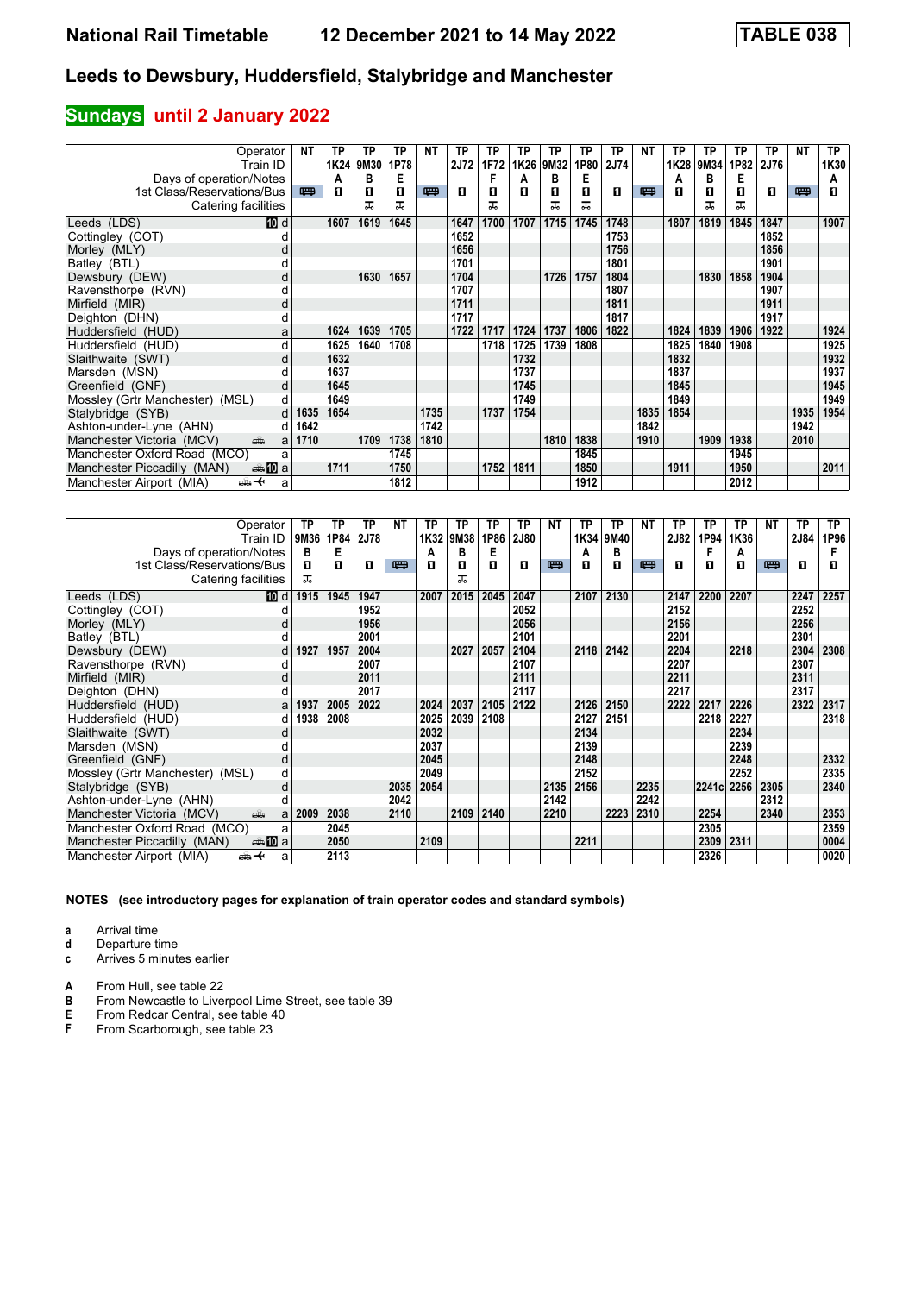### **Sundays** until 2 January 2022

| Operator                              | NΤ   | ТP        | TP   | TP   | <b>NT</b> | TP          | ТP   | TP   | ТP   | ТP   | TP   | NΤ   | ТP   | ТP   | ТP   | ТP          | <b>NT</b> | <b>TP</b> |
|---------------------------------------|------|-----------|------|------|-----------|-------------|------|------|------|------|------|------|------|------|------|-------------|-----------|-----------|
| Train ID                              |      | 1K24 9M30 |      | 1P78 |           | <b>2J72</b> | 1F72 | 1K26 | 9M32 | 1P80 | 2J74 |      | 1K28 | 9M34 | 1P82 | <b>2J76</b> |           | 1K30      |
| Days of operation/Notes               |      | А         | в    | Е    |           |             |      | А    | в    | Е    |      |      | A    | в    | Е    |             |           | А         |
| 1st Class/Reservations/Bus            | 罒    | п         | п    | O    | 四         | п           | п    | п    | п    | п    | п    | 罒    | п    | п    | п    | п           | 四         | п         |
| Catering facilities                   |      |           | ᅚ    | ᅚ    |           |             | ᅚ    |      |      | ᅚ    |      |      |      | ᇁ    | ᠼ    |             |           |           |
| Leeds (LDS)<br>10 d                   |      | 1607      | 1619 | 1645 |           | 1647        | 1700 | 1707 | 1715 | 1745 | 1748 |      | 1807 | 1819 | 1845 | 1847        |           | 1907      |
| Cottingley (COT)                      |      |           |      |      |           | 1652        |      |      |      |      | 1753 |      |      |      |      | 1852        |           |           |
| Morley (MLY)<br>d                     |      |           |      |      |           | 1656        |      |      |      |      | 1756 |      |      |      |      | 1856        |           |           |
| Batley (BTL)                          |      |           |      |      |           | 1701        |      |      |      |      | 1801 |      |      |      |      | 1901        |           |           |
| Dewsbury (DEW)<br>d                   |      |           | 1630 | 1657 |           | 1704        |      |      | 1726 | 1757 | 1804 |      |      | 1830 | 1858 | 1904        |           |           |
| Ravensthorpe (RVN)<br>d               |      |           |      |      |           | 1707        |      |      |      |      | 1807 |      |      |      |      | 1907        |           |           |
| Mirfield (MIR)<br>d                   |      |           |      |      |           | 1711        |      |      |      |      | 1811 |      |      |      |      | 1911        |           |           |
| Deighton (DHN)                        |      |           |      |      |           | 1717        |      |      |      |      | 1817 |      |      |      |      | 1917        |           |           |
| Huddersfield (HUD)<br>a               |      | 1624      | 1639 | 1705 |           | 1722        | 1717 | 1724 | 1737 | 1806 | 1822 |      | 1824 | 1839 | 1906 | 1922        |           | 1924      |
| Huddersfield (HUD)<br>d               |      | 1625      | 1640 | 1708 |           |             | 1718 | 1725 | 1739 | 1808 |      |      | 1825 | 1840 | 1908 |             |           | 1925      |
| Slaithwaite (SWT)<br>d                |      | 1632      |      |      |           |             |      | 1732 |      |      |      |      | 1832 |      |      |             |           | 1932      |
| Marsden (MSN)                         |      | 1637      |      |      |           |             |      | 1737 |      |      |      |      | 1837 |      |      |             |           | 1937      |
| Greenfield (GNF)<br>d                 |      | 1645      |      |      |           |             |      | 1745 |      |      |      |      | 1845 |      |      |             |           | 1945      |
| Mossley (Grtr Manchester) (MSL)<br>d. |      | 1649      |      |      |           |             |      | 1749 |      |      |      |      | 1849 |      |      |             |           | 1949      |
| Stalybridge (SYB)<br>d                | 1635 | 1654      |      |      | 1735      |             | 1737 | 1754 |      |      |      | 1835 | 1854 |      |      |             | 1935      | 1954      |
| Ashton-under-Lyne (AHN)<br>d          | 1642 |           |      |      | 1742      |             |      |      |      |      |      | 1842 |      |      |      |             | 1942      |           |
| Manchester Victoria (MCV)<br>پیش<br>a | 1710 |           | 1709 | 1738 | 1810      |             |      |      | 1810 | 1838 |      | 1910 |      | 1909 | 1938 |             | 2010      |           |
| Manchester Oxford Road (MCO)<br>a     |      |           |      | 1745 |           |             |      |      |      | 1845 |      |      |      |      | 1945 |             |           |           |
| Manchester Piccadilly (MAN)<br>∰ 10 a |      | 1711      |      | 1750 |           |             | 1752 | 1811 |      | 1850 |      |      | 1911 |      | 1950 |             |           | 2011      |
| Manchester Airport (MIA)<br>⇜✦<br>a   |      |           |      | 1812 |           |             |      |      |      | 1912 |      |      |      |      | 2012 |             |           |           |

| Operator                                | ТP   | ТP   | TP   | <b>NT</b> | ТP   | ТP   | ТP   | ТP          | <b>NT</b> | ТP   | ТP   | NΤ   | TP   | ТP         | TP   | NΤ   | TP   | TP.  |
|-----------------------------------------|------|------|------|-----------|------|------|------|-------------|-----------|------|------|------|------|------------|------|------|------|------|
| Train ID                                | 9M36 | 1P84 | 2J78 |           | 1K32 | 9M38 | 1P86 | <b>2J80</b> |           | 1K34 | 9M40 |      | 2J82 | 1P94       | 1K36 |      | 2J84 | 1P96 |
| Days of operation/Notes                 | в    | Е    |      |           | A    | в    | Е    |             |           | A    | в    |      |      | F          | А    |      |      |      |
| 1st Class/Reservations/Bus              | п    | п    | п    | 四         | п    | 0    | п    | п           | 四         | п    | п    | 罒    | п    | п          | п    | 四    | п    | П    |
| Catering facilities                     | ᅚ    |      |      |           |      | ᠼ    |      |             |           |      |      |      |      |            |      |      |      |      |
| Leeds (LDS)<br>10 d                     | 1915 | 1945 | 1947 |           | 2007 | 2015 | 2045 | 2047        |           | 2107 | 2130 |      | 2147 | 2200       | 2207 |      | 2247 | 2257 |
| Cottingley (COT)                        |      |      | 1952 |           |      |      |      | 2052        |           |      |      |      | 2152 |            |      |      | 2252 |      |
| Morley (MLY)<br>d                       |      |      | 1956 |           |      |      |      | 2056        |           |      |      |      | 2156 |            |      |      | 2256 |      |
| Batley (BTL)                            |      |      | 2001 |           |      |      |      | 2101        |           |      |      |      | 2201 |            |      |      | 2301 |      |
| Dewsbury (DEW)<br>d                     | 1927 | 1957 | 2004 |           |      | 2027 | 2057 | 2104        |           | 2118 | 2142 |      | 2204 |            | 2218 |      | 2304 | 2308 |
| Ravensthorpe (RVN)                      |      |      | 2007 |           |      |      |      | 2107        |           |      |      |      | 2207 |            |      |      | 2307 |      |
| Mirfield (MIR)<br>d                     |      |      | 2011 |           |      |      |      | 2111        |           |      |      |      | 2211 |            |      |      | 2311 |      |
| Deighton (DHN)                          |      |      | 2017 |           |      |      |      | 2117        |           |      |      |      | 2217 |            |      |      | 2317 |      |
| Huddersfield (HUD)<br>a                 | 1937 | 2005 | 2022 |           | 2024 | 2037 | 2105 | 2122        |           | 2126 | 2150 |      | 2222 | 2217       | 2226 |      | 2322 | 2317 |
| Huddersfield (HUD)<br>d                 | 1938 | 2008 |      |           | 2025 | 2039 | 2108 |             |           | 2127 | 2151 |      |      | 2218       | 2227 |      |      | 2318 |
| Slaithwaite (SWT)<br>d                  |      |      |      |           | 2032 |      |      |             |           | 2134 |      |      |      |            | 2234 |      |      |      |
| Marsden (MSN)                           |      |      |      |           | 2037 |      |      |             |           | 2139 |      |      |      |            | 2239 |      |      |      |
| Greenfield (GNF)<br>d                   |      |      |      |           | 2045 |      |      |             |           | 2148 |      |      |      |            | 2248 |      |      | 2332 |
| Mossley (Grtr Manchester) (MSL)<br>d    |      |      |      |           | 2049 |      |      |             |           | 2152 |      |      |      |            | 2252 |      |      | 2335 |
| d<br>Stalybridge (SYB)                  |      |      |      | 2035      | 2054 |      |      |             | 2135      | 2156 |      | 2235 |      | 2241c 2256 |      | 2305 |      | 2340 |
| Ashton-under-Lyne (AHN)                 |      |      |      | 2042      |      |      |      |             | 2142      |      |      | 2242 |      |            |      | 2312 |      |      |
| Manchester Victoria (MCV)<br>پیش<br>a   | 2009 | 2038 |      | 2110      |      | 2109 | 2140 |             | 2210      |      | 2223 | 2310 |      | 2254       |      | 2340 |      | 2353 |
| Manchester Oxford Road (MCO)<br>a       |      | 2045 |      |           |      |      |      |             |           |      |      |      |      | 2305       |      |      |      | 2359 |
| ⊯⇒ 100 a<br>Manchester Piccadilly (MAN) |      | 2050 |      |           | 2109 |      |      |             |           | 2211 |      |      |      | 2309       | 2311 |      |      | 0004 |
| Manchester Airport (MIA)<br>⇜✦<br>a     |      | 2113 |      |           |      |      |      |             |           |      |      |      |      | 2326       |      |      |      | 0020 |

**NOTES (see introductory pages for explanation of train operator codes and standard symbols)**

**a** Arrival time<br>**d** Departure t

**d** Departure time

**c** Arrives 5 minutes earlier

**A** From Hull, see table 22<br>**B** From Newcastle to Liver

**B** From Newcastle to Liverpool Lime Street, see table 39<br>**E** From Redcar Central, see table 40<br>**F** From Scarborough, see table 23

**E** From Redcar Central, see table 40 From Scarborough, see table 23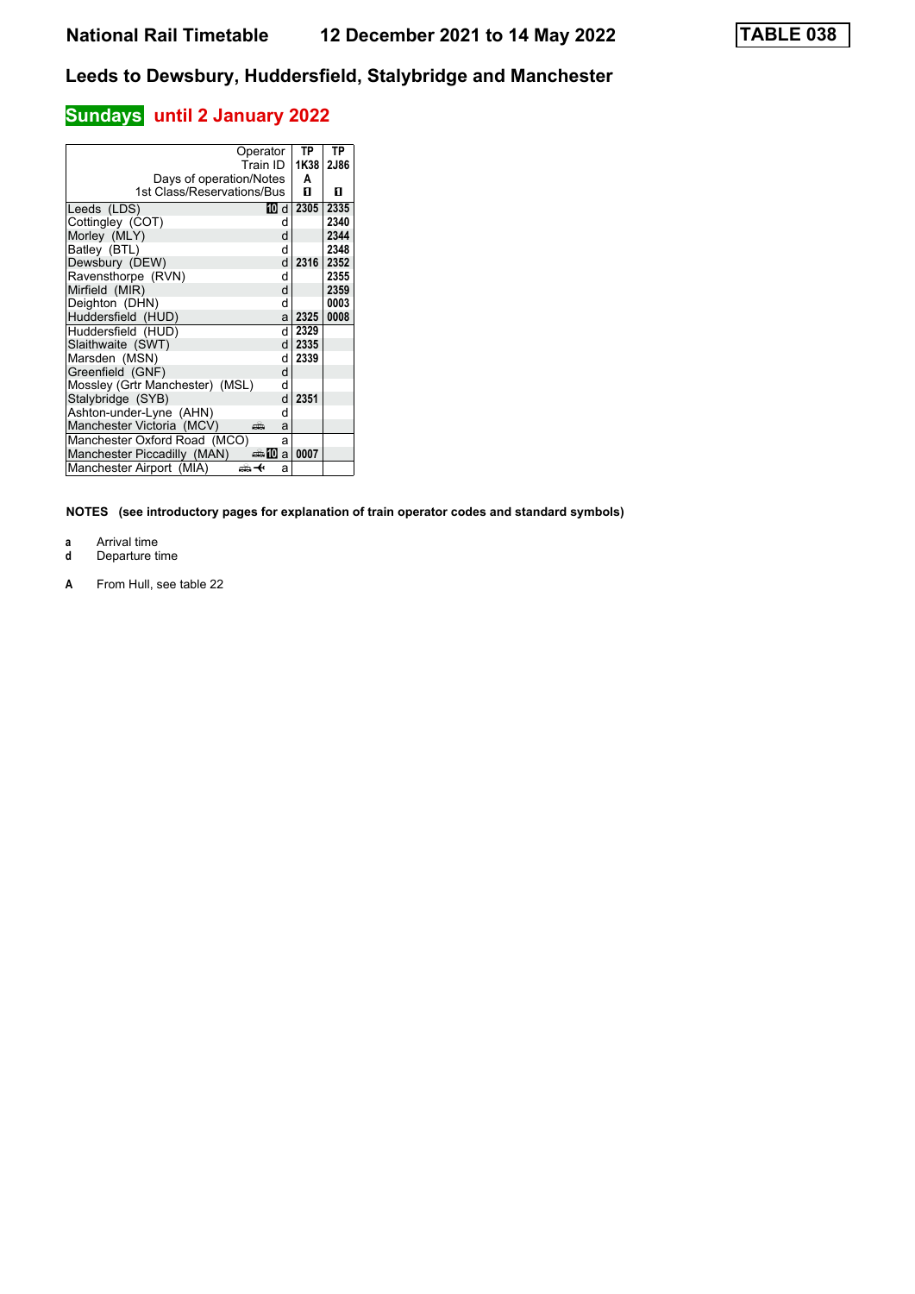# **Sundays** until 2 January 2022

| Operator                             |      | ТP   | ТP   |
|--------------------------------------|------|------|------|
| Train ID                             |      | 1K38 | 2J86 |
| Days of operation/Notes              |      | A    |      |
| 1st Class/Reservations/Bus           |      | п    | п    |
| Leeds (LDS)                          | 10 d | 2305 | 2335 |
| Cottingley (COT)                     | d    |      | 2340 |
| Morley (MLY)                         | d    |      | 2344 |
| Batley (BTL)                         | d    |      | 2348 |
| Dewsbury (DEW)                       | d    | 2316 | 2352 |
| Ravensthorpe (RVN)                   | d    |      | 2355 |
| Mirfield (MIR)                       | d    |      | 2359 |
| Deighton (DHN)                       | d    |      | 0003 |
| Huddersfield (HUD)                   | al   | 2325 | 0008 |
| Huddersfield (HUD)                   | d١   | 2329 |      |
| Slaithwaite (SWT)                    | dl   | 2335 |      |
| Marsden (MSN)                        | d    | 2339 |      |
| Greenfield (GNF)                     | d    |      |      |
| Mossley (Grtr Manchester) (MSL)      | d    |      |      |
| Stalybridge (SYB)                    | d    | 2351 |      |
| Ashton-under-Lyne (AHN)              | d    |      |      |
| Manchester Victoria (MCV)<br>هتته    | a    |      |      |
| Manchester Oxford Road (MCO)         | a    |      |      |
| Manchester Piccadilly (MAN)<br>an‱Ma |      | 0007 |      |
| Manchester Airport (MIA)<br>↫        | a    |      |      |

- 
- **a** Arrival time<br>**d** Departure t **d** Departure time
- **A** From Hull, see table 22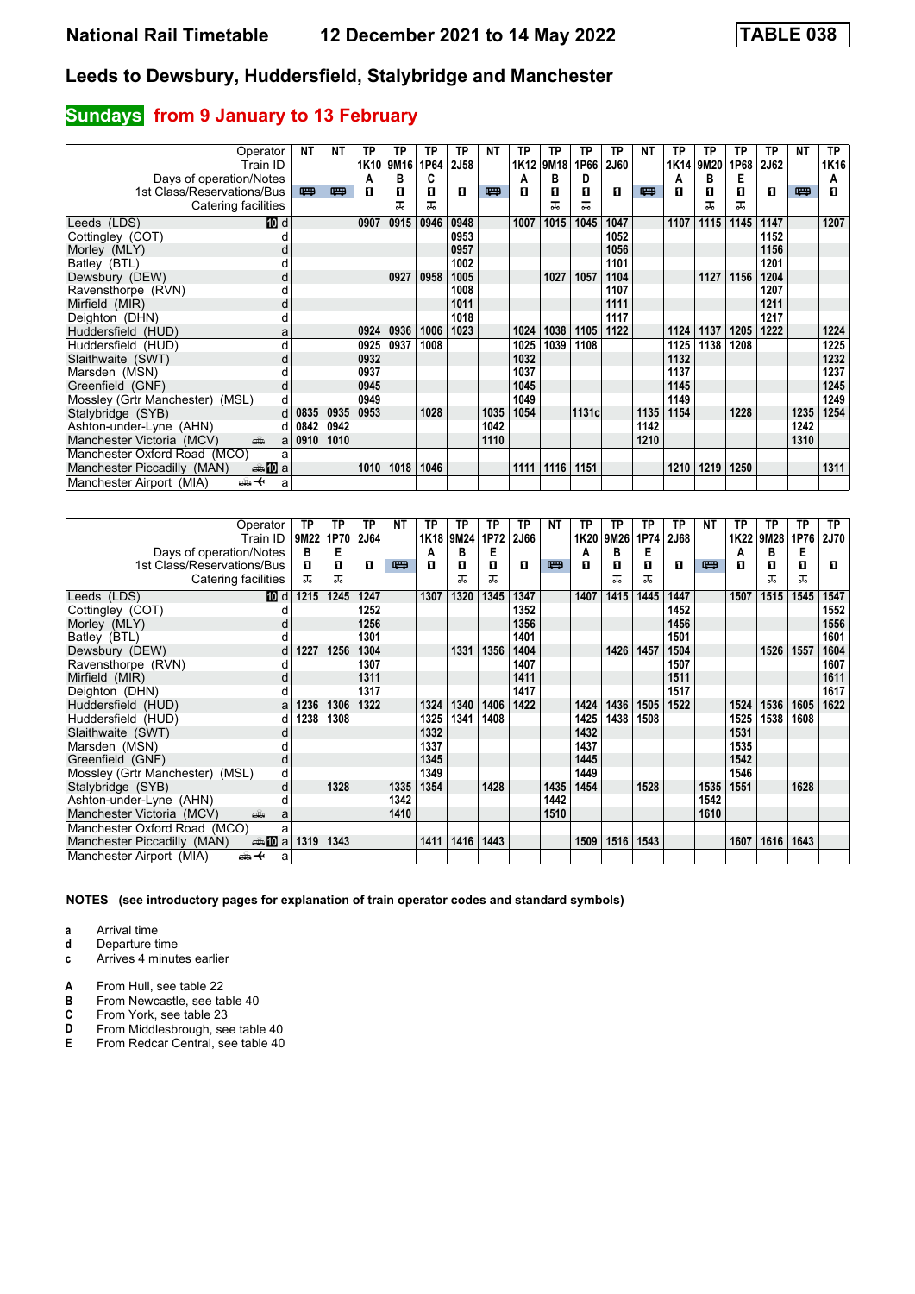# **Sundays** from 9 January to 13 February

| Operator                                          | <b>NT</b> | <b>NT</b> | TP   | ТP   | ТP   | ТP   | NΤ   | ТP   | TP   | ТP    | TP          | NΤ   | ТP               | TP   | ТP   | ТP   | NΤ   | TP.  |
|---------------------------------------------------|-----------|-----------|------|------|------|------|------|------|------|-------|-------------|------|------------------|------|------|------|------|------|
| Train ID                                          |           |           | 1K10 | 9M16 | 1P64 | 2J58 |      | 1K12 | 9M18 | 1P66  | <b>2J60</b> |      | 1K <sub>14</sub> | 9M20 | 1P68 | 2J62 |      | 1K16 |
| Days of operation/Notes                           |           |           | А    | в    | C    |      |      | А    | в    | D     |             |      | A                | в    | Е    |      |      | А    |
| 1st Class/Reservations/Bus                        | 罒         | 四         | п    | 0    | п    | п    | 四    | п    | п    | п     | п           | 四    | п                | п    | п    | п    | 四    | п    |
| Catering facilities                               |           |           |      | ᅚ    | ᠼ    |      |      |      | ㅈ    | ᅚ     |             |      |                  | ᠼ    | ᅚ    |      |      |      |
| <b>ID</b> d<br>Leeds (LDS)                        |           |           | 0907 | 0915 | 0946 | 0948 |      | 1007 | 1015 | 1045  | 1047        |      | 1107             | 1115 | 1145 | 1147 |      | 1207 |
| Cottingley (COT)                                  |           |           |      |      |      | 0953 |      |      |      |       | 1052        |      |                  |      |      | 1152 |      |      |
| Morley (MLY)                                      |           |           |      |      |      | 0957 |      |      |      |       | 1056        |      |                  |      |      | 1156 |      |      |
| Batley (BTL)                                      |           |           |      |      |      | 1002 |      |      |      |       | 1101        |      |                  |      |      | 1201 |      |      |
| Dewsbury (DEW)<br>d                               |           |           |      | 0927 | 0958 | 1005 |      |      | 1027 | 1057  | 1104        |      |                  | 1127 | 1156 | 1204 |      |      |
| Ravensthorpe (RVN)<br>d                           |           |           |      |      |      | 1008 |      |      |      |       | 1107        |      |                  |      |      | 1207 |      |      |
| Mirfield (MIR)<br>d                               |           |           |      |      |      | 1011 |      |      |      |       | 1111        |      |                  |      |      | 1211 |      |      |
| Deighton (DHN)<br>d                               |           |           |      |      |      | 1018 |      |      |      |       | 1117        |      |                  |      |      | 1217 |      |      |
| Huddersfield (HUD)<br>a                           |           |           | 0924 | 0936 | 1006 | 1023 |      | 1024 | 1038 | 1105  | 1122        |      | 1124             | 1137 | 1205 | 1222 |      | 1224 |
| Huddersfield (HUD)<br>d                           |           |           | 0925 | 0937 | 1008 |      |      | 1025 | 1039 | 1108  |             |      | 1125             | 1138 | 1208 |      |      | 1225 |
| Slaithwaite (SWT)<br>d                            |           |           | 0932 |      |      |      |      | 1032 |      |       |             |      | 1132             |      |      |      |      | 1232 |
| Marsden (MSN)                                     |           |           | 0937 |      |      |      |      | 1037 |      |       |             |      | 1137             |      |      |      |      | 1237 |
| Greenfield (GNF)<br>d                             |           |           | 0945 |      |      |      |      | 1045 |      |       |             |      | 1145             |      |      |      |      | 1245 |
| Mossley (Grtr Manchester) (MSL)<br>d              |           |           | 0949 |      |      |      |      | 1049 |      |       |             |      | 1149             |      |      |      |      | 1249 |
| Stalybridge (SYB)<br>d.                           | 0835      | 0935      | 0953 |      | 1028 |      | 1035 | 1054 |      | 1131c |             | 1135 | 1154             |      | 1228 |      | 1235 | 1254 |
| Ashton-under-Lyne (AHN)<br>d                      | 0842      | 0942      |      |      |      |      | 1042 |      |      |       |             | 1142 |                  |      |      |      | 1242 |      |
| Manchester Victoria (MCV)<br>پیش<br>a             | 0910      | 1010      |      |      |      |      | 1110 |      |      |       |             | 1210 |                  |      |      |      | 1310 |      |
| Manchester Oxford Road (MCO)<br>a                 |           |           |      |      |      |      |      |      |      |       |             |      |                  |      |      |      |      |      |
| Manchester Piccadilly (MAN)<br><del>⊯</del> 100 a |           |           | 1010 | 1018 | 1046 |      |      | 1111 | 1116 | 1151  |             |      | 1210             | 1219 | 1250 |      |      | 1311 |
| Manchester Airport (MIA)<br>ക+<br>a               |           |           |      |      |      |      |      |      |      |       |             |      |                  |      |      |      |      |      |

| Operator                                         | ТP   | ТP   | TP          | <b>NT</b> | ТP   | ТP        | ТP   | ТP   | <b>NT</b> | ТP   | ТP   | TP   | ТP          | NΤ   | ТP   | ТP   | ТP   | TP.         |
|--------------------------------------------------|------|------|-------------|-----------|------|-----------|------|------|-----------|------|------|------|-------------|------|------|------|------|-------------|
| Train ID                                         | 9M22 | 1P70 | <b>2J64</b> |           |      | 1K18 9M24 | 1P72 | 2J66 |           | 1K20 | 9M26 | 1P74 | <b>2J68</b> |      | 1K22 | 9M28 | 1P76 | <b>2J70</b> |
| Days of operation/Notes                          | В    | Е    |             |           | A    | в         | Е    |      |           | А    | B    | Е    |             |      | Α    | в    | Е    |             |
| 1st Class/Reservations/Bus                       | п    | 0    | п           | 四         | п    | 0         | п    | п    | 四         | п    | п    | п    | п           | 四    | п    | п    | O    | п           |
| Catering facilities                              | ㅈ    | ᅚ    |             |           |      | ᠼ         | ᅚ    |      |           |      | ᅚ    | ᅚ    |             |      |      | ᠼ    | ᅚ    |             |
| Leeds (LDS)<br>10 d                              | 1215 | 1245 | 1247        |           | 1307 | 1320      | 1345 | 1347 |           | 1407 | 1415 | 1445 | 1447        |      | 1507 | 1515 | 1545 | 1547        |
| Cottingley (COT)                                 |      |      | 1252        |           |      |           |      | 1352 |           |      |      |      | 1452        |      |      |      |      | 1552        |
| Morley (MLY)<br>d                                |      |      | 1256        |           |      |           |      | 1356 |           |      |      |      | 1456        |      |      |      |      | 1556        |
| Batley (BTL)                                     |      |      | 1301        |           |      |           |      | 1401 |           |      |      |      | 1501        |      |      |      |      | 1601        |
| Dewsbury (DEW)<br>d                              | 1227 | 1256 | 1304        |           |      | 1331      | 1356 | 1404 |           |      | 1426 | 1457 | 1504        |      |      | 1526 | 1557 | 1604        |
| Ravensthorpe (RVN)<br>d                          |      |      | 1307        |           |      |           |      | 1407 |           |      |      |      | 1507        |      |      |      |      | 1607        |
| Mirfield (MIR)<br>d                              |      |      | 1311        |           |      |           |      | 1411 |           |      |      |      | 1511        |      |      |      |      | 1611        |
| Deighton (DHN)<br>d                              |      |      | 1317        |           |      |           |      | 1417 |           |      |      |      | 1517        |      |      |      |      | 1617        |
| Huddersfield (HUD)<br>a                          | 1236 | 1306 | 1322        |           | 1324 | 1340      | 1406 | 1422 |           | 1424 | 1436 | 1505 | 1522        |      | 1524 | 1536 | 1605 | 1622        |
| Huddersfield (HUD)<br>d                          | 1238 | 1308 |             |           | 1325 | 1341      | 1408 |      |           | 1425 | 1438 | 1508 |             |      | 1525 | 1538 | 1608 |             |
| Slaithwaite (SWT)<br>d                           |      |      |             |           | 1332 |           |      |      |           | 1432 |      |      |             |      | 1531 |      |      |             |
| Marsden (MSN)                                    |      |      |             |           | 1337 |           |      |      |           | 1437 |      |      |             |      | 1535 |      |      |             |
| Greenfield (GNF)<br>d                            |      |      |             |           | 1345 |           |      |      |           | 1445 |      |      |             |      | 1542 |      |      |             |
| Mossley (Grtr Manchester) (MSL)<br>d             |      |      |             |           | 1349 |           |      |      |           | 1449 |      |      |             |      | 1546 |      |      |             |
| d<br>Stalybridge (SYB)                           |      | 1328 |             | 1335      | 1354 |           | 1428 |      | 1435      | 1454 |      | 1528 |             | 1535 | 1551 |      | 1628 |             |
| Ashton-under-Lyne (AHN)                          |      |      |             | 1342      |      |           |      |      | 1442      |      |      |      |             | 1542 |      |      |      |             |
| Manchester Victoria (MCV)<br>پیش<br>a            |      |      |             | 1410      |      |           |      |      | 1510      |      |      |      |             | 1610 |      |      |      |             |
| Manchester Oxford Road (MCO)<br>a                |      |      |             |           |      |           |      |      |           |      |      |      |             |      |      |      |      |             |
| <del>⊯</del> 10 a<br>Manchester Piccadilly (MAN) | 1319 | 1343 |             |           | 1411 | 1416      | 1443 |      |           | 1509 | 1516 | 1543 |             |      | 1607 | 1616 | 1643 |             |
| Manchester Airport (MIA)<br>⇜✦<br>a              |      |      |             |           |      |           |      |      |           |      |      |      |             |      |      |      |      |             |

**NOTES (see introductory pages for explanation of train operator codes and standard symbols)**

- **d** Departure time
- **c** Arrives 4 minutes earlier
- **A** From Hull, see table 22<br>**B** From Newcastle, see ta
- **B** From Newcastle, see table 40<br>**C** From York, see table 23
- **C** From York, see table 23<br>**D** From Middlesbrough, se
- **D** From Middlesbrough, see table 40<br>**E** From Redcar Central, see table 40
- **E** From Redcar Central, see table 40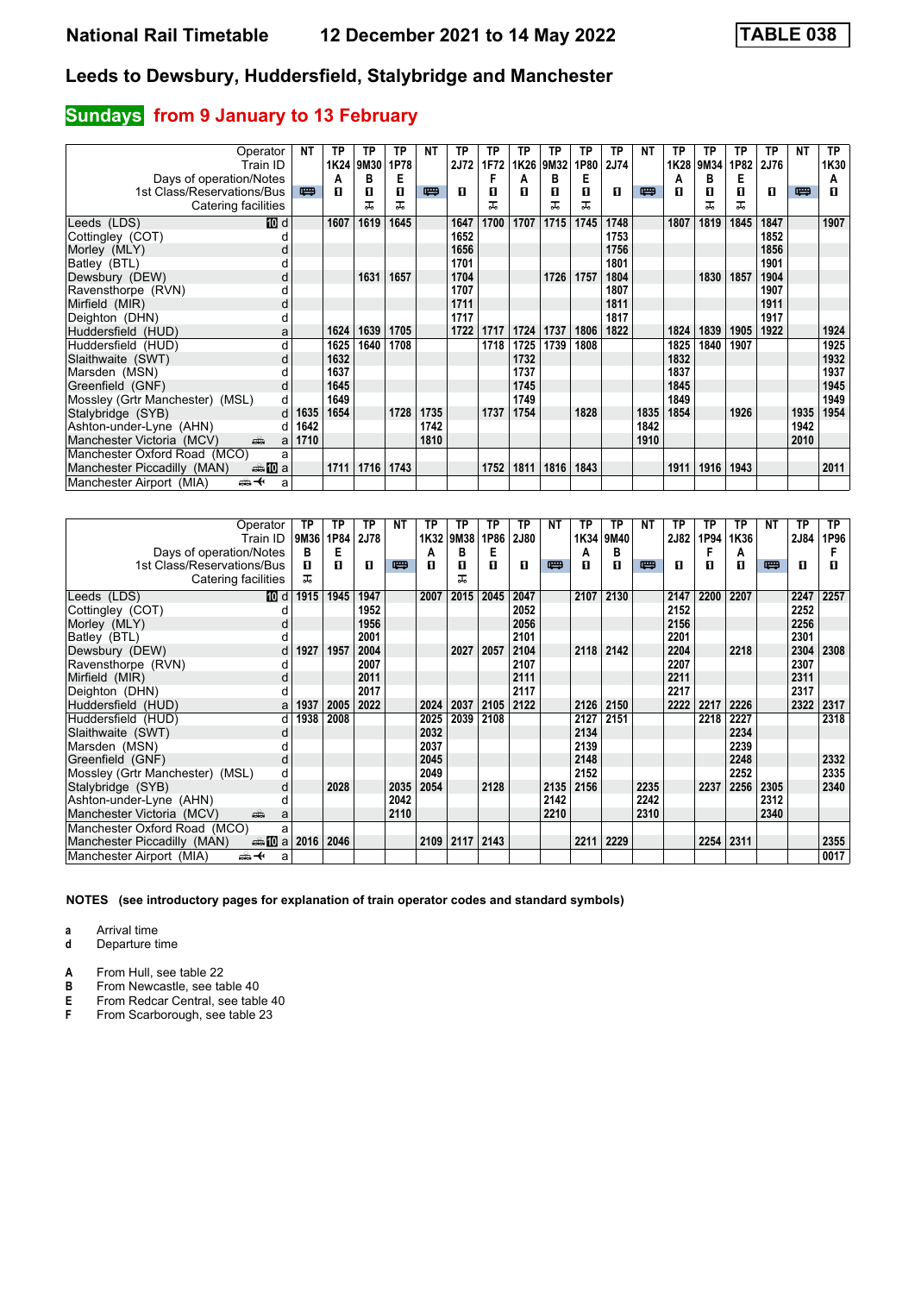# **Sundays** from 9 January to 13 February

| Operator                               | NΤ   | ТP   | TP   | ТP   | NΤ   | ТP          | ТP   | ТP   | TP   | ТP   | <b>TP</b> | NΤ   | ТP   | TP   | ТP   | ТP   | NΤ   | <b>TP</b> |
|----------------------------------------|------|------|------|------|------|-------------|------|------|------|------|-----------|------|------|------|------|------|------|-----------|
| Train ID                               |      | 1K24 | 9M30 | 1P78 |      | <b>2J72</b> | 1F72 | 1K26 | 9M32 | 1P80 | 2J74      |      | 1K28 | 9M34 | 1P82 | 2J76 |      | 1K30      |
| Days of operation/Notes                |      | А    | в    | Е    |      |             |      | А    | в    | Е    |           |      | А    | в    | Е    |      |      | А         |
| 1st Class/Reservations/Bus             | 四    | п    | П    | 0    | 四    | п           | п    | п    | п    | п    | п         | 四    | п    | п    | п    | п    | 四    | п         |
| Catering facilities                    |      |      | ᅚ    | ᅚ    |      |             | ᅚ    |      | ᅚ    | ᅚ    |           |      |      | ᠼ    | ᅚ    |      |      |           |
| <b>ID</b> d<br>Leeds (LDS)             |      | 1607 | 1619 | 1645 |      | 1647        | 1700 | 1707 | 1715 | 1745 | 1748      |      | 1807 | 1819 | 1845 | 1847 |      | 1907      |
| Cottingley (COT)                       |      |      |      |      |      | 1652        |      |      |      |      | 1753      |      |      |      |      | 1852 |      |           |
| Morley (MLY)                           |      |      |      |      |      | 1656        |      |      |      |      | 1756      |      |      |      |      | 1856 |      |           |
| Batley (BTL)                           |      |      |      |      |      | 1701        |      |      |      |      | 1801      |      |      |      |      | 1901 |      |           |
| Dewsbury (DEW)<br>d                    |      |      | 1631 | 1657 |      | 1704        |      |      | 1726 | 1757 | 1804      |      |      | 1830 | 1857 | 1904 |      |           |
| Ravensthorpe (RVN)<br>d                |      |      |      |      |      | 1707        |      |      |      |      | 1807      |      |      |      |      | 1907 |      |           |
| Mirfield (MIR)<br>d                    |      |      |      |      |      | 1711        |      |      |      |      | 1811      |      |      |      |      | 1911 |      |           |
| Deighton (DHN)<br>d                    |      |      |      |      |      | 1717        |      |      |      |      | 1817      |      |      |      |      | 1917 |      |           |
| Huddersfield (HUD)<br>a                |      | 1624 | 1639 | 1705 |      | 1722        | 1717 | 1724 | 1737 | 1806 | 1822      |      | 1824 | 1839 | 1905 | 1922 |      | 1924      |
| Huddersfield (HUD)<br>d                |      | 1625 | 1640 | 1708 |      |             | 1718 | 1725 | 1739 | 1808 |           |      | 1825 | 1840 | 1907 |      |      | 1925      |
| Slaithwaite (SWT)<br>d                 |      | 1632 |      |      |      |             |      | 1732 |      |      |           |      | 1832 |      |      |      |      | 1932      |
| Marsden (MSN)                          |      | 1637 |      |      |      |             |      | 1737 |      |      |           |      | 1837 |      |      |      |      | 1937      |
| Greenfield (GNF)<br>d                  |      | 1645 |      |      |      |             |      | 1745 |      |      |           |      | 1845 |      |      |      |      | 1945      |
| Mossley (Grtr Manchester) (MSL)<br>d   |      | 1649 |      |      |      |             |      | 1749 |      |      |           |      | 1849 |      |      |      |      | 1949      |
| Stalybridge (SYB)<br>d                 | 1635 | 1654 |      | 1728 | 1735 |             | 1737 | 1754 |      | 1828 |           | 1835 | 1854 |      | 1926 |      | 1935 | 1954      |
| Ashton-under-Lyne (AHN)<br>d           | 1642 |      |      |      | 1742 |             |      |      |      |      |           | 1842 |      |      |      |      | 1942 |           |
| Manchester Victoria (MCV)<br>ain<br>a  | 1710 |      |      |      | 1810 |             |      |      |      |      |           | 1910 |      |      |      |      | 2010 |           |
| Manchester Oxford Road (MCO)<br>a      |      |      |      |      |      |             |      |      |      |      |           |      |      |      |      |      |      |           |
| Manchester Piccadilly (MAN)<br>⊯⊯ 10 a |      | 1711 | 1716 | 1743 |      |             | 1752 | 1811 | 1816 | 1843 |           |      | 1911 | 1916 | 1943 |      |      | 2011      |
| Manchester Airport (MIA)<br>⇜✦<br>a    |      |      |      |      |      |             |      |      |      |      |           |      |      |      |      |      |      |           |

| Operator                                         | ТP   | ТP   | TP   | <b>NT</b> | ТP   | ТP   | ТP   | ТP          | <b>NT</b> | ТP   | ТP   | NΤ   | TP   | ТP   | TP        | NΤ   | TP   | TP.  |
|--------------------------------------------------|------|------|------|-----------|------|------|------|-------------|-----------|------|------|------|------|------|-----------|------|------|------|
| Train ID                                         | 9M36 | 1P84 | 2J78 |           | 1K32 | 9M38 | 1P86 | <b>2J80</b> |           | 1K34 | 9M40 |      | 2J82 | 1P94 | 1K36      |      | 2J84 | 1P96 |
| Days of operation/Notes                          | в    | Е    |      |           | A    | в    | Е    |             |           | A    | в    |      |      | F    | А         |      |      |      |
| 1st Class/Reservations/Bus                       | п    | п    | п    | 四         | п    | 0    | п    | п           | 四         | п    | п    | 四    | п    | п    | п         | 四    | п    | П    |
| Catering facilities                              | ᅚ    |      |      |           |      | ᠼ    |      |             |           |      |      |      |      |      |           |      |      |      |
| Leeds (LDS)<br>10 d                              | 1915 | 1945 | 1947 |           | 2007 | 2015 | 2045 | 2047        |           | 2107 | 2130 |      | 2147 | 2200 | 2207      |      | 2247 | 2257 |
| Cottingley (COT)                                 |      |      | 1952 |           |      |      |      | 2052        |           |      |      |      | 2152 |      |           |      | 2252 |      |
| Morley (MLY)<br>d                                |      |      | 1956 |           |      |      |      | 2056        |           |      |      |      | 2156 |      |           |      | 2256 |      |
| Batley (BTL)                                     |      |      | 2001 |           |      |      |      | 2101        |           |      |      |      | 2201 |      |           |      | 2301 |      |
| Dewsbury (DEW)<br>d                              | 1927 | 1957 | 2004 |           |      | 2027 | 2057 | 2104        |           | 2118 | 2142 |      | 2204 |      | 2218      |      | 2304 | 2308 |
| Ravensthorpe (RVN)                               |      |      | 2007 |           |      |      |      | 2107        |           |      |      |      | 2207 |      |           |      | 2307 |      |
| Mirfield (MIR)<br>d                              |      |      | 2011 |           |      |      |      | 2111        |           |      |      |      | 2211 |      |           |      | 2311 |      |
| Deighton (DHN)                                   |      |      | 2017 |           |      |      |      | 2117        |           |      |      |      | 2217 |      |           |      | 2317 |      |
| Huddersfield (HUD)<br>a                          | 1937 | 2005 | 2022 |           | 2024 | 2037 | 2105 | 2122        |           | 2126 | 2150 |      | 2222 | 2217 | 2226      |      | 2322 | 2317 |
| Huddersfield (HUD)<br>d                          | 1938 | 2008 |      |           | 2025 | 2039 | 2108 |             |           | 2127 | 2151 |      |      | 2218 | 2227      |      |      | 2318 |
| Slaithwaite (SWT)<br>d                           |      |      |      |           | 2032 |      |      |             |           | 2134 |      |      |      |      | 2234      |      |      |      |
| Marsden (MSN)                                    |      |      |      |           | 2037 |      |      |             |           | 2139 |      |      |      |      | 2239      |      |      |      |
| Greenfield (GNF)<br>d                            |      |      |      |           | 2045 |      |      |             |           | 2148 |      |      |      |      | 2248      |      |      | 2332 |
| Mossley (Grtr Manchester) (MSL)<br>d             |      |      |      |           | 2049 |      |      |             |           | 2152 |      |      |      |      | 2252      |      |      | 2335 |
| d<br>Stalybridge (SYB)                           |      | 2028 |      | 2035      | 2054 |      | 2128 |             | 2135      | 2156 |      | 2235 |      | 2237 | 2256      | 2305 |      | 2340 |
| Ashton-under-Lyne (AHN)                          |      |      |      | 2042      |      |      |      |             | 2142      |      |      | 2242 |      |      |           | 2312 |      |      |
| Manchester Victoria (MCV)<br>پیش<br>a            |      |      |      | 2110      |      |      |      |             | 2210      |      |      | 2310 |      |      |           | 2340 |      |      |
| Manchester Oxford Road (MCO)<br>a                |      |      |      |           |      |      |      |             |           |      |      |      |      |      |           |      |      |      |
| <del>⊯</del> 10 a<br>Manchester Piccadilly (MAN) | 2016 | 2046 |      |           | 2109 | 2117 | 2143 |             |           | 2211 | 2229 |      |      |      | 2254 2311 |      |      | 2355 |
| Manchester Airport (MIA)<br>⇜✦<br>a              |      |      |      |           |      |      |      |             |           |      |      |      |      |      |           |      |      | 0017 |

**NOTES (see introductory pages for explanation of train operator codes and standard symbols)**

**a** Arrival time<br>**d** Departure t

**d** Departure time

**A** From Hull, see table 22<br>**B** From Newcastle, see tal

**B** From Newcastle, see table 40<br>**E** From Redcar Central, see table

**E** From Redcar Central, see table 40<br> **F** From Scarborough, see table 23

From Scarborough, see table 23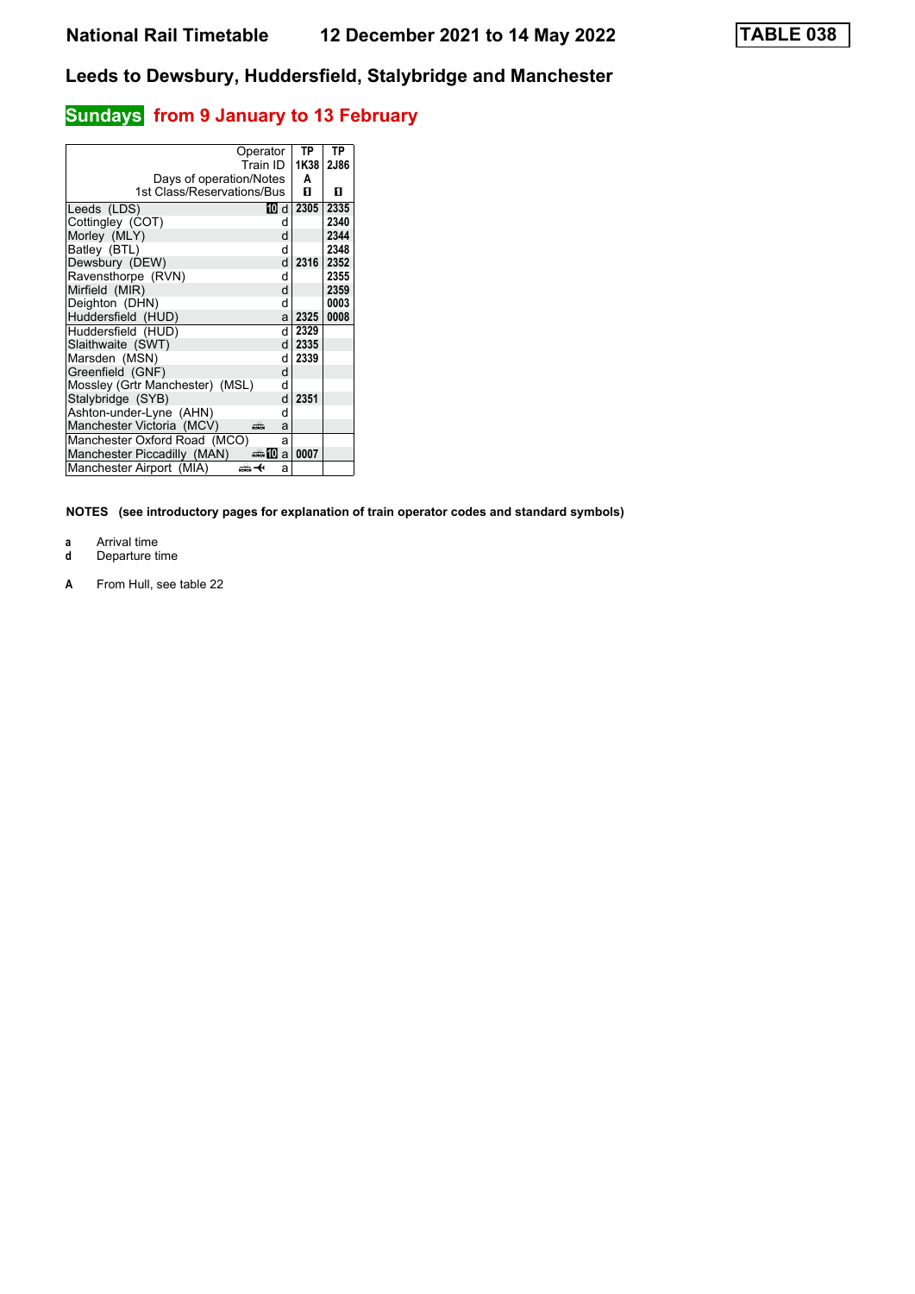# **Sundays** from 9 January to 13 February

| Operator                                                   |     | TP     | ТP          |
|------------------------------------------------------------|-----|--------|-------------|
| Train ID                                                   |     | 1K38   | <b>2J86</b> |
| Days of operation/Notes                                    |     | A      |             |
| 1st Class/Reservations/Bus                                 |     | п      | п           |
| Leeds (LDS)                                                | 10d | 2305   | 2335        |
| Cottingley (COT)                                           | d   |        | 2340        |
| Morley (MLY)                                               | d   |        | 2344        |
| Batley (BTL)                                               | d   |        | 2348        |
| Dewsbury (DEW)                                             | d   | 2316   | 2352        |
| Ravensthorpe (RVN)                                         | d   |        | 2355        |
| Mirfield (MIR)                                             | d   |        | 2359        |
| Deighton (DHN)                                             | d   |        | 0003        |
| Huddersfield (HUD)                                         | al  | 2325   | 0008        |
| Huddersfield (HUD)                                         | d   | 2329   |             |
| Slaithwaite (SWT)                                          |     | d 2335 |             |
| Marsden (MSN)                                              | d   | 2339   |             |
| Greenfield (GNF)                                           | d   |        |             |
| Mossley (Grtr Manchester) (MSL)                            | d   |        |             |
| Stalybridge (SYB)                                          | d   | 2351   |             |
| Ashton-under-Lyne (AHN)                                    | d   |        |             |
| Manchester Victoria (MCV)                                  | a   |        |             |
| Manchester Oxford Road (MCO)                               | a   |        |             |
| Manchester Piccadilly (MAN)<br>anna <mark>a</mark> nn an D |     | 0007   |             |
| Manchester Airport (MIA)                                   | a   |        |             |

- 
- **a** Arrival time<br>**d** Departure t **d** Departure time
- **A** From Hull, see table 22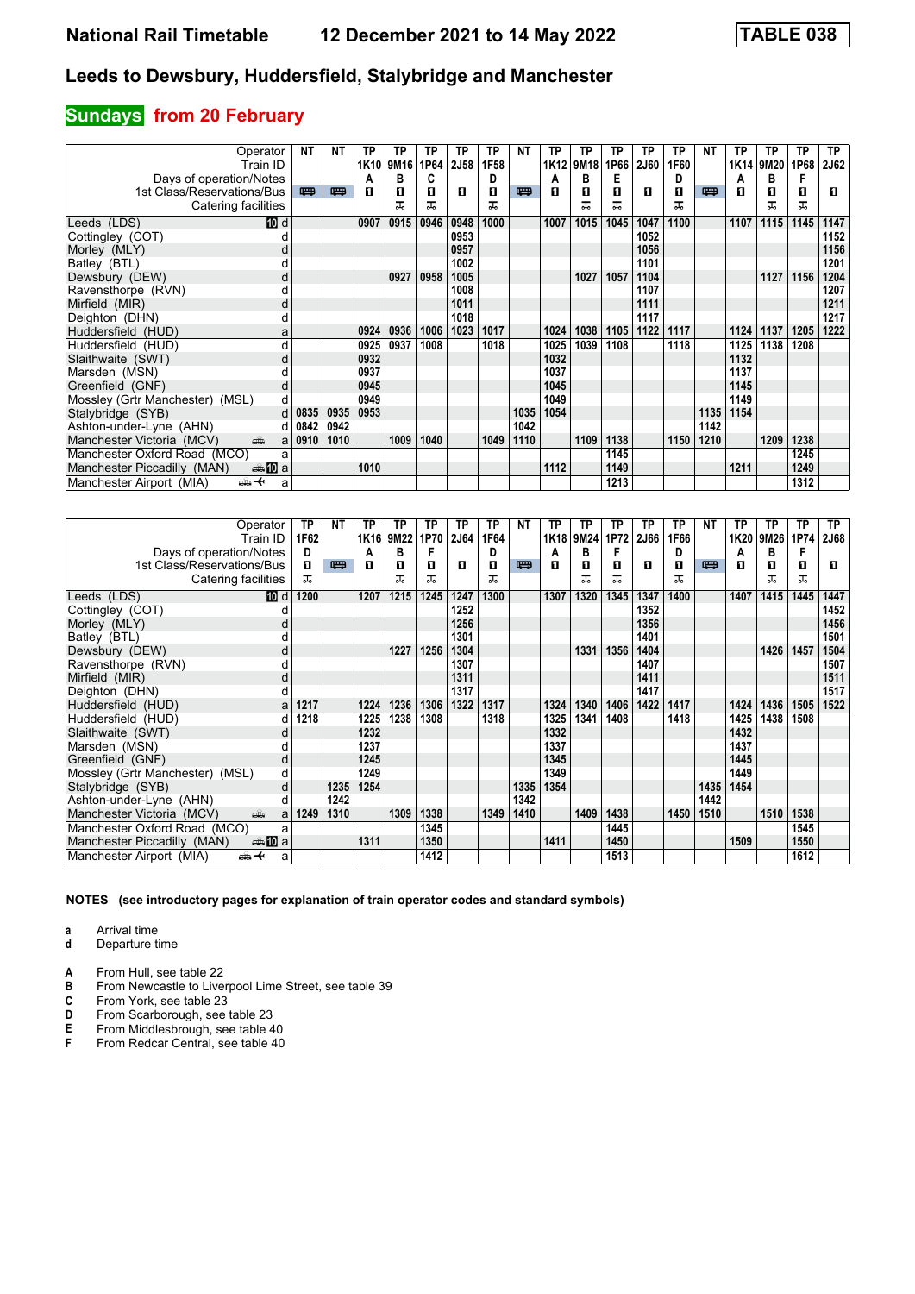# **Sundays from 20 February**

| Operator                                          | NΤ         | NΤ   | ΤP   | ΤP   | ТP   | ТP   | ТP   | NΤ   | TP   | ТP   | TP   | ТP          | ТP   | NΤ   | ТP               | ТP   | <b>TP</b> | TP          |
|---------------------------------------------------|------------|------|------|------|------|------|------|------|------|------|------|-------------|------|------|------------------|------|-----------|-------------|
| Train ID                                          |            |      | 1K10 | 9M16 | 1P64 | 2J58 | 1F58 |      | 1K12 | 9M18 | 1P66 | <b>2J60</b> | 1F60 |      | 1K <sub>14</sub> | 9M20 | 1P68      | <b>2J62</b> |
| Days of operation/Notes                           |            |      | Α    | В    | C    |      | D    |      | A    | В    | Е    |             | D    |      | A                | в    | F         |             |
| 1st Class/Reservations/Bus                        | 四          | 四    | п    | 0    | п    | п    | п    | 罒    | п    | п    | п    | п           | О    | 四    | п                | п    | п         | п           |
| Catering facilities                               |            |      |      | ᠼ    | ᅚ    |      | ᅚ    |      |      | ᠼ    | ᠼ    |             | ᠼ    |      |                  | ᅚ    | ᠼ         |             |
| <b>ID</b> d<br>Leeds (LDS)                        |            |      | 0907 | 0915 | 0946 | 0948 | 1000 |      | 1007 | 1015 | 1045 | 1047        | 1100 |      | 1107             | 1115 | 1145      | 1147        |
| Cottingley (COT)                                  |            |      |      |      |      | 0953 |      |      |      |      |      | 1052        |      |      |                  |      |           | 1152        |
| Morley (MLY)<br>o                                 |            |      |      |      |      | 0957 |      |      |      |      |      | 1056        |      |      |                  |      |           | 1156        |
| Batley (BTL)                                      |            |      |      |      |      | 1002 |      |      |      |      |      | 1101        |      |      |                  |      |           | 1201        |
| Dewsbury (DEW)<br>d                               |            |      |      | 0927 | 0958 | 1005 |      |      |      | 1027 | 1057 | 1104        |      |      |                  | 1127 | 1156      | 1204        |
| Ravensthorpe (RVN)                                |            |      |      |      |      | 1008 |      |      |      |      |      | 1107        |      |      |                  |      |           | 1207        |
| Mirfield (MIR)<br>d                               |            |      |      |      |      | 1011 |      |      |      |      |      | 1111        |      |      |                  |      |           | 1211        |
| Deighton (DHN)<br>d                               |            |      |      |      |      | 1018 |      |      |      |      |      | 1117        |      |      |                  |      |           | 1217        |
| Huddersfield (HUD)<br>a                           |            |      | 0924 | 0936 | 1006 | 1023 | 1017 |      | 1024 | 1038 | 1105 | 1122        | 1117 |      | 1124             | 1137 | 1205      | 1222        |
| Huddersfield (HUD)<br>d                           |            |      | 0925 | 0937 | 1008 |      | 1018 |      | 1025 | 1039 | 1108 |             | 1118 |      | 1125             | 1138 | 1208      |             |
| Slaithwaite (SWT)<br>d                            |            |      | 0932 |      |      |      |      |      | 1032 |      |      |             |      |      | 1132             |      |           |             |
| Marsden (MSN)                                     |            |      | 0937 |      |      |      |      |      | 1037 |      |      |             |      |      | 1137             |      |           |             |
| Greenfield (GNF)<br>d                             |            |      | 0945 |      |      |      |      |      | 1045 |      |      |             |      |      | 1145             |      |           |             |
| Mossley (Grtr Manchester) (MSL)<br>d              |            |      | 0949 |      |      |      |      |      | 1049 |      |      |             |      |      | 1149             |      |           |             |
| Stalybridge (SYB)                                 | $d$   0835 | 0935 | 0953 |      |      |      |      | 1035 | 1054 |      |      |             |      | 1135 | 1154             |      |           |             |
| Ashton-under-Lyne (AHN)                           | $d$ 0842   | 0942 |      |      |      |      |      | 1042 |      |      |      |             |      | 1142 |                  |      |           |             |
| Manchester Victoria (MCV)<br>ain<br>a             | 0910       | 1010 |      | 1009 | 1040 |      | 1049 | 1110 |      | 1109 | 1138 |             | 1150 | 1210 |                  | 1209 | 1238      |             |
| Manchester Oxford Road (MCO)<br>a                 |            |      |      |      |      |      |      |      |      |      | 1145 |             |      |      |                  |      | 1245      |             |
| Manchester Piccadilly (MAN)<br><del>⊯</del> 100 a |            |      | 1010 |      |      |      |      |      | 1112 |      | 1149 |             |      |      | 1211             |      | 1249      |             |
| Manchester Airport (MIA)<br>⇜✦<br>a               |            |      |      |      |      |      |      |      |      |      | 1213 |             |      |      |                  |      | 1312      |             |

| Operator                                        | ТP   | NΤ   | ΤP               | ΤР   | ТP   | ТP   | ТP   | NΤ   | ТP   | ТP   | ТP   | ТP   | ТP   | NΤ   | ТP   | ΤP   | ТP   | ТP          |
|-------------------------------------------------|------|------|------------------|------|------|------|------|------|------|------|------|------|------|------|------|------|------|-------------|
| Train ID                                        | 1F62 |      | 1K <sub>16</sub> | 9M22 | 1P70 | 2J64 | 1F64 |      | 1K18 | 9M24 | 1P72 | 2J66 | 1F66 |      | 1K20 | 9M26 | 1P74 | <b>2J68</b> |
| Days of operation/Notes                         | D    |      | А                | в    | F    |      | D    |      | A    | в    | F    |      | D    |      | A    | в    | F    |             |
| 1st Class/Reservations/Bus                      | п    | 四    | п                | 0    | п    | п    | 0    | 四    | п    | п    | п    | п    | п    | 四    | п    | п    | 0    | п           |
| Catering facilities                             | ᠼ    |      |                  | ᠼ    | ᠼ    |      | ᅚ    |      |      | ᅚ    | ᅚ    |      | ᠼ    |      |      | ᅚ    | ᠼ    |             |
| Leeds (LDS)<br>[10] d                           | 1200 |      | 1207             | 1215 | 1245 | 1247 | 1300 |      | 1307 | 1320 | 1345 | 1347 | 1400 |      | 1407 | 1415 | 1445 | 1447        |
| Cottingley (COT)                                |      |      |                  |      |      | 1252 |      |      |      |      |      | 1352 |      |      |      |      |      | 1452        |
| Morley (MLY)<br>d                               |      |      |                  |      |      | 1256 |      |      |      |      |      | 1356 |      |      |      |      |      | 1456        |
| Batley (BTL)                                    |      |      |                  |      |      | 1301 |      |      |      |      |      | 1401 |      |      |      |      |      | 1501        |
| Dewsbury (DEW)<br>d                             |      |      |                  | 1227 | 1256 | 1304 |      |      |      | 1331 | 1356 | 1404 |      |      |      | 1426 | 1457 | 1504        |
| Ravensthorpe (RVN)<br>d                         |      |      |                  |      |      | 1307 |      |      |      |      |      | 1407 |      |      |      |      |      | 1507        |
| Mirfield (MIR)<br>d                             |      |      |                  |      |      | 1311 |      |      |      |      |      | 1411 |      |      |      |      |      | 1511        |
| Deighton (DHN)<br>d                             |      |      |                  |      |      | 1317 |      |      |      |      |      | 1417 |      |      |      |      |      | 1517        |
| Huddersfield (HUD)<br>a                         | 1217 |      | 1224             | 1236 | 1306 | 1322 | 1317 |      | 1324 | 1340 | 1406 | 1422 | 1417 |      | 1424 | 1436 | 1505 | 1522        |
| Huddersfield (HUD)<br>d                         | 1218 |      | 1225             | 1238 | 1308 |      | 1318 |      | 1325 | 1341 | 1408 |      | 1418 |      | 1425 | 1438 | 1508 |             |
| Slaithwaite (SWT)<br>d                          |      |      | 1232             |      |      |      |      |      | 1332 |      |      |      |      |      | 1432 |      |      |             |
| Marsden (MSN)                                   |      |      | 1237             |      |      |      |      |      | 1337 |      |      |      |      |      | 1437 |      |      |             |
| Greenfield (GNF)<br>d                           |      |      | 1245             |      |      |      |      |      | 1345 |      |      |      |      |      | 1445 |      |      |             |
| Mossley (Grtr Manchester) (MSL)<br>d            |      |      | 1249             |      |      |      |      |      | 1349 |      |      |      |      |      | 1449 |      |      |             |
| d<br>Stalybridge (SYB)                          |      | 1235 | 1254             |      |      |      |      | 1335 | 1354 |      |      |      |      | 1435 | 1454 |      |      |             |
| Ashton-under-Lyne (AHN)<br>d                    |      | 1242 |                  |      |      |      |      | 1342 |      |      |      |      |      | 1442 |      |      |      |             |
| Manchester Victoria (MCV)<br>dia 1<br>a         | 1249 | 1310 |                  | 1309 | 1338 |      | 1349 | 1410 |      | 1409 | 1438 |      | 1450 | 1510 |      | 1510 | 1538 |             |
| Manchester Oxford Road (MCO)<br>a               |      |      |                  |      | 1345 |      |      |      |      |      | 1445 |      |      |      |      |      | 1545 |             |
| Manchester Piccadilly (MAN)                     |      |      | 1311             |      | 1350 |      |      |      | 1411 |      | 1450 |      |      |      | 1509 |      | 1550 |             |
| Manchester Airport (MIA)<br><del>∰ ≮</del><br>a |      |      |                  |      | 1412 |      |      |      |      |      | 1513 |      |      |      |      |      | 1612 |             |

**NOTES (see introductory pages for explanation of train operator codes and standard symbols)**

**a** Arrival time<br>**d** Departure t

**d** Departure time

**A** From Hull, see table 22<br>**B** From Newcastle to Liver

**B** From Newcastle to Liverpool Lime Street, see table 39 **C** From York, see table 23

**C** From York, see table 23<br>**D** From Scarborough, see

**D** From Scarborough, see table 23<br>**E** From Middlesbrough, see table 4<br>**F** From Redcar Central, see table 4 **E** From Middlesbrough, see table 40

From Redcar Central, see table 40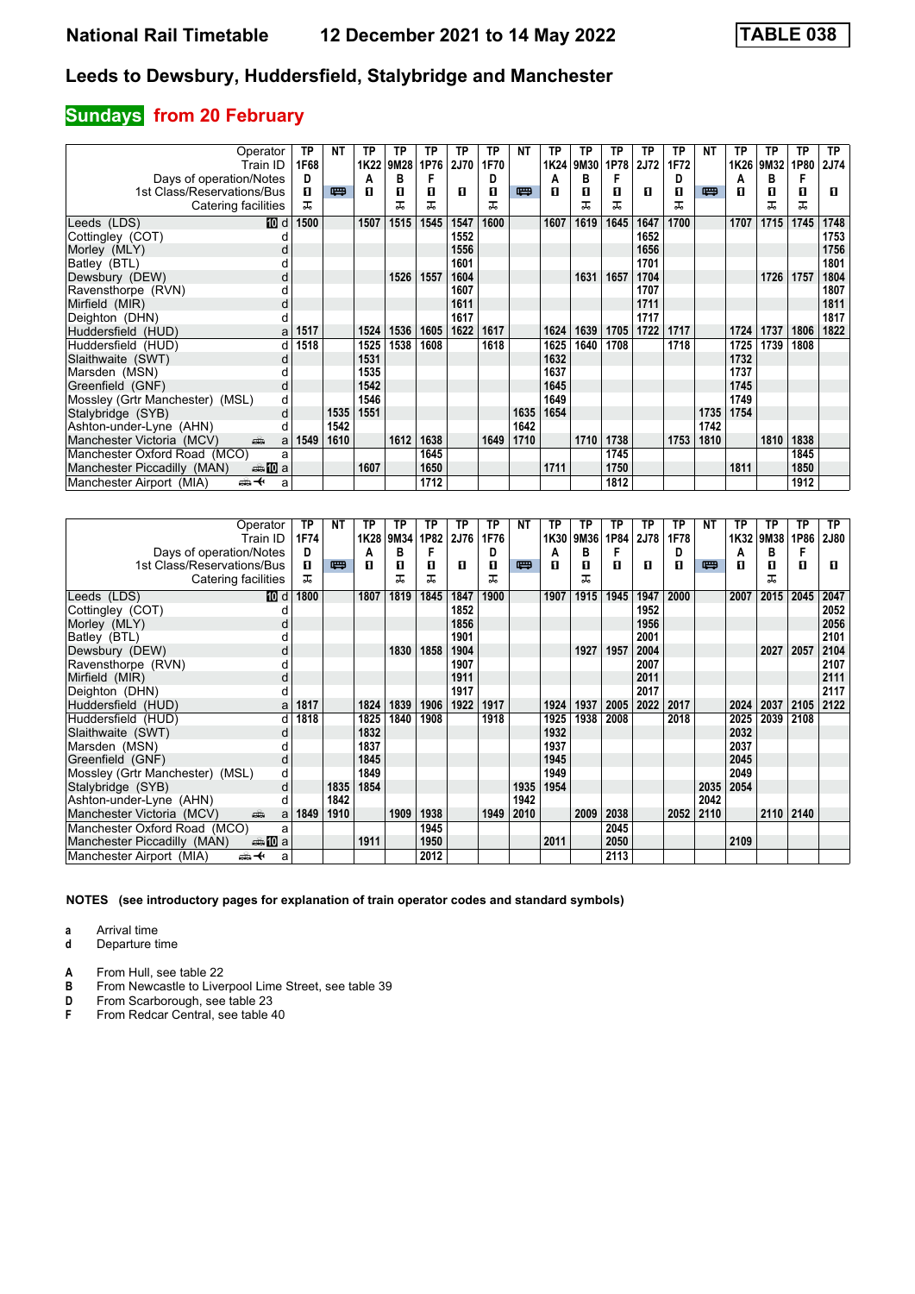# **Sundays from 20 February**

| Operator                                        | ΤP   | NΤ   | ΤР   | ТP   | ΤP   | ТP          | ТP   | NΤ   | ТP   | TP   | ТP   | TP          | ТP   | NΤ   | ТP   | ТP   | ТP   | <b>TP</b> |
|-------------------------------------------------|------|------|------|------|------|-------------|------|------|------|------|------|-------------|------|------|------|------|------|-----------|
| Train ID                                        | 1F68 |      | 1K22 | 9M28 | 1P76 | <b>2J70</b> | 1F70 |      | 1K24 | 9M30 | 1P78 | <b>2J72</b> | 1F72 |      | 1K26 | 9M32 | 1P80 | 2J74      |
| Days of operation/Notes                         | D    |      | А    | В    | F    |             | D    |      | A    | в    | F    |             | D    |      | Α    | в    | F    |           |
| 1st Class/Reservations/Bus                      | п    | 四    | п    | 0    | п    | п           | п    | 四    | п    | П    | п    | п           | п    | 四    | п    | П    | п    | п         |
| Catering facilities                             | 굾    |      |      | ᠼ    | ᠼ    |             | ㅈ    |      |      | ᇁ    |      |             | ᅚ    |      |      | ᇁ    | ᠼ    |           |
| Leeds (LDS)<br>10 d                             | 1500 |      | 1507 | 1515 | 1545 | 1547        | 1600 |      | 1607 | 1619 | 1645 | 1647        | 1700 |      | 1707 | 1715 | 1745 | 1748      |
| Cottingley (COT)                                |      |      |      |      |      | 1552        |      |      |      |      |      | 1652        |      |      |      |      |      | 1753      |
| Morley (MLY)<br>d                               |      |      |      |      |      | 1556        |      |      |      |      |      | 1656        |      |      |      |      |      | 1756      |
| Batley (BTL)                                    |      |      |      |      |      | 1601        |      |      |      |      |      | 1701        |      |      |      |      |      | 1801      |
| Dewsbury (DEW)<br>d                             |      |      |      | 1526 | 1557 | 1604        |      |      |      | 1631 | 1657 | 1704        |      |      |      | 1726 | 1757 | 1804      |
| Ravensthorpe (RVN)<br>d                         |      |      |      |      |      | 1607        |      |      |      |      |      | 1707        |      |      |      |      |      | 1807      |
| Mirfield (MIR)<br>d                             |      |      |      |      |      | 1611        |      |      |      |      |      | 1711        |      |      |      |      |      | 1811      |
| Deighton (DHN)<br>d                             |      |      |      |      |      | 1617        |      |      |      |      |      | 1717        |      |      |      |      |      | 1817      |
| Huddersfield (HUD)<br>a                         | 1517 |      | 1524 | 1536 | 1605 | 1622        | 1617 |      | 1624 | 1639 | 1705 | 1722        | 1717 |      | 1724 | 1737 | 1806 | 1822      |
| Huddersfield (HUD)<br>d                         | 1518 |      | 1525 | 1538 | 1608 |             | 1618 |      | 1625 | 1640 | 1708 |             | 1718 |      | 1725 | 1739 | 1808 |           |
| Slaithwaite (SWT)<br>d                          |      |      | 1531 |      |      |             |      |      | 1632 |      |      |             |      |      | 1732 |      |      |           |
| Marsden (MSN)                                   |      |      | 1535 |      |      |             |      |      | 1637 |      |      |             |      |      | 1737 |      |      |           |
| Greenfield (GNF)<br>d                           |      |      | 1542 |      |      |             |      |      | 1645 |      |      |             |      |      | 1745 |      |      |           |
| Mossley (Grtr Manchester) (MSL)<br>d            |      |      | 1546 |      |      |             |      |      | 1649 |      |      |             |      |      | 1749 |      |      |           |
| Stalybridge (SYB)<br>d                          |      | 1535 | 1551 |      |      |             |      | 1635 | 1654 |      |      |             |      | 1735 | 1754 |      |      |           |
| Ashton-under-Lyne (AHN)<br>d                    |      | 1542 |      |      |      |             |      | 1642 |      |      |      |             |      | 1742 |      |      |      |           |
| Manchester Victoria (MCV)<br>dia 1<br>a         | 1549 | 1610 |      | 1612 | 1638 |             | 1649 | 1710 |      | 1710 | 1738 |             | 1753 | 1810 |      | 1810 | 1838 |           |
| Manchester Oxford Road (MCO)<br>a               |      |      |      |      | 1645 |             |      |      |      |      | 1745 |             |      |      |      |      | 1845 |           |
| Manchester Piccadilly (MAN)<br><b>▲ID</b> a     |      |      | 1607 |      | 1650 |             |      |      | 1711 |      | 1750 |             |      |      | 1811 |      | 1850 |           |
| Manchester Airport (MIA)<br><del>∰ ≮</del><br>a |      |      |      |      | 1712 |             |      |      |      |      | 1812 |             |      |      |      |      | 1912 |           |

| Operator                                         | ΤP   | ΝT   | ΤP   | ТP   | ТP   | TP          | ТP   | ΝT   | ТP   | ТP   | ΤP   | ТP   | ТP   | NΤ   | ТP   | ТP   | <b>TP</b> | TP   |
|--------------------------------------------------|------|------|------|------|------|-------------|------|------|------|------|------|------|------|------|------|------|-----------|------|
| Train ID                                         | 1F74 |      | 1K28 | 9M34 | 1P82 | <b>2J76</b> | 1F76 |      | 1K30 | 9M36 | 1P84 | 2J78 | 1F78 |      | 1K32 | 9M38 | 1P86      | 2J80 |
| Days of operation/Notes                          | D    |      | А    | В    |      |             | D    |      | A    | в    | F    |      | D    |      | A    | в    | F         |      |
| 1st Class/Reservations/Bus                       | п    | 四    | п    | п    | п    | п           | п    | 四    | п    | п    | п    | п    | п    | 四    | п    | п    | п         | п    |
| Catering facilities                              | ㅈ    |      |      | ᇁ    | ᅚ    |             | ᅚ    |      |      | ᅚ    |      |      |      |      |      | ᅚ    |           |      |
| Leeds (LDS)<br>10 d                              | 1800 |      | 1807 | 1819 | 1845 | 1847        | 1900 |      | 1907 | 1915 | 1945 | 1947 | 2000 |      | 2007 | 2015 | 2045      | 2047 |
| Cottingley (COT)                                 |      |      |      |      |      | 1852        |      |      |      |      |      | 1952 |      |      |      |      |           | 2052 |
| Morley (MLY)                                     |      |      |      |      |      | 1856        |      |      |      |      |      | 1956 |      |      |      |      |           | 2056 |
| Batley (BTL)                                     |      |      |      |      |      | 1901        |      |      |      |      |      | 2001 |      |      |      |      |           | 2101 |
| Dewsbury (DEW)<br>d                              |      |      |      | 1830 | 1858 | 1904        |      |      |      | 1927 | 1957 | 2004 |      |      |      | 2027 | 2057      | 2104 |
| Ravensthorpe (RVN)                               |      |      |      |      |      | 1907        |      |      |      |      |      | 2007 |      |      |      |      |           | 2107 |
| Mirfield (MIR)<br>d                              |      |      |      |      |      | 1911        |      |      |      |      |      | 2011 |      |      |      |      |           | 2111 |
| Deighton (DHN)                                   |      |      |      |      |      | 1917        |      |      |      |      |      | 2017 |      |      |      |      |           | 2117 |
| Huddersfield (HUD)<br>a                          | 1817 |      | 1824 | 1839 | 1906 | 1922        | 1917 |      | 1924 | 1937 | 2005 | 2022 | 2017 |      | 2024 | 2037 | 2105      | 2122 |
| Huddersfield (HUD)<br>d                          | 1818 |      | 1825 | 1840 | 1908 |             | 1918 |      | 1925 | 1938 | 2008 |      | 2018 |      | 2025 | 2039 | 2108      |      |
| Slaithwaite (SWT)<br>d                           |      |      | 1832 |      |      |             |      |      | 1932 |      |      |      |      |      | 2032 |      |           |      |
| Marsden (MSN)                                    |      |      | 1837 |      |      |             |      |      | 1937 |      |      |      |      |      | 2037 |      |           |      |
| Greenfield (GNF)<br>d                            |      |      | 1845 |      |      |             |      |      | 1945 |      |      |      |      |      | 2045 |      |           |      |
| Mossley (Grtr Manchester) (MSL)<br>d             |      |      | 1849 |      |      |             |      |      | 1949 |      |      |      |      |      | 2049 |      |           |      |
| Stalybridge (SYB)<br>d                           |      | 1835 | 1854 |      |      |             |      | 1935 | 1954 |      |      |      |      | 2035 | 2054 |      |           |      |
| Ashton-under-Lyne (AHN)                          |      | 1842 |      |      |      |             |      | 1942 |      |      |      |      |      | 2042 |      |      |           |      |
| Manchester Victoria (MCV)<br>ain<br>a            | 1849 | 1910 |      | 1909 | 1938 |             | 1949 | 2010 |      | 2009 | 2038 |      | 2052 | 2110 |      | 2110 | 2140      |      |
| Manchester Oxford Road (MCO)<br>a                |      |      |      |      | 1945 |             |      |      |      |      | 2045 |      |      |      |      |      |           |      |
| <del>⊯</del> 10 a<br>Manchester Piccadilly (MAN) |      |      | 1911 |      | 1950 |             |      |      | 2011 |      | 2050 |      |      |      | 2109 |      |           |      |
| Manchester Airport (MIA)<br><del>∰ ≮</del><br>a  |      |      |      |      | 2012 |             |      |      |      |      | 2113 |      |      |      |      |      |           |      |

**NOTES (see introductory pages for explanation of train operator codes and standard symbols)**

**a** Arrival time<br>**d** Departure t

**d** Departure time

**A** From Hull, see table 22<br>**B** From Newcastle to Liver

**B** From Newcastle to Liverpool Lime Street, see table 39<br> **D** From Scarborough, see table 23

**D** From Scarborough, see table 23<br>**F** From Redcar Central, see table 4

**F** From Redcar Central, see table 40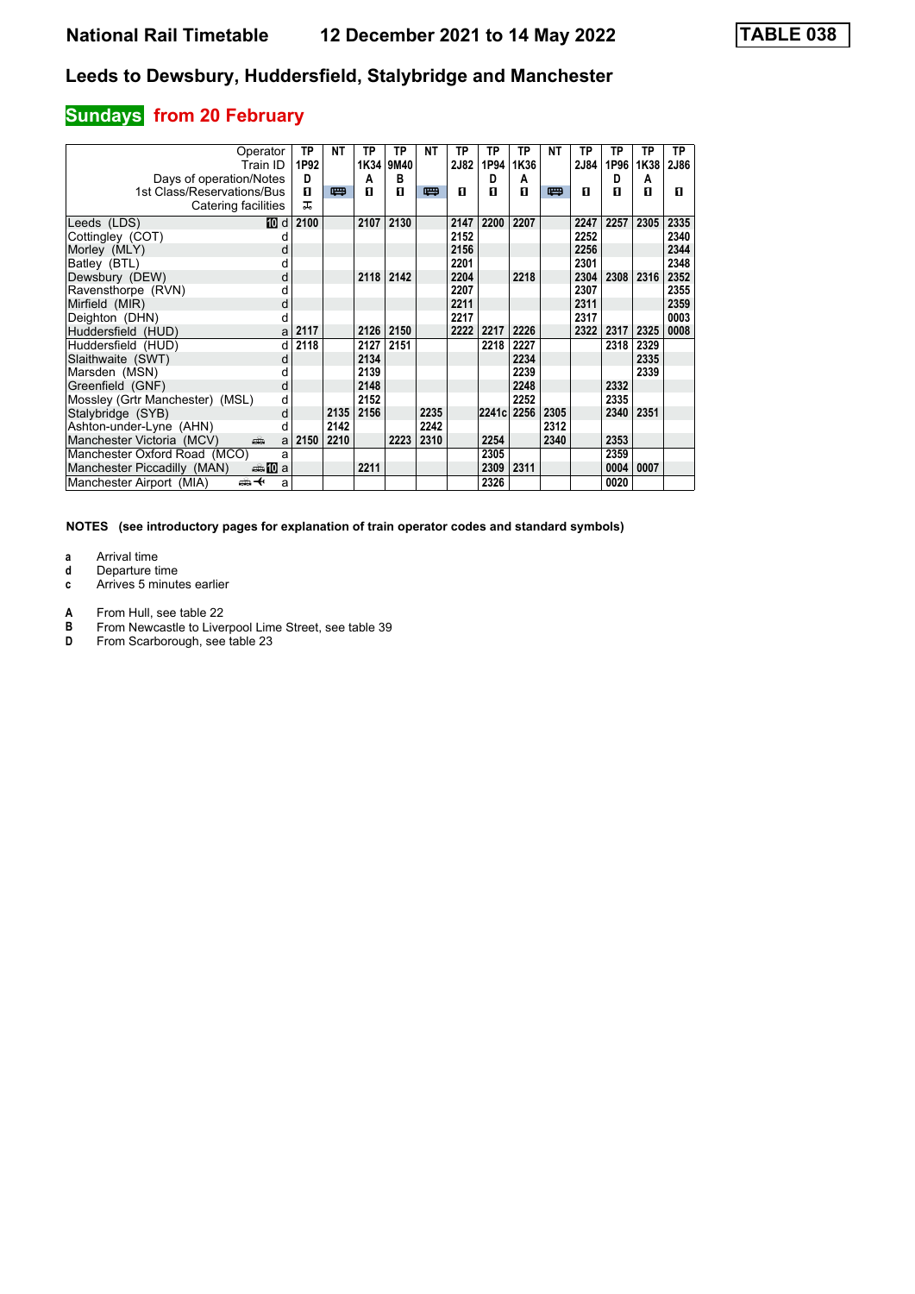# **Sundays from 20 February**

| Operator<br>Train ID                                                                                                                                                                                                                                            | <b>TP</b><br>1P92 | <b>NT</b> | TP<br>1K34 | <b>TP</b><br>9M40 | <b>NT</b> | TP<br><b>2J82</b> | <b>TP</b><br>1P94 | <b>TP</b><br>1K36 | <b>NT</b> | <b>TP</b><br>2J84 | TP<br>1P96 | ΤP<br>1K38 | <b>TP</b><br>2J86 |
|-----------------------------------------------------------------------------------------------------------------------------------------------------------------------------------------------------------------------------------------------------------------|-------------------|-----------|------------|-------------------|-----------|-------------------|-------------------|-------------------|-----------|-------------------|------------|------------|-------------------|
| Days of operation/Notes                                                                                                                                                                                                                                         | D                 |           | A          | в                 |           |                   | D                 | A                 |           |                   | D          | A          |                   |
| 1st Class/Reservations/Bus                                                                                                                                                                                                                                      | п                 | 四         | п          | п                 | 罒         | п                 | п                 | п                 | 四         | п                 | п          | п          | п                 |
| Catering facilities                                                                                                                                                                                                                                             | ᅚ                 |           |            |                   |           |                   |                   |                   |           |                   |            |            |                   |
| Leeds (LDS)<br>10 d                                                                                                                                                                                                                                             | 2100              |           | 2107       | 2130              |           | 2147              | 2200              | 2207              |           | 2247              | 2257       | 2305       | 2335              |
| Cottingley (COT)<br>d                                                                                                                                                                                                                                           |                   |           |            |                   |           | 2152              |                   |                   |           | 2252              |            |            | 2340              |
| Morley (MLY)<br>d                                                                                                                                                                                                                                               |                   |           |            |                   |           | 2156              |                   |                   |           | 2256              |            |            | 2344              |
| Batley (BTL)<br>d                                                                                                                                                                                                                                               |                   |           |            |                   |           | 2201              |                   |                   |           | 2301              |            |            | 2348              |
| Dewsbury (DEW)<br>d                                                                                                                                                                                                                                             |                   |           | 2118       | 2142              |           | 2204              |                   | 2218              |           | 2304              | 2308       | 2316       | 2352              |
| Ravensthorpe (RVN)<br>d                                                                                                                                                                                                                                         |                   |           |            |                   |           | 2207              |                   |                   |           | 2307              |            |            | 2355              |
| Mirfield (MIR)<br>d                                                                                                                                                                                                                                             |                   |           |            |                   |           | 2211              |                   |                   |           | 2311              |            |            | 2359              |
| Deighton (DHN)<br>d                                                                                                                                                                                                                                             |                   |           |            |                   |           | 2217              |                   |                   |           | 2317              |            |            | 0003              |
| Huddersfield (HUD)<br>a                                                                                                                                                                                                                                         | 2117              |           | 2126       | 2150              |           | 2222              | 2217              | 2226              |           | 2322              | 2317       | 2325       | 0008              |
| Huddersfield (HUD)<br>d                                                                                                                                                                                                                                         | 2118              |           | 2127       | 2151              |           |                   | 2218              | 2227              |           |                   | 2318       | 2329       |                   |
| Slaithwaite (SWT)<br>d                                                                                                                                                                                                                                          |                   |           | 2134       |                   |           |                   |                   | 2234              |           |                   |            | 2335       |                   |
| Marsden (MSN)<br>d                                                                                                                                                                                                                                              |                   |           | 2139       |                   |           |                   |                   | 2239              |           |                   |            | 2339       |                   |
| Greenfield (GNF)<br>d                                                                                                                                                                                                                                           |                   |           | 2148       |                   |           |                   |                   | 2248              |           |                   | 2332       |            |                   |
| Mossley (Grtr Manchester) (MSL)<br>d                                                                                                                                                                                                                            |                   |           | 2152       |                   |           |                   |                   | 2252              |           |                   | 2335       |            |                   |
| Stalybridge (SYB)<br>d                                                                                                                                                                                                                                          |                   | 2135      | 2156       |                   | 2235      |                   | 2241c 2256        |                   | 2305      |                   | 2340       | 2351       |                   |
| Ashton-under-Lyne (AHN)<br>d                                                                                                                                                                                                                                    |                   | 2142      |            |                   | 2242      |                   |                   |                   | 2312      |                   |            |            |                   |
| Manchester Victoria (MCV)<br>and the second second second second the second second second second second second second second second second second second second second second second second second second second second second second second second second<br>a | 2150              | 2210      |            | 2223              | 2310      |                   | 2254              |                   | 2340      |                   | 2353       |            |                   |
| Manchester Oxford Road (MCO)<br>a                                                                                                                                                                                                                               |                   |           |            |                   |           |                   | 2305              |                   |           |                   | 2359       |            |                   |
| Manchester Piccadilly (MAN)<br>den <mark>n</mark> ill a                                                                                                                                                                                                         |                   |           | 2211       |                   |           |                   | 2309              | 2311              |           |                   | 0004       | 0007       |                   |
| Manchester Airport (MIA)<br>ക+<br>a                                                                                                                                                                                                                             |                   |           |            |                   |           |                   | 2326              |                   |           |                   | 0020       |            |                   |

- **a** Arrival time<br>**d** Departure t
- **d** Departure time
- **c** Arrives 5 minutes earlier
- **A** From Hull, see table 22<br>**B** From Newcastle to Liver
- **B** From Newcastle to Liverpool Lime Street, see table 39<br>**D** From Scarborough, see table 23
- From Scarborough, see table 23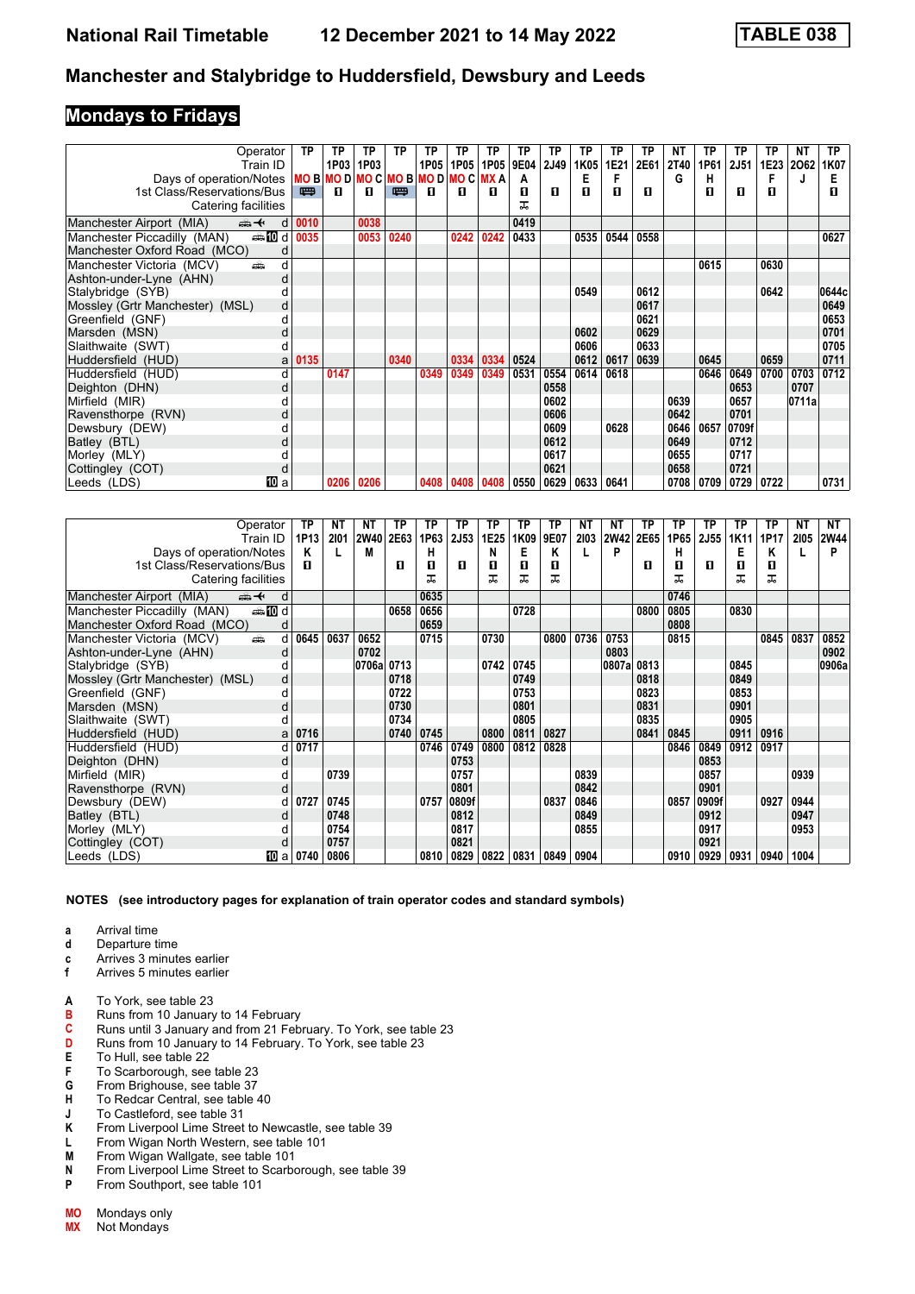### **Mondays to Fridays**

| Operator                                       | ТP   | ТP                 | ТP   | ТP   | TP   | ТP   | ТP         | ТP   | ТP   | TP   | ТP   | ТP   | NΤ          | ТP   | TP    | ТP   | NΤ    | <b>TP</b> |
|------------------------------------------------|------|--------------------|------|------|------|------|------------|------|------|------|------|------|-------------|------|-------|------|-------|-----------|
| Train ID                                       |      | 1P03               | 1P03 |      | 1P05 | 1P05 | 1P05       | 9E04 | 2J49 | 1K05 | 1E21 | 2E61 | <b>2T40</b> | 1P61 | 2J51  | 1E23 | 2062  | 1K07      |
| Days of operation/Notes                        |      | MOBMODMOCMOBMODMOC |      |      |      |      | <b>MXA</b> | А    |      | Е    | F    |      | G           | н    |       | F    | J     | Е         |
| 1st Class/Reservations/Bus                     | 四    | п                  | п    | 四    | л    | п    | п          | П    | л    | п    | п    | п    |             | П    | п     | п    |       | п         |
| Catering facilities                            |      |                    |      |      |      |      |            |      |      |      |      |      |             |      |       |      |       |           |
| Manchester Airport (MIA)<br>安<br>d             | 0010 |                    | 0038 |      |      |      |            | 0419 |      |      |      |      |             |      |       |      |       |           |
| Manchester Piccadilly (MAN)<br><b>enting</b> d | 0035 |                    | 0053 | 0240 |      | 0242 | 0242       | 0433 |      | 0535 | 0544 | 0558 |             |      |       |      |       | 0627      |
| Manchester Oxford Road (MCO)                   |      |                    |      |      |      |      |            |      |      |      |      |      |             |      |       |      |       |           |
| Manchester Victoria (MCV)<br>d<br>æ            |      |                    |      |      |      |      |            |      |      |      |      |      |             | 0615 |       | 0630 |       |           |
| Ashton-under-Lyne (AHN)<br>d                   |      |                    |      |      |      |      |            |      |      |      |      |      |             |      |       |      |       |           |
| Stalybridge (SYB)                              |      |                    |      |      |      |      |            |      |      | 0549 |      | 0612 |             |      |       | 0642 |       | 0644c     |
| Mossley (Grtr Manchester) (MSL)<br>d           |      |                    |      |      |      |      |            |      |      |      |      | 0617 |             |      |       |      |       | 0649      |
| Greenfield (GNF)                               |      |                    |      |      |      |      |            |      |      |      |      | 0621 |             |      |       |      |       | 0653      |
| Marsden (MSN)<br>d                             |      |                    |      |      |      |      |            |      |      | 0602 |      | 0629 |             |      |       |      |       | 0701      |
| Slaithwaite (SWT)                              |      |                    |      |      |      |      |            |      |      | 0606 |      | 0633 |             |      |       |      |       | 0705      |
| Huddersfield (HUD)<br>a                        | 0135 |                    |      | 0340 |      | 0334 | 0334       | 0524 |      | 0612 | 0617 | 0639 |             | 0645 |       | 0659 |       | 0711      |
| Huddersfield (HUD)                             |      | 0147               |      |      | 0349 | 0349 | 0349       | 0531 | 0554 | 0614 | 0618 |      |             | 0646 | 0649  | 0700 | 0703  | 0712      |
| Deighton (DHN)<br>d                            |      |                    |      |      |      |      |            |      | 0558 |      |      |      |             |      | 0653  |      | 0707  |           |
| Mirfield (MIR)                                 |      |                    |      |      |      |      |            |      | 0602 |      |      |      | 0639        |      | 0657  |      | 0711a |           |
| Ravensthorpe (RVN)<br>d                        |      |                    |      |      |      |      |            |      | 0606 |      |      |      | 0642        |      | 0701  |      |       |           |
| Dewsbury (DEW)                                 |      |                    |      |      |      |      |            |      | 0609 |      | 0628 |      | 0646        | 0657 | 0709f |      |       |           |
| Batley (BTL)                                   |      |                    |      |      |      |      |            |      | 0612 |      |      |      | 0649        |      | 0712  |      |       |           |
| Morley (MLY)                                   |      |                    |      |      |      |      |            |      | 0617 |      |      |      | 0655        |      | 0717  |      |       |           |
| Cottingley (COT)<br>d                          |      |                    |      |      |      |      |            |      | 0621 |      |      |      | 0658        |      | 0721  |      |       |           |
| 100 a<br>Leeds (LDS)                           |      | 0206               | 0206 |      | 0408 | 0408 | 0408       | 0550 | 0629 | 0633 | 0641 |      | 0708        | 0709 | 0729  | 0722 |       | 0731      |

| Operator                                        | ТP   | ΝT   | NΤ         | ТP   | ΤP   | ТP    | ΤP   | ТP   | TP   | ΝT   | ΝT    | ТP   | ТP   | ТP          | ТP   | ТP   | NΤ   | NT          |
|-------------------------------------------------|------|------|------------|------|------|-------|------|------|------|------|-------|------|------|-------------|------|------|------|-------------|
| Train ID                                        | 1P13 | 2101 | 2W40       | 2E63 | 1P63 | 2J53  | 1E25 | 1K09 | 9E07 | 2103 | 2W42  | 2E65 | 1P65 | <b>2J55</b> | 1K11 | 1P17 | 2105 | <b>2W44</b> |
| Days of operation/Notes                         | Κ    |      | M          |      | н    |       | N    | Е    | Κ    |      | P     |      | н    |             | Е    | Κ    |      | P           |
| 1st Class/Reservations/Bus                      | п    |      |            | п    | п    | п     | п    | п    | л    |      |       | п    | п    | п           | п    | п    |      |             |
| Catering facilities                             |      |      |            |      | ᅚ    |       | ᅚ    | ᅚ    | ᅚ    |      |       |      | ᅚ    |             | ᠼ    | ᅚ    |      |             |
| Manchester Airport (MIA)<br><del>∰ ≮</del><br>d |      |      |            |      | 0635 |       |      |      |      |      |       |      | 0746 |             |      |      |      |             |
| <b>entin</b> d<br>Manchester Piccadilly (MAN)   |      |      |            | 0658 | 0656 |       |      | 0728 |      |      |       | 0800 | 0805 |             | 0830 |      |      |             |
| Manchester Oxford Road (MCO)<br>d               |      |      |            |      | 0659 |       |      |      |      |      |       |      | 0808 |             |      |      |      |             |
| Manchester Victoria (MCV)<br>añ.<br>d           | 0645 | 0637 | 0652       |      | 0715 |       | 0730 |      | 0800 | 0736 | 0753  |      | 0815 |             |      | 0845 | 0837 | 0852        |
| Ashton-under-Lyne (AHN)<br>d                    |      |      | 0702       |      |      |       |      |      |      |      | 0803  |      |      |             |      |      |      | 0902        |
| Stalybridge (SYB)<br>d                          |      |      | 0706a 0713 |      |      |       | 0742 | 0745 |      |      | 0807a | 0813 |      |             | 0845 |      |      | 0906a       |
| Mossley (Grtr Manchester) (MSL)<br>d            |      |      |            | 0718 |      |       |      | 0749 |      |      |       | 0818 |      |             | 0849 |      |      |             |
| Greenfield (GNF)<br>d                           |      |      |            | 0722 |      |       |      | 0753 |      |      |       | 0823 |      |             | 0853 |      |      |             |
| Marsden (MSN)<br>d                              |      |      |            | 0730 |      |       |      | 0801 |      |      |       | 0831 |      |             | 0901 |      |      |             |
| Slaithwaite (SWT)<br>d                          |      |      |            | 0734 |      |       |      | 0805 |      |      |       | 0835 |      |             | 0905 |      |      |             |
| Huddersfield (HUD)<br>a                         | 0716 |      |            | 0740 | 0745 |       | 0800 | 0811 | 0827 |      |       | 0841 | 0845 |             | 0911 | 0916 |      |             |
| Huddersfield (HUD)<br>d                         | 0717 |      |            |      | 0746 | 0749  | 0800 | 0812 | 0828 |      |       |      | 0846 | 0849        | 0912 | 0917 |      |             |
| Deighton (DHN)<br>d                             |      |      |            |      |      | 0753  |      |      |      |      |       |      |      | 0853        |      |      |      |             |
| Mirfield (MIR)                                  |      | 0739 |            |      |      | 0757  |      |      |      | 0839 |       |      |      | 0857        |      |      | 0939 |             |
| Ravensthorpe (RVN)<br>d                         |      |      |            |      |      | 0801  |      |      |      | 0842 |       |      |      | 0901        |      |      |      |             |
| Dewsbury (DEW)<br>d                             | 0727 | 0745 |            |      | 0757 | 0809f |      |      | 0837 | 0846 |       |      | 0857 | 0909f       |      | 0927 | 0944 |             |
| Batley (BTL)<br>d                               |      | 0748 |            |      |      | 0812  |      |      |      | 0849 |       |      |      | 0912        |      |      | 0947 |             |
| Morley (MLY)                                    |      | 0754 |            |      |      | 0817  |      |      |      | 0855 |       |      |      | 0917        |      |      | 0953 |             |
| Cottingley (COT)<br>d                           |      | 0757 |            |      |      | 0821  |      |      |      |      |       |      |      | 0921        |      |      |      |             |
| Leeds (LDS)<br>[10] a                           | 0740 | 0806 |            |      | 0810 | 0829  | 0822 | 0831 | 0849 | 0904 |       |      | 0910 | 0929        | 0931 | 0940 | 1004 |             |

- **a** Arrival time<br>**d** Departure t
- **d** Departure time
- **c** Arrives 3 minutes earlier<br>**f** Arrives 5 minutes earlier
- **f** Arrives 5 minutes earlier
- **A** To York, see table 23
- **B** Runs from 10 January to 14 February
- **C** Runs until 3 January and from 21 February. To York, see table 23<br>**D** Runs from 10 January to 14 February. To York, see table 23
- **D** Runs from 10 January to 14 February. To York, see table 23 **E** To Hull, see table 22
- **E** To Hull, see table 22<br>**F** To Scarborough, see
- **F** To Scarborough, see table 23<br>**G** From Brighouse, see table 37
- **G** From Brighouse, see table 37<br>**H** To Redcar Central, see table **H** To Redcar Central, see table 40
- **J** To Castleford, see table 31
- **.** From Liverpool Lime Street to Newcastle, see table 39
- 
- **L** From Wigan North Western, see table 101<br>**M** From Wigan Wallgate, see table 101 **M** From Wigan Wallgate, see table 101
- **N** From Liverpool Lime Street to Scarborough, see table 39<br>**P** From Southport see table 101
- **P** From Southport, see table 101
- **MO** Mondays only
- **MX** Not Mondays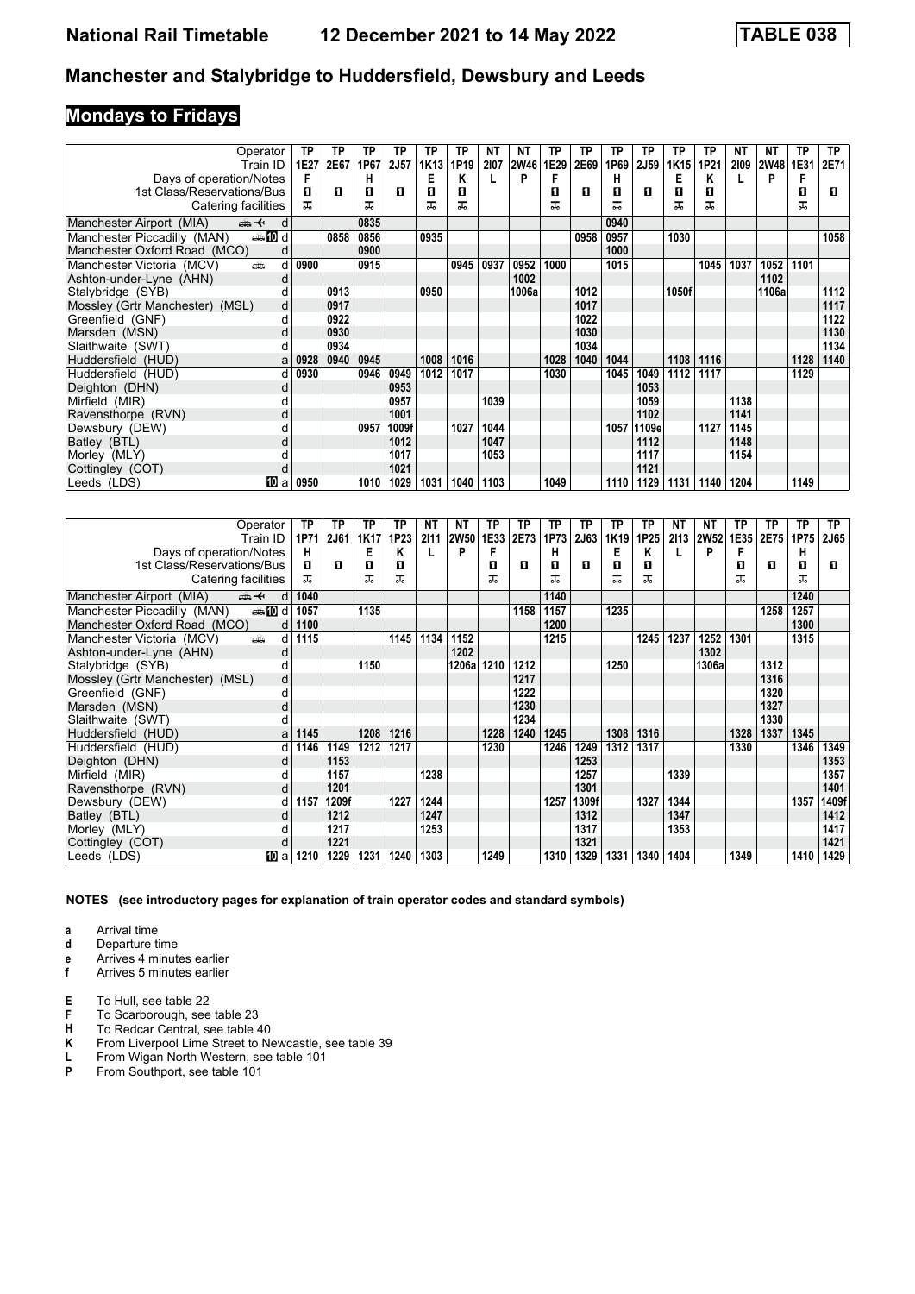# **Mondays to Fridays**

| Operator                                       | ТP   | ΤP   | TP   | ТP    | ТP               | ТP   | NΤ   | NΤ          | TP   | ТP   | TP   | ТP          | ТP    | <b>TP</b> | ΝT   | NΤ    | ТP   | TP.  |
|------------------------------------------------|------|------|------|-------|------------------|------|------|-------------|------|------|------|-------------|-------|-----------|------|-------|------|------|
| Train ID                                       | 1E27 | 2E67 | 1P67 | 2J57  | 1K <sub>13</sub> | 1P19 | 2107 | <b>2W46</b> | 1E29 | 2E69 | 1P69 | <b>2J59</b> | 1K15  | 1P21      | 2109 | 2W48  | 1E31 | 2E71 |
| Days of operation/Notes                        | F    |      | н    |       | E                | ĸ    |      | P           | F    |      | н    |             | Е     | Κ         |      | P     |      |      |
| 1st Class/Reservations/Bus                     | п    | п    | п    | п     | п                | п    |      |             | п    | п    | п    | п           | п     | п         |      |       | O    | п    |
| Catering facilities                            | ᅚ    |      | ᅚ    |       | ᅚ                | ᠼ    |      |             | ᅚ    |      | ᅚ    |             | ᠼ     | ᠼ         |      |       | ᅚ    |      |
| Manchester Airport (MIA)<br>ant d              |      |      | 0835 |       |                  |      |      |             |      |      | 0940 |             |       |           |      |       |      |      |
| <b>enting</b> d<br>Manchester Piccadilly (MAN) |      | 0858 | 0856 |       | 0935             |      |      |             |      | 0958 | 0957 |             | 1030  |           |      |       |      | 1058 |
| Manchester Oxford Road (MCO)<br>d              |      |      | 0900 |       |                  |      |      |             |      |      | 1000 |             |       |           |      |       |      |      |
| Manchester Victoria (MCV)<br>پیش<br>d          | 0900 |      | 0915 |       |                  | 0945 | 0937 | 0952        | 1000 |      | 1015 |             |       | 1045      | 1037 | 1052  | 1101 |      |
| Ashton-under-Lyne (AHN)<br>d                   |      |      |      |       |                  |      |      | 1002        |      |      |      |             |       |           |      | 1102  |      |      |
| Stalybridge (SYB)                              |      | 0913 |      |       | 0950             |      |      | 1006a       |      | 1012 |      |             | 1050f |           |      | 1106a |      | 1112 |
| Mossley (Grtr Manchester) (MSL)<br>d           |      | 0917 |      |       |                  |      |      |             |      | 1017 |      |             |       |           |      |       |      | 1117 |
| Greenfield (GNF)<br>d                          |      | 0922 |      |       |                  |      |      |             |      | 1022 |      |             |       |           |      |       |      | 1122 |
| Marsden (MSN)                                  |      | 0930 |      |       |                  |      |      |             |      | 1030 |      |             |       |           |      |       |      | 1130 |
| Slaithwaite (SWT)                              |      | 0934 |      |       |                  |      |      |             |      | 1034 |      |             |       |           |      |       |      | 1134 |
| Huddersfield (HUD)<br>a                        | 0928 | 0940 | 0945 |       | 1008             | 1016 |      |             | 1028 | 1040 | 1044 |             | 1108  | 1116      |      |       | 1128 | 1140 |
| Huddersfield (HUD)<br>d                        | 0930 |      | 0946 | 0949  | 1012             | 1017 |      |             | 1030 |      | 1045 | 1049        | 1112  | 1117      |      |       | 1129 |      |
| Deighton (DHN)<br>d                            |      |      |      | 0953  |                  |      |      |             |      |      |      | 1053        |       |           |      |       |      |      |
| Mirfield (MIR)                                 |      |      |      | 0957  |                  |      | 1039 |             |      |      |      | 1059        |       |           | 1138 |       |      |      |
| Ravensthorpe (RVN)<br>d                        |      |      |      | 1001  |                  |      |      |             |      |      |      | 1102        |       |           | 1141 |       |      |      |
| Dewsbury (DEW)                                 |      |      | 0957 | 1009f |                  | 1027 | 1044 |             |      |      | 1057 | 1109e       |       | 1127      | 1145 |       |      |      |
| Batley (BTL)<br>d                              |      |      |      | 1012  |                  |      | 1047 |             |      |      |      | 1112        |       |           | 1148 |       |      |      |
| Morley (MLY)                                   |      |      |      | 1017  |                  |      | 1053 |             |      |      |      | 1117        |       |           | 1154 |       |      |      |
| Cottingley (COT)<br>d                          |      |      |      | 1021  |                  |      |      |             |      |      |      | 1121        |       |           |      |       |      |      |
| TO a<br>Leeds (LDS)                            | 0950 |      | 1010 | 1029  | 1031             | 1040 | 1103 |             | 1049 |      | 1110 | 1129        | 1131  | 1140      | 1204 |       | 1149 |      |

| Operator                                       | ТP        | TP    | ΤP   | ТP   | NT   | ΝT          | ТP   | ТP   | ТP   | TP    | TP   | ТP   | NΤ   | NT          | ΤP   | TP   | ТP   | ТP          |
|------------------------------------------------|-----------|-------|------|------|------|-------------|------|------|------|-------|------|------|------|-------------|------|------|------|-------------|
| Train ID                                       | 1P71      | 2J61  | 1K17 | 1P23 | 2111 | <b>2W50</b> | 1E33 | 2E73 | 1P73 | 2J63  | 1K19 | 1P25 | 2113 | <b>2W52</b> | 1E35 | 2E75 | 1P75 | <b>2J65</b> |
| Days of operation/Notes                        | н         |       | E    | ĸ    |      | P           | F    |      | н    |       | Е    | Κ    | L    | P           | F    |      | н    |             |
| 1st Class/Reservations/Bus                     | п         | п     | 0    | 0    |      |             | п    | п    | п    | п     | п    | п    |      |             | п    | п    | п    | п           |
| Catering facilities                            | ㅈ         |       | ᅚ    | ᅚ    |      |             | ᅚ    |      | ᅚ    |       | ᅚ    | ᅚ    |      |             | ᠼ    |      | ᅚ    |             |
| Manchester Airport (MIA)<br>安<br>d             | 1040      |       |      |      |      |             |      |      | 1140 |       |      |      |      |             |      |      | 1240 |             |
| <b>ential</b> d<br>Manchester Piccadilly (MAN) | 1057      |       | 1135 |      |      |             |      | 1158 | 1157 |       | 1235 |      |      |             |      | 1258 | 1257 |             |
| Manchester Oxford Road (MCO)                   | 1100<br>d |       |      |      |      |             |      |      | 1200 |       |      |      |      |             |      |      | 1300 |             |
| Manchester Victoria (MCV)<br>dia 1             | 1115<br>d |       |      | 1145 | 1134 | 1152        |      |      | 1215 |       |      | 1245 | 1237 | 1252        | 1301 |      | 1315 |             |
| Ashton-under-Lyne (AHN)                        | d         |       |      |      |      | 1202        |      |      |      |       |      |      |      | 1302        |      |      |      |             |
| Stalybridge (SYB)                              | d         |       | 1150 |      |      | 1206al      | 1210 | 1212 |      |       | 1250 |      |      | 1306a       |      | 1312 |      |             |
| Mossley (Grtr Manchester) (MSL)                | d         |       |      |      |      |             |      | 1217 |      |       |      |      |      |             |      | 1316 |      |             |
| Greenfield (GNF)                               | d         |       |      |      |      |             |      | 1222 |      |       |      |      |      |             |      | 1320 |      |             |
| Marsden (MSN)                                  | d         |       |      |      |      |             |      | 1230 |      |       |      |      |      |             |      | 1327 |      |             |
| Slaithwaite (SWT)                              |           |       |      |      |      |             |      | 1234 |      |       |      |      |      |             |      | 1330 |      |             |
| Huddersfield (HUD)                             | 1145<br>a |       | 1208 | 1216 |      |             | 1228 | 1240 | 1245 |       | 1308 | 1316 |      |             | 1328 | 1337 | 1345 |             |
| Huddersfield (HUD)                             | 1146<br>d | 1149  | 1212 | 1217 |      |             | 1230 |      | 1246 | 1249  | 1312 | 1317 |      |             | 1330 |      | 1346 | 1349        |
| Deighton (DHN)                                 | d         | 1153  |      |      |      |             |      |      |      | 1253  |      |      |      |             |      |      |      | 1353        |
| Mirfield (MIR)                                 | d         | 1157  |      |      | 1238 |             |      |      |      | 1257  |      |      | 1339 |             |      |      |      | 1357        |
| Ravensthorpe (RVN)                             | d         | 1201  |      |      |      |             |      |      |      | 1301  |      |      |      |             |      |      |      | 1401        |
| Dewsbury (DEW)                                 | 1157<br>d | 1209f |      | 1227 | 1244 |             |      |      | 1257 | 1309f |      | 1327 | 1344 |             |      |      | 1357 | 1409f       |
| Batley (BTL)                                   | d         | 1212  |      |      | 1247 |             |      |      |      | 1312  |      |      | 1347 |             |      |      |      | 1412        |
| Morley (MLY)                                   |           | 1217  |      |      | 1253 |             |      |      |      | 1317  |      |      | 1353 |             |      |      |      | 1417        |
| Cottingley (COT)                               | d         | 1221  |      |      |      |             |      |      |      | 1321  |      |      |      |             |      |      |      | 1421        |
| Leeds (LDS)<br>10 a                            | 1210      | 1229  | 1231 | 1240 | 1303 |             | 1249 |      | 1310 | 1329  | 1331 | 1340 | 1404 |             | 1349 |      | 1410 | 1429        |

**NOTES (see introductory pages for explanation of train operator codes and standard symbols)**

- **d** Departure time
- **e** Arrives 4 minutes earlier<br>**f** Arrives 5 minutes earlier
- **f** Arrives 5 minutes earlier
- **E** To Hull, see table 22
- **F** To Scarborough, see table 23<br>**H** To Redcar Central, see table 4
- **H** To Redcar Central, see table 40<br>**K** From Liverpool Lime Street to Ne
- **K** From Liverpool Lime Street to Newcastle, see table 39 L From Wigan North Western, see table 101
- **L** From Wigan North Western, see table 101<br>**P** From Southport, see table 101
- **P** From Southport, see table 101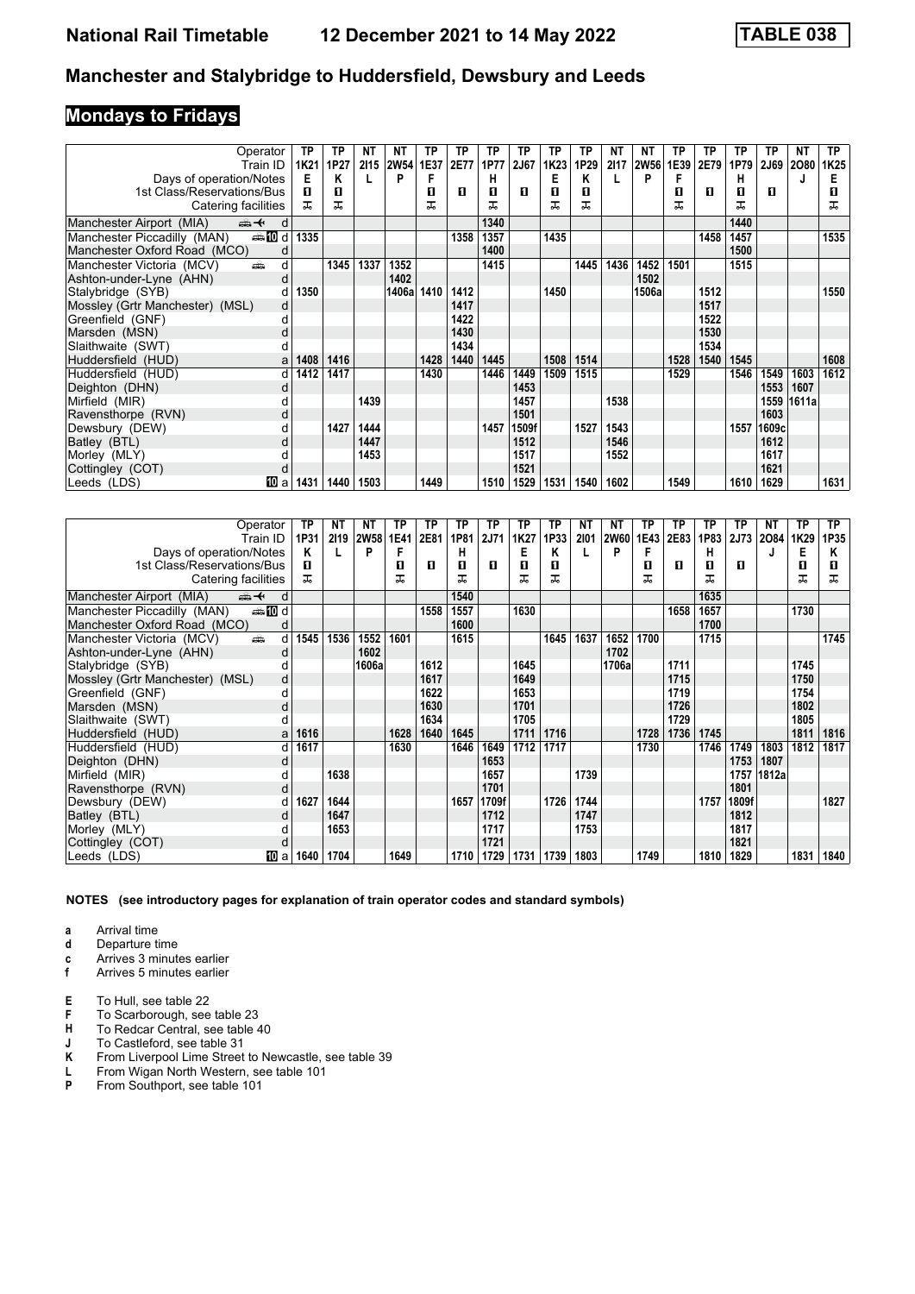# **Mondays to Fridays**

| Operator                                    | ТP   | ТP   | NT   | ΝT     | ΤP   | ТP   | ТP   | TP          | ТP   | ТP   | NΤ   | ΝT     | ТP   | ТP   | ТP   | ТP     | ΝT    | TP.  |
|---------------------------------------------|------|------|------|--------|------|------|------|-------------|------|------|------|--------|------|------|------|--------|-------|------|
| Train ID                                    | 1K21 | 1P27 | 2115 | 2W54   | 1E37 | 2E77 | 1P77 | <b>2J67</b> | 1K23 | 1P29 | 2117 | 2W56   | 1E39 | 2E79 | 1P79 | 2J69   | 2080  | 1K25 |
| Days of operation/Notes                     | Е    | Κ    |      | D      |      |      | н    |             | Е    | Κ    |      | P      | F    |      | н    |        |       |      |
| 1st Class/Reservations/Bus                  | п    | п    |      |        | п    | п    | п    | п           | п    | п    |      |        | п    | п    | п    | п      |       | п    |
| Catering facilities                         | ㅈ    | ᅚ    |      |        | ᅚ    |      | ᅚ    |             | ᅚ    | ᅚ    |      |        | ᅚ    |      | ᅚ    |        |       | ᅚ    |
| ⇜✦<br>Manchester Airport (MIA)<br>d d       |      |      |      |        |      |      | 1340 |             |      |      |      |        |      |      | 1440 |        |       |      |
| dan <b>m</b><br>Manchester Piccadilly (MAN) | 1335 |      |      |        |      | 1358 | 1357 |             | 1435 |      |      |        |      | 1458 | 1457 |        |       | 1535 |
| Manchester Oxford Road (MCO)<br>d           |      |      |      |        |      |      | 1400 |             |      |      |      |        |      |      | 1500 |        |       |      |
| Manchester Victoria (MCV)<br>añ.<br>d       |      | 1345 | 1337 | 1352   |      |      | 1415 |             |      | 1445 | 1436 | 1452   | 1501 |      | 1515 |        |       |      |
| Ashton-under-Lyne (AHN)<br>d                |      |      |      | 1402   |      |      |      |             |      |      |      | 1502   |      |      |      |        |       |      |
| Stalybridge (SYB)                           | 1350 |      |      | 1406al | 1410 | 1412 |      |             | 1450 |      |      | 1506al |      | 1512 |      |        |       | 1550 |
| Mossley (Grtr Manchester) (MSL)<br>d        |      |      |      |        |      | 1417 |      |             |      |      |      |        |      | 1517 |      |        |       |      |
| Greenfield (GNF)<br>d                       |      |      |      |        |      | 1422 |      |             |      |      |      |        |      | 1522 |      |        |       |      |
| Marsden (MSN)<br>d                          |      |      |      |        |      | 1430 |      |             |      |      |      |        |      | 1530 |      |        |       |      |
| Slaithwaite (SWT)                           |      |      |      |        |      | 1434 |      |             |      |      |      |        |      | 1534 |      |        |       |      |
| Huddersfield (HUD)<br>a                     | 1408 | 1416 |      |        | 1428 | 1440 | 1445 |             | 1508 | 1514 |      |        | 1528 | 1540 | 1545 |        |       | 1608 |
| Huddersfield (HUD)<br>d                     | 1412 | 1417 |      |        | 1430 |      | 1446 | 1449        | 1509 | 1515 |      |        | 1529 |      | 1546 | 1549   | 1603  | 1612 |
| Deighton (DHN)<br>d                         |      |      |      |        |      |      |      | 1453        |      |      |      |        |      |      |      | 1553   | 1607  |      |
| Mirfield (MIR)                              |      |      | 1439 |        |      |      |      | 1457        |      |      | 1538 |        |      |      |      | 1559   | 1611a |      |
| Ravensthorpe (RVN)<br>d                     |      |      |      |        |      |      |      | 1501        |      |      |      |        |      |      |      | 1603   |       |      |
| Dewsbury (DEW)                              |      | 1427 | 1444 |        |      |      | 1457 | 1509f       |      | 1527 | 1543 |        |      |      | 1557 | 1609cl |       |      |
| Batley (BTL)<br>d                           |      |      | 1447 |        |      |      |      | 1512        |      |      | 1546 |        |      |      |      | 1612   |       |      |
| Morley (MLY)                                |      |      | 1453 |        |      |      |      | 1517        |      |      | 1552 |        |      |      |      | 1617   |       |      |
| Cottingley (COT)<br>d                       |      |      |      |        |      |      |      | 1521        |      |      |      |        |      |      |      | 1621   |       |      |
| <b>TO</b> a<br>Leeds (LDS)                  | 1431 | 1440 | 1503 |        | 1449 |      | 1510 | 1529        | 1531 | 1540 | 1602 |        | 1549 |      | 1610 | 1629   |       | 1631 |

| Operator                                        | TP   | ΝT   | NT          | ТР   | ТP   | ТP   | ТP          | ТP   | ТP   | NΤ   | ΝT          | ТР   | ТP   | ТP   | ТP    | NT    | ТP   | TP.  |
|-------------------------------------------------|------|------|-------------|------|------|------|-------------|------|------|------|-------------|------|------|------|-------|-------|------|------|
| Train ID                                        | 1P31 | 2119 | <b>2W58</b> | 1E41 | 2E81 | 1P81 | <b>2J71</b> | 1K27 | 1P33 | 2101 | <b>2W60</b> | 1E43 | 2E83 | 1P83 | 2J73  | 2084  | 1K29 | 1P35 |
| Days of operation/Notes                         | Κ    |      | P           | F    |      | н    |             | Е    | Κ    |      | P           | F    |      | н    |       | J     | Е    | Κ    |
| 1st Class/Reservations/Bus                      | п    |      |             | П    | л    | п    | п           | П    | л    |      |             | п    | п    | п    | п     |       | п    | п    |
| Catering facilities                             | ᠼ    |      |             | ᅚ    |      | ᠼ    |             | ᅚ    | ᅚ    |      |             | ᠼ    |      | ㅈ    |       |       | ᅚ    | ᅚ    |
| Manchester Airport (MIA)<br><del>∰ ≮</del><br>d |      |      |             |      |      | 1540 |             |      |      |      |             |      |      | 1635 |       |       |      |      |
| <b>enting</b> d<br>Manchester Piccadilly (MAN)  |      |      |             |      | 1558 | 1557 |             | 1630 |      |      |             |      | 1658 | 1657 |       |       | 1730 |      |
| Manchester Oxford Road (MCO)<br>d               |      |      |             |      |      | 1600 |             |      |      |      |             |      |      | 1700 |       |       |      |      |
| Manchester Victoria (MCV)<br>۳Ê<br>d            | 1545 | 1536 | 1552        | 1601 |      | 1615 |             |      | 1645 | 1637 | 1652        | 1700 |      | 1715 |       |       |      | 1745 |
| Ashton-under-Lyne (AHN)<br>d                    |      |      | 1602        |      |      |      |             |      |      |      | 1702        |      |      |      |       |       |      |      |
| Stalybridge (SYB)                               |      |      | 1606a       |      | 1612 |      |             | 1645 |      |      | 1706a       |      | 1711 |      |       |       | 1745 |      |
| Mossley (Grtr Manchester) (MSL)<br>d            |      |      |             |      | 1617 |      |             | 1649 |      |      |             |      | 1715 |      |       |       | 1750 |      |
| Greenfield (GNF)                                |      |      |             |      | 1622 |      |             | 1653 |      |      |             |      | 1719 |      |       |       | 1754 |      |
| Marsden (MSN)<br>d                              |      |      |             |      | 1630 |      |             | 1701 |      |      |             |      | 1726 |      |       |       | 1802 |      |
| Slaithwaite (SWT)                               |      |      |             |      | 1634 |      |             | 1705 |      |      |             |      | 1729 |      |       |       | 1805 |      |
| Huddersfield (HUD)<br>a                         | 1616 |      |             | 1628 | 1640 | 1645 |             | 1711 | 1716 |      |             | 1728 | 1736 | 1745 |       |       | 1811 | 1816 |
| Huddersfield (HUD)<br>d                         | 1617 |      |             | 1630 |      | 1646 | 1649        | 1712 | 1717 |      |             | 1730 |      | 1746 | 1749  | 1803  | 1812 | 1817 |
| Deighton (DHN)<br>d                             |      |      |             |      |      |      | 1653        |      |      |      |             |      |      |      | 1753  | 1807  |      |      |
| Mirfield (MIR)                                  |      | 1638 |             |      |      |      | 1657        |      |      | 1739 |             |      |      |      | 1757  | 1812a |      |      |
| Ravensthorpe (RVN)<br>d                         |      |      |             |      |      |      | 1701        |      |      |      |             |      |      |      | 1801  |       |      |      |
| Dewsbury (DEW)<br>d                             | 1627 | 1644 |             |      |      | 1657 | 1709f       |      | 1726 | 1744 |             |      |      | 1757 | 1809f |       |      | 1827 |
| Batley (BTL)                                    |      | 1647 |             |      |      |      | 1712        |      |      | 1747 |             |      |      |      | 1812  |       |      |      |
| Morley (MLY)                                    |      | 1653 |             |      |      |      | 1717        |      |      | 1753 |             |      |      |      | 1817  |       |      |      |
| Cottingley (COT)<br>d                           |      |      |             |      |      |      | 1721        |      |      |      |             |      |      |      | 1821  |       |      |      |
| Leeds (LDS)<br>10 a                             | 1640 | 1704 |             | 1649 |      | 1710 | 1729        | 1731 | 1739 | 1803 |             | 1749 |      | 1810 | 1829  |       | 1831 | 1840 |

**NOTES (see introductory pages for explanation of train operator codes and standard symbols)**

- **d** Departure time
- **c** Arrives 3 minutes earlier<br>**f** Arrives 5 minutes earlier
- **f** Arrives 5 minutes earlier
- **E** To Hull, see table 22
- **F** To Scarborough, see table 23<br>**H** To Redcar Central, see table 4
- **H** To Redcar Central, see table 40<br>**J** To Castleford, see table 31
- **J** To Castleford, see table 31<br>**K** From Liverpool Lime Street
- **K** From Liverpool Lime Street to Newcastle, see table 39<br> **L** From Wigan North Western, see table 101<br> **P** From Southport, see table 101
- **/** From Wigan North Western, see table 101
- **P** From Southport, see table 101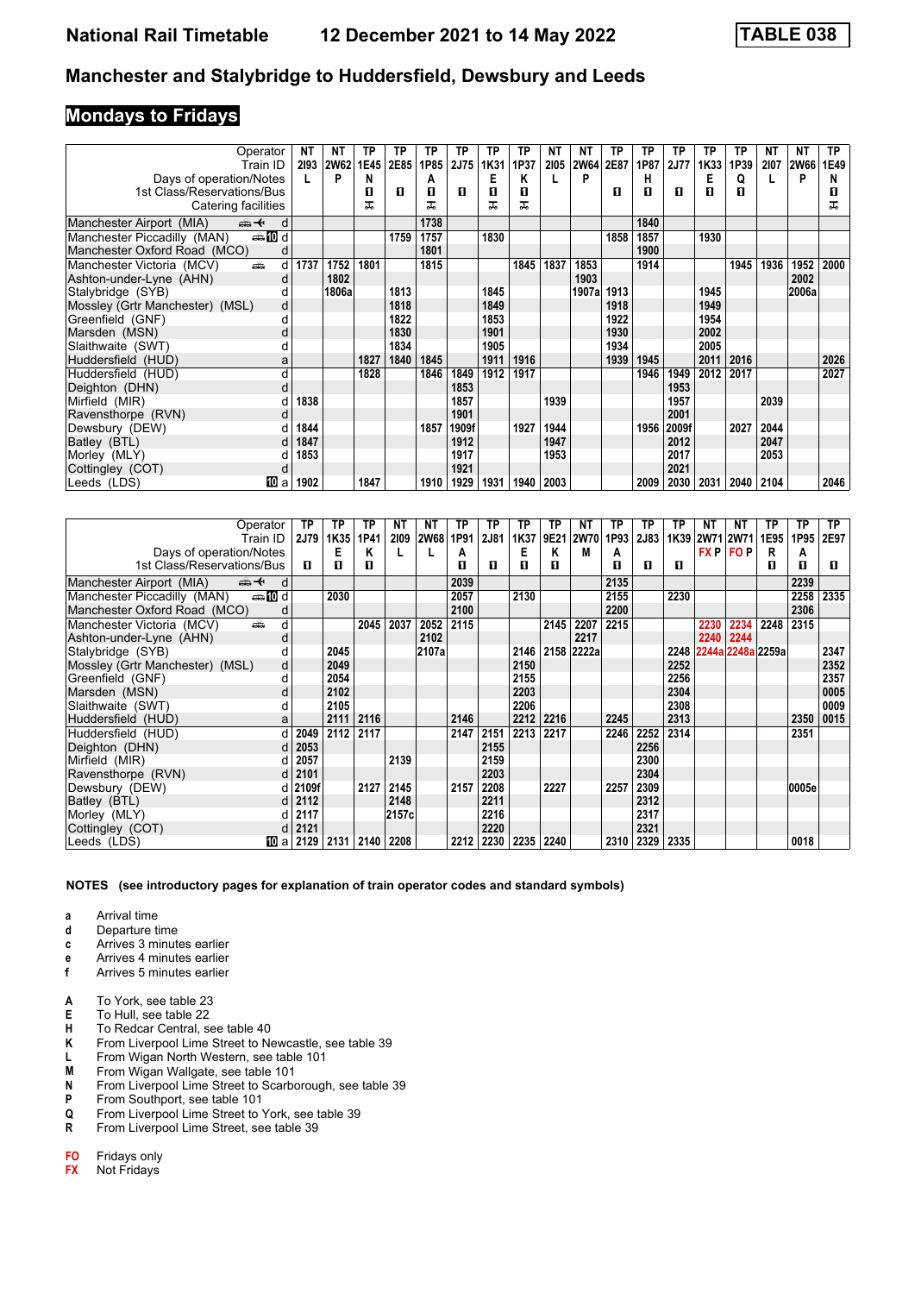### **Mondays to Fridays**

| Operator                                        | NT   | NΤ          | ΤP   | TP   | ΤP   | ТP    | ТP   | ТP   | NΤ   | ΝT          | TP   | ТP   | ТP          | ТP   | ТP   | NΤ   | ΝT          | TP.  |
|-------------------------------------------------|------|-------------|------|------|------|-------|------|------|------|-------------|------|------|-------------|------|------|------|-------------|------|
| Train ID                                        | 2193 | <b>2W62</b> | 1E45 | 2E85 | 1P85 | 2J75  | 1K31 | 1P37 | 2105 | <b>2W64</b> | 2E87 | 1P87 | <b>2J77</b> | 1K33 | 1P39 | 2107 | <b>2W66</b> | 1E49 |
| Days of operation/Notes                         |      | P           | N    |      | А    |       | Е    | Κ    |      | P           |      | н    |             | E    | Q    |      | P           | N    |
| 1st Class/Reservations/Bus                      |      |             | П    | п    | п    | п     | п    | п    |      |             | п    | п    | п           | п    | п    |      |             | п    |
| Catering facilities                             |      |             | ᠼ    |      | ᠼ    |       | ᠼ    | ᅚ    |      |             |      |      |             |      |      |      |             | ᠼ    |
| Manchester Airport (MIA)<br><del>∰ ∢</del><br>d |      |             |      |      | 1738 |       |      |      |      |             |      | 1840 |             |      |      |      |             |      |
| <b>entin</b> d<br>Manchester Piccadilly (MAN)   |      |             |      | 1759 | 1757 |       | 1830 |      |      |             | 1858 | 1857 |             | 1930 |      |      |             |      |
| Manchester Oxford Road (MCO)                    |      |             |      |      | 1801 |       |      |      |      |             |      | 1900 |             |      |      |      |             |      |
| Manchester Victoria (MCV)<br>añ.<br>d           | 1737 | 1752        | 1801 |      | 1815 |       |      | 1845 | 1837 | 1853        |      | 1914 |             |      | 1945 | 1936 | 1952        | 2000 |
| Ashton-under-Lyne (AHN)<br>d                    |      | 1802        |      |      |      |       |      |      |      | 1903        |      |      |             |      |      |      | 2002        |      |
| Stalybridge (SYB)                               |      | 1806al      |      | 1813 |      |       | 1845 |      |      | 1907a       | 1913 |      |             | 1945 |      |      | 2006a       |      |
| Mossley (Grtr Manchester) (MSL)<br>d            |      |             |      | 1818 |      |       | 1849 |      |      |             | 1918 |      |             | 1949 |      |      |             |      |
| Greenfield (GNF)<br>d                           |      |             |      | 1822 |      |       | 1853 |      |      |             | 1922 |      |             | 1954 |      |      |             |      |
| Marsden (MSN)<br>d                              |      |             |      | 1830 |      |       | 1901 |      |      |             | 1930 |      |             | 2002 |      |      |             |      |
| Slaithwaite (SWT)<br>d                          |      |             |      | 1834 |      |       | 1905 |      |      |             | 1934 |      |             | 2005 |      |      |             |      |
| Huddersfield (HUD)<br>а                         |      |             | 1827 | 1840 | 1845 |       | 1911 | 1916 |      |             | 1939 | 1945 |             | 2011 | 2016 |      |             | 2026 |
| Huddersfield (HUD)<br>d                         |      |             | 1828 |      | 1846 | 1849  | 1912 | 1917 |      |             |      | 1946 | 1949        | 2012 | 2017 |      |             | 2027 |
| Deighton (DHN)<br>d                             |      |             |      |      |      | 1853  |      |      |      |             |      |      | 1953        |      |      |      |             |      |
| Mirfield (MIR)                                  | 1838 |             |      |      |      | 1857  |      |      | 1939 |             |      |      | 1957        |      |      | 2039 |             |      |
| Ravensthorpe (RVN)<br>d                         |      |             |      |      |      | 1901  |      |      |      |             |      |      | 2001        |      |      |      |             |      |
| Dewsbury (DEW)                                  | 1844 |             |      |      | 1857 | 1909f |      | 1927 | 1944 |             |      | 1956 | 2009f       |      | 2027 | 2044 |             |      |
| Batley (BTL)<br>d                               | 1847 |             |      |      |      | 1912  |      |      | 1947 |             |      |      | 2012        |      |      | 2047 |             |      |
| Morley (MLY)                                    | 1853 |             |      |      |      | 1917  |      |      | 1953 |             |      |      | 2017        |      |      | 2053 |             |      |
| Cottingley (COT)<br>d                           |      |             |      |      |      | 1921  |      |      |      |             |      |      | 2021        |      |      |      |             |      |
| <b>TO</b> a<br>Leeds (LDS)                      | 1902 |             | 1847 |      | 1910 | 1929  | 1931 | 1940 | 2003 |             |      | 2009 | 2030        | 2031 | 2040 | 2104 |             | 2046 |

| Operator                                       | TP             | ТР   | TP   | NT    | NΤ          | TP   | TP   | ТP   | ТP   | NΤ    | TP   | ТP   | ТP   | NΤ             | NΤ                | ΤР   | ТP    | TP.  |
|------------------------------------------------|----------------|------|------|-------|-------------|------|------|------|------|-------|------|------|------|----------------|-------------------|------|-------|------|
| Train ID                                       | 2J79           | 1K35 | 1P41 | 2109  | <b>2W68</b> | 1P91 | 2J81 | 1K37 | 9E21 | 2W70  | 1P93 | 2J83 |      | 1K39 2W71 2W71 |                   | 1E95 | 1P95  | 2E97 |
| Days of operation/Notes                        |                | E    | Κ    |       |             | А    |      | Е    | Κ    | M     | A    |      |      |                | <b>FXP FOP</b>    | R    | А     |      |
| 1st Class/Reservations/Bus                     | п              | п    | П    |       |             | п    | п    | п    | п    |       | п    | п    | п    |                |                   | п    | п     | п    |
| Manchester Airport (MIA)<br>⇜✦                 | d              |      |      |       |             | 2039 |      |      |      |       | 2135 |      |      |                |                   |      | 2239  |      |
| dan <b>in</b> d<br>Manchester Piccadilly (MAN) |                | 2030 |      |       |             | 2057 |      | 2130 |      |       | 2155 |      | 2230 |                |                   |      | 2258  | 2335 |
| Manchester Oxford Road (MCO)                   | d              |      |      |       |             | 2100 |      |      |      |       | 2200 |      |      |                |                   |      | 2306  |      |
| Manchester Victoria (MCV)<br>añ.               | d              |      | 2045 | 2037  | 2052        | 2115 |      |      | 2145 | 2207  | 2215 |      |      | 2230           | 2234              | 2248 | 2315  |      |
| Ashton-under-Lyne (AHN)                        | d              |      |      |       | 2102        |      |      |      |      | 2217  |      |      |      | 2240           | 2244              |      |       |      |
| Stalybridge (SYB)                              |                | 2045 |      |       | 2107a       |      |      | 2146 | 2158 | 2222a |      |      | 2248 |                | 2244a 2248a 2259a |      |       | 2347 |
| Mossley (Grtr Manchester) (MSL)                | d              | 2049 |      |       |             |      |      | 2150 |      |       |      |      | 2252 |                |                   |      |       | 2352 |
| Greenfield (GNF)                               | d              | 2054 |      |       |             |      |      | 2155 |      |       |      |      | 2256 |                |                   |      |       | 2357 |
| Marsden (MSN)                                  | d              | 2102 |      |       |             |      |      | 2203 |      |       |      |      | 2304 |                |                   |      |       | 0005 |
| Slaithwaite (SWT)                              |                | 2105 |      |       |             |      |      | 2206 |      |       |      |      | 2308 |                |                   |      |       | 0009 |
| Huddersfield (HUD)                             | a              | 2111 | 2116 |       |             | 2146 |      | 2212 | 2216 |       | 2245 |      | 2313 |                |                   |      | 2350  | 0015 |
| Huddersfield (HUD)                             | d<br>2049      | 2112 | 2117 |       |             | 2147 | 2151 | 2213 | 2217 |       | 2246 | 2252 | 2314 |                |                   |      | 2351  |      |
| Deighton (DHN)                                 | 2053<br>d      |      |      |       |             |      | 2155 |      |      |       |      | 2256 |      |                |                   |      |       |      |
| Mirfield (MIR)                                 | 2057<br>d      |      |      | 2139  |             |      | 2159 |      |      |       |      | 2300 |      |                |                   |      |       |      |
| Ravensthorpe (RVN)                             | 2101<br>d      |      |      |       |             |      | 2203 |      |      |       |      | 2304 |      |                |                   |      |       |      |
| Dewsbury (DEW)                                 | d 2109f        |      | 2127 | 2145  |             | 2157 | 2208 |      | 2227 |       | 2257 | 2309 |      |                |                   |      | 0005e |      |
| Batley (BTL)                                   | 2112<br>d l    |      |      | 2148  |             |      | 2211 |      |      |       |      | 2312 |      |                |                   |      |       |      |
| Morley (MLY)                                   | 2117<br>d      |      |      | 2157c |             |      | 2216 |      |      |       |      | 2317 |      |                |                   |      |       |      |
| Cottingley (COT)                               | 2121           |      |      |       |             |      | 2220 |      |      |       |      | 2321 |      |                |                   |      |       |      |
| Leeds (LDS)                                    | 100 al<br>2129 | 2131 | 2140 | 2208  |             | 2212 | 2230 | 2235 | 2240 |       | 2310 | 2329 | 2335 |                |                   |      | 0018  |      |

**NOTES (see introductory pages for explanation of train operator codes and standard symbols)**

**a** Arrival time<br>**d** Departure ti

Departure time

- **c** Arrives 3 minutes earlier **e** Arrives 4 minutes earlier
- **f** Arrives 5 minutes earlier
- 
- **A** To York, see table 23
- **E** To Hull, see table 22
- **H** To Redcar Central, see table 40<br>**K** From Liverpool Lime Street to Ne
- **K** From Liverpool Lime Street to Newcastle, see table 39<br>**L** From Wigan North Western, see table 101 **/** From Wigan North Western, see table 101
- 
- **M** From Wigan Wallgate, see table 101<br>**N** From Liverpool Lime Street to Scarbo **N** From Liverpool Lime Street to Scarborough, see table 39
- **P** From Southport, see table 101<br>**Q** From Liverpool Lime Street to
- **4** From Liverpool Lime Street to York, see table 39
- **R** From Liverpool Lime Street, see table 39

**FO** Fridays only<br>**FX** Not Fridays

**Not Fridays**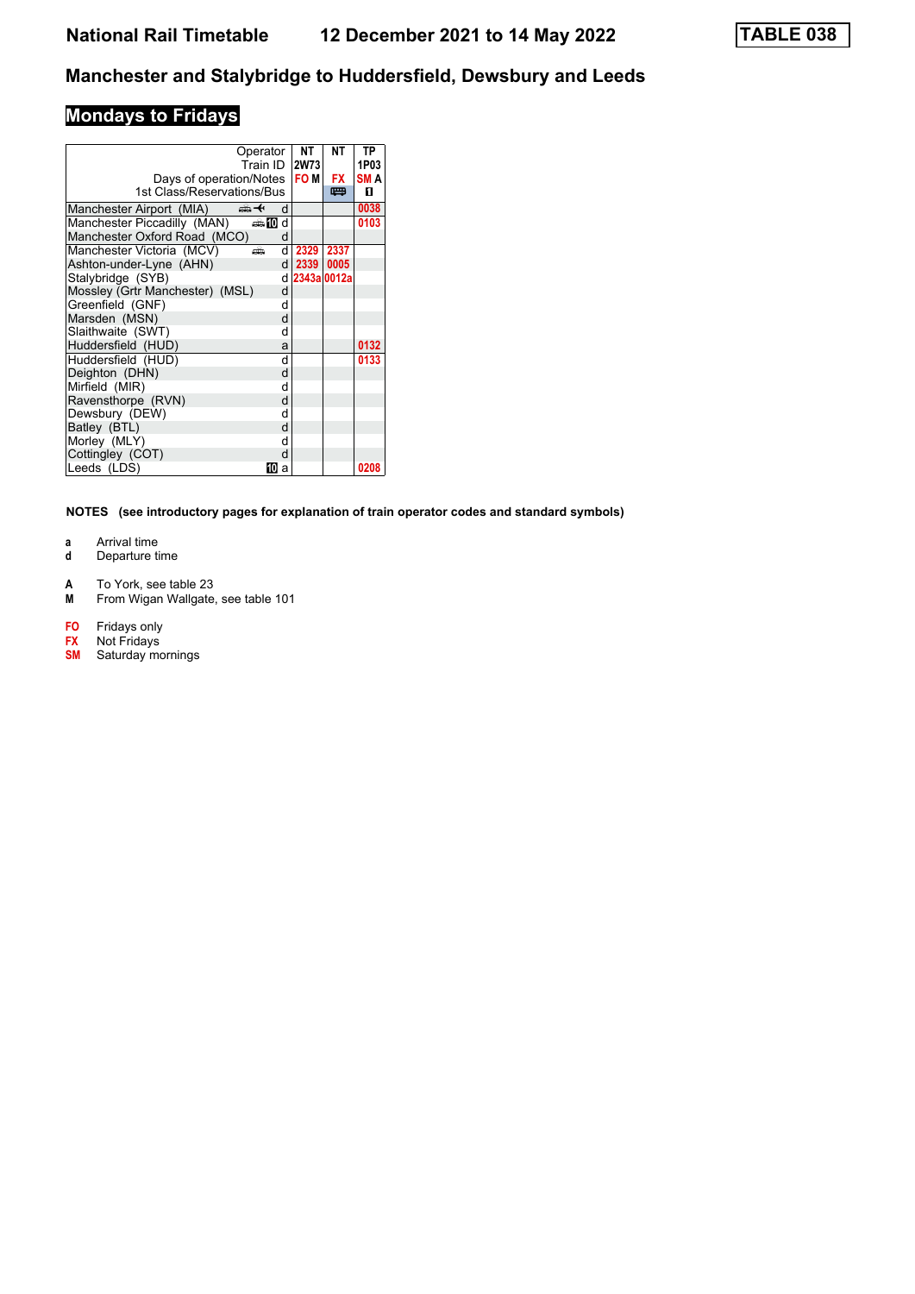# **Mondays to Fridays**

|                                 | Operator<br>Train ID |    | <b>NT</b><br><b>2W73</b> | NΤ   | TP<br>1P03 |
|---------------------------------|----------------------|----|--------------------------|------|------------|
| Days of operation/Notes         |                      |    | <b>FOM</b>               | FX   | <b>SMA</b> |
| 1st Class/Reservations/Bus      |                      |    |                          | 罒    | п          |
| Manchester Airport (MIA)        | ക+                   | d  |                          |      | 0038       |
| Manchester Piccadilly (MAN)     | d≣ 10 d              |    |                          |      | 0103       |
| Manchester Oxford Road (MCO)    |                      | d  |                          |      |            |
| Manchester Victoria (MCV)       | æ                    | d  | 2329 2337                |      |            |
| Ashton-under-Lyne (AHN)         |                      | dl | 2339                     | 0005 |            |
| Stalybridge (SYB)               |                      |    | d 2343a 0012a            |      |            |
| Mossley (Grtr Manchester) (MSL) |                      | d  |                          |      |            |
| Greenfield (GNF)                |                      | d  |                          |      |            |
| Marsden (MSN)                   |                      | d  |                          |      |            |
| Slaithwaite (SWT)               |                      | d  |                          |      |            |
| Huddersfield (HUD)              |                      | a  |                          |      | 0132       |
| Huddersfield (HUD)              |                      | d  |                          |      | 0133       |
| Deighton (DHN)                  |                      | d  |                          |      |            |
| Mirfield (MIR)                  |                      | d  |                          |      |            |
| Ravensthorpe (RVN)              |                      | d  |                          |      |            |
| Dewsbury (DEW)                  |                      | d  |                          |      |            |
| Batley (BTL)                    |                      | d  |                          |      |            |
| Morley (MLY)                    |                      | d  |                          |      |            |
| Cottingley (COT)                |                      | d  |                          |      |            |
| Leeds (LDS)                     | 10                   | a  |                          |      | 0208       |

- **a** Arrival time<br>**d** Departure t
- **d** Departure time
- **A** To York, see table 23
- **M** From Wigan Wallgate, see table 101
- 
- **FO** Fridays only<br> **FX** Not Fridays<br> **SM** Saturday mo **Not Fridays**
- **Saturday** mornings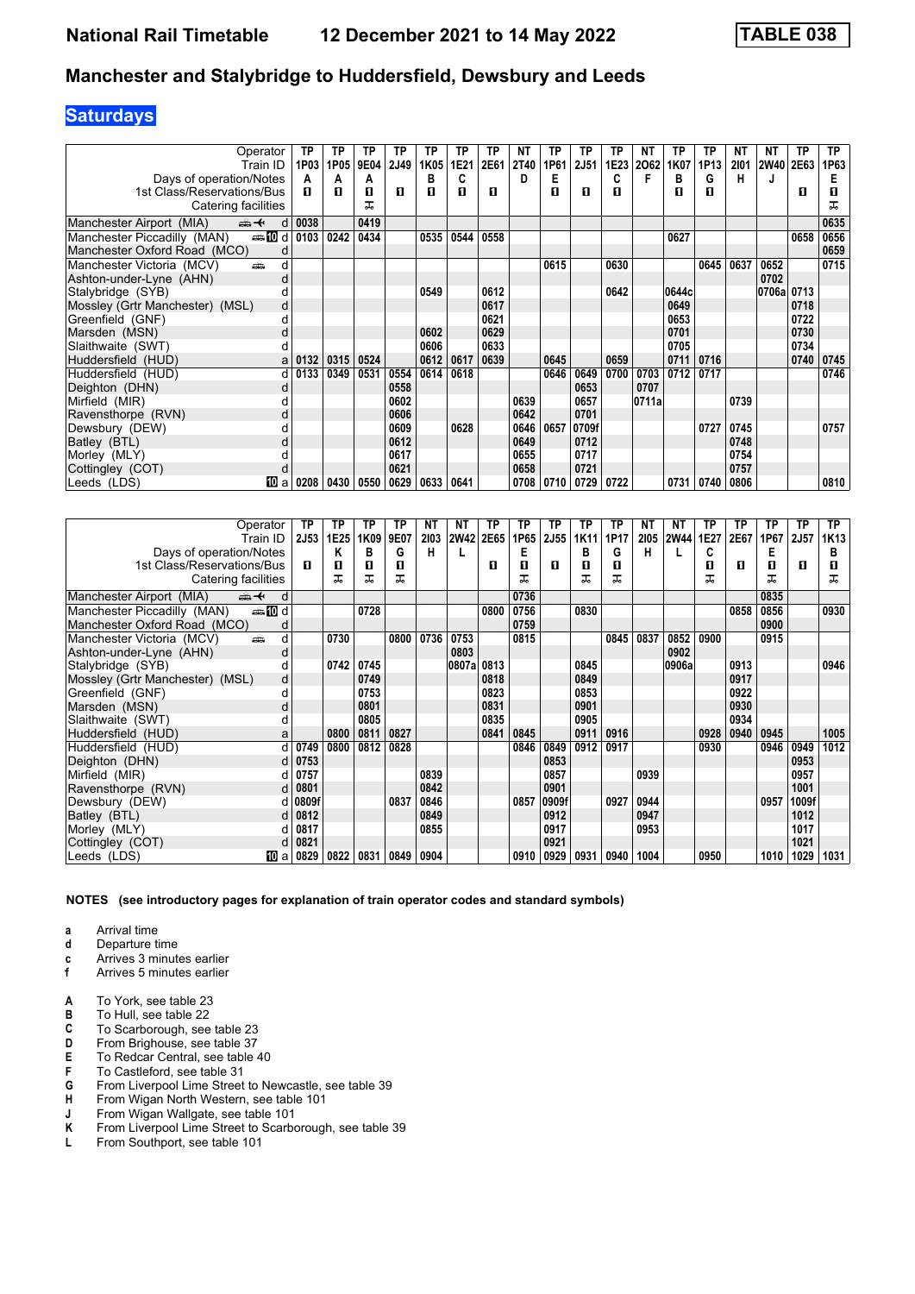# **Saturdays**

| Operator                                       | TP   | ТP   | ΤР          | ТP   | ΤP   | ТP   | TP   | ΝT   | ТP   | TP          | TP   | NΤ    | ТP    | ТP   | <b>NT</b> | ΝT     | ТP   | ТP   |
|------------------------------------------------|------|------|-------------|------|------|------|------|------|------|-------------|------|-------|-------|------|-----------|--------|------|------|
| Train ID                                       | 1P03 | 1P05 | <b>9E04</b> | 2J49 | 1K05 | 1E21 | 2E61 | 2T40 | 1P61 | <b>2J51</b> | 1E23 | 2062  | 1K07  | 1P13 | 2101      | 2W40   | 2E63 | 1P63 |
| Days of operation/Notes                        | A    | A    | A           |      | в    | C    |      | D    | Е    |             | C    | F     | в     | G    | н         |        |      |      |
| 1st Class/Reservations/Bus                     | п    | п    | П           | п    | п    | п    | п    |      | п    | П           | п    |       | п     | п    |           |        | п    | п    |
| Catering facilities                            |      |      | ᅚ           |      |      |      |      |      |      |             |      |       |       |      |           |        |      | ᠼ    |
| Manchester Airport (MIA)<br>安全<br>d            | 0038 |      | 0419        |      |      |      |      |      |      |             |      |       |       |      |           |        |      | 0635 |
| <b>enting</b> d<br>Manchester Piccadilly (MAN) | 0103 | 0242 | 0434        |      | 0535 | 0544 | 0558 |      |      |             |      |       | 0627  |      |           |        | 0658 | 0656 |
| Manchester Oxford Road (MCO)<br>d              |      |      |             |      |      |      |      |      |      |             |      |       |       |      |           |        |      | 0659 |
| Manchester Victoria (MCV)<br>añ.<br>d          |      |      |             |      |      |      |      |      | 0615 |             | 0630 |       |       | 0645 | 0637      | 0652   |      | 0715 |
| Ashton-under-Lyne (AHN)<br>d                   |      |      |             |      |      |      |      |      |      |             |      |       |       |      |           | 0702   |      |      |
| Stalybridge (SYB)<br>d                         |      |      |             |      | 0549 |      | 0612 |      |      |             | 0642 |       | 0644c |      |           | 0706al | 0713 |      |
| Mossley (Grtr Manchester) (MSL)<br>d           |      |      |             |      |      |      | 0617 |      |      |             |      |       | 0649  |      |           |        | 0718 |      |
| Greenfield (GNF)<br>d                          |      |      |             |      |      |      | 0621 |      |      |             |      |       | 0653  |      |           |        | 0722 |      |
| Marsden (MSN)<br>d                             |      |      |             |      | 0602 |      | 0629 |      |      |             |      |       | 0701  |      |           |        | 0730 |      |
| Slaithwaite (SWT)<br>d                         |      |      |             |      | 0606 |      | 0633 |      |      |             |      |       | 0705  |      |           |        | 0734 |      |
| Huddersfield (HUD)<br>a                        | 0132 | 0315 | 0524        |      | 0612 | 0617 | 0639 |      | 0645 |             | 0659 |       | 0711  | 0716 |           |        | 0740 | 0745 |
| Huddersfield (HUD)<br>d                        | 0133 | 0349 | 0531        | 0554 | 0614 | 0618 |      |      | 0646 | 0649        | 0700 | 0703  | 0712  | 0717 |           |        |      | 0746 |
| Deighton (DHN)<br>d                            |      |      |             | 0558 |      |      |      |      |      | 0653        |      | 0707  |       |      |           |        |      |      |
| Mirfield (MIR)                                 |      |      |             | 0602 |      |      |      | 0639 |      | 0657        |      | 0711a |       |      | 0739      |        |      |      |
| Ravensthorpe (RVN)<br>d                        |      |      |             | 0606 |      |      |      | 0642 |      | 0701        |      |       |       |      |           |        |      |      |
| Dewsbury (DEW)<br>d                            |      |      |             | 0609 |      | 0628 |      | 0646 | 0657 | 0709f       |      |       |       | 0727 | 0745      |        |      | 0757 |
| Batley (BTL)<br>d                              |      |      |             | 0612 |      |      |      | 0649 |      | 0712        |      |       |       |      | 0748      |        |      |      |
| Morley (MLY)                                   |      |      |             | 0617 |      |      |      | 0655 |      | 0717        |      |       |       |      | 0754      |        |      |      |
| Cottingley (COT)<br>d                          |      |      |             | 0621 |      |      |      | 0658 |      | 0721        |      |       |       |      | 0757      |        |      |      |
| 100 a<br> Leeds (LDS)                          | 0208 | 0430 | 0550        | 0629 | 0633 | 0641 |      | 0708 | 0710 | 0729        | 0722 |       | 0731  | 0740 | 0806      |        |      | 0810 |

| Operator                                       | ТP                     | TP   | TP   | ТP   | NΤ   | NΤ          | ТP   | ТP   | ТP    | ТP   | ТP   | NΤ   | NΤ    | ТP   | ТP   | ΤP   | <b>TP</b> | TP.              |
|------------------------------------------------|------------------------|------|------|------|------|-------------|------|------|-------|------|------|------|-------|------|------|------|-----------|------------------|
| Train ID                                       | <b>2J53</b>            | 1E25 | 1K09 | 9E07 | 2103 | <b>2W42</b> | 2E65 | 1P65 | 2J55  | 1K11 | 1P17 | 2105 | 2W44  | 1E27 | 2E67 | 1P67 | 2J57      | 1K <sub>13</sub> |
| Days of operation/Notes                        |                        | Κ    | в    | G    | н    |             |      | Е    |       | в    | G    | н    |       | C    |      | Е    |           | в                |
| 1st Class/Reservations/Bus                     | п                      | 0    | п    | п    |      |             | п    | п    | п     | п    | п    |      |       | п    | п    | п    | п         | 0                |
| Catering facilities                            |                        | ᅚ    | ᅚ    | ᠼ    |      |             |      | ᅚ    |       |      | ᠼ    |      |       | ᅚ    |      | ᅚ    |           | ᅚ                |
| Manchester Airport (MIA)<br>⇜✦<br>d            |                        |      |      |      |      |             |      | 0736 |       |      |      |      |       |      |      | 0835 |           |                  |
| dan <b>in</b> d<br>Manchester Piccadilly (MAN) |                        |      | 0728 |      |      |             | 0800 | 0756 |       | 0830 |      |      |       |      | 0858 | 0856 |           | 0930             |
| Manchester Oxford Road (MCO)<br>d              |                        |      |      |      |      |             |      | 0759 |       |      |      |      |       |      |      | 0900 |           |                  |
| d<br>Manchester Victoria (MCV)<br>æ            |                        | 0730 |      | 0800 | 0736 | 0753        |      | 0815 |       |      | 0845 | 0837 | 0852  | 0900 |      | 0915 |           |                  |
| Ashton-under-Lyne (AHN)<br>d                   |                        |      |      |      |      | 0803        |      |      |       |      |      |      | 0902  |      |      |      |           |                  |
| Stalybridge (SYB)                              |                        | 0742 | 0745 |      |      | 0807al      | 0813 |      |       | 0845 |      |      | 0906a |      | 0913 |      |           | 0946             |
| Mossley (Grtr Manchester) (MSL)<br>d           |                        |      | 0749 |      |      |             | 0818 |      |       | 0849 |      |      |       |      | 0917 |      |           |                  |
| Greenfield (GNF)<br>d                          |                        |      | 0753 |      |      |             | 0823 |      |       | 0853 |      |      |       |      | 0922 |      |           |                  |
| Marsden (MSN)<br>d                             |                        |      | 0801 |      |      |             | 0831 |      |       | 0901 |      |      |       |      | 0930 |      |           |                  |
| Slaithwaite (SWT)                              |                        |      | 0805 |      |      |             | 0835 |      |       | 0905 |      |      |       |      | 0934 |      |           |                  |
| Huddersfield (HUD)                             | a                      | 0800 | 0811 | 0827 |      |             | 0841 | 0845 |       | 0911 | 0916 |      |       | 0928 | 0940 | 0945 |           | 1005             |
| Huddersfield (HUD)                             | 0749<br>d.             | 0800 | 0812 | 0828 |      |             |      | 0846 | 0849  | 0912 | 0917 |      |       | 0930 |      | 0946 | 0949      | 1012             |
| Deighton (DHN)                                 | 0753<br>d l            |      |      |      |      |             |      |      | 0853  |      |      |      |       |      |      |      | 0953      |                  |
| Mirfield (MIR)                                 | 0757                   |      |      |      | 0839 |             |      |      | 0857  |      |      | 0939 |       |      |      |      | 0957      |                  |
| Ravensthorpe (RVN)                             | 0801<br><sub>d</sub>   |      |      |      | 0842 |             |      |      | 0901  |      |      |      |       |      |      |      | 1001      |                  |
| Dewsbury (DEW)                                 | 0809f<br>d١            |      |      | 0837 | 0846 |             |      | 0857 | 0909f |      | 0927 | 0944 |       |      |      | 0957 | 1009f     |                  |
| Batley (BTL)                                   | 0812<br>d <sub>l</sub> |      |      |      | 0849 |             |      |      | 0912  |      |      | 0947 |       |      |      |      | 1012      |                  |
| Morley (MLY)                                   | 0817                   |      |      |      | 0855 |             |      |      | 0917  |      |      | 0953 |       |      |      |      | 1017      |                  |
| Cottingley (COT)                               | 0821                   |      |      |      |      |             |      |      | 0921  |      |      |      |       |      |      |      | 1021      |                  |
| Leeds (LDS)<br>100 a                           | 0829                   | 0822 | 0831 | 0849 | 0904 |             |      | 0910 | 0929  | 0931 | 0940 | 1004 |       | 0950 |      | 1010 | 1029      | 1031             |

**NOTES (see introductory pages for explanation of train operator codes and standard symbols)**

- **d** Departure time
- **c** Arrives 3 minutes earlier<br>**f** Arrives 5 minutes earlier
- **f** Arrives 5 minutes earlier
- **A** To York, see table 23
- **B** To Hull, see table 22<br>**C** To Scarborough, see
- **C** To Scarborough, see table 23<br>**D** From Brighouse, see table 37
- **D** From Brighouse, see table 37<br>**E** To Redcar Central, see table
- **E** To Redcar Central, see table 40<br>**F** To Castleford, see table 31
- **F** To Castleford, see table 31<br>**G** From Liverpool Lime Street
- **G** From Liverpool Lime Street to Newcastle, see table 39<br>**H** From Wigan North Western, see table 101
- **H** From Wigan North Western, see table 101<br>**J** From Wigan Wallgate, see table 101
- **J** From Wigan Wallgate, see table 101
- **K** From Liverpool Lime Street to Scarborough, see table 39 L From Southport, see table 101
- **/** From Southport, see table 101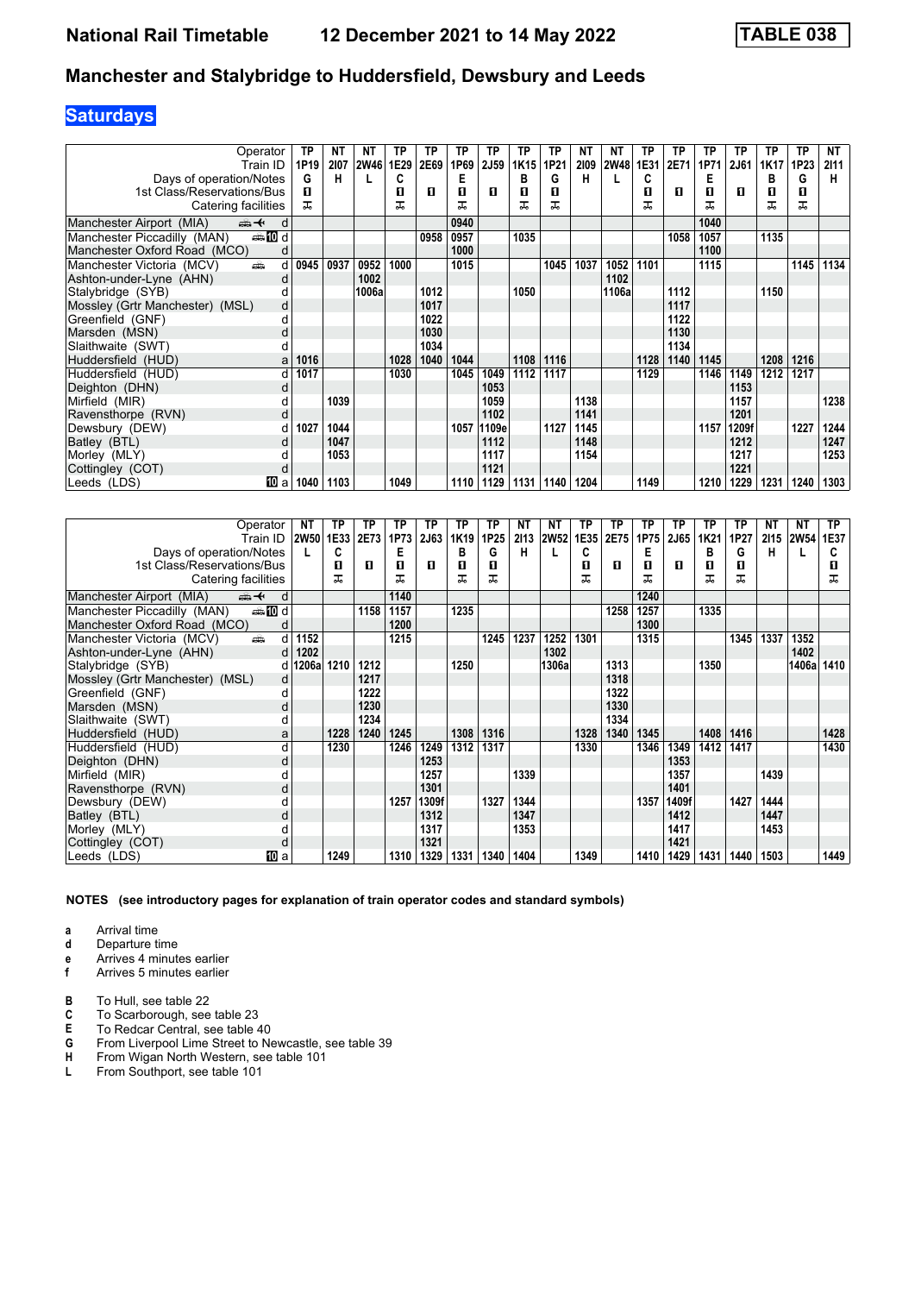# **Saturdays**

| Operator                                      | ТP   | <b>NT</b> | NΤ    | ТP   | ТP   | TP   | ТP    | TP   | ТP   | <b>NT</b> | NΤ          | ТP   | TP   | ТP   | <b>TP</b> | ТP   | <b>TP</b> | NT   |
|-----------------------------------------------|------|-----------|-------|------|------|------|-------|------|------|-----------|-------------|------|------|------|-----------|------|-----------|------|
| Train ID                                      | 1P19 | 2107      | 2W46  | 1E29 | 2E69 | 1P69 | 2J59  | 1K15 | 1P21 | 2109      | <b>2W48</b> | 1E31 | 2E71 | 1P71 | 2J61      | 1K17 | 1P23      | 2111 |
| Days of operation/Notes                       | G    | н         |       | C    |      | Е    |       | в    | G    | н         |             | C    |      | E    |           | в    | G         | н    |
| 1st Class/Reservations/Bus                    | п    |           |       | П    | п    | п    | п     | 0    | п    |           |             | П    | п    | п    | п         | П    | O         |      |
| Catering facilities                           | ㅈ    |           |       | ᅚ    |      | ᅚ    |       |      | ᠼ    |           |             | ᅚ    |      | ᠼ    |           | ᅚ    | ᅚ         |      |
| Manchester Airport (MIA)<br>⇜✦<br>d           |      |           |       |      |      | 0940 |       |      |      |           |             |      |      | 1040 |           |      |           |      |
| <b>entin</b> d<br>Manchester Piccadilly (MAN) |      |           |       |      | 0958 | 0957 |       | 1035 |      |           |             |      | 1058 | 1057 |           | 1135 |           |      |
| Manchester Oxford Road (MCO)<br>d             |      |           |       |      |      | 1000 |       |      |      |           |             |      |      | 1100 |           |      |           |      |
| Manchester Victoria (MCV)<br>æ<br>d           | 0945 | 0937      | 0952  | 1000 |      | 1015 |       |      | 1045 | 1037      | 1052        | 1101 |      | 1115 |           |      | 1145      | 1134 |
| Ashton-under-Lyne (AHN)<br>d                  |      |           | 1002  |      |      |      |       |      |      |           | 1102        |      |      |      |           |      |           |      |
| Stalybridge (SYB)                             |      |           | 1006a |      | 1012 |      |       | 1050 |      |           | 1106a       |      | 1112 |      |           | 1150 |           |      |
| Mossley (Grtr Manchester) (MSL)<br>d          |      |           |       |      | 1017 |      |       |      |      |           |             |      | 1117 |      |           |      |           |      |
| Greenfield (GNF)<br>d                         |      |           |       |      | 1022 |      |       |      |      |           |             |      | 1122 |      |           |      |           |      |
| Marsden (MSN)<br>d                            |      |           |       |      | 1030 |      |       |      |      |           |             |      | 1130 |      |           |      |           |      |
| Slaithwaite (SWT)                             |      |           |       |      | 1034 |      |       |      |      |           |             |      | 1134 |      |           |      |           |      |
| Huddersfield (HUD)<br>a                       | 1016 |           |       | 1028 | 1040 | 1044 |       | 1108 | 1116 |           |             | 1128 | 1140 | 1145 |           | 1208 | 1216      |      |
| Huddersfield (HUD)                            | 1017 |           |       | 1030 |      | 1045 | 1049  | 1112 | 1117 |           |             | 1129 |      | 1146 | 1149      | 1212 | 1217      |      |
| Deighton (DHN)                                |      |           |       |      |      |      | 1053  |      |      |           |             |      |      |      | 1153      |      |           |      |
| Mirfield (MIR)                                |      | 1039      |       |      |      |      | 1059  |      |      | 1138      |             |      |      |      | 1157      |      |           | 1238 |
| Ravensthorpe (RVN)<br>d                       |      |           |       |      |      |      | 1102  |      |      | 1141      |             |      |      |      | 1201      |      |           |      |
| Dewsbury (DEW)                                | 1027 | 1044      |       |      |      | 1057 | 1109e |      | 1127 | 1145      |             |      |      | 1157 | 1209f     |      | 1227      | 1244 |
| Batley (BTL)                                  |      | 1047      |       |      |      |      | 1112  |      |      | 1148      |             |      |      |      | 1212      |      |           | 1247 |
| Morley (MLY)                                  |      | 1053      |       |      |      |      | 1117  |      |      | 1154      |             |      |      |      | 1217      |      |           | 1253 |
| Cottingley (COT)<br>d                         |      |           |       |      |      |      | 1121  |      |      |           |             |      |      |      | 1221      |      |           |      |
| 100 a<br>Leeds (LDS)                          | 1040 | 1103      |       | 1049 |      | 1110 | 1129  | 1131 | 1140 | 1204      |             | 1149 |      | 1210 | 1229      | 1231 | 1240      | 1303 |

| Operator                                        | NΤ               | ТP   | TP   | ТP   | ТP          | ТP               | ТP   | NΤ   | <b>NT</b>   | ТP   | ΤP   | ТP   | TP    | ТP   | ТP   | NΤ   | NΤ          | TP.  |
|-------------------------------------------------|------------------|------|------|------|-------------|------------------|------|------|-------------|------|------|------|-------|------|------|------|-------------|------|
| Train ID                                        | 2W50 1E33        |      | 2E73 | 1P73 | <b>2J63</b> | 1K <sub>19</sub> | 1P25 | 2113 | <b>2W52</b> | 1E35 | 2E75 | 1P75 | 2J65  | 1K21 | 1P27 | 2115 | <b>2W54</b> | 1E37 |
| Days of operation/Notes                         |                  | C    |      | E    |             | в                | G    | н    |             | C    |      | Е    |       | в    | G    | н    |             |      |
| 1st Class/Reservations/Bus                      |                  | п    | п    | 0    | л           | п                | п    |      |             | п    | п    | п    | п     | п    | п    |      |             |      |
| Catering facilities                             |                  | ᅚ    |      | ᅚ    |             |                  |      |      |             | ᅚ    |      | ᅚ    |       | ᠼ    | ᠼ    |      |             | ᠼ    |
| <del>∰ ∢</del><br>Manchester Airport (MIA)<br>d |                  |      |      | 1140 |             |                  |      |      |             |      |      | 1240 |       |      |      |      |             |      |
| <b>et 10 d</b><br>Manchester Piccadilly (MAN)   |                  |      | 1158 | 1157 |             | 1235             |      |      |             |      | 1258 | 1257 |       | 1335 |      |      |             |      |
| Manchester Oxford Road (MCO)                    |                  |      |      | 1200 |             |                  |      |      |             |      |      | 1300 |       |      |      |      |             |      |
| Manchester Victoria (MCV)<br>añ,<br>d           | 1152             |      |      | 1215 |             |                  | 1245 | 1237 | 1252        | 1301 |      | 1315 |       |      | 1345 | 1337 | 1352        |      |
| Ashton-under-Lyne (AHN)<br>d                    | 1202             |      |      |      |             |                  |      |      | 1302        |      |      |      |       |      |      |      | 1402        |      |
| Stalybridge (SYB)                               | d   1206a   1210 |      | 1212 |      |             | 1250             |      |      | 1306a       |      | 1313 |      |       | 1350 |      |      | 1406al      | 1410 |
| Mossley (Grtr Manchester) (MSL)<br>d            |                  |      | 1217 |      |             |                  |      |      |             |      | 1318 |      |       |      |      |      |             |      |
| Greenfield (GNF)                                |                  |      | 1222 |      |             |                  |      |      |             |      | 1322 |      |       |      |      |      |             |      |
| Marsden (MSN)<br>d                              |                  |      | 1230 |      |             |                  |      |      |             |      | 1330 |      |       |      |      |      |             |      |
| Slaithwaite (SWT)                               |                  |      | 1234 |      |             |                  |      |      |             |      | 1334 |      |       |      |      |      |             |      |
| Huddersfield (HUD)<br>a                         |                  | 1228 | 1240 | 1245 |             | 1308             | 1316 |      |             | 1328 | 1340 | 1345 |       | 1408 | 1416 |      |             | 1428 |
| Huddersfield (HUD)<br>d                         |                  | 1230 |      | 1246 | 1249        | 1312             | 1317 |      |             | 1330 |      | 1346 | 1349  | 1412 | 1417 |      |             | 1430 |
| Deighton (DHN)<br>d                             |                  |      |      |      | 1253        |                  |      |      |             |      |      |      | 1353  |      |      |      |             |      |
| Mirfield (MIR)                                  |                  |      |      |      | 1257        |                  |      | 1339 |             |      |      |      | 1357  |      |      | 1439 |             |      |
| Ravensthorpe (RVN)<br>d                         |                  |      |      |      | 1301        |                  |      |      |             |      |      |      | 1401  |      |      |      |             |      |
| Dewsbury (DEW)                                  |                  |      |      | 1257 | 1309f       |                  | 1327 | 1344 |             |      |      | 1357 | 1409f |      | 1427 | 1444 |             |      |
| Batley (BTL)                                    |                  |      |      |      | 1312        |                  |      | 1347 |             |      |      |      | 1412  |      |      | 1447 |             |      |
| Morley (MLY)                                    |                  |      |      |      | 1317        |                  |      | 1353 |             |      |      |      | 1417  |      |      | 1453 |             |      |
| Cottingley (COT)<br>d                           |                  |      |      |      | 1321        |                  |      |      |             |      |      |      | 1421  |      |      |      |             |      |
| Leeds (LDS)<br>[10] a                           |                  | 1249 |      | 1310 | 1329        | 1331             | 1340 | 1404 |             | 1349 |      | 1410 | 1429  | 1431 | 1440 | 1503 |             | 1449 |

**NOTES (see introductory pages for explanation of train operator codes and standard symbols)**

- **d** Departure time
- **e** Arrives 4 minutes earlier<br>**f** Arrives 5 minutes earlier
- **f** Arrives 5 minutes earlier
- 
- **B** To Hull, see table 22<br>**C** To Scarborough, see **C** To Scarborough, see table 23<br>**E** To Redcar Central, see table 4
- **E** To Redcar Central, see table 40<br>**G** From Liverpool Lime Street to Ne
- **G** From Liverpool Lime Street to Newcastle, see table 39<br>**H** From Wigan North Western, see table 101
- **H** From Wigan North Western, see table 101<br>**L** From Southport, see table 101
- **/** From Southport, see table 101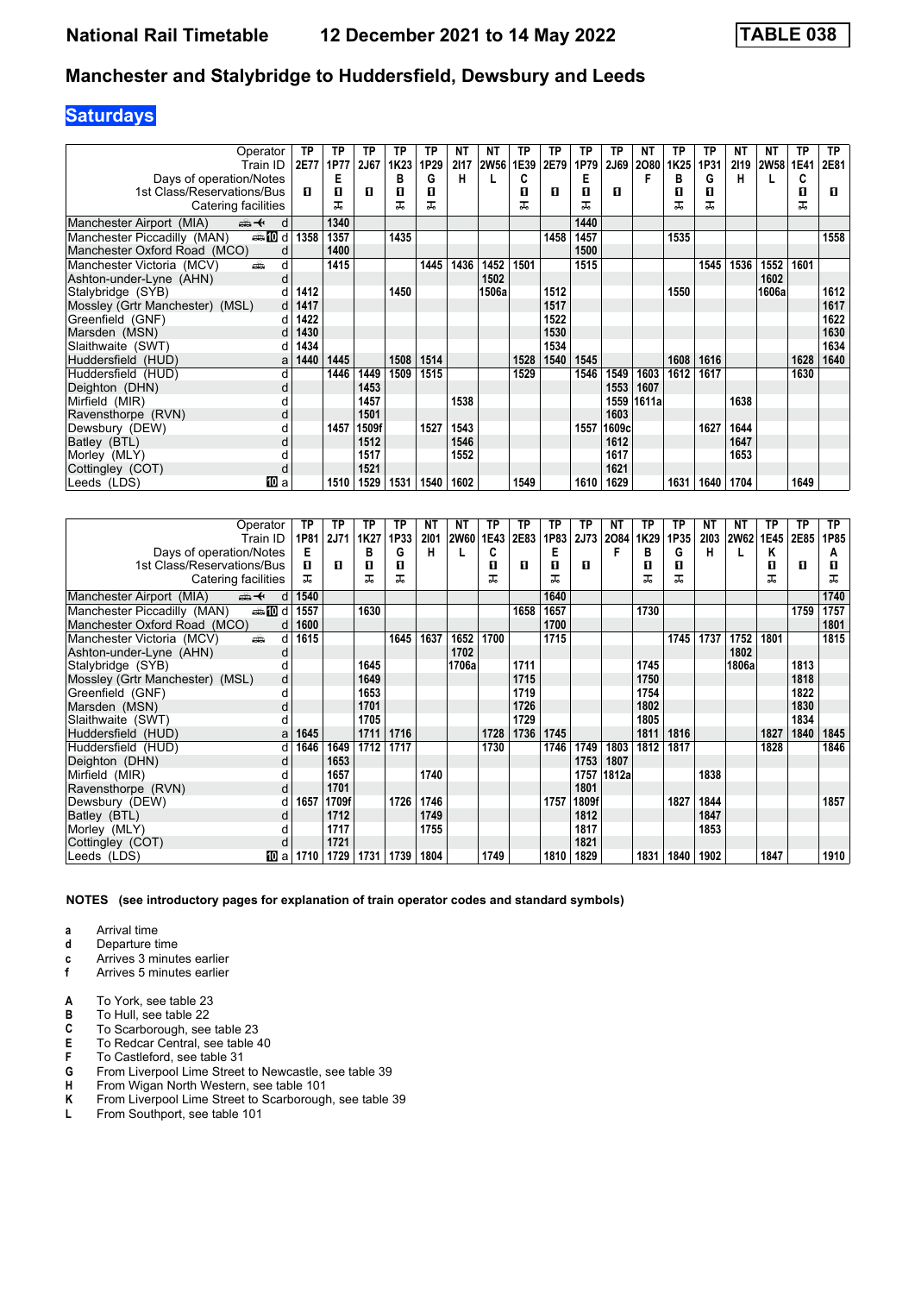# **Saturdays**

| Operator                                       | ТP   | ТP   | ΤP    | ТP               | ТP   | <b>NT</b> | ΝT          | ТP   | TP   | ТP   | <b>TP</b>   | NΤ    | ТP               | TP   | ΝT   | NΤ          | ТP   | <b>TP</b> |
|------------------------------------------------|------|------|-------|------------------|------|-----------|-------------|------|------|------|-------------|-------|------------------|------|------|-------------|------|-----------|
| Train ID                                       | 2E77 | 1P77 | 2J67  | 1K <sub>23</sub> | 1P29 | 2117      | <b>2W56</b> | 1E39 | 2E79 | 1P79 | <b>2J69</b> | 2080  | 1K <sub>25</sub> | 1P31 | 2119 | <b>2W58</b> | 1E41 | 2E81      |
| Days of operation/Notes                        |      | Е    |       | в                | G    | н         |             | C    |      | Е    |             | F     | в                | G    | н    |             | C    |           |
| 1st Class/Reservations/Bus                     | п    | п    | п     | 0                | п    |           |             | п    | л    | п    | п           |       | п                | п    |      |             | 0    | П.        |
| Catering facilities                            |      | ᅚ    |       | ᅚ                | ᅚ    |           |             | ᅚ    |      | ᅚ    |             |       | ᠼ                | ᅚ    |      |             | ᠼ    |           |
| Manchester Airport (MIA)<br>⇜✦<br>d            |      | 1340 |       |                  |      |           |             |      |      | 1440 |             |       |                  |      |      |             |      |           |
| <b>enting</b> d<br>Manchester Piccadilly (MAN) | 1358 | 1357 |       | 1435             |      |           |             |      | 1458 | 1457 |             |       | 1535             |      |      |             |      | 1558      |
| Manchester Oxford Road (MCO)<br>d              |      | 1400 |       |                  |      |           |             |      |      | 1500 |             |       |                  |      |      |             |      |           |
| Manchester Victoria (MCV)<br>añ.<br>d          |      | 1415 |       |                  | 1445 | 1436      | 1452        | 1501 |      | 1515 |             |       |                  | 1545 | 1536 | 1552        | 1601 |           |
| Ashton-under-Lyne (AHN)<br>d                   |      |      |       |                  |      |           | 1502        |      |      |      |             |       |                  |      |      | 1602        |      |           |
| Stalybridge (SYB)                              | 1412 |      |       | 1450             |      |           | 1506a       |      | 1512 |      |             |       | 1550             |      |      | 1606a       |      | 1612      |
| Mossley (Grtr Manchester) (MSL)<br>d           | 1417 |      |       |                  |      |           |             |      | 1517 |      |             |       |                  |      |      |             |      | 1617      |
| Greenfield (GNF)<br>d                          | 1422 |      |       |                  |      |           |             |      | 1522 |      |             |       |                  |      |      |             |      | 1622      |
| Marsden (MSN)                                  | 1430 |      |       |                  |      |           |             |      | 1530 |      |             |       |                  |      |      |             |      | 1630      |
| Slaithwaite (SWT)                              | 1434 |      |       |                  |      |           |             |      | 1534 |      |             |       |                  |      |      |             |      | 1634      |
| Huddersfield (HUD)<br>a                        | 1440 | 1445 |       | 1508             | 1514 |           |             | 1528 | 1540 | 1545 |             |       | 1608             | 1616 |      |             | 1628 | 1640      |
| Huddersfield (HUD)<br>d                        |      | 1446 | 1449  | 1509             | 1515 |           |             | 1529 |      | 1546 | 1549        | 1603  | 1612             | 1617 |      |             | 1630 |           |
| Deighton (DHN)<br>d                            |      |      | 1453  |                  |      |           |             |      |      |      | 1553        | 1607  |                  |      |      |             |      |           |
| Mirfield (MIR)                                 |      |      | 1457  |                  |      | 1538      |             |      |      |      | 1559        | 1611a |                  |      | 1638 |             |      |           |
| Ravensthorpe (RVN)<br>d                        |      |      | 1501  |                  |      |           |             |      |      |      | 1603        |       |                  |      |      |             |      |           |
| Dewsbury (DEW)                                 |      | 1457 | 1509f |                  | 1527 | 1543      |             |      |      | 1557 | 1609c       |       |                  | 1627 | 1644 |             |      |           |
| Batley (BTL)<br>d                              |      |      | 1512  |                  |      | 1546      |             |      |      |      | 1612        |       |                  |      | 1647 |             |      |           |
| Morley (MLY)                                   |      |      | 1517  |                  |      | 1552      |             |      |      |      | 1617        |       |                  |      | 1653 |             |      |           |
| Cottingley (COT)<br>d                          |      |      | 1521  |                  |      |           |             |      |      |      | 1621        |       |                  |      |      |             |      |           |
| 10 a<br>Leeds (LDS)                            |      | 1510 | 1529  | 1531             | 1540 | 1602      |             | 1549 |      | 1610 | 1629        |       | 1631             | 1640 | 1704 |             | 1649 |           |

| Operator                                       | ΤP   | TP          | ΤP   | ТP   | NΤ   | NΤ          | ТP   | ТP   | ТP   | <b>TP</b>   | NΤ    | ТP   | ТP   | NΤ   | ΝT          | ТP   | ТP   | TP   |
|------------------------------------------------|------|-------------|------|------|------|-------------|------|------|------|-------------|-------|------|------|------|-------------|------|------|------|
| Train ID                                       | 1P81 | <b>2J71</b> | 1K27 | 1P33 | 2101 | <b>2W60</b> | 1E43 | 2E83 | 1P83 | <b>2J73</b> | 2084  | 1K29 | 1P35 | 2103 | <b>2W62</b> | 1E45 | 2E85 | 1P85 |
| Days of operation/Notes                        | Е    |             | в    | G    | н    |             | C    |      | Е    |             | F     | в    | G    | н    |             | Κ    |      | А    |
| 1st Class/Reservations/Bus                     | п    | п.          | п    | п    |      |             | п    | n.   | п    | п           |       | п    | п    |      |             | п    | п    | п    |
| Catering facilities                            | ㅈ    |             | ᅚ    | ᅚ    |      |             | ᅚ    |      | ㅈ    |             |       | ᠼ    | ᠼ    |      |             | ᅚ    |      | ㅈ    |
| Manchester Airport (MIA)<br>安<br>d             | 1540 |             |      |      |      |             |      |      | 1640 |             |       |      |      |      |             |      |      | 1740 |
| <b>enting</b> d<br>Manchester Piccadilly (MAN) | 1557 |             | 1630 |      |      |             |      | 1658 | 1657 |             |       | 1730 |      |      |             |      | 1759 | 1757 |
| Manchester Oxford Road (MCO)<br>d              | 1600 |             |      |      |      |             |      |      | 1700 |             |       |      |      |      |             |      |      | 1801 |
| Manchester Victoria (MCV)<br>پیش<br>d          | 1615 |             |      | 1645 | 1637 | 1652        | 1700 |      | 1715 |             |       |      | 1745 | 1737 | 1752        | 1801 |      | 1815 |
| Ashton-under-Lyne (AHN)<br>o                   |      |             |      |      |      | 1702        |      |      |      |             |       |      |      |      | 1802        |      |      |      |
| Stalybridge (SYB)                              |      |             | 1645 |      |      | 1706a       |      | 1711 |      |             |       | 1745 |      |      | 1806a       |      | 1813 |      |
| Mossley (Grtr Manchester) (MSL)                | d    |             | 1649 |      |      |             |      | 1715 |      |             |       | 1750 |      |      |             |      | 1818 |      |
| Greenfield (GNF)<br>d                          |      |             | 1653 |      |      |             |      | 1719 |      |             |       | 1754 |      |      |             |      | 1822 |      |
| Marsden (MSN)<br>d                             |      |             | 1701 |      |      |             |      | 1726 |      |             |       | 1802 |      |      |             |      | 1830 |      |
| Slaithwaite (SWT)                              |      |             | 1705 |      |      |             |      | 1729 |      |             |       | 1805 |      |      |             |      | 1834 |      |
| Huddersfield (HUD)<br>a                        | 1645 |             | 1711 | 1716 |      |             | 1728 | 1736 | 1745 |             |       | 1811 | 1816 |      |             | 1827 | 1840 | 1845 |
| Huddersfield (HUD)<br>d                        | 1646 | 1649        | 1712 | 1717 |      |             | 1730 |      | 1746 | 1749        | 1803  | 1812 | 1817 |      |             | 1828 |      | 1846 |
| Deighton (DHN)<br>d                            |      | 1653        |      |      |      |             |      |      |      | 1753        | 1807  |      |      |      |             |      |      |      |
| Mirfield (MIR)                                 |      | 1657        |      |      | 1740 |             |      |      |      | 1757        | 1812a |      |      | 1838 |             |      |      |      |
| Ravensthorpe (RVN)                             | d    | 1701        |      |      |      |             |      |      |      | 1801        |       |      |      |      |             |      |      |      |
| Dewsbury (DEW)<br>d                            | 1657 | 1709f       |      | 1726 | 1746 |             |      |      | 1757 | 1809f       |       |      | 1827 | 1844 |             |      |      | 1857 |
| Batley (BTL)                                   |      | 1712        |      |      | 1749 |             |      |      |      | 1812        |       |      |      | 1847 |             |      |      |      |
| Morley (MLY)                                   |      | 1717        |      |      | 1755 |             |      |      |      | 1817        |       |      |      | 1853 |             |      |      |      |
| Cottingley (COT)                               |      | 1721        |      |      |      |             |      |      |      | 1821        |       |      |      |      |             |      |      |      |
| Leeds (LDS)<br>10 a                            | 1710 | 1729        | 1731 | 1739 | 1804 |             | 1749 |      | 1810 | 1829        |       | 1831 | 1840 | 1902 |             | 1847 |      | 1910 |

**NOTES (see introductory pages for explanation of train operator codes and standard symbols)**

- **d** Departure time
- **c** Arrives 3 minutes earlier<br>**f** Arrives 5 minutes earlier
- **f** Arrives 5 minutes earlier
- **A** To York, see table 23
- **B** To Hull, see table 22<br>**C** To Scarborough, see
- **C** To Scarborough, see table 23<br> **E** To Redcar Central, see table 4<br> **F** To Castleford, see table 31
- **E** To Redcar Central, see table 40
- **F** To Castleford, see table 31<br>**G** From Liverpool Lime Street
- **G** From Liverpool Lime Street to Newcastle, see table 39
- **H** From Wigan North Western, see table 101<br>**K** From Liverpool Lime Street to Scarborougl **K** From Liverpool Lime Street to Scarborough, see table 39 L From Southport, see table 101
- **/** From Southport, see table 101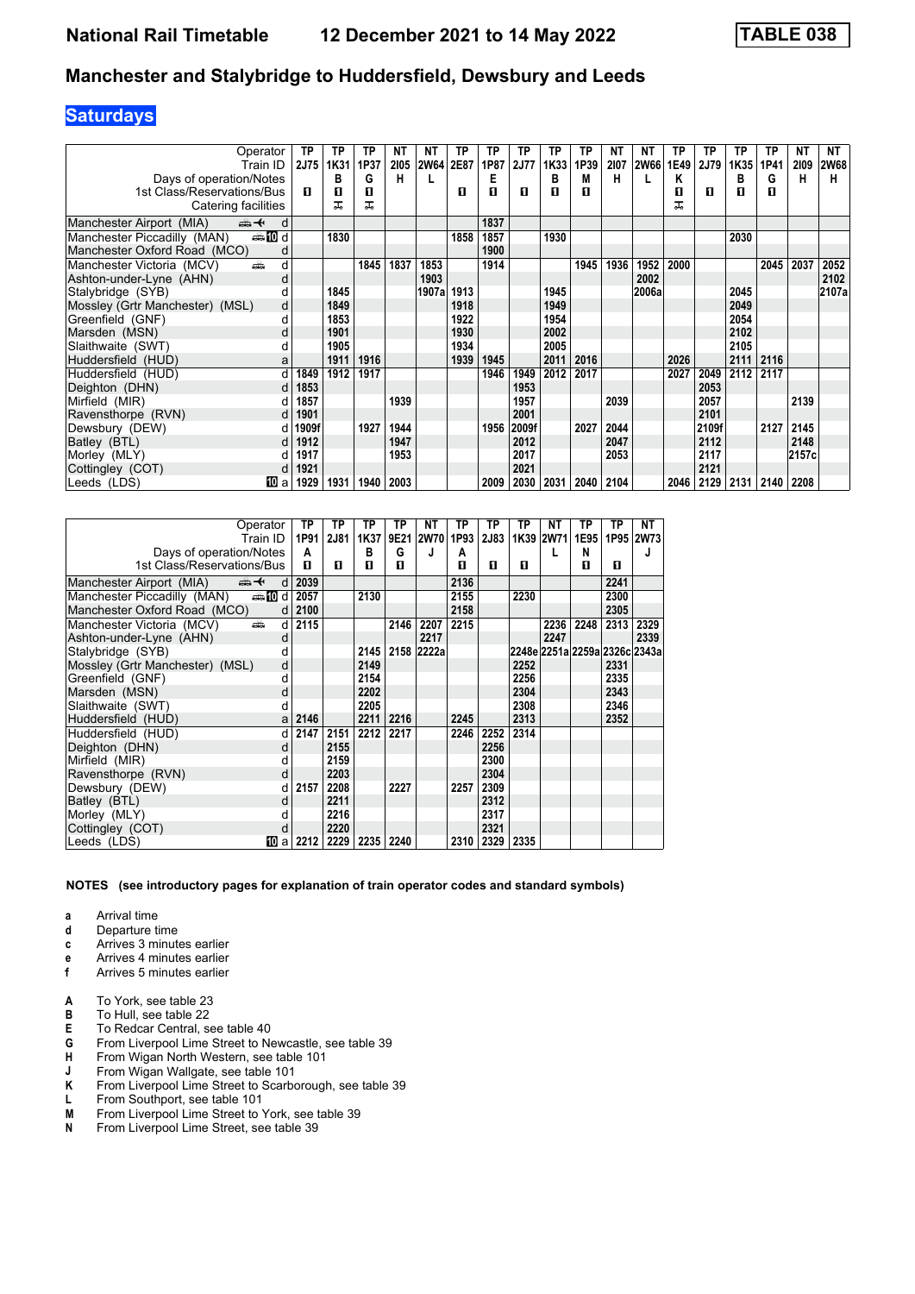# **Saturdays**

| Operator                                       | ТP          | ТP   | ΤP   | <b>NT</b> | NΤ          | TP   | ТP   | ТP          | ТP   | TP   | ΝT   | ΝT    | ТP   | TP    | ТP   | ТP   | NΤ    | NT          |
|------------------------------------------------|-------------|------|------|-----------|-------------|------|------|-------------|------|------|------|-------|------|-------|------|------|-------|-------------|
| Train ID                                       | <b>2J75</b> | 1K31 | 1P37 | 2105      | <b>2W64</b> | 2E87 | 1P87 | <b>2J77</b> | 1K33 | 1P39 | 2107 | 2W66  | 1E49 | 2J79  | 1K35 | 1P41 | 2109  | <b>2W68</b> |
| Days of operation/Notes                        |             | в    | G    | н         |             |      | Е    |             | в    | M    | н    |       | Κ    |       | в    | G    | н     | н           |
| 1st Class/Reservations/Bus                     | п           | п    | П    |           |             | п    | п    | п           | п    | п    |      |       | п    | п     | П    | п    |       |             |
| Catering facilities                            |             | ᠼ    | ᅚ    |           |             |      |      |             |      |      |      |       | ᅚ    |       |      |      |       |             |
| Manchester Airport (MIA)<br>安<br>d             |             |      |      |           |             |      | 1837 |             |      |      |      |       |      |       |      |      |       |             |
| <b>enting</b> d<br>Manchester Piccadilly (MAN) |             | 1830 |      |           |             | 1858 | 1857 |             | 1930 |      |      |       |      |       | 2030 |      |       |             |
| Manchester Oxford Road (MCO)<br>d              |             |      |      |           |             |      | 1900 |             |      |      |      |       |      |       |      |      |       |             |
| Manchester Victoria (MCV)<br>پیش<br>d          |             |      | 1845 | 1837      | 1853        |      | 1914 |             |      | 1945 | 1936 | 1952  | 2000 |       |      | 2045 | 2037  | 2052        |
| Ashton-under-Lyne (AHN)<br>d                   |             |      |      |           | 1903        |      |      |             |      |      |      | 2002  |      |       |      |      |       | 2102        |
| Stalybridge (SYB)                              |             | 1845 |      |           | 1907a       | 1913 |      |             | 1945 |      |      | 2006a |      |       | 2045 |      |       | 2107a       |
| Mossley (Grtr Manchester) (MSL)<br>d           |             | 1849 |      |           |             | 1918 |      |             | 1949 |      |      |       |      |       | 2049 |      |       |             |
| Greenfield (GNF)<br>d                          |             | 1853 |      |           |             | 1922 |      |             | 1954 |      |      |       |      |       | 2054 |      |       |             |
| Marsden (MSN)<br>d                             |             | 1901 |      |           |             | 1930 |      |             | 2002 |      |      |       |      |       | 2102 |      |       |             |
| Slaithwaite (SWT)<br>d                         |             | 1905 |      |           |             | 1934 |      |             | 2005 |      |      |       |      |       | 2105 |      |       |             |
| Huddersfield (HUD)<br>a                        |             | 1911 | 1916 |           |             | 1939 | 1945 |             | 2011 | 2016 |      |       | 2026 |       | 2111 | 2116 |       |             |
| Huddersfield (HUD)<br>d                        | 1849        | 1912 | 1917 |           |             |      | 1946 | 1949        | 2012 | 2017 |      |       | 2027 | 2049  | 2112 | 2117 |       |             |
| Deighton (DHN)<br>d                            | 1853        |      |      |           |             |      |      | 1953        |      |      |      |       |      | 2053  |      |      |       |             |
| Mirfield (MIR)                                 | 1857        |      |      | 1939      |             |      |      | 1957        |      |      | 2039 |       |      | 2057  |      |      | 2139  |             |
| Ravensthorpe (RVN)<br>d                        | 1901        |      |      |           |             |      |      | 2001        |      |      |      |       |      | 2101  |      |      |       |             |
| Dewsbury (DEW)                                 | 1909f       |      | 1927 | 1944      |             |      | 1956 | 2009f       |      | 2027 | 2044 |       |      | 2109f |      | 2127 | 2145  |             |
| Batley (BTL)<br>d                              | 1912        |      |      | 1947      |             |      |      | 2012        |      |      | 2047 |       |      | 2112  |      |      | 2148  |             |
| Morley (MLY)                                   | 1917        |      |      | 1953      |             |      |      | 2017        |      |      | 2053 |       |      | 2117  |      |      | 2157c |             |
| Cottingley (COT)                               | 1921        |      |      |           |             |      |      | 2021        |      |      |      |       |      | 2121  |      |      |       |             |
| Leeds (LDS)<br>III a                           | 1929        | 1931 | 1940 | 2003      |             |      | 2009 | 2030        | 2031 | 2040 | 2104 |       | 2046 | 2129  | 2131 | 2140 | 2208  |             |

| Operator                           |                 | ΤP   | ТP   | TP   | ТP   | NΤ         | TP   | ТP          | ТP   | NΤ        | ΤP                            | ΤP   | NΤ        |
|------------------------------------|-----------------|------|------|------|------|------------|------|-------------|------|-----------|-------------------------------|------|-----------|
| Train ID                           |                 | 1P91 | 2J81 | 1K37 |      | 9E21 2W70  | 1P93 | <b>2J83</b> |      | 1K39 2W71 | 1E95                          |      | 1P95 2W73 |
| Days of operation/Notes            |                 | A    |      | в    | G    | J          | A    |             |      |           | N                             |      |           |
| 1st Class/Reservations/Bus         |                 | п    | п    | п    | п    |            | п    | п           | п    |           | п                             | п    |           |
| ⇜✦<br>Manchester Airport (MIA)     | d               | 2039 |      |      |      |            | 2136 |             |      |           |                               | 2241 |           |
| Manchester Piccadilly (MAN)        | <b>enting</b> d | 2057 |      | 2130 |      |            | 2155 |             | 2230 |           |                               | 2300 |           |
| Manchester Oxford Road (MCO)       | d               | 2100 |      |      |      |            | 2158 |             |      |           |                               | 2305 |           |
| dia 1<br>Manchester Victoria (MCV) | d               | 2115 |      |      | 2146 | 2207       | 2215 |             |      | 2236      | 2248                          | 2313 | 2329      |
| Ashton-under-Lyne (AHN)            | d               |      |      |      |      | 2217       |      |             |      | 2247      |                               |      | 2339      |
| Stalybridge (SYB)                  | d               |      |      | 2145 |      | 2158 2222a |      |             |      |           | 2248e 2251a 2259a 2326c 2343a |      |           |
| Mossley (Grtr Manchester) (MSL)    | d               |      |      | 2149 |      |            |      |             | 2252 |           |                               | 2331 |           |
| Greenfield (GNF)                   | d               |      |      | 2154 |      |            |      |             | 2256 |           |                               | 2335 |           |
| Marsden (MSN)                      | d               |      |      | 2202 |      |            |      |             | 2304 |           |                               | 2343 |           |
| Slaithwaite (SWT)                  | d               |      |      | 2205 |      |            |      |             | 2308 |           |                               | 2346 |           |
| Huddersfield (HUD)                 | a               | 2146 |      | 2211 | 2216 |            | 2245 |             | 2313 |           |                               | 2352 |           |
| Huddersfield (HUD)                 | d               | 2147 | 2151 | 2212 | 2217 |            | 2246 | 2252        | 2314 |           |                               |      |           |
| Deighton (DHN)                     | d               |      | 2155 |      |      |            |      | 2256        |      |           |                               |      |           |
| Mirfield (MIR)                     | d               |      | 2159 |      |      |            |      | 2300        |      |           |                               |      |           |
| Ravensthorpe (RVN)                 | d               |      | 2203 |      |      |            |      | 2304        |      |           |                               |      |           |
| Dewsbury (DEW)                     | d               | 2157 | 2208 |      | 2227 |            | 2257 | 2309        |      |           |                               |      |           |
| Batley (BTL)                       | d               |      | 2211 |      |      |            |      | 2312        |      |           |                               |      |           |
| Morley (MLY)                       | d               |      | 2216 |      |      |            |      | 2317        |      |           |                               |      |           |
| Cottingley (COT)                   | d               |      | 2220 |      |      |            |      | 2321        |      |           |                               |      |           |
| Leeds (LDS)                        | 100al           | 2212 | 2229 | 2235 | 2240 |            | 2310 | 2329        | 2335 |           |                               |      |           |

**NOTES (see introductory pages for explanation of train operator codes and standard symbols)**

**a** Arrival time<br>**d** Departure ti

**d** Departure time

- **c** Arrives 3 minutes earlier
- **e** Arrives 4 minutes earlier **f** Arrives 5 minutes earlier
- 
- **A** To York, see table 23<br>**B** To Hull, see table 22
- **B** To Hull, see table 22
- **E** To Redcar Central, see table 40<br>**G** From Liverpool Lime Street to Ne
- **G** From Liverpool Lime Street to Newcastle, see table 39 From Wigan North Western, see table 101
- 
- **J** From Wigan Wallgate, see table 101<br>**K** From Liverpool Lime Street to Scarbo **K** From Liverpool Lime Street to Scarborough, see table 39<br>**L** From Southport, see table 101
- **L** From Southport, see table 101<br>**M** From Liverpool Lime Street to
- **M** From Liverpool Lime Street to York, see table 39<br>**N** From Liverpool Lime Street, see table 39
- **N** From Liverpool Lime Street, see table 39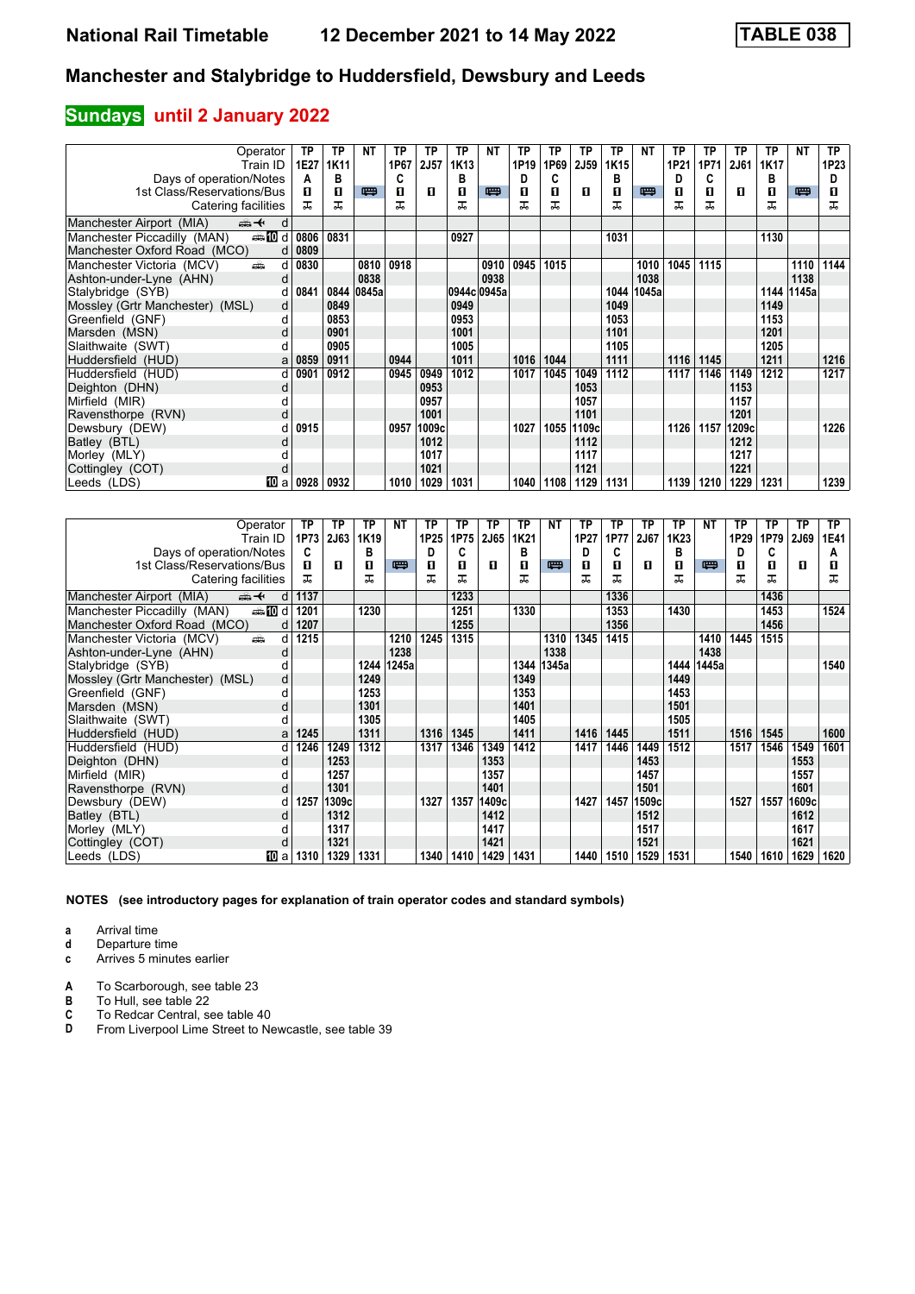# **Sundays** until 2 January 2022

| Operator                                       | ΤP   | ТP   | NΤ    | TP   | ТP     | ТP   | NΤ          | ТP               | TP   | ТP          | TP   | NΤ    | ТP   | TP   | ТP                | ТP   | <b>NT</b>  | <b>TP</b> |
|------------------------------------------------|------|------|-------|------|--------|------|-------------|------------------|------|-------------|------|-------|------|------|-------------------|------|------------|-----------|
| Train ID                                       | 1E27 | 1K11 |       | 1P67 | 2J57   | 1K13 |             | 1P <sub>19</sub> | 1P69 | <b>2J59</b> | 1K15 |       | 1P21 | 1P71 | 2J61              | 1K17 |            | 1P23      |
| Days of operation/Notes                        | А    | в    |       | C    |        | в    |             | D                | C    |             | в    |       | D    | C    |                   | В    |            | D         |
| 1st Class/Reservations/Bus                     | п    | п    | 四     | п    | л      | п    | 罒           | п                | п    | п           | п    | 四     | п    | п    | п                 | п    | 四          | п         |
| Catering facilities                            | ㅈ    | ᅚ    |       | ᅚ    |        | ᅚ    |             |                  | ᅚ    |             | ᅚ    |       | ᅚ    | ᅚ    |                   | ㅈ    |            | ᅚ         |
| Manchester Airport (MIA)<br>⇜✦<br>d            |      |      |       |      |        |      |             |                  |      |             |      |       |      |      |                   |      |            |           |
| Manchester Piccadilly (MAN)<br><b>enting</b> d | 0806 | 0831 |       |      |        | 0927 |             |                  |      |             | 1031 |       |      |      |                   | 1130 |            |           |
| Manchester Oxford Road (MCO)<br>d              | 0809 |      |       |      |        |      |             |                  |      |             |      |       |      |      |                   |      |            |           |
| Manchester Victoria (MCV)<br>æ.<br>d           | 0830 |      | 0810  | 0918 |        |      | 0910        | 0945             | 1015 |             |      | 1010  | 1045 | 1115 |                   |      | 1110       | 1144      |
| Ashton-under-Lyne (AHN)<br>d                   |      |      | 0838  |      |        |      | 0938        |                  |      |             |      | 1038  |      |      |                   |      | 1138       |           |
| Stalybridge (SYB)<br>d                         | 0841 | 0844 | 0845a |      |        |      | 0944c 0945a |                  |      |             | 1044 | 1045a |      |      |                   |      | 1144 1145a |           |
| Mossley (Grtr Manchester) (MSL)<br>d           |      | 0849 |       |      |        | 0949 |             |                  |      |             | 1049 |       |      |      |                   | 1149 |            |           |
| Greenfield (GNF)<br>d                          |      | 0853 |       |      |        | 0953 |             |                  |      |             | 1053 |       |      |      |                   | 1153 |            |           |
| Marsden (MSN)<br>d                             |      | 0901 |       |      |        | 1001 |             |                  |      |             | 1101 |       |      |      |                   | 1201 |            |           |
| Slaithwaite (SWT)                              |      | 0905 |       |      |        | 1005 |             |                  |      |             | 1105 |       |      |      |                   | 1205 |            |           |
| Huddersfield (HUD)<br>a                        | 0859 | 0911 |       | 0944 |        | 1011 |             | 1016             | 1044 |             | 1111 |       | 1116 | 1145 |                   | 1211 |            | 1216      |
| Huddersfield (HUD)<br>d                        | 0901 | 0912 |       | 0945 | 0949   | 1012 |             | 1017             | 1045 | 1049        | 1112 |       | 1117 | 1146 | 1149              | 1212 |            | 1217      |
| Deighton (DHN)<br>d                            |      |      |       |      | 0953   |      |             |                  |      | 1053        |      |       |      |      | 1153              |      |            |           |
| Mirfield (MIR)                                 |      |      |       |      | 0957   |      |             |                  |      | 1057        |      |       |      |      | 1157              |      |            |           |
| Ravensthorpe (RVN)<br>d                        |      |      |       |      | 1001   |      |             |                  |      | 1101        |      |       |      |      | 1201              |      |            |           |
| Dewsbury (DEW)                                 | 0915 |      |       | 0957 | 1009cl |      |             | 1027             | 1055 | 1109c       |      |       | 1126 | 1157 | 1209 <sub>c</sub> |      |            | 1226      |
| Batley (BTL)<br>d                              |      |      |       |      | 1012   |      |             |                  |      | 1112        |      |       |      |      | 1212              |      |            |           |
| Morley (MLY)                                   |      |      |       |      | 1017   |      |             |                  |      | 1117        |      |       |      |      | 1217              |      |            |           |
| Cottingley (COT)<br>d                          |      |      |       |      | 1021   |      |             |                  |      | 1121        |      |       |      |      | 1221              |      |            |           |
| 100 a<br>Leeds (LDS)                           | 0928 | 0932 |       | 1010 | 1029   | 1031 |             | 1040             | 1108 | 1129        | 1131 |       | 1139 | 1210 | 1229              | 1231 |            | 1239      |

| Operator                                      | ТP        | ТP          | TP               | <b>NT</b> | ТP   | ТP   | ТP    | ТP   | <b>NT</b> | ТP   | ТP   | ТP          | TP   | <b>NT</b> | ТP   | ТP   | <b>TP</b>   | TP.  |
|-----------------------------------------------|-----------|-------------|------------------|-----------|------|------|-------|------|-----------|------|------|-------------|------|-----------|------|------|-------------|------|
| Train ID                                      | 1P73      | <b>2J63</b> | 1K <sub>19</sub> |           | 1P25 | 1P75 | 2J65  | 1K21 |           | 1P27 | 1P77 | <b>2J67</b> | 1K23 |           | 1P29 | 1P79 | <b>2J69</b> | 1E41 |
| Days of operation/Notes                       | C         |             | в                |           | D    | C    |       | в    |           | D    | C    |             | в    |           | D    | C    |             | А    |
| 1st Class/Reservations/Bus                    | п         | п           | 0                | 四         | п    | п    | п     | П    | 四         | п    | п    | п           | п    | 四         | п    | п    | п           | п    |
| Catering facilities                           | ㅈ         |             | ᅚ                |           | ᠼ    | ᠼ    |       | ᅚ    |           | ᠼ    | ᅚ    |             | ᠼ    |           | ᠼ    | ᠼ    |             | ᅚ    |
| Manchester Airport (MIA)<br>⇜✦                | 1137<br>d |             |                  |           |      | 1233 |       |      |           |      | 1336 |             |      |           |      | 1436 |             |      |
| <b>entin</b> d<br>Manchester Piccadilly (MAN) | 1201      |             | 1230             |           |      | 1251 |       | 1330 |           |      | 1353 |             | 1430 |           |      | 1453 |             | 1524 |
| Manchester Oxford Road (MCO)                  | 1207<br>d |             |                  |           |      | 1255 |       |      |           |      | 1356 |             |      |           |      | 1456 |             |      |
| Manchester Victoria (MCV)<br>añ,              | 1215<br>d |             |                  | 1210      | 1245 | 1315 |       |      | 1310      | 1345 | 1415 |             |      | 1410      | 1445 | 1515 |             |      |
| Ashton-under-Lyne (AHN)                       | d         |             |                  | 1238      |      |      |       |      | 1338      |      |      |             |      | 1438      |      |      |             |      |
| Stalybridge (SYB)                             |           |             | 1244             | 1245a     |      |      |       | 1344 | 1345a     |      |      |             | 1444 | 1445a     |      |      |             | 1540 |
| Mossley (Grtr Manchester) (MSL)               | d         |             | 1249             |           |      |      |       | 1349 |           |      |      |             | 1449 |           |      |      |             |      |
| Greenfield (GNF)                              |           |             | 1253             |           |      |      |       | 1353 |           |      |      |             | 1453 |           |      |      |             |      |
| Marsden (MSN)                                 | d         |             | 1301             |           |      |      |       | 1401 |           |      |      |             | 1501 |           |      |      |             |      |
| Slaithwaite (SWT)                             |           |             | 1305             |           |      |      |       | 1405 |           |      |      |             | 1505 |           |      |      |             |      |
| Huddersfield (HUD)                            | 1245<br>a |             | 1311             |           | 1316 | 1345 |       | 1411 |           | 1416 | 1445 |             | 1511 |           | 1516 | 1545 |             | 1600 |
| Huddersfield (HUD)                            | 1246<br>d | 1249        | 1312             |           | 1317 | 1346 | 1349  | 1412 |           | 1417 | 1446 | 1449        | 1512 |           | 1517 | 1546 | 1549        | 1601 |
| Deighton (DHN)                                | d         | 1253        |                  |           |      |      | 1353  |      |           |      |      | 1453        |      |           |      |      | 1553        |      |
| Mirfield (MIR)                                |           | 1257        |                  |           |      |      | 1357  |      |           |      |      | 1457        |      |           |      |      | 1557        |      |
| Ravensthorpe (RVN)                            | d         | 1301        |                  |           |      |      | 1401  |      |           |      |      | 1501        |      |           |      |      | 1601        |      |
| Dewsbury (DEW)                                | 1257<br>d | 1309cl      |                  |           | 1327 | 1357 | 1409с |      |           | 1427 | 1457 | 1509c       |      |           | 1527 | 1557 | 1609c       |      |
| Batley (BTL)                                  | d         | 1312        |                  |           |      |      | 1412  |      |           |      |      | 1512        |      |           |      |      | 1612        |      |
| Morley (MLY)                                  |           | 1317        |                  |           |      |      | 1417  |      |           |      |      | 1517        |      |           |      |      | 1617        |      |
| Cottingley (COT)                              | d         | 1321        |                  |           |      |      | 1421  |      |           |      |      | 1521        |      |           |      |      | 1621        |      |
| Leeds (LDS)<br>10 a                           | 1310      | 1329        | 1331             |           | 1340 | 1410 | 1429  | 1431 |           | 1440 | 1510 | 1529        | 1531 |           | 1540 | 1610 | 1629        | 1620 |

**NOTES (see introductory pages for explanation of train operator codes and standard symbols)**

**a** Arrival time<br>**d** Departure ti

**d** Departure time

**c** Arrives 5 minutes earlier

**A** To Scarborough, see table 23<br>**B** To Hull, see table 22

**B** To Hull, see table 22<br>**C** To Redcar Central, s<br>**D** From Liverpool Lime **C** To Redcar Central, see table 40

From Liverpool Lime Street to Newcastle, see table 39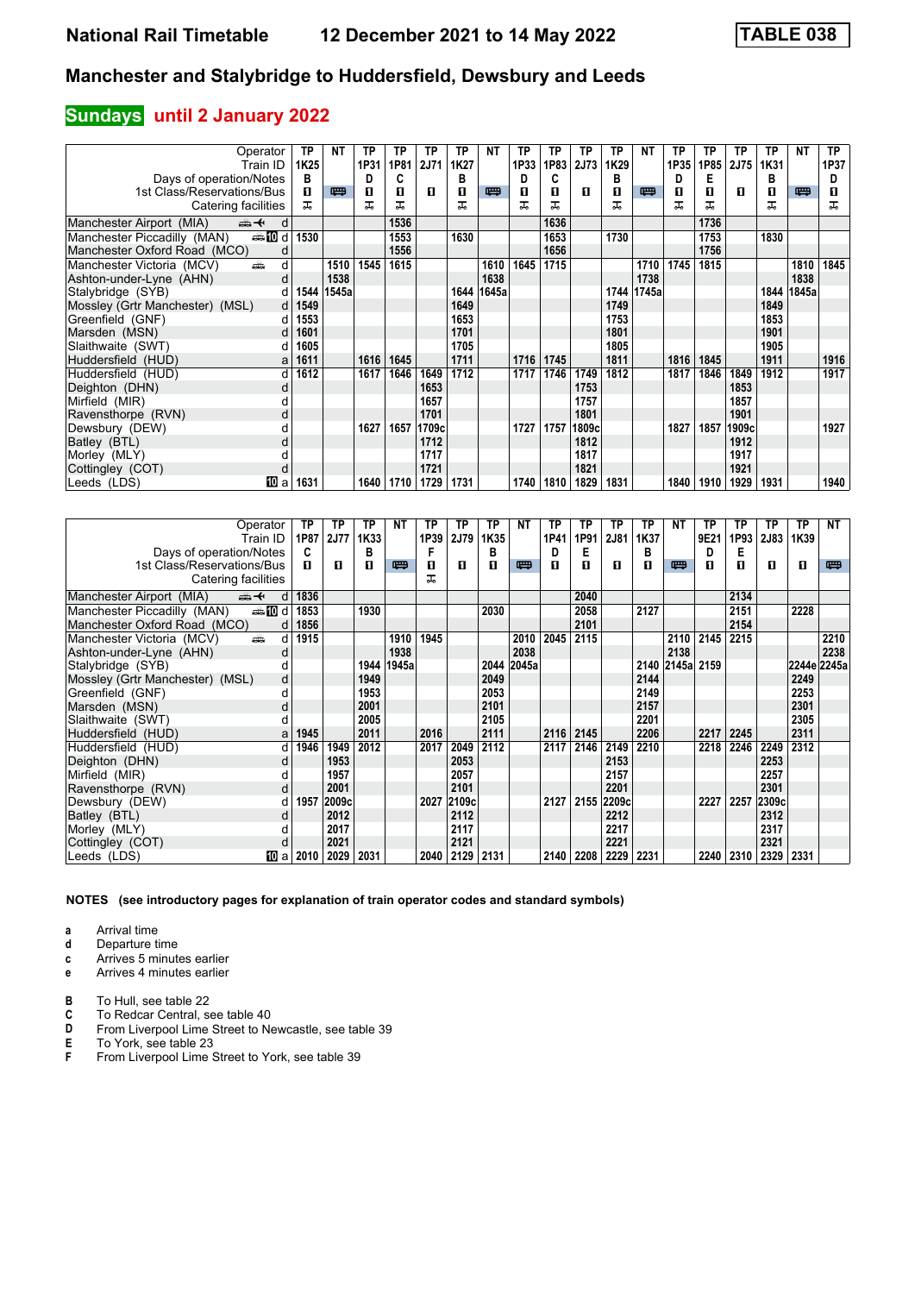## **Sundays** until 2 January 2022

| Operator                                        | ТP                    | NΤ    | ΤP   | ТP   | ТP          | ТP   | NΤ    | ТP   | TP   | ТP    | TP   | NΤ    | ТP   | TP   | ТP          | ТP   | NΤ    | <b>TP</b> |
|-------------------------------------------------|-----------------------|-------|------|------|-------------|------|-------|------|------|-------|------|-------|------|------|-------------|------|-------|-----------|
| Train ID                                        | 1K25                  |       | 1P31 | 1P81 | <b>2J71</b> | 1K27 |       | 1P33 | 1P83 | 2J73  | 1K29 |       | 1P35 | 1P85 | <b>2J75</b> | 1K31 |       | 1P37      |
| Days of operation/Notes                         | в                     |       | D    | C    |             | в    |       | Đ    | C    |       | в    |       | D    | E    |             | в    |       | D         |
| 1st Class/Reservations/Bus                      | п                     | 四     | п    | п    | л           | п    | 罒     | п    | п    | п     | п    | 四     | п    | п    | п           | п    | 四     | п         |
| Catering facilities                             | ᠼ                     |       | ᅚ    | ᠼ    |             | ᠼ    |       | ᅚ    | ᅚ    |       | ᠼ    |       | ᠼ    | ᠼ    |             | ᠼ    |       | ᅚ         |
| Manchester Airport (MIA)<br><del>∰ ≮</del><br>d |                       |       |      | 1536 |             |      |       |      | 1636 |       |      |       |      | 1736 |             |      |       |           |
| <b>enting</b> d<br>Manchester Piccadilly (MAN)  | 1530                  |       |      | 1553 |             | 1630 |       |      | 1653 |       | 1730 |       |      | 1753 |             | 1830 |       |           |
| Manchester Oxford Road (MCO)                    |                       |       |      | 1556 |             |      |       |      | 1656 |       |      |       |      | 1756 |             |      |       |           |
| Manchester Victoria (MCV)<br>d<br>پیش           |                       | 1510  | 1545 | 1615 |             |      | 1610  | 1645 | 1715 |       |      | 1710  | 1745 | 1815 |             |      | 1810  | 1845      |
| Ashton-under-Lyne (AHN)<br>d                    |                       | 1538  |      |      |             |      | 1638  |      |      |       |      | 1738  |      |      |             |      | 1838  |           |
| Stalybridge (SYB)                               | 1544                  | 1545a |      |      |             | 1644 | 1645a |      |      |       | 1744 | 1745a |      |      |             | 1844 | 1845a |           |
| Mossley (Grtr Manchester) (MSL)                 | 549<br>d <sub>l</sub> |       |      |      |             | 1649 |       |      |      |       | 1749 |       |      |      |             | 1849 |       |           |
| Greenfield (GNF)<br>d                           | 1553                  |       |      |      |             | 1653 |       |      |      |       | 1753 |       |      |      |             | 1853 |       |           |
| Marsden (MSN)                                   | 1601                  |       |      |      |             | 1701 |       |      |      |       | 1801 |       |      |      |             | 1901 |       |           |
| Slaithwaite (SWT)                               | 1605                  |       |      |      |             | 1705 |       |      |      |       | 1805 |       |      |      |             | 1905 |       |           |
| Huddersfield (HUD)<br>a                         | 1611                  |       | 1616 | 1645 |             | 1711 |       | 1716 | 1745 |       | 1811 |       | 1816 | 1845 |             | 1911 |       | 1916      |
| Huddersfield (HUD)<br>d                         | 1612                  |       | 1617 | 1646 | 1649        | 1712 |       | 1717 | 1746 | 1749  | 1812 |       | 1817 | 1846 | 1849        | 1912 |       | 1917      |
| Deighton (DHN)<br>d                             |                       |       |      |      | 1653        |      |       |      |      | 1753  |      |       |      |      | 1853        |      |       |           |
| Mirfield (MIR)                                  |                       |       |      |      | 1657        |      |       |      |      | 1757  |      |       |      |      | 1857        |      |       |           |
| Ravensthorpe (RVN)<br>d                         |                       |       |      |      | 1701        |      |       |      |      | 1801  |      |       |      |      | 1901        |      |       |           |
| Dewsbury (DEW)                                  |                       |       | 1627 | 1657 | 1709c       |      |       | 1727 | 1757 | 1809c |      |       | 1827 | 1857 | 1909c       |      |       | 1927      |
| Batley (BTL)                                    |                       |       |      |      | 1712        |      |       |      |      | 1812  |      |       |      |      | 1912        |      |       |           |
| Morley (MLY)                                    |                       |       |      |      | 1717        |      |       |      |      | 1817  |      |       |      |      | 1917        |      |       |           |
| Cottingley (COT)<br>d                           |                       |       |      |      | 1721        |      |       |      |      | 1821  |      |       |      |      | 1921        |      |       |           |
| 10 a<br>Leeds (LDS)                             | 1631                  |       | 1640 | 1710 | 1729        | 1731 |       | 1740 | 1810 | 1829  | 1831 |       | 1840 | 1910 | 1929        | 1931 |       | 1940      |

| Operator                                      | ТP        | ТP          | TP   | <b>NT</b> | ТP   | ТP     | ТP   | NΤ    | ТP   | TP   | ТP          | ТP   | NΤ               | ТP   | ТP   | ТP          | TP          | NT   |
|-----------------------------------------------|-----------|-------------|------|-----------|------|--------|------|-------|------|------|-------------|------|------------------|------|------|-------------|-------------|------|
| Train ID                                      | 1P87      | <b>2J77</b> | 1K33 |           | 1P39 | 2J79   | 1K35 |       | 1P41 | 1P91 | <b>2J81</b> | 1K37 |                  | 9E21 | 1P93 | <b>2J83</b> | 1K39        |      |
| Days of operation/Notes                       | C         |             | в    |           |      |        | в    |       | D    | Е    |             | в    |                  | D    | Е    |             |             |      |
| 1st Class/Reservations/Bus                    | п         | п           | п    | 四         | п    | п      | п    | 罒     | п    | п    | п           | п    | 四                | п    | п    | п           | п           | 四    |
| Catering facilities                           |           |             |      |           | ᅚ    |        |      |       |      |      |             |      |                  |      |      |             |             |      |
| Manchester Airport (MIA)<br>安                 | 1836<br>d |             |      |           |      |        |      |       |      | 2040 |             |      |                  |      | 2134 |             |             |      |
| <b>entin</b> d<br>Manchester Piccadilly (MAN) | 1853      |             | 1930 |           |      |        | 2030 |       |      | 2058 |             | 2127 |                  |      | 2151 |             | 2228        |      |
| Manchester Oxford Road (MCO)                  | 1856<br>d |             |      |           |      |        |      |       |      | 2101 |             |      |                  |      | 2154 |             |             |      |
| Manchester Victoria (MCV)<br>añ.              | 1915<br>d |             |      | 1910      | 1945 |        |      | 2010  | 2045 | 2115 |             |      | 2110             | 2145 | 2215 |             |             | 2210 |
| Ashton-under-Lyne (AHN)                       | d         |             |      | 1938      |      |        |      | 2038  |      |      |             |      | 2138             |      |      |             |             | 2238 |
| Stalybridge (SYB)                             |           |             | 1944 | 1945a     |      |        | 2044 | 2045a |      |      |             |      | 2140 2145al 2159 |      |      |             | 2244e 2245a |      |
| Mossley (Grtr Manchester) (MSL)               | d         |             | 1949 |           |      |        | 2049 |       |      |      |             | 2144 |                  |      |      |             | 2249        |      |
| Greenfield (GNF)                              | d         |             | 1953 |           |      |        | 2053 |       |      |      |             | 2149 |                  |      |      |             | 2253        |      |
| Marsden (MSN)                                 | d         |             | 2001 |           |      |        | 2101 |       |      |      |             | 2157 |                  |      |      |             | 2301        |      |
| Slaithwaite (SWT)                             |           |             | 2005 |           |      |        | 2105 |       |      |      |             | 2201 |                  |      |      |             | 2305        |      |
| Huddersfield (HUD)                            | 1945<br>a |             | 2011 |           | 2016 |        | 2111 |       | 2116 | 2145 |             | 2206 |                  | 2217 | 2245 |             | 2311        |      |
| Huddersfield (HUD)                            | 1946<br>d | 1949        | 2012 |           | 2017 | 2049   | 2112 |       | 2117 | 2146 | 2149        | 2210 |                  | 2218 | 2246 | 2249        | 2312        |      |
| Deighton (DHN)                                | d         | 1953        |      |           |      | 2053   |      |       |      |      | 2153        |      |                  |      |      | 2253        |             |      |
| Mirfield (MIR)                                |           | 1957        |      |           |      | 2057   |      |       |      |      | 2157        |      |                  |      |      | 2257        |             |      |
| Ravensthorpe (RVN)                            | d         | 2001        |      |           |      | 2101   |      |       |      |      | 2201        |      |                  |      |      | 2301        |             |      |
| Dewsbury (DEW)                                | 1957<br>q | 2009c       |      |           | 2027 | 2109cl |      |       | 2127 | 2155 | 2209c       |      |                  | 2227 | 2257 | 2309c       |             |      |
| Batley (BTL)                                  | d         | 2012        |      |           |      | 2112   |      |       |      |      | 2212        |      |                  |      |      | 2312        |             |      |
| Morley (MLY)                                  |           | 2017        |      |           |      | 2117   |      |       |      |      | 2217        |      |                  |      |      | 2317        |             |      |
| Cottingley (COT)                              | d         | 2021        |      |           |      | 2121   |      |       |      |      | 2221        |      |                  |      |      | 2321        |             |      |
| Leeds (LDS)<br>[10] a                         | 2010      | 2029        | 2031 |           | 2040 | 2129   | 2131 |       | 2140 | 2208 | 2229        | 2231 |                  | 2240 | 2310 | 2329        | 2331        |      |

**NOTES (see introductory pages for explanation of train operator codes and standard symbols)**

**a** Arrival time<br>**d** Departure t

**d** Departure time

**c** Arrives 5 minutes earlier

**e** Arrives 4 minutes earlier

**B** To Hull, see table 22<br>**C** To Redcar Central, s

**C** To Redcar Central, see table 40<br>**D** From Liverpool Lime Street to Ne

**D** From Liverpool Lime Street to Newcastle, see table 39<br>**E** To York, see table 23<br>**F** From Liverpool Lime Street to York, see table 39

**E** To York, see table 23

From Liverpool Lime Street to York, see table 39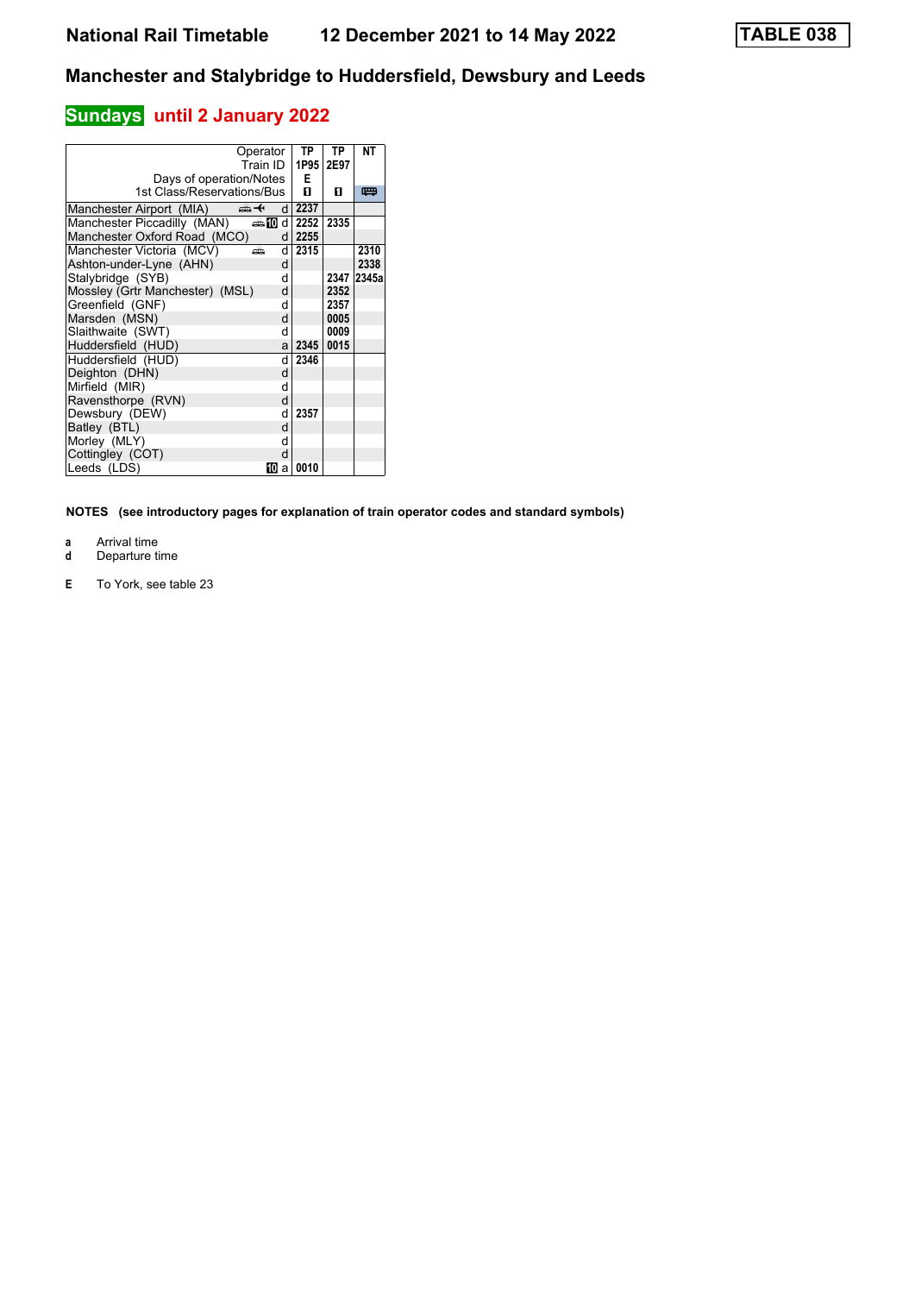# **Sundays** until 2 January 2022

| Operator<br>Train ID                                   | TP<br>1P95 | ТP<br>2E97 | <b>NT</b> |
|--------------------------------------------------------|------------|------------|-----------|
| Days of operation/Notes<br>1st Class/Reservations/Bus  | Е<br>п     | п          | 罒         |
| ക+<br>Manchester Airport (MIA)<br>d                    | 2237       |            |           |
| Manchester Piccadilly (MAN)<br>$\oplus$ 10<br>$d \mid$ | 2252       | 2335       |           |
| Manchester Oxford Road (MCO)<br>d                      | 2255       |            |           |
| Manchester Victoria (MCV)<br>d<br>æ                    | 2315       |            | 2310      |
| Ashton-under-Lyne (AHN)<br>d                           |            |            | 2338      |
| Stalybridge (SYB)<br>d                                 |            | 2347       | 2345a     |
| Mossley (Grtr Manchester) (MSL)<br>d                   |            | 2352       |           |
| Greenfield (GNF)<br>d                                  |            | 2357       |           |
| Marsden (MSN)<br>d                                     |            | 0005       |           |
| Slaithwaite (SWT)<br>d                                 |            | 0009       |           |
| Huddersfield (HUD)<br>a                                | 2345       | 0015       |           |
| Huddersfield (HUD)<br>d                                | 2346       |            |           |
| Deighton (DHN)<br>d                                    |            |            |           |
| Mirfield (MIR)<br>d                                    |            |            |           |
| Ravensthorpe (RVN)<br>d                                |            |            |           |
| Dewsbury (DEW)<br>d                                    | 2357       |            |           |
| Batley (BTL)<br>d                                      |            |            |           |
| Morley (MLY)<br>d                                      |            |            |           |
| Cottingley (COT)<br>d                                  |            |            |           |
| Leeds (LDS)<br>10<br>a                                 | 0010       |            |           |

- 
- **a** Arrival time<br>**d** Departure t **d** Departure time
- **E** To York, see table 23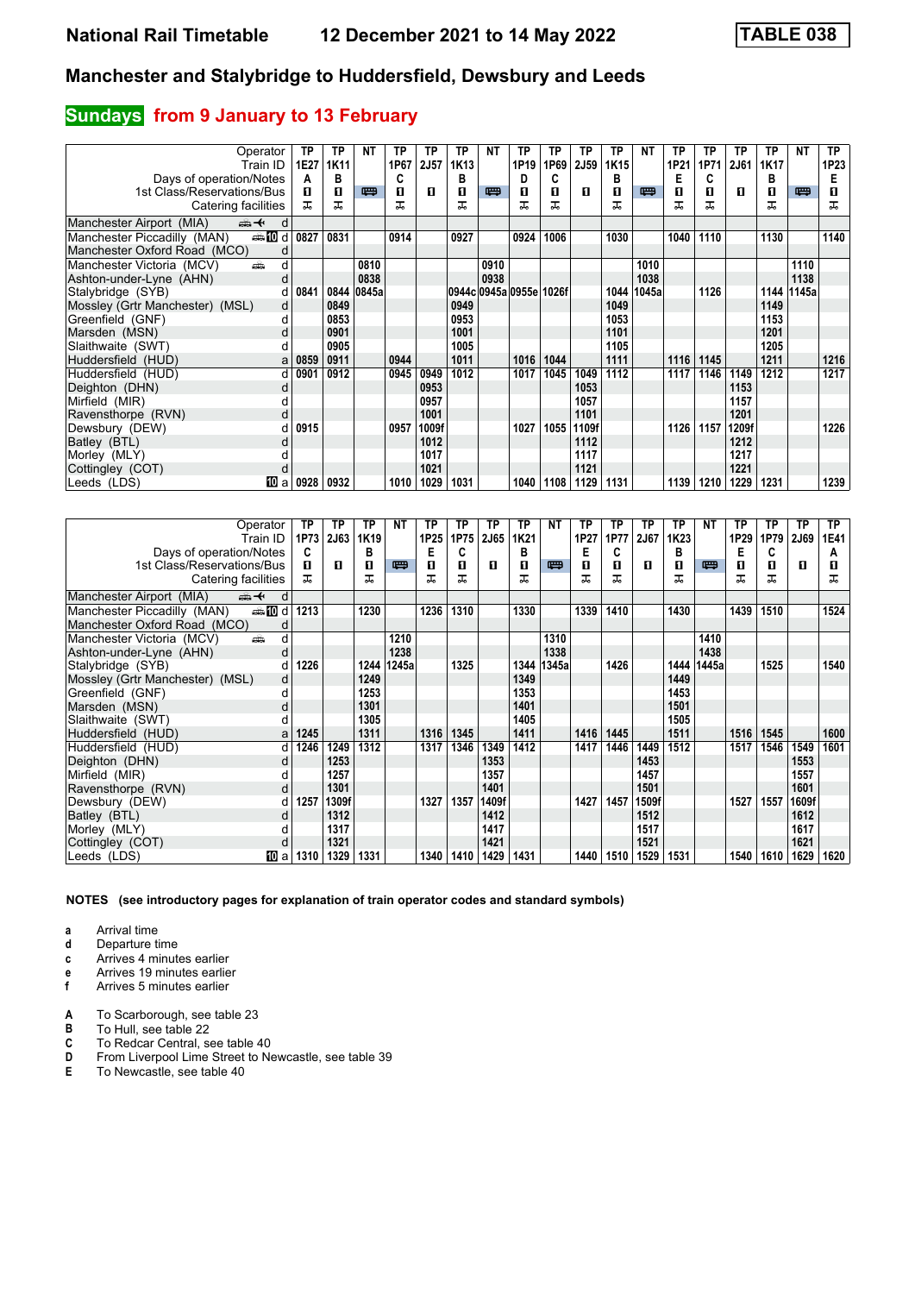## **Sundays** from 9 January to 13 February

| Operator                                               | ΤP   | ТP   | NΤ    | ТP   | ТP    | ТP   | NΤ   | ТP                      | TP   | ТP          | TP   | NΤ    | ТP   | TP   | TP    | ТP   | NΤ         | TP.  |
|--------------------------------------------------------|------|------|-------|------|-------|------|------|-------------------------|------|-------------|------|-------|------|------|-------|------|------------|------|
| Train ID                                               | 1E27 | 1K11 |       | 1P67 | 2J57  | 1K13 |      | 1P19                    | 1P69 | <b>2J59</b> | 1K15 |       | 1P21 | 1P71 | 2J61  | 1K17 |            | 1P23 |
| Days of operation/Notes                                | A    | в    |       | C    |       | в    |      | Đ                       | C    |             | в    |       | Е    | C    |       | в    |            | E    |
| 1st Class/Reservations/Bus                             | п    | п    | 四     | п    | л     | п    | 罒    | п                       | п    | п           | п    | 四     | п    | п    | п     | п    | 四          | п    |
| Catering facilities                                    | ㅈ    | ᅚ    |       | ᠼ    |       | ᠼ    |      |                         | ᅚ    |             |      |       | ᠼ    | ᠼ    |       | ᅚ    |            | ᅚ    |
| Manchester Airport (MIA)<br>$\oplus$ $\leftarrow$<br>d |      |      |       |      |       |      |      |                         |      |             |      |       |      |      |       |      |            |      |
| <b>enting</b> d<br>Manchester Piccadilly (MAN)         | 0827 | 0831 |       | 0914 |       | 0927 |      | 0924                    | 1006 |             | 1030 |       | 1040 | 1110 |       | 1130 |            | 1140 |
| Manchester Oxford Road (MCO)                           |      |      |       |      |       |      |      |                         |      |             |      |       |      |      |       |      |            |      |
| Manchester Victoria (MCV)<br>añ.<br>d                  |      |      | 0810  |      |       |      | 0910 |                         |      |             |      | 1010  |      |      |       |      | 1110       |      |
| Ashton-under-Lyne (AHN)<br>d                           |      |      | 0838  |      |       |      | 0938 |                         |      |             |      | 1038  |      |      |       |      | 1138       |      |
| Stalybridge (SYB)<br>d                                 | 0841 | 0844 | 0845a |      |       |      |      | 0944c 0945a 0955e 1026f |      |             | 1044 | 1045a |      | 1126 |       |      | 1144 1145a |      |
| Mossley (Grtr Manchester) (MSL)<br>d                   |      | 0849 |       |      |       | 0949 |      |                         |      |             | 1049 |       |      |      |       | 1149 |            |      |
| Greenfield (GNF)<br>d                                  |      | 0853 |       |      |       | 0953 |      |                         |      |             | 1053 |       |      |      |       | 1153 |            |      |
| Marsden (MSN)<br>d                                     |      | 0901 |       |      |       | 1001 |      |                         |      |             | 1101 |       |      |      |       | 1201 |            |      |
| Slaithwaite (SWT)                                      |      | 0905 |       |      |       | 1005 |      |                         |      |             | 1105 |       |      |      |       | 1205 |            |      |
| Huddersfield (HUD)<br>a                                | 0859 | 0911 |       | 0944 |       | 1011 |      | 1016                    | 1044 |             | 1111 |       | 1116 | 1145 |       | 1211 |            | 1216 |
| Huddersfield (HUD)<br>d                                | 0901 | 0912 |       | 0945 | 0949  | 1012 |      | 1017                    | 1045 | 1049        | 1112 |       | 1117 | 1146 | 1149  | 1212 |            | 1217 |
| Deighton (DHN)<br>d                                    |      |      |       |      | 0953  |      |      |                         |      | 1053        |      |       |      |      | 1153  |      |            |      |
| Mirfield (MIR)                                         |      |      |       |      | 0957  |      |      |                         |      | 1057        |      |       |      |      | 1157  |      |            |      |
| Ravensthorpe (RVN)<br>d                                |      |      |       |      | 1001  |      |      |                         |      | 1101        |      |       |      |      | 1201  |      |            |      |
| Dewsbury (DEW)                                         | 0915 |      |       | 0957 | 1009f |      |      | 1027                    | 1055 | 1109f       |      |       | 1126 | 1157 | 1209f |      |            | 1226 |
| Batley (BTL)                                           |      |      |       |      | 1012  |      |      |                         |      | 1112        |      |       |      |      | 1212  |      |            |      |
| Morley (MLY)                                           |      |      |       |      | 1017  |      |      |                         |      | 1117        |      |       |      |      | 1217  |      |            |      |
| Cottingley (COT)                                       |      |      |       |      | 1021  |      |      |                         |      | 1121        |      |       |      |      | 1221  |      |            |      |
| 10 a<br>Leeds (LDS)                                    | 0928 | 0932 |       | 1010 | 1029  | 1031 |      | 1040                    | 1108 | 1129        | 1131 |       | 1139 | 1210 | 1229  | 1231 |            | 1239 |

| Operator                                       | ТP   | ТP          | ΤP               | <b>NT</b> | ТP   | ТP   | ТP    | TP   | NΤ    | ТP   | ТP   | ТP    | ТP   | <b>NT</b> | ТP   | ТP   | ТP    | ТP          |
|------------------------------------------------|------|-------------|------------------|-----------|------|------|-------|------|-------|------|------|-------|------|-----------|------|------|-------|-------------|
| Train ID                                       | 1P73 | <b>2J63</b> | 1K <sub>19</sub> |           | 1P25 | 1P75 | 2J65  | 1K21 |       | 1P27 | 1P77 | 2J67  | 1K23 |           | 1P29 | 1P79 | 2J69  | <b>1E41</b> |
| Days of operation/Notes                        | C    |             | в                |           | E    | C    |       | в    |       | Е    | C    |       | в    |           | E    | C    |       | A           |
| 1st Class/Reservations/Bus                     | п    | п           | 0                | 四         | п    | п    | п     | п    | 四     | п    | п    | п     | п    | 四         | п    | п    | п     | п           |
| Catering facilities                            | ㅈ    |             | ᠼ                |           | ᅚ    | ᅚ    |       | ᅚ    |       |      | ᅚ    |       | ᠼ    |           | ᠼ    | ᅚ    |       | ㅈ           |
| Manchester Airport (MIA)<br>⇜✦<br>d            |      |             |                  |           |      |      |       |      |       |      |      |       |      |           |      |      |       |             |
| <b>enting</b> d<br>Manchester Piccadilly (MAN) | 1213 |             | 1230             |           | 1236 | 1310 |       | 1330 |       | 1339 | 1410 |       | 1430 |           | 1439 | 1510 |       | 1524        |
| Manchester Oxford Road (MCO)<br>d              |      |             |                  |           |      |      |       |      |       |      |      |       |      |           |      |      |       |             |
| d<br>Manchester Victoria (MCV)<br>â            |      |             |                  | 1210      |      |      |       |      | 1310  |      |      |       |      | 1410      |      |      |       |             |
| Ashton-under-Lyne (AHN)<br>d                   |      |             |                  | 1238      |      |      |       |      | 1338  |      |      |       |      | 1438      |      |      |       |             |
| Stalybridge (SYB)<br>d                         | 1226 |             | 1244             | 1245a     |      | 1325 |       | 1344 | 1345a |      | 1426 |       | 1444 | 1445a     |      | 1525 |       | 1540        |
| Mossley (Grtr Manchester) (MSL)<br>d           |      |             | 1249             |           |      |      |       | 1349 |       |      |      |       | 1449 |           |      |      |       |             |
| Greenfield (GNF)<br>d                          |      |             | 1253             |           |      |      |       | 1353 |       |      |      |       | 1453 |           |      |      |       |             |
| Marsden (MSN)<br>d                             |      |             | 1301             |           |      |      |       | 1401 |       |      |      |       | 1501 |           |      |      |       |             |
| Slaithwaite (SWT)                              |      |             | 1305             |           |      |      |       | 1405 |       |      |      |       | 1505 |           |      |      |       |             |
| Huddersfield (HUD)<br>a                        | 1245 |             | 1311             |           | 1316 | 1345 |       | 1411 |       | 1416 | 1445 |       | 1511 |           | 1516 | 1545 |       | 1600        |
| Huddersfield (HUD)<br>d                        | 1246 | 1249        | 1312             |           | 1317 | 1346 | 1349  | 1412 |       | 1417 | 1446 | 1449  | 1512 |           | 1517 | 1546 | 1549  | 1601        |
| Deighton (DHN)<br>d                            |      | 1253        |                  |           |      |      | 1353  |      |       |      |      | 1453  |      |           |      |      | 1553  |             |
| Mirfield (MIR)                                 |      | 1257        |                  |           |      |      | 1357  |      |       |      |      | 1457  |      |           |      |      | 1557  |             |
| Ravensthorpe (RVN)<br>d                        |      | 1301        |                  |           |      |      | 1401  |      |       |      |      | 1501  |      |           |      |      | 1601  |             |
| Dewsbury (DEW)<br>d                            | 1257 | 1309f       |                  |           | 1327 | 1357 | 1409f |      |       | 1427 | 1457 | 1509f |      |           | 1527 | 1557 | 1609f |             |
| Batley (BTL)<br>d                              |      | 1312        |                  |           |      |      | 1412  |      |       |      |      | 1512  |      |           |      |      | 1612  |             |
| Morley (MLY)                                   |      | 1317        |                  |           |      |      | 1417  |      |       |      |      | 1517  |      |           |      |      | 1617  |             |
| Cottingley (COT)<br>d                          |      | 1321        |                  |           |      |      | 1421  |      |       |      |      | 1521  |      |           |      |      | 1621  |             |
| Leeds (LDS)<br>10 a                            | 1310 | 1329        | 1331             |           | 1340 | 1410 | 1429  | 1431 |       | 1440 | 1510 | 1529  | 1531 |           | 1540 | 1610 | 1629  | 1620        |

**NOTES (see introductory pages for explanation of train operator codes and standard symbols)**

**a** Arrival time<br>**d** Departure t

**d** Departure time

**c** Arrives 4 minutes earlier

**e** Arrives 19 minutes earlier<br>**f** Arrives 5 minutes earlier

**f** Arrives 5 minutes earlier

- **A** To Scarborough, see table 23<br>**B** To Hull, see table 22
- **B** To Hull, see table 22<br>**C** To Redcar Central, see

**C** To Redcar Central, see table 40<br>**D** From Liverpool Lime Street to Ne

**D** From Liverpool Lime Street to Newcastle, see table 39<br>**E** To Newcastle, see table 40

**E** To Newcastle, see table 40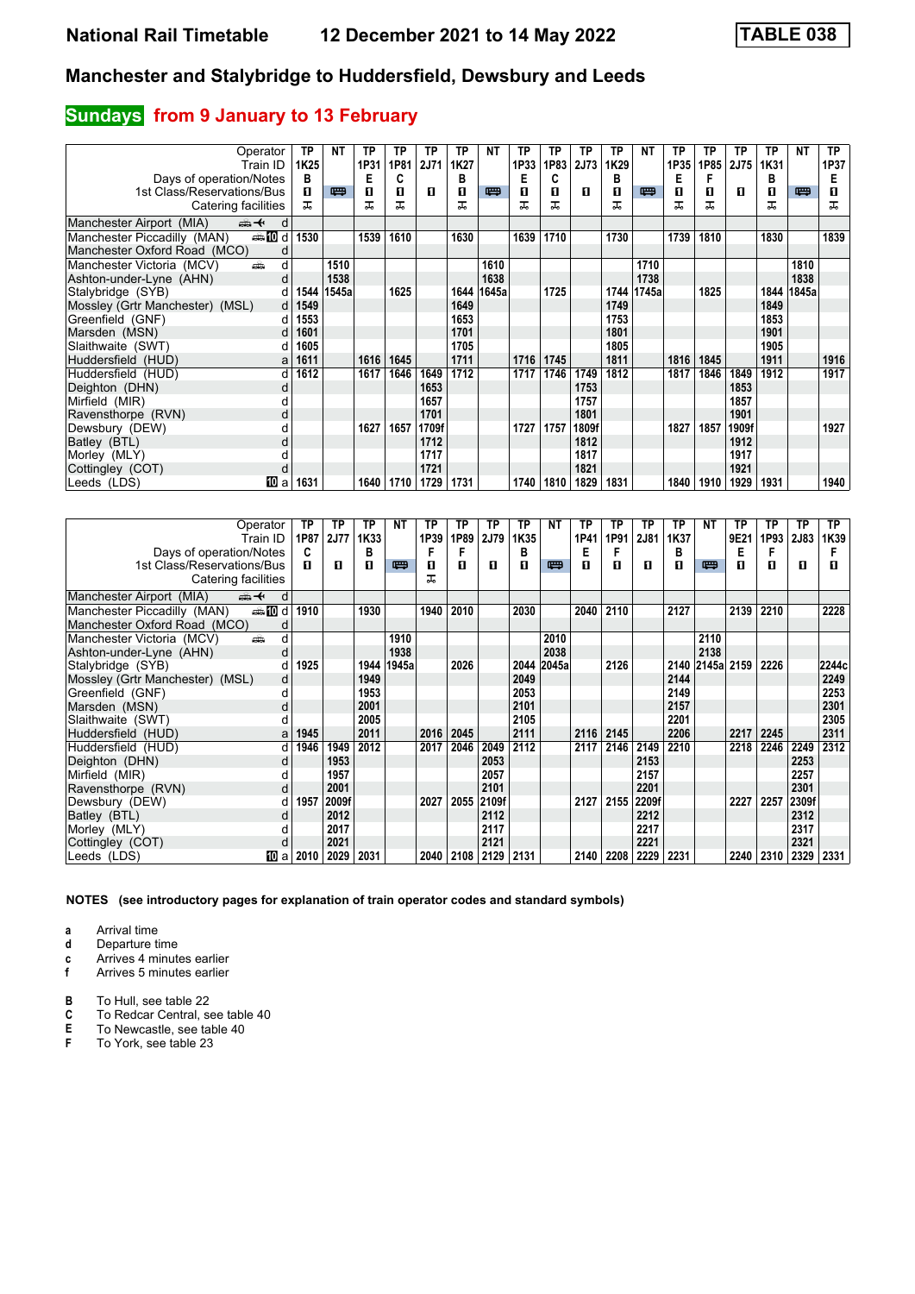# **Sundays** from 9 January to 13 February

| Operator                                       | ТP               | <b>NT</b> | ТP   | ТP   | ТP          | ТP   | NΤ    | ТP   | TP   | ТP    | TP   | NΤ    | ТP   | TP   | ТP    | ТP   | NΤ    | TP.  |
|------------------------------------------------|------------------|-----------|------|------|-------------|------|-------|------|------|-------|------|-------|------|------|-------|------|-------|------|
| Train ID                                       | 1K <sub>25</sub> |           | 1P31 | 1P81 | <b>2J71</b> | 1K27 |       | 1P33 | 1P83 | 2J73  | 1K29 |       | 1P35 | 1P85 | 2J75  | 1K31 |       | 1P37 |
| Days of operation/Notes                        | в                |           | Е    | C    |             | в    |       | Е    | C    |       | в    |       | Е    |      |       | в    |       | E    |
| 1st Class/Reservations/Bus                     | п                | 粤         | п    | п    | л           | п    | 四     | п    | п    | п     | п    | 四     | п    | п    | п     | п    | 四     | п    |
| Catering facilities                            | ᠼ                |           | ᅚ    | ᅚ    |             | ᠼ    |       |      | ᅚ    |       | ᠼ    |       | ᠼ    | ᠼ    |       | ᅚ    |       | ᠼ    |
| Manchester Airport (MIA)<br>ant d              |                  |           |      |      |             |      |       |      |      |       |      |       |      |      |       |      |       |      |
| <b>enting</b> d<br>Manchester Piccadilly (MAN) | 1530             |           | 1539 | 1610 |             | 1630 |       | 1639 | 1710 |       | 1730 |       | 1739 | 1810 |       | 1830 |       | 1839 |
| Manchester Oxford Road (MCO)                   |                  |           |      |      |             |      |       |      |      |       |      |       |      |      |       |      |       |      |
| Manchester Victoria (MCV)<br>dia<br>d          |                  | 1510      |      |      |             |      | 1610  |      |      |       |      | 1710  |      |      |       |      | 1810  |      |
| Ashton-under-Lyne (AHN)<br>d                   |                  | 1538      |      |      |             |      | 1638  |      |      |       |      | 1738  |      |      |       |      | 1838  |      |
| Stalybridge (SYB)                              | 1544             | 1545a     |      | 1625 |             | 1644 | 1645a |      | 1725 |       | 1744 | 1745a |      | 1825 |       | 1844 | 1845a |      |
| Mossley (Grtr Manchester) (MSL)                | 1549<br>d        |           |      |      |             | 1649 |       |      |      |       | 1749 |       |      |      |       | 1849 |       |      |
| Greenfield (GNF)                               | 1553             |           |      |      |             | 1653 |       |      |      |       | 1753 |       |      |      |       | 1853 |       |      |
| Marsden (MSN)<br>d                             | 1601             |           |      |      |             | 1701 |       |      |      |       | 1801 |       |      |      |       | 1901 |       |      |
| Slaithwaite (SWT)                              | 1605             |           |      |      |             | 1705 |       |      |      |       | 1805 |       |      |      |       | 1905 |       |      |
| Huddersfield (HUD)<br>a                        | 1611             |           | 1616 | 1645 |             | 1711 |       | 1716 | 1745 |       | 1811 |       | 1816 | 1845 |       | 1911 |       | 1916 |
| Huddersfield (HUD)<br>d                        | 1612             |           | 1617 | 1646 | 1649        | 1712 |       | 1717 | 1746 | 1749  | 1812 |       | 1817 | 1846 | 1849  | 1912 |       | 1917 |
| Deighton (DHN)<br>d                            |                  |           |      |      | 1653        |      |       |      |      | 1753  |      |       |      |      | 1853  |      |       |      |
| Mirfield (MIR)                                 |                  |           |      |      | 1657        |      |       |      |      | 1757  |      |       |      |      | 1857  |      |       |      |
| Ravensthorpe (RVN)<br>d                        |                  |           |      |      | 1701        |      |       |      |      | 1801  |      |       |      |      | 1901  |      |       |      |
| Dewsbury (DEW)                                 |                  |           | 1627 | 1657 | 1709f       |      |       | 1727 | 1757 | 1809f |      |       | 1827 | 1857 | 1909f |      |       | 1927 |
| Batley (BTL)<br>d                              |                  |           |      |      | 1712        |      |       |      |      | 1812  |      |       |      |      | 1912  |      |       |      |
| Morley (MLY)                                   |                  |           |      |      | 1717        |      |       |      |      | 1817  |      |       |      |      | 1917  |      |       |      |
| Cottingley (COT)<br>d                          |                  |           |      |      | 1721        |      |       |      |      | 1821  |      |       |      |      | 1921  |      |       |      |
| 10 a<br> Leeds (LDS)                           | 1631             |           | 1640 | 1710 | 1729        | 1731 |       | 1740 | 1810 | 1829  | 1831 |       | 1840 | 1910 | 1929  | 1931 |       | 1940 |

| Operator                                       | ΤP        | TP          | ΤP   | NΤ    | ТP   | TP   | ТP    | ТP   | <b>NT</b> | ТP   | ΤP   | ТP    | ТP   | NΤ              | ТP   | ТP   | <b>TP</b> | TP    |
|------------------------------------------------|-----------|-------------|------|-------|------|------|-------|------|-----------|------|------|-------|------|-----------------|------|------|-----------|-------|
| Train ID                                       | 1P87      | <b>2J77</b> | 1K33 |       | 1P39 | 1P89 | 2J79  | 1K35 |           | 1P41 | 1P91 | 2J81  | 1K37 |                 | 9E21 | 1P93 | 2J83      | 1K39  |
| Days of operation/Notes                        | C         |             | в    |       |      |      |       | в    |           | Е    | F    |       | в    |                 | Е    |      |           |       |
| 1st Class/Reservations/Bus                     | п         | п           | п    | 四     | п    | п    | п     | П    | 四         | п    | п    | п     | п    | 四               | п    | п    | п         | п     |
| Catering facilities                            |           |             |      |       | ᅚ    |      |       |      |           |      |      |       |      |                 |      |      |           |       |
| Manchester Airport (MIA)<br>⇜✦<br>d            |           |             |      |       |      |      |       |      |           |      |      |       |      |                 |      |      |           |       |
| <b>enting</b> d<br>Manchester Piccadilly (MAN) | 1910      |             | 1930 |       | 1940 | 2010 |       | 2030 |           | 2040 | 2110 |       | 2127 |                 | 2139 | 2210 |           | 2228  |
| Manchester Oxford Road (MCO)<br>d              |           |             |      |       |      |      |       |      |           |      |      |       |      |                 |      |      |           |       |
| Manchester Victoria (MCV)<br>پیش               | d         |             |      | 1910  |      |      |       |      | 2010      |      |      |       |      | 2110            |      |      |           |       |
| Ashton-under-Lyne (AHN)                        |           |             |      | 1938  |      |      |       |      | 2038      |      |      |       |      | 2138            |      |      |           |       |
| Stalybridge (SYB)                              | 1925      |             | 1944 | 1945a |      | 2026 |       | 2044 | 2045a     |      | 2126 |       |      | 2140 2145a 2159 |      | 2226 |           | 2244c |
| Mossley (Grtr Manchester) (MSL)                | d         |             | 1949 |       |      |      |       | 2049 |           |      |      |       | 2144 |                 |      |      |           | 2249  |
| Greenfield (GNF)                               | d         |             | 1953 |       |      |      |       | 2053 |           |      |      |       | 2149 |                 |      |      |           | 2253  |
| Marsden (MSN)                                  | d         |             | 2001 |       |      |      |       | 2101 |           |      |      |       | 2157 |                 |      |      |           | 2301  |
| Slaithwaite (SWT)                              |           |             | 2005 |       |      |      |       | 2105 |           |      |      |       | 2201 |                 |      |      |           | 2305  |
| Huddersfield (HUD)                             | 1945<br>a |             | 2011 |       | 2016 | 2045 |       | 2111 |           | 2116 | 2145 |       | 2206 |                 | 2217 | 2245 |           | 2311  |
| Huddersfield (HUD)                             | 1946<br>d | 1949        | 2012 |       | 2017 | 2046 | 2049  | 2112 |           | 2117 | 2146 | 2149  | 2210 |                 | 2218 | 2246 | 2249      | 2312  |
| Deighton (DHN)                                 | d         | 1953        |      |       |      |      | 2053  |      |           |      |      | 2153  |      |                 |      |      | 2253      |       |
| Mirfield (MIR)                                 |           | 1957        |      |       |      |      | 2057  |      |           |      |      | 2157  |      |                 |      |      | 2257      |       |
| Ravensthorpe (RVN)                             | d         | 2001        |      |       |      |      | 2101  |      |           |      |      | 2201  |      |                 |      |      | 2301      |       |
| Dewsbury (DEW)                                 | 1957<br>d | 2009f       |      |       | 2027 | 2055 | 2109f |      |           | 2127 | 2155 | 2209f |      |                 | 2227 | 2257 | 2309f     |       |
| Batley (BTL)                                   |           | 2012        |      |       |      |      | 2112  |      |           |      |      | 2212  |      |                 |      |      | 2312      |       |
| Morley (MLY)                                   |           | 2017        |      |       |      |      | 2117  |      |           |      |      | 2217  |      |                 |      |      | 2317      |       |
| Cottingley (COT)                               |           | 2021        |      |       |      |      | 2121  |      |           |      |      | 2221  |      |                 |      |      | 2321      |       |
| Leeds (LDS)<br>10 a                            | 2010      | 2029        | 2031 |       | 2040 | 2108 | 2129  | 2131 |           | 2140 | 2208 | 2229  | 2231 |                 | 2240 | 2310 | 2329      | 2331  |

**NOTES (see introductory pages for explanation of train operator codes and standard symbols)**

**a** Arrival time<br>**d** Departure t

**d** Departure time

**c** Arrives 4 minutes earlier<br>**f** Arrives 5 minutes earlier

**f** Arrives 5 minutes earlier

**B** To Hull, see table 22<br>**C** To Redcar Central, s

**C** To Redcar Central, see table 40<br>**E** To Newcastle, see table 40

**E** To Newcastle, see table 40<br>**F** To York, see table 23

**F** To York, see table 23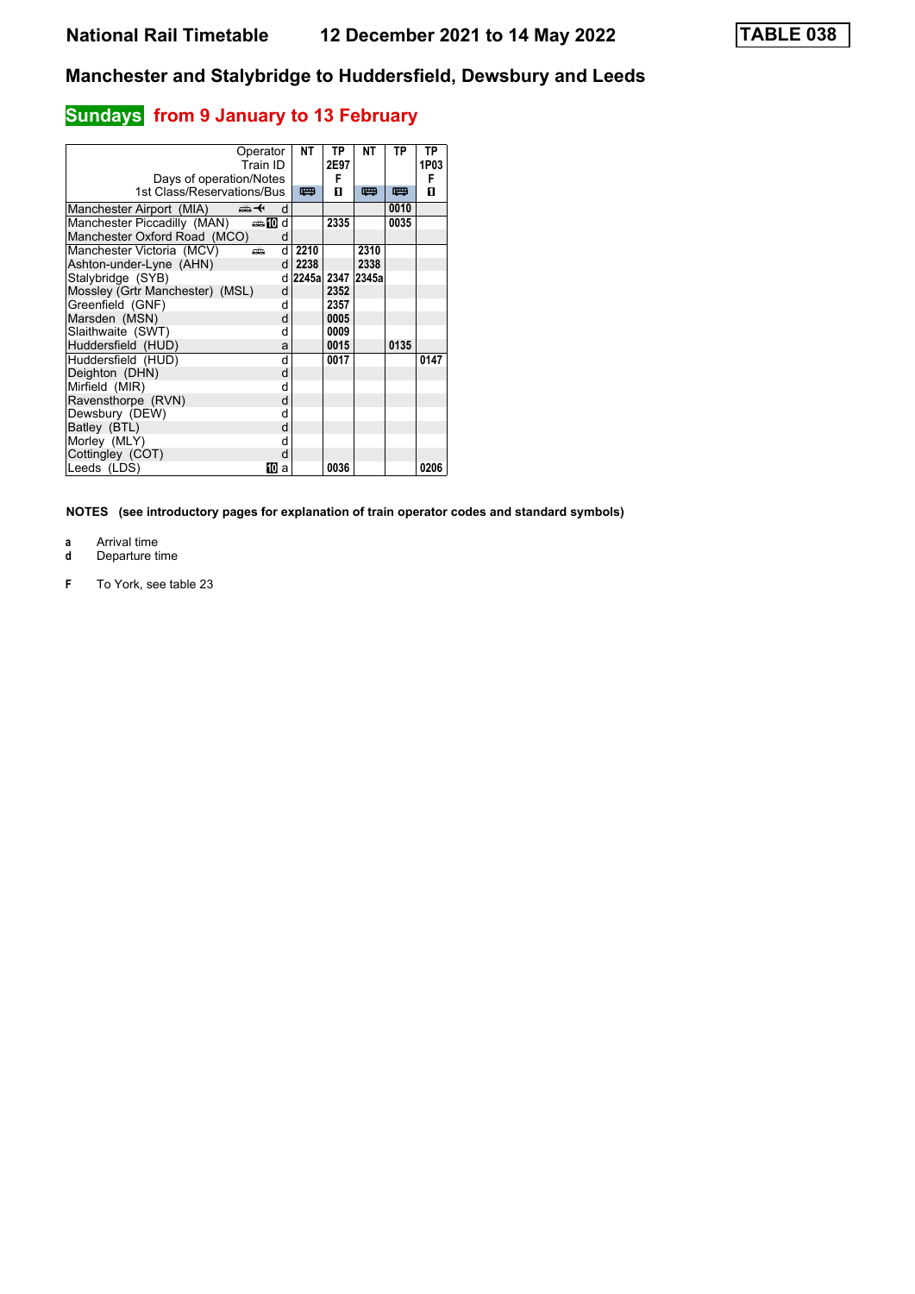# **Sundays** from 9 January to 13 February

|                                 | Operator<br>Train ID | NΤ               | ТP<br>2E97 | NΤ   | ТP   | ΤP<br>1P03 |
|---------------------------------|----------------------|------------------|------------|------|------|------------|
| Days of operation/Notes         |                      |                  | F          |      |      | F          |
| 1st Class/Reservations/Bus      |                      | 四                | п          | 罒    | 罒    | п          |
| Manchester Airport (MIA)        | ⇜✦<br>d              |                  |            |      | 0010 |            |
| Manchester Piccadilly (MAN)     | $\oplus$ 10<br>d     |                  | 2335       |      | 0035 |            |
| Manchester Oxford Road (MCO)    | d                    |                  |            |      |      |            |
| Manchester Victoria (MCV)       | d<br>æ               | 2210             |            | 2310 |      |            |
| Ashton-under-Lyne (AHN)         | d                    | 2238             |            | 2338 |      |            |
| Stalybridge (SYB)               | d                    | 2245a 2347 2345a |            |      |      |            |
| Mossley (Grtr Manchester) (MSL) | d                    |                  | 2352       |      |      |            |
| Greenfield (GNF)                | d                    |                  | 2357       |      |      |            |
| Marsden (MSN)                   | d                    |                  | 0005       |      |      |            |
| Slaithwaite (SWT)               | d                    |                  | 0009       |      |      |            |
| Huddersfield (HUD)              | a                    |                  | 0015       |      | 0135 |            |
| Huddersfield (HUD)              | d                    |                  | 0017       |      |      | 0147       |
| Deighton (DHN)                  | d                    |                  |            |      |      |            |
| Mirfield (MIR)                  | d                    |                  |            |      |      |            |
| Ravensthorpe (RVN)              | d                    |                  |            |      |      |            |
| Dewsbury (DEW)                  | d                    |                  |            |      |      |            |
| Batley (BTL)                    | d                    |                  |            |      |      |            |
| Morley (MLY)                    | d                    |                  |            |      |      |            |
| Cottingley (COT)                | d                    |                  |            |      |      |            |
| Leeds (LDS)                     | 10.<br>a             |                  | 0036       |      |      | 0206       |

- 
- **a** Arrival time<br>**d** Departure t **d** Departure time
- **F** To York, see table 23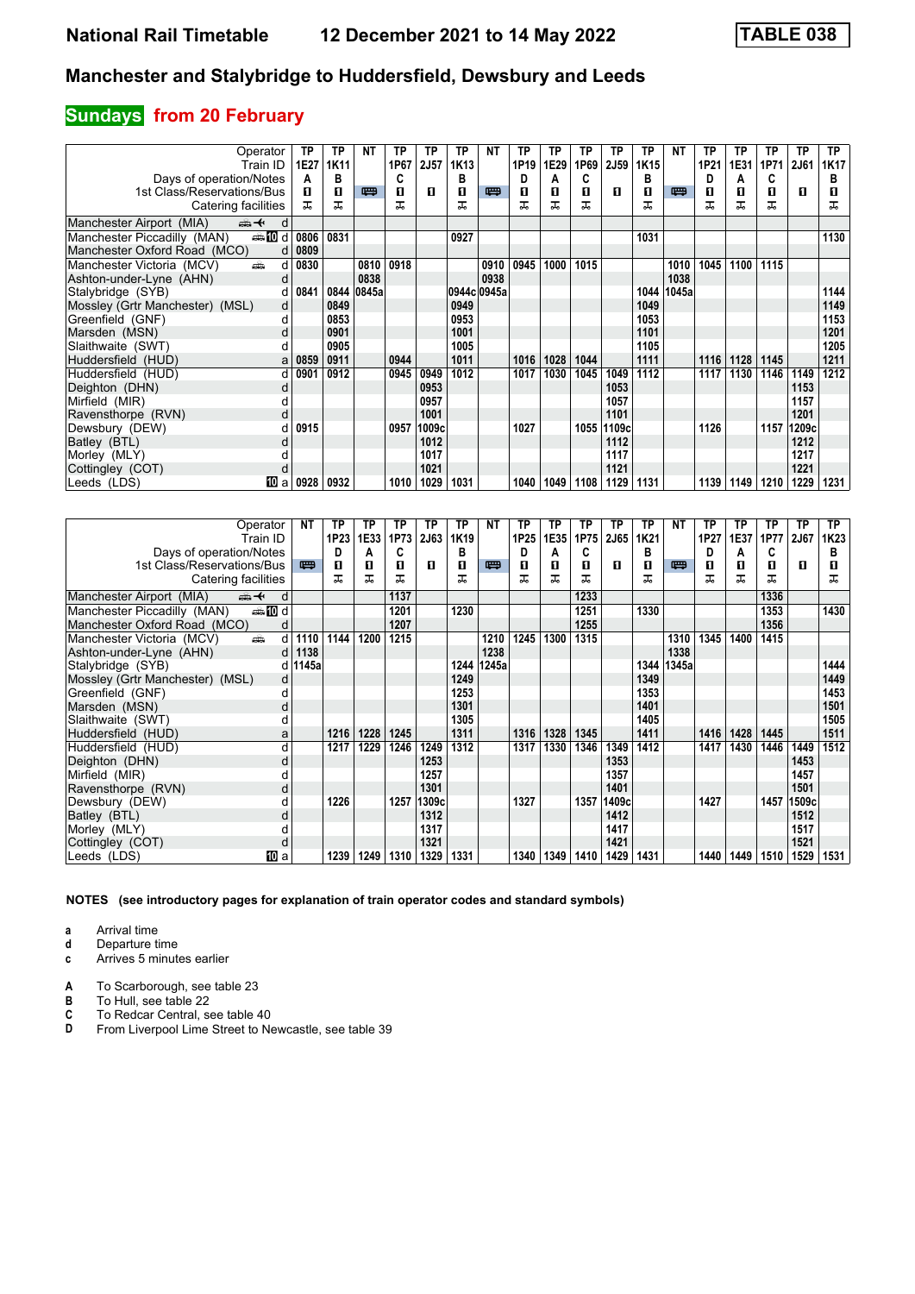# **Sundays from 20 February**

| Operator                                       | ТP   | ΤP   | NΤ    | ТP   | ТP     | ТP   | NΤ          | ТP               | TP   | ТP   | TP          | ТP   | NΤ    | TP   | ТP   | ТP   | TP    | <b>TP</b> |
|------------------------------------------------|------|------|-------|------|--------|------|-------------|------------------|------|------|-------------|------|-------|------|------|------|-------|-----------|
| Train ID                                       | 1E27 | 1K11 |       | 1P67 | 2J57   | 1K13 |             | 1P <sub>19</sub> | 1E29 | 1P69 | <b>2J59</b> | 1K15 |       | 1P21 | 1E31 | 1P71 | 2J61  | 1K17      |
| Days of operation/Notes                        | А    | в    |       | C    |        | в    |             | D                | А    | C    |             | в    |       | D    | A    | C    |       | в         |
| 1st Class/Reservations/Bus                     | п    | 0    | 四     | п    | л      | п    | 罒           | п                | п    | п    | п           | П    | 四     | п    | п    | п    | п     | ш         |
| Catering facilities                            | ᅚ    | ᅚ    |       | ᅚ    |        | ᅚ    |             |                  |      |      |             | ᅚ    |       | ᇁ    | ᠼ    | ㅈ    |       | ᅚ         |
| Manchester Airport (MIA)<br>⇜✦<br>d            |      |      |       |      |        |      |             |                  |      |      |             |      |       |      |      |      |       |           |
| Manchester Piccadilly (MAN)<br><b>enting</b> d | 0806 | 0831 |       |      |        | 0927 |             |                  |      |      |             | 1031 |       |      |      |      |       | 1130      |
| Manchester Oxford Road (MCO)<br>d              | 0809 |      |       |      |        |      |             |                  |      |      |             |      |       |      |      |      |       |           |
| Manchester Victoria (MCV)<br>añ.<br>d          | 0830 |      | 0810  | 0918 |        |      | 0910        | 0945             | 1000 | 1015 |             |      | 1010  | 1045 | 1100 | 1115 |       |           |
| Ashton-under-Lyne (AHN)<br>d                   |      |      | 0838  |      |        |      | 0938        |                  |      |      |             |      | 1038  |      |      |      |       |           |
| Stalybridge (SYB)<br>d                         | 0841 | 0844 | 0845a |      |        |      | 0944c 0945a |                  |      |      |             | 1044 | 1045a |      |      |      |       | 1144      |
| Mossley (Grtr Manchester) (MSL)<br>d           |      | 0849 |       |      |        | 0949 |             |                  |      |      |             | 1049 |       |      |      |      |       | 1149      |
| Greenfield (GNF)<br>d                          |      | 0853 |       |      |        | 0953 |             |                  |      |      |             | 1053 |       |      |      |      |       | 1153      |
| Marsden (MSN)<br>d                             |      | 0901 |       |      |        | 1001 |             |                  |      |      |             | 1101 |       |      |      |      |       | 1201      |
| Slaithwaite (SWT)                              |      | 0905 |       |      |        | 1005 |             |                  |      |      |             | 1105 |       |      |      |      |       | 1205      |
| Huddersfield (HUD)<br>a                        | 0859 | 0911 |       | 0944 |        | 1011 |             | 1016             | 1028 | 1044 |             | 1111 |       | 1116 | 1128 | 1145 |       | 1211      |
| Huddersfield (HUD)<br>d                        | 0901 | 0912 |       | 0945 | 0949   | 1012 |             | 1017             | 1030 | 1045 | 1049        | 1112 |       | 1117 | 1130 | 1146 | 1149  | 1212      |
| Deighton (DHN)<br>d                            |      |      |       |      | 0953   |      |             |                  |      |      | 1053        |      |       |      |      |      | 1153  |           |
| Mirfield (MIR)                                 |      |      |       |      | 0957   |      |             |                  |      |      | 1057        |      |       |      |      |      | 1157  |           |
| Ravensthorpe (RVN)<br>d                        |      |      |       |      | 1001   |      |             |                  |      |      | 1101        |      |       |      |      |      | 1201  |           |
| Dewsbury (DEW)                                 | 0915 |      |       | 0957 | 1009cl |      |             | 1027             |      | 1055 | 1109c       |      |       | 1126 |      | 1157 | 1209c |           |
| Batley (BTL)<br>d                              |      |      |       |      | 1012   |      |             |                  |      |      | 1112        |      |       |      |      |      | 1212  |           |
| Morley (MLY)                                   |      |      |       |      | 1017   |      |             |                  |      |      | 1117        |      |       |      |      |      | 1217  |           |
| Cottingley (COT)<br>d                          |      |      |       |      | 1021   |      |             |                  |      |      | 1121        |      |       |      |      |      | 1221  |           |
| 100 a<br>Leeds (LDS)                           | 0928 | 0932 |       | 1010 | 1029   | 1031 |             | 1040             | 1049 | 1108 | 1129        | 1131 |       | 1139 | 1149 | 1210 | 1229  | 1231      |

| Operator                                               | NΤ        | ТP               | ΤР   | ТP   | ТP    | ТP               | NΤ    | ТP               | ТP   | ТP   | ΤP          | ТP   | NΤ         | ТP   | ТP   | ТP   | <b>TP</b> | TP               |
|--------------------------------------------------------|-----------|------------------|------|------|-------|------------------|-------|------------------|------|------|-------------|------|------------|------|------|------|-----------|------------------|
| Train ID                                               |           | 1P <sub>23</sub> | 1E33 | 1P73 | 2J63  | 1K <sub>19</sub> |       | 1P <sub>25</sub> | 1E35 | 1P75 | <b>2J65</b> | 1K21 |            | 1P27 | 1E37 | 1P77 | 2J67      | 1K <sub>23</sub> |
| Days of operation/Notes                                |           | D                | А    | C    |       | в                |       | D                | A    | C    |             | в    |            | D    | Α    | C    |           | в                |
| 1st Class/Reservations/Bus                             | 四         | 0                | п    | 0    | л     | п                | 四     | П                | П    | п    | п           | п    | 四          | п    | п    | п    | п         |                  |
| Catering facilities                                    |           |                  | ᠼ    | ᅚ    |       | ᠼ                |       | ᠼ                | ᅚ    | ᅚ    |             | ᠼ    |            | ᠼ    | ᠼ    | ᠼ    |           | ᠼ                |
| Manchester Airport (MIA)<br>$\oplus$ $\leftarrow$<br>d |           |                  |      | 1137 |       |                  |       |                  |      | 1233 |             |      |            |      |      | 1336 |           |                  |
| <b>entin</b> d<br>Manchester Piccadilly (MAN)          |           |                  |      | 1201 |       | 1230             |       |                  |      | 1251 |             | 1330 |            |      |      | 1353 |           | 1430             |
| Manchester Oxford Road (MCO)                           |           |                  |      | 1207 |       |                  |       |                  |      | 1255 |             |      |            |      |      | 1356 |           |                  |
| ain<br>d<br>Manchester Victoria (MCV)                  | 1110      | 1144             | 1200 | 1215 |       |                  | 1210  | 1245             | 1300 | 1315 |             |      | 1310       | 1345 | 1400 | 1415 |           |                  |
| Ashton-under-Lyne (AHN)                                | 1138<br>d |                  |      |      |       |                  | 1238  |                  |      |      |             |      | 1338       |      |      |      |           |                  |
| Stalybridge (SYB)                                      | d   1145a |                  |      |      |       | 1244             | 1245a |                  |      |      |             |      | 1344 1345a |      |      |      |           | 1444             |
| Mossley (Grtr Manchester) (MSL)                        | d         |                  |      |      |       | 1249             |       |                  |      |      |             | 1349 |            |      |      |      |           | 1449             |
| Greenfield (GNF)                                       |           |                  |      |      |       | 1253             |       |                  |      |      |             | 1353 |            |      |      |      |           | 1453             |
| Marsden (MSN)                                          | d         |                  |      |      |       | 1301             |       |                  |      |      |             | 1401 |            |      |      |      |           | 1501             |
| Slaithwaite (SWT)                                      |           |                  |      |      |       | 1305             |       |                  |      |      |             | 1405 |            |      |      |      |           | 1505             |
| Huddersfield (HUD)                                     | a         | 1216             | 1228 | 1245 |       | 1311             |       | 1316             | 1328 | 1345 |             | 1411 |            | 1416 | 1428 | 1445 |           | 1511             |
| Huddersfield (HUD)<br>d                                |           | 1217             | 1229 | 1246 | 1249  | 1312             |       | 1317             | 1330 | 1346 | 1349        | 1412 |            | 1417 | 1430 | 1446 | 1449      | 1512             |
| Deighton (DHN)<br>d                                    |           |                  |      |      | 1253  |                  |       |                  |      |      | 1353        |      |            |      |      |      | 1453      |                  |
| Mirfield (MIR)                                         |           |                  |      |      | 1257  |                  |       |                  |      |      | 1357        |      |            |      |      |      | 1457      |                  |
| Ravensthorpe (RVN)                                     | d         |                  |      |      | 1301  |                  |       |                  |      |      | 1401        |      |            |      |      |      | 1501      |                  |
| Dewsbury (DEW)                                         |           | 1226             |      | 1257 | 1309c |                  |       | 1327             |      | 1357 | 1409c       |      |            | 1427 |      | 1457 | 1509c     |                  |
| Batley (BTL)                                           |           |                  |      |      | 1312  |                  |       |                  |      |      | 1412        |      |            |      |      |      | 1512      |                  |
| Morley (MLY)                                           |           |                  |      |      | 1317  |                  |       |                  |      |      | 1417        |      |            |      |      |      | 1517      |                  |
| Cottingley (COT)<br>d                                  |           |                  |      |      | 1321  |                  |       |                  |      |      | 1421        |      |            |      |      |      | 1521      |                  |
| [10] a<br>Leeds (LDS)                                  |           | 1239             | 1249 | 1310 | 1329  | 1331             |       | 1340             | 1349 | 1410 | 1429        | 1431 |            | 1440 | 1449 | 1510 | 1529      | 1531             |

**NOTES (see introductory pages for explanation of train operator codes and standard symbols)**

**a** Arrival time<br>**d** Departure ti

**d** Departure time

**c** Arrives 5 minutes earlier

**A** To Scarborough, see table 23<br>**B** To Hull, see table 22

**B** To Hull, see table 22<br>**C** To Redcar Central, s<br>**D** From Liverpool Lime **C** To Redcar Central, see table 40

From Liverpool Lime Street to Newcastle, see table 39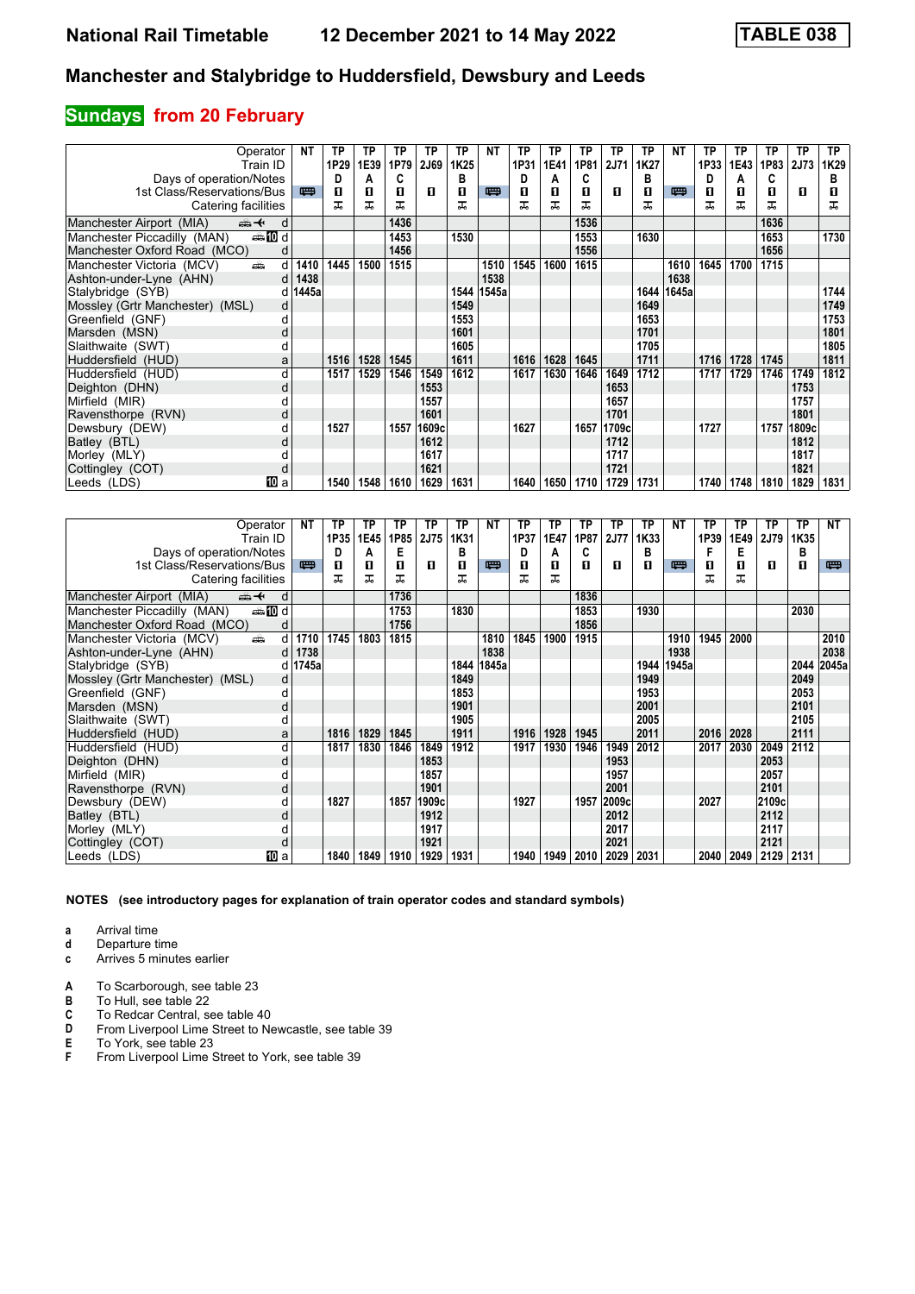# **Sundays from 20 February**

| Operator                                      | NΤ        | TP   | TP   | ТP   | ТP     | ТP   | NΤ    | ТP   | TP   | ТP   | TP          | ТP   | NΤ         | TP   | ТP   | ТP   | <b>TP</b> | TP   |
|-----------------------------------------------|-----------|------|------|------|--------|------|-------|------|------|------|-------------|------|------------|------|------|------|-----------|------|
| Train ID                                      |           | 1P29 | 1E39 | 1P79 | 2J69   | 1K25 |       | 1P31 | 1E41 | 1P81 | <b>2J71</b> | 1K27 |            | 1P33 | 1E43 | 1P83 | 2J73      | 1K29 |
| Days of operation/Notes                       |           | D    | А    | C    |        | в    |       | D    | А    | C    |             | в    |            | D    | A    | C    |           | в    |
| 1st Class/Reservations/Bus                    | 四         | 0    | п    | 0    | п      | п    | 罒     | п    | п    | п    | п           | П    | 四          | п    | п    | П    | п         |      |
| Catering facilities                           |           | ᅚ    | ᅚ    | ᅚ    |        | ᠼ    |       | ᅚ    |      |      |             | ᅚ    |            | ᅚ    | ᠼ    | ᠼ    |           | ᅚ    |
| Manchester Airport (MIA)<br>安<br>d            |           |      |      | 1436 |        |      |       |      |      | 1536 |             |      |            |      |      | 1636 |           |      |
| <b>entin</b> d<br>Manchester Piccadilly (MAN) |           |      |      | 1453 |        | 1530 |       |      |      | 1553 |             | 1630 |            |      |      | 1653 |           | 1730 |
| Manchester Oxford Road (MCO)<br>d             |           |      |      | 1456 |        |      |       |      |      | 1556 |             |      |            |      |      | 1656 |           |      |
| Manchester Victoria (MCV)<br>پیش<br>d         | 1410      | 1445 | 1500 | 1515 |        |      | 1510  | 1545 | 1600 | 1615 |             |      | 1610       | 1645 | 1700 | 1715 |           |      |
| Ashton-under-Lyne (AHN)                       | 1438<br>d |      |      |      |        |      | 1538  |      |      |      |             |      | 1638       |      |      |      |           |      |
| Stalybridge (SYB)                             | 1445a     |      |      |      |        | 1544 | 1545a |      |      |      |             |      | 1644 1645a |      |      |      |           | 1744 |
| Mossley (Grtr Manchester) (MSL)               | d         |      |      |      |        | 1549 |       |      |      |      |             | 1649 |            |      |      |      |           | 1749 |
| Greenfield (GNF)                              |           |      |      |      |        | 1553 |       |      |      |      |             | 1653 |            |      |      |      |           | 1753 |
| Marsden (MSN)                                 | d         |      |      |      |        | 1601 |       |      |      |      |             | 1701 |            |      |      |      |           | 1801 |
| Slaithwaite (SWT)                             |           |      |      |      |        | 1605 |       |      |      |      |             | 1705 |            |      |      |      |           | 1805 |
| Huddersfield (HUD)<br>a                       |           | 1516 | 1528 | 1545 |        | 1611 |       | 1616 | 1628 | 1645 |             | 1711 |            | 1716 | 1728 | 1745 |           | 1811 |
| Huddersfield (HUD)<br>d                       |           | 1517 | 1529 | 1546 | 1549   | 1612 |       | 1617 | 1630 | 1646 | 1649        | 1712 |            | 1717 | 1729 | 1746 | 1749      | 1812 |
| Deighton (DHN)<br>d                           |           |      |      |      | 1553   |      |       |      |      |      | 1653        |      |            |      |      |      | 1753      |      |
| Mirfield (MIR)                                |           |      |      |      | 1557   |      |       |      |      |      | 1657        |      |            |      |      |      | 1757      |      |
| Ravensthorpe (RVN)<br>d                       |           |      |      |      | 1601   |      |       |      |      |      | 1701        |      |            |      |      |      | 1801      |      |
| Dewsbury (DEW)                                |           | 1527 |      | 1557 | 1609cl |      |       | 1627 |      | 1657 | 1709c       |      |            | 1727 |      | 1757 | 1809c     |      |
| Batley (BTL)                                  | d         |      |      |      | 1612   |      |       |      |      |      | 1712        |      |            |      |      |      | 1812      |      |
| Morley (MLY)                                  |           |      |      |      | 1617   |      |       |      |      |      | 1717        |      |            |      |      |      | 1817      |      |
| Cottingley (COT)<br>d                         |           |      |      |      | 1621   |      |       |      |      |      | 1721        |      |            |      |      |      | 1821      |      |
| Юa.<br>Leeds (LDS)                            |           | 1540 | 1548 | 1610 | 1629   | 1631 |       | 1640 | 1650 | 1710 | 1729        | 1731 |            | 1740 | 1748 | 1810 | 1829      | 1831 |

| Operator                                                                                                                                                                                                                                                        | NΤ    | ТP   | ΤP   | ТP   | ТP    | ТP   | NΤ    | ТP   | ТP   | ТP   | ТP          | ТP   | NΤ         | ТP   | ТP   | ΤP          | <b>TP</b> | NΤ    |
|-----------------------------------------------------------------------------------------------------------------------------------------------------------------------------------------------------------------------------------------------------------------|-------|------|------|------|-------|------|-------|------|------|------|-------------|------|------------|------|------|-------------|-----------|-------|
| Train ID                                                                                                                                                                                                                                                        |       | 1P35 | 1E45 | 1P85 | 2J75  | 1K31 |       | 1P37 | 1E47 | 1P87 | <b>2J77</b> | 1K33 |            | 1P39 | 1E49 | <b>2J79</b> | 1K35      |       |
| Days of operation/Notes                                                                                                                                                                                                                                         |       | D    | А    | Е    |       | в    |       | D    | A    | C    |             | в    |            | F    | Е    |             | в         |       |
| 1st Class/Reservations/Bus                                                                                                                                                                                                                                      | 四     | п    | п    | 0    | л     | п    | 四     | П    | п    | п    | п           | п    | 四          | п    | п    | п           | п         | 粤     |
| Catering facilities                                                                                                                                                                                                                                             |       | ᅚ    | ᠼ    | ᅚ    |       | ᠼ    |       | ᅚ    | ᅚ    |      |             |      |            | ᠼ    | ᠼ    |             |           |       |
| Manchester Airport (MIA)<br>⇜✦<br>d                                                                                                                                                                                                                             |       |      |      | 1736 |       |      |       |      |      | 1836 |             |      |            |      |      |             |           |       |
| <b>entin</b> d<br>Manchester Piccadilly (MAN)                                                                                                                                                                                                                   |       |      |      | 1753 |       | 1830 |       |      |      | 1853 |             | 1930 |            |      |      |             | 2030      |       |
| Manchester Oxford Road (MCO)<br>d                                                                                                                                                                                                                               |       |      |      | 1756 |       |      |       |      |      | 1856 |             |      |            |      |      |             |           |       |
| Manchester Victoria (MCV)<br>and the second second second second the second second second second second second second second second second second second second second second second second second second second second second second second second second<br>d | 1710  | 1745 | 1803 | 1815 |       |      | 1810  | 1845 | 1900 | 1915 |             |      | 1910       | 1945 | 2000 |             |           | 2010  |
| Ashton-under-Lyne (AHN)<br>d                                                                                                                                                                                                                                    | 1738  |      |      |      |       |      | 1838  |      |      |      |             |      | 1938       |      |      |             |           | 2038  |
| Stalybridge (SYB)                                                                                                                                                                                                                                               | 1745a |      |      |      |       | 1844 | 1845a |      |      |      |             |      | 1944 1945a |      |      |             | 2044      | 2045a |
| Mossley (Grtr Manchester) (MSL)<br>d                                                                                                                                                                                                                            |       |      |      |      |       | 1849 |       |      |      |      |             | 1949 |            |      |      |             | 2049      |       |
| Greenfield (GNF)<br>d                                                                                                                                                                                                                                           |       |      |      |      |       | 1853 |       |      |      |      |             | 1953 |            |      |      |             | 2053      |       |
| Marsden (MSN)<br>d                                                                                                                                                                                                                                              |       |      |      |      |       | 1901 |       |      |      |      |             | 2001 |            |      |      |             | 2101      |       |
| Slaithwaite (SWT)                                                                                                                                                                                                                                               |       |      |      |      |       | 1905 |       |      |      |      |             | 2005 |            |      |      |             | 2105      |       |
| Huddersfield (HUD)<br>a                                                                                                                                                                                                                                         |       | 1816 | 1829 | 1845 |       | 1911 |       | 1916 | 1928 | 1945 |             | 2011 |            | 2016 | 2028 |             | 2111      |       |
| Huddersfield (HUD)<br>d                                                                                                                                                                                                                                         |       | 1817 | 1830 | 1846 | 1849  | 1912 |       | 1917 | 1930 | 1946 | 1949        | 2012 |            | 2017 | 2030 | 2049        | 2112      |       |
| Deighton (DHN)<br>d                                                                                                                                                                                                                                             |       |      |      |      | 1853  |      |       |      |      |      | 1953        |      |            |      |      | 2053        |           |       |
| Mirfield (MIR)                                                                                                                                                                                                                                                  |       |      |      |      | 1857  |      |       |      |      |      | 1957        |      |            |      |      | 2057        |           |       |
| Ravensthorpe (RVN)<br>d                                                                                                                                                                                                                                         |       |      |      |      | 1901  |      |       |      |      |      | 2001        |      |            |      |      | 2101        |           |       |
| Dewsbury (DEW)                                                                                                                                                                                                                                                  |       | 1827 |      | 1857 | 1909c |      |       | 1927 |      | 1957 | 2009c       |      |            | 2027 |      | 2109c       |           |       |
| Batley (BTL)<br>d                                                                                                                                                                                                                                               |       |      |      |      | 1912  |      |       |      |      |      | 2012        |      |            |      |      | 2112        |           |       |
| Morley (MLY)                                                                                                                                                                                                                                                    |       |      |      |      | 1917  |      |       |      |      |      | 2017        |      |            |      |      | 2117        |           |       |
| Cottingley (COT)<br>d                                                                                                                                                                                                                                           |       |      |      |      | 1921  |      |       |      |      |      | 2021        |      |            |      |      | 2121        |           |       |
| Leeds (LDS)<br>[10] a                                                                                                                                                                                                                                           |       | 1840 | 1849 | 1910 | 1929  | 1931 |       | 1940 | 1949 | 2010 | 2029        | 2031 |            | 2040 | 2049 | 2129 2131   |           |       |

**NOTES (see introductory pages for explanation of train operator codes and standard symbols)**

- **d** Departure time
- **c** Arrives 5 minutes earlier
- **A** To Scarborough, see table 23<br>**B** To Hull, see table 22
- 
- **B** To Hull, see table 22<br>**C** To Redcar Central, s
- **C** To Redcar Central, see table 40<br>**D** From Liverpool Lime Street to Ne **D** From Liverpool Lime Street to Newcastle, see table 39<br>**E** To York, see table 23<br>**F** From Liverpool Lime Street to York, see table 39
- **E** To York, see table 23
- From Liverpool Lime Street to York, see table 39